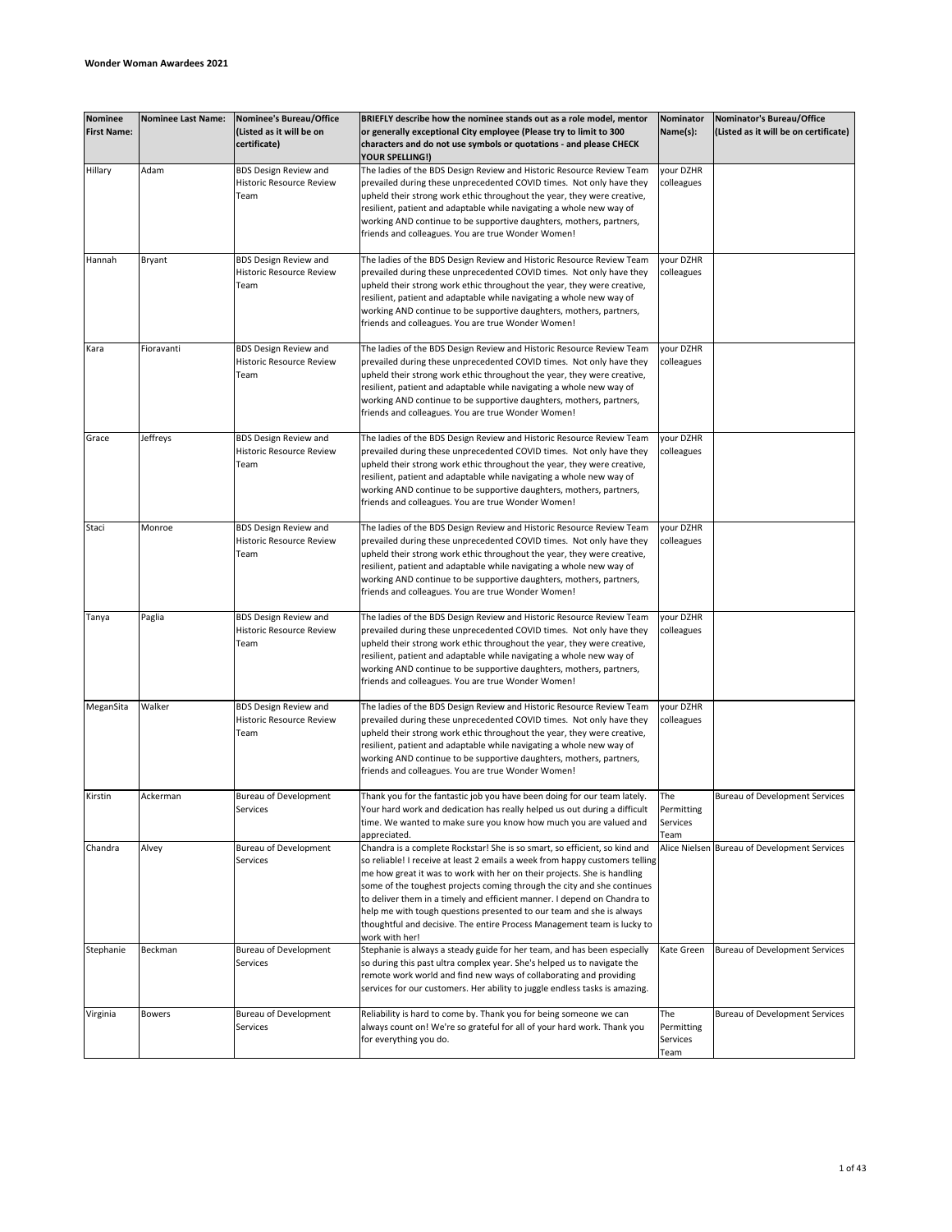| Nominee<br><b>First Name:</b> | <b>Nominee Last Name:</b> | Nominee's Bureau/Office<br>(Listed as it will be on<br>certificate)     | BRIEFLY describe how the nominee stands out as a role model, mentor<br>or generally exceptional City employee (Please try to limit to 300<br>characters and do not use symbols or quotations - and please CHECK                                                                                                                                                                                                                                                                                                                                                   | Nominator<br>Name(s):                 | Nominator's Bureau/Office<br>(Listed as it will be on certificate) |
|-------------------------------|---------------------------|-------------------------------------------------------------------------|-------------------------------------------------------------------------------------------------------------------------------------------------------------------------------------------------------------------------------------------------------------------------------------------------------------------------------------------------------------------------------------------------------------------------------------------------------------------------------------------------------------------------------------------------------------------|---------------------------------------|--------------------------------------------------------------------|
| Hillary                       | Adam                      | <b>BDS Design Review and</b><br><b>Historic Resource Review</b><br>Team | YOUR SPELLING!)<br>The ladies of the BDS Design Review and Historic Resource Review Team<br>prevailed during these unprecedented COVID times. Not only have they<br>upheld their strong work ethic throughout the year, they were creative,<br>resilient, patient and adaptable while navigating a whole new way of<br>working AND continue to be supportive daughters, mothers, partners,<br>friends and colleagues. You are true Wonder Women!                                                                                                                  | your DZHR<br>colleagues               |                                                                    |
| Hannah                        | Bryant                    | <b>BDS Design Review and</b><br>Historic Resource Review<br>Team        | The ladies of the BDS Design Review and Historic Resource Review Team<br>prevailed during these unprecedented COVID times. Not only have they<br>upheld their strong work ethic throughout the year, they were creative,<br>resilient, patient and adaptable while navigating a whole new way of<br>working AND continue to be supportive daughters, mothers, partners,<br>friends and colleagues. You are true Wonder Women!                                                                                                                                     | your DZHR<br>colleagues               |                                                                    |
| Kara                          | Fioravanti                | <b>BDS Design Review and</b><br><b>Historic Resource Review</b><br>Team | The ladies of the BDS Design Review and Historic Resource Review Team<br>prevailed during these unprecedented COVID times. Not only have they<br>upheld their strong work ethic throughout the year, they were creative,<br>resilient, patient and adaptable while navigating a whole new way of<br>working AND continue to be supportive daughters, mothers, partners,<br>friends and colleagues. You are true Wonder Women!                                                                                                                                     | your DZHR<br>colleagues               |                                                                    |
| Grace                         | Jeffreys                  | <b>BDS Design Review and</b><br><b>Historic Resource Review</b><br>Team | The ladies of the BDS Design Review and Historic Resource Review Team<br>prevailed during these unprecedented COVID times. Not only have they<br>upheld their strong work ethic throughout the year, they were creative,<br>resilient, patient and adaptable while navigating a whole new way of<br>working AND continue to be supportive daughters, mothers, partners,<br>friends and colleagues. You are true Wonder Women!                                                                                                                                     | your DZHR<br>colleagues               |                                                                    |
| Staci                         | Monroe                    | <b>BDS Design Review and</b><br>Historic Resource Review<br>Team        | The ladies of the BDS Design Review and Historic Resource Review Team<br>prevailed during these unprecedented COVID times. Not only have they<br>upheld their strong work ethic throughout the year, they were creative,<br>resilient, patient and adaptable while navigating a whole new way of<br>working AND continue to be supportive daughters, mothers, partners,<br>friends and colleagues. You are true Wonder Women!                                                                                                                                     | your DZHR<br>colleagues               |                                                                    |
| Tanya                         | Paglia                    | <b>BDS Design Review and</b><br>Historic Resource Review<br>Team        | The ladies of the BDS Design Review and Historic Resource Review Team<br>prevailed during these unprecedented COVID times. Not only have they<br>upheld their strong work ethic throughout the year, they were creative,<br>resilient, patient and adaptable while navigating a whole new way of<br>working AND continue to be supportive daughters, mothers, partners,<br>friends and colleagues. You are true Wonder Women!                                                                                                                                     | your DZHR<br>colleagues               |                                                                    |
| MeganSita                     | Walker                    | <b>BDS Design Review and</b><br>Historic Resource Review<br>Team        | The ladies of the BDS Design Review and Historic Resource Review Team<br>prevailed during these unprecedented COVID times. Not only have they<br>upheld their strong work ethic throughout the year, they were creative,<br>resilient, patient and adaptable while navigating a whole new way of<br>working AND continue to be supportive daughters, mothers, partners,<br>friends and colleagues. You are true Wonder Women!                                                                                                                                     | your DZHR<br>colleagues               |                                                                    |
| Kirstin                       | Ackerman                  | <b>Bureau of Development</b><br>Services                                | Thank you for the fantastic job you have been doing for our team lately.<br>Your hard work and dedication has really helped us out during a difficult<br>time. We wanted to make sure you know how much you are valued and<br>appreciated.                                                                                                                                                                                                                                                                                                                        | The<br>Permitting<br>Services<br>Team | <b>Bureau of Development Services</b>                              |
| Chandra                       | Alvey                     | <b>Bureau of Development</b><br>Services                                | Chandra is a complete Rockstar! She is so smart, so efficient, so kind and<br>so reliable! I receive at least 2 emails a week from happy customers telling<br>me how great it was to work with her on their projects. She is handling<br>some of the toughest projects coming through the city and she continues<br>to deliver them in a timely and efficient manner. I depend on Chandra to<br>help me with tough questions presented to our team and she is always<br>thoughtful and decisive. The entire Process Management team is lucky to<br>work with her! |                                       | Alice Nielsen Bureau of Development Services                       |
| Stephanie                     | Beckman                   | <b>Bureau of Development</b><br>Services                                | Stephanie is always a steady guide for her team, and has been especially<br>so during this past ultra complex year. She's helped us to navigate the<br>remote work world and find new ways of collaborating and providing<br>services for our customers. Her ability to juggle endless tasks is amazing.                                                                                                                                                                                                                                                          | Kate Green                            | Bureau of Development Services                                     |
| Virginia                      | <b>Bowers</b>             | <b>Bureau of Development</b><br>Services                                | Reliability is hard to come by. Thank you for being someone we can<br>always count on! We're so grateful for all of your hard work. Thank you<br>for everything you do.                                                                                                                                                                                                                                                                                                                                                                                           | The<br>Permitting<br>Services<br>Team | <b>Bureau of Development Services</b>                              |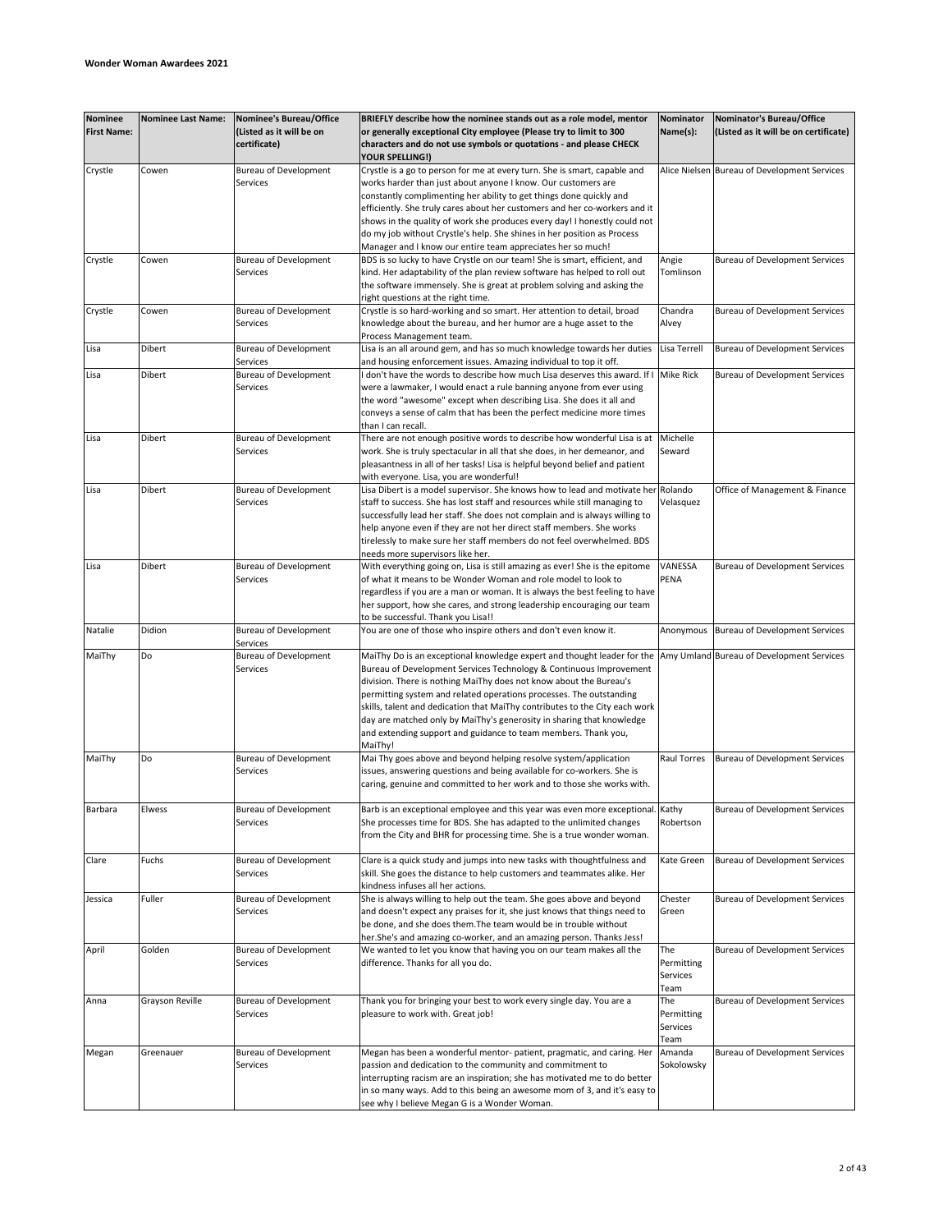| <b>Nominee</b><br><b>First Name:</b> | <b>Nominee Last Name:</b> | Nominee's Bureau/Office<br>(Listed as it will be on<br>certificate) | BRIEFLY describe how the nominee stands out as a role model, mentor<br>or generally exceptional City employee (Please try to limit to 300<br>characters and do not use symbols or quotations - and please CHECK | Nominator<br>Name(s): | Nominator's Bureau/Office<br>(Listed as it will be on certificate) |
|--------------------------------------|---------------------------|---------------------------------------------------------------------|-----------------------------------------------------------------------------------------------------------------------------------------------------------------------------------------------------------------|-----------------------|--------------------------------------------------------------------|
|                                      |                           |                                                                     | YOUR SPELLING!)                                                                                                                                                                                                 |                       |                                                                    |
| Crystle                              | Cowen                     | <b>Bureau of Development</b>                                        | Crystle is a go to person for me at every turn. She is smart, capable and                                                                                                                                       |                       | Alice Nielsen Bureau of Development Services                       |
|                                      |                           | Services                                                            | works harder than just about anyone I know. Our customers are                                                                                                                                                   |                       |                                                                    |
|                                      |                           |                                                                     | constantly complimenting her ability to get things done quickly and                                                                                                                                             |                       |                                                                    |
|                                      |                           |                                                                     | efficiently. She truly cares about her customers and her co-workers and it                                                                                                                                      |                       |                                                                    |
|                                      |                           |                                                                     | shows in the quality of work she produces every day! I honestly could not                                                                                                                                       |                       |                                                                    |
|                                      |                           |                                                                     | do my job without Crystle's help. She shines in her position as Process                                                                                                                                         |                       |                                                                    |
|                                      |                           |                                                                     | Manager and I know our entire team appreciates her so much!                                                                                                                                                     |                       |                                                                    |
| Crystle                              | Cowen                     | <b>Bureau of Development</b><br>Services                            | BDS is so lucky to have Crystle on our team! She is smart, efficient, and                                                                                                                                       | Angie<br>Tomlinson    | <b>Bureau of Development Services</b>                              |
|                                      |                           |                                                                     | kind. Her adaptability of the plan review software has helped to roll out<br>the software immensely. She is great at problem solving and asking the                                                             |                       |                                                                    |
|                                      |                           |                                                                     | right questions at the right time.                                                                                                                                                                              |                       |                                                                    |
| Crystle                              | Cowen                     | <b>Bureau of Development</b>                                        | Crystle is so hard-working and so smart. Her attention to detail, broad                                                                                                                                         | Chandra               | <b>Bureau of Development Services</b>                              |
|                                      |                           | Services                                                            | knowledge about the bureau, and her humor are a huge asset to the                                                                                                                                               | Alvey                 |                                                                    |
|                                      |                           |                                                                     | Process Management team.                                                                                                                                                                                        |                       |                                                                    |
| Lisa                                 | <b>Dibert</b>             | <b>Bureau of Development</b>                                        | Lisa is an all around gem, and has so much knowledge towards her duties                                                                                                                                         | Lisa Terrell          | <b>Bureau of Development Services</b>                              |
|                                      |                           | Services                                                            | and housing enforcement issues. Amazing individual to top it off.                                                                                                                                               |                       |                                                                    |
| Lisa                                 | Dibert                    | <b>Bureau of Development</b>                                        | don't have the words to describe how much Lisa deserves this award. If I                                                                                                                                        | <b>Mike Rick</b>      | <b>Bureau of Development Services</b>                              |
|                                      |                           | Services                                                            | were a lawmaker, I would enact a rule banning anyone from ever using                                                                                                                                            |                       |                                                                    |
|                                      |                           |                                                                     | the word "awesome" except when describing Lisa. She does it all and                                                                                                                                             |                       |                                                                    |
|                                      |                           |                                                                     | conveys a sense of calm that has been the perfect medicine more times                                                                                                                                           |                       |                                                                    |
|                                      |                           |                                                                     | than I can recall.                                                                                                                                                                                              |                       |                                                                    |
| Lisa                                 | Dibert                    | <b>Bureau of Development</b>                                        | There are not enough positive words to describe how wonderful Lisa is at                                                                                                                                        | Michelle              |                                                                    |
|                                      |                           | Services                                                            | work. She is truly spectacular in all that she does, in her demeanor, and                                                                                                                                       | Seward                |                                                                    |
|                                      |                           |                                                                     | pleasantness in all of her tasks! Lisa is helpful beyond belief and patient                                                                                                                                     |                       |                                                                    |
|                                      |                           |                                                                     | with everyone. Lisa, you are wonderful!                                                                                                                                                                         |                       |                                                                    |
| Lisa                                 | Dibert                    | <b>Bureau of Development</b>                                        | Lisa Dibert is a model supervisor. She knows how to lead and motivate her                                                                                                                                       | Rolando               | Office of Management & Finance                                     |
|                                      |                           | Services                                                            | staff to success. She has lost staff and resources while still managing to                                                                                                                                      | Velasquez             |                                                                    |
|                                      |                           |                                                                     | successfully lead her staff. She does not complain and is always willing to                                                                                                                                     |                       |                                                                    |
|                                      |                           |                                                                     | help anyone even if they are not her direct staff members. She works                                                                                                                                            |                       |                                                                    |
|                                      |                           |                                                                     | tirelessly to make sure her staff members do not feel overwhelmed. BDS                                                                                                                                          |                       |                                                                    |
|                                      |                           |                                                                     | needs more supervisors like her.                                                                                                                                                                                |                       |                                                                    |
| Lisa                                 | Dibert                    | <b>Bureau of Development</b>                                        | With everything going on, Lisa is still amazing as ever! She is the epitome                                                                                                                                     | VANESSA               | <b>Bureau of Development Services</b>                              |
|                                      |                           | Services                                                            | of what it means to be Wonder Woman and role model to look to                                                                                                                                                   | PENA                  |                                                                    |
|                                      |                           |                                                                     | regardless if you are a man or woman. It is always the best feeling to have                                                                                                                                     |                       |                                                                    |
|                                      |                           |                                                                     | her support, how she cares, and strong leadership encouraging our team                                                                                                                                          |                       |                                                                    |
|                                      |                           |                                                                     | to be successful. Thank you Lisa!!                                                                                                                                                                              |                       |                                                                    |
| Natalie                              | Didion                    | <b>Bureau of Development</b>                                        | You are one of those who inspire others and don't even know it.                                                                                                                                                 | Anonymous             | Bureau of Development Services                                     |
|                                      |                           | Services                                                            |                                                                                                                                                                                                                 |                       |                                                                    |
| MaiThy                               | Do                        | <b>Bureau of Development</b>                                        | MaiThy Do is an exceptional knowledge expert and thought leader for the                                                                                                                                         |                       | Amy Umland Bureau of Development Services                          |
|                                      |                           | Services                                                            | Bureau of Development Services Technology & Continuous Improvement                                                                                                                                              |                       |                                                                    |
|                                      |                           |                                                                     | division. There is nothing MaiThy does not know about the Bureau's                                                                                                                                              |                       |                                                                    |
|                                      |                           |                                                                     | permitting system and related operations processes. The outstanding                                                                                                                                             |                       |                                                                    |
|                                      |                           |                                                                     | skills, talent and dedication that MaiThy contributes to the City each work                                                                                                                                     |                       |                                                                    |
|                                      |                           |                                                                     | day are matched only by MaiThy's generosity in sharing that knowledge                                                                                                                                           |                       |                                                                    |
|                                      |                           |                                                                     | and extending support and guidance to team members. Thank you,                                                                                                                                                  |                       |                                                                    |
|                                      |                           |                                                                     | MaiThy!                                                                                                                                                                                                         | <b>Raul Torres</b>    |                                                                    |
| MaiThy                               | Do                        | <b>Bureau of Development</b>                                        | Mai Thy goes above and beyond helping resolve system/application                                                                                                                                                |                       | Bureau of Development Services                                     |
|                                      |                           | Services                                                            | issues, answering questions and being available for co-workers. She is                                                                                                                                          |                       |                                                                    |
|                                      |                           |                                                                     | caring, genuine and committed to her work and to those she works with.                                                                                                                                          |                       |                                                                    |
|                                      |                           |                                                                     |                                                                                                                                                                                                                 |                       |                                                                    |
| Barbara                              | Elwess                    | <b>Bureau of Development</b>                                        | Barb is an exceptional employee and this year was even more exceptional. Kathy                                                                                                                                  |                       | Bureau of Development Services                                     |
|                                      |                           | Services                                                            | She processes time for BDS. She has adapted to the unlimited changes                                                                                                                                            | Robertson             |                                                                    |
|                                      |                           |                                                                     | from the City and BHR for processing time. She is a true wonder woman.                                                                                                                                          |                       |                                                                    |
|                                      | Fuchs                     | <b>Bureau of Development</b>                                        |                                                                                                                                                                                                                 |                       |                                                                    |
| Clare                                |                           | Services                                                            | Clare is a quick study and jumps into new tasks with thoughtfulness and                                                                                                                                         | Kate Green            | Bureau of Development Services                                     |
|                                      |                           |                                                                     | skill. She goes the distance to help customers and teammates alike. Her<br>kindness infuses all her actions.                                                                                                    |                       |                                                                    |
| Jessica                              | Fuller                    | <b>Bureau of Development</b>                                        | She is always willing to help out the team. She goes above and beyond                                                                                                                                           | Chester               | <b>Bureau of Development Services</b>                              |
|                                      |                           | Services                                                            | and doesn't expect any praises for it, she just knows that things need to                                                                                                                                       | Green                 |                                                                    |
|                                      |                           |                                                                     | be done, and she does them. The team would be in trouble without                                                                                                                                                |                       |                                                                    |
|                                      |                           |                                                                     | her.She's and amazing co-worker, and an amazing person. Thanks Jess!                                                                                                                                            |                       |                                                                    |
| April                                | Golden                    | <b>Bureau of Development</b>                                        | We wanted to let you know that having you on our team makes all the                                                                                                                                             | The                   | <b>Bureau of Development Services</b>                              |
|                                      |                           | Services                                                            | difference. Thanks for all you do.                                                                                                                                                                              | Permitting            |                                                                    |
|                                      |                           |                                                                     |                                                                                                                                                                                                                 | Services              |                                                                    |
|                                      |                           |                                                                     |                                                                                                                                                                                                                 | Team                  |                                                                    |
|                                      | Grayson Reville           | <b>Bureau of Development</b>                                        | Thank you for bringing your best to work every single day. You are a                                                                                                                                            | The                   | Bureau of Development Services                                     |
| Anna                                 |                           | Services                                                            | pleasure to work with. Great job!                                                                                                                                                                               | Permitting            |                                                                    |
|                                      |                           |                                                                     |                                                                                                                                                                                                                 | Services              |                                                                    |
|                                      |                           |                                                                     |                                                                                                                                                                                                                 | Team                  |                                                                    |
| Megan                                | Greenauer                 | <b>Bureau of Development</b>                                        | Megan has been a wonderful mentor- patient, pragmatic, and caring. Her                                                                                                                                          | Amanda                | Bureau of Development Services                                     |
|                                      |                           | Services                                                            | passion and dedication to the community and commitment to                                                                                                                                                       | Sokolowsky            |                                                                    |
|                                      |                           |                                                                     | interrupting racism are an inspiration; she has motivated me to do better                                                                                                                                       |                       |                                                                    |
|                                      |                           |                                                                     | in so many ways. Add to this being an awesome mom of 3, and it's easy to                                                                                                                                        |                       |                                                                    |
|                                      |                           |                                                                     | see why I believe Megan G is a Wonder Woman.                                                                                                                                                                    |                       |                                                                    |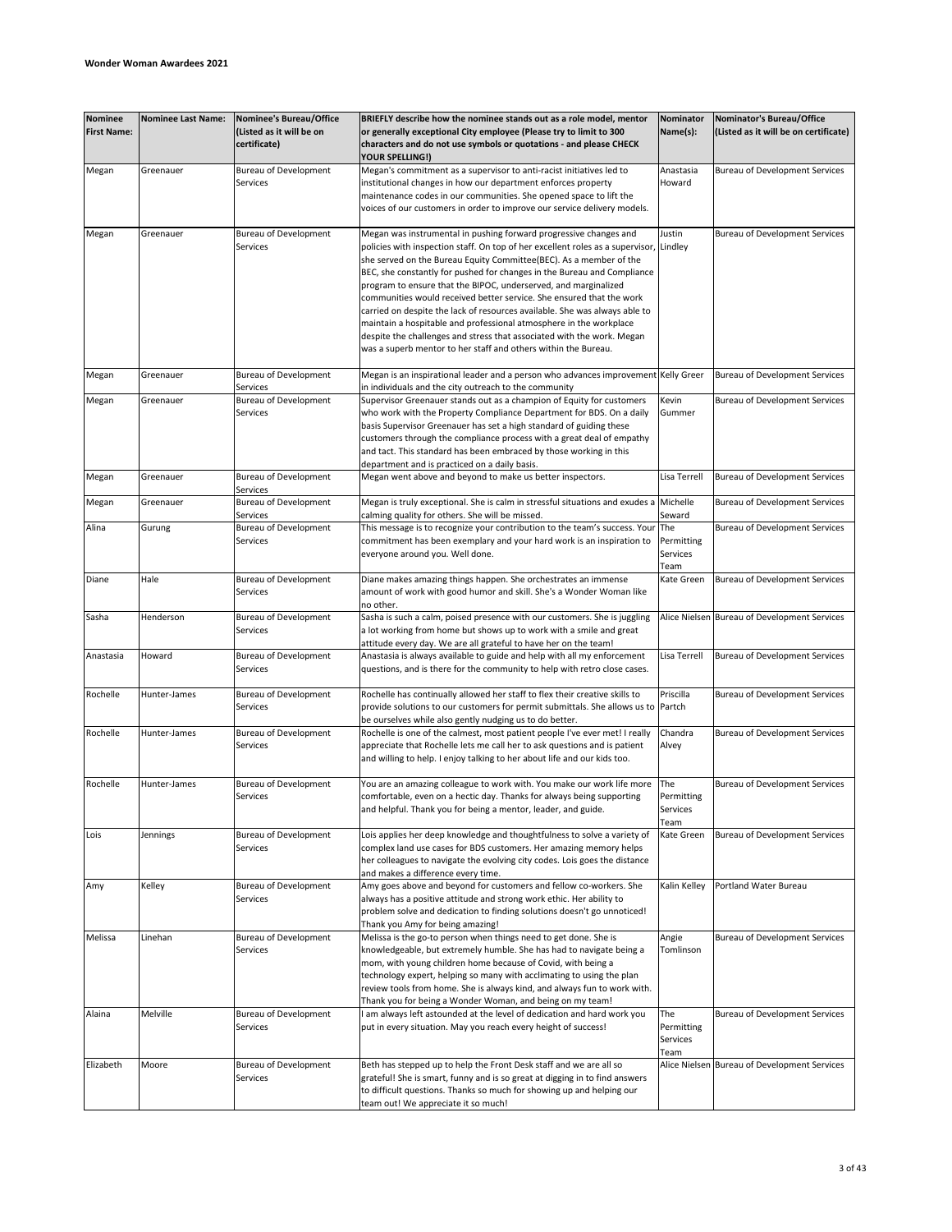| <b>Nominee</b><br><b>First Name:</b> | <b>Nominee Last Name:</b> | Nominee's Bureau/Office<br>(Listed as it will be on<br>certificate) | BRIEFLY describe how the nominee stands out as a role model, mentor<br>or generally exceptional City employee (Please try to limit to 300<br>characters and do not use symbols or quotations - and please CHECK                                                                                                                                                                                                                                                                                                                                                                                                                                                                                                                                         | Nominator<br>Name(s):                 | Nominator's Bureau/Office<br>(Listed as it will be on certificate) |
|--------------------------------------|---------------------------|---------------------------------------------------------------------|---------------------------------------------------------------------------------------------------------------------------------------------------------------------------------------------------------------------------------------------------------------------------------------------------------------------------------------------------------------------------------------------------------------------------------------------------------------------------------------------------------------------------------------------------------------------------------------------------------------------------------------------------------------------------------------------------------------------------------------------------------|---------------------------------------|--------------------------------------------------------------------|
|                                      |                           |                                                                     | <b>YOUR SPELLING!)</b>                                                                                                                                                                                                                                                                                                                                                                                                                                                                                                                                                                                                                                                                                                                                  |                                       |                                                                    |
| Megan                                | Greenauer                 | <b>Bureau of Development</b><br>Services                            | Megan's commitment as a supervisor to anti-racist initiatives led to<br>institutional changes in how our department enforces property<br>maintenance codes in our communities. She opened space to lift the<br>voices of our customers in order to improve our service delivery models.                                                                                                                                                                                                                                                                                                                                                                                                                                                                 | Anastasia<br>Howard                   | <b>Bureau of Development Services</b>                              |
|                                      |                           |                                                                     |                                                                                                                                                                                                                                                                                                                                                                                                                                                                                                                                                                                                                                                                                                                                                         |                                       |                                                                    |
| Megan                                | Greenauer                 | <b>Bureau of Development</b><br>Services                            | Megan was instrumental in pushing forward progressive changes and<br>policies with inspection staff. On top of her excellent roles as a supervisor, Lindley<br>she served on the Bureau Equity Committee(BEC). As a member of the<br>BEC, she constantly for pushed for changes in the Bureau and Compliance<br>program to ensure that the BIPOC, underserved, and marginalized<br>communities would received better service. She ensured that the work<br>carried on despite the lack of resources available. She was always able to<br>maintain a hospitable and professional atmosphere in the workplace<br>despite the challenges and stress that associated with the work. Megan<br>was a superb mentor to her staff and others within the Bureau. | Justin                                | <b>Bureau of Development Services</b>                              |
| Megan                                | Greenauer                 | <b>Bureau of Development</b><br>Services                            | Megan is an inspirational leader and a person who advances improvement Kelly Greer<br>in individuals and the city outreach to the community                                                                                                                                                                                                                                                                                                                                                                                                                                                                                                                                                                                                             |                                       | Bureau of Development Services                                     |
| Megan                                | Greenauer                 | <b>Bureau of Development</b><br>Services                            | Supervisor Greenauer stands out as a champion of Equity for customers<br>who work with the Property Compliance Department for BDS. On a daily<br>basis Supervisor Greenauer has set a high standard of guiding these<br>customers through the compliance process with a great deal of empathy<br>and tact. This standard has been embraced by those working in this<br>department and is practiced on a daily basis.                                                                                                                                                                                                                                                                                                                                    | Kevin<br>Gummer                       | <b>Bureau of Development Services</b>                              |
| Megan                                | Greenauer                 | <b>Bureau of Development</b><br>Services                            | Megan went above and beyond to make us better inspectors.                                                                                                                                                                                                                                                                                                                                                                                                                                                                                                                                                                                                                                                                                               | Lisa Terrell                          | Bureau of Development Services                                     |
| Megan                                | Greenauer                 | <b>Bureau of Development</b><br>Services                            | Megan is truly exceptional. She is calm in stressful situations and exudes a<br>calming quality for others. She will be missed.                                                                                                                                                                                                                                                                                                                                                                                                                                                                                                                                                                                                                         | Michelle<br>Seward                    | <b>Bureau of Development Services</b>                              |
| Alina                                | Gurung                    | <b>Bureau of Development</b><br>Services                            | This message is to recognize your contribution to the team's success. Your<br>commitment has been exemplary and your hard work is an inspiration to<br>everyone around you. Well done.                                                                                                                                                                                                                                                                                                                                                                                                                                                                                                                                                                  | The<br>Permitting<br>Services<br>Team | Bureau of Development Services                                     |
| Diane                                | Hale                      | <b>Bureau of Development</b><br>Services                            | Diane makes amazing things happen. She orchestrates an immense<br>amount of work with good humor and skill. She's a Wonder Woman like<br>no other.                                                                                                                                                                                                                                                                                                                                                                                                                                                                                                                                                                                                      | Kate Green                            | Bureau of Development Services                                     |
| Sasha                                | Henderson                 | <b>Bureau of Development</b><br>Services                            | Sasha is such a calm, poised presence with our customers. She is juggling<br>a lot working from home but shows up to work with a smile and great<br>attitude every day. We are all grateful to have her on the team!                                                                                                                                                                                                                                                                                                                                                                                                                                                                                                                                    |                                       | Alice Nielsen Bureau of Development Services                       |
| Anastasia                            | Howard                    | <b>Bureau of Development</b><br><b>Services</b>                     | Anastasia is always available to guide and help with all my enforcement<br>questions, and is there for the community to help with retro close cases.                                                                                                                                                                                                                                                                                                                                                                                                                                                                                                                                                                                                    | Lisa Terrell                          | Bureau of Development Services                                     |
| Rochelle                             | Hunter-James              | <b>Bureau of Development</b><br>Services                            | Rochelle has continually allowed her staff to flex their creative skills to<br>provide solutions to our customers for permit submittals. She allows us to Partch<br>be ourselves while also gently nudging us to do better.                                                                                                                                                                                                                                                                                                                                                                                                                                                                                                                             | Priscilla                             | <b>Bureau of Development Services</b>                              |
| Rochelle                             | Hunter-James              | <b>Bureau of Development</b><br>Services                            | Rochelle is one of the calmest, most patient people I've ever met! I really<br>appreciate that Rochelle lets me call her to ask questions and is patient<br>and willing to help. I enjoy talking to her about life and our kids too.                                                                                                                                                                                                                                                                                                                                                                                                                                                                                                                    | Chandra<br>Alvey                      | <b>Bureau of Development Services</b>                              |
| Rochelle                             | Hunter-James              | <b>Bureau of Development</b><br>Services                            | You are an amazing colleague to work with. You make our work life more<br>comfortable, even on a hectic day. Thanks for always being supporting<br>and helpful. Thank you for being a mentor, leader, and guide.                                                                                                                                                                                                                                                                                                                                                                                                                                                                                                                                        | The<br>Permitting<br>Services<br>Team | <b>Bureau of Development Services</b>                              |
| Lois                                 | Jennings                  | <b>Bureau of Development</b><br>Services                            | Lois applies her deep knowledge and thoughtfulness to solve a variety of<br>complex land use cases for BDS customers. Her amazing memory helps<br>her colleagues to navigate the evolving city codes. Lois goes the distance<br>and makes a difference every time.                                                                                                                                                                                                                                                                                                                                                                                                                                                                                      | Kate Green                            | Bureau of Development Services                                     |
| Amy                                  | Kelley                    | <b>Bureau of Development</b><br>Services                            | Amy goes above and beyond for customers and fellow co-workers. She<br>always has a positive attitude and strong work ethic. Her ability to<br>problem solve and dedication to finding solutions doesn't go unnoticed!<br>Thank you Amy for being amazing!                                                                                                                                                                                                                                                                                                                                                                                                                                                                                               | Kalin Kelley                          | Portland Water Bureau                                              |
| Melissa                              | Linehan                   | <b>Bureau of Development</b><br>Services                            | Melissa is the go-to person when things need to get done. She is<br>knowledgeable, but extremely humble. She has had to navigate being a<br>mom, with young children home because of Covid, with being a<br>technology expert, helping so many with acclimating to using the plan<br>review tools from home. She is always kind, and always fun to work with.<br>Thank you for being a Wonder Woman, and being on my team!                                                                                                                                                                                                                                                                                                                              | Angie<br>Tomlinson                    | Bureau of Development Services                                     |
| Alaina                               | Melville                  | <b>Bureau of Development</b><br>Services                            | I am always left astounded at the level of dedication and hard work you<br>put in every situation. May you reach every height of success!                                                                                                                                                                                                                                                                                                                                                                                                                                                                                                                                                                                                               | The<br>Permitting<br>Services<br>Team | Bureau of Development Services                                     |
| Elizabeth                            | Moore                     | <b>Bureau of Development</b><br>Services                            | Beth has stepped up to help the Front Desk staff and we are all so<br>grateful! She is smart, funny and is so great at digging in to find answers<br>to difficult questions. Thanks so much for showing up and helping our<br>team out! We appreciate it so much!                                                                                                                                                                                                                                                                                                                                                                                                                                                                                       |                                       | Alice Nielsen Bureau of Development Services                       |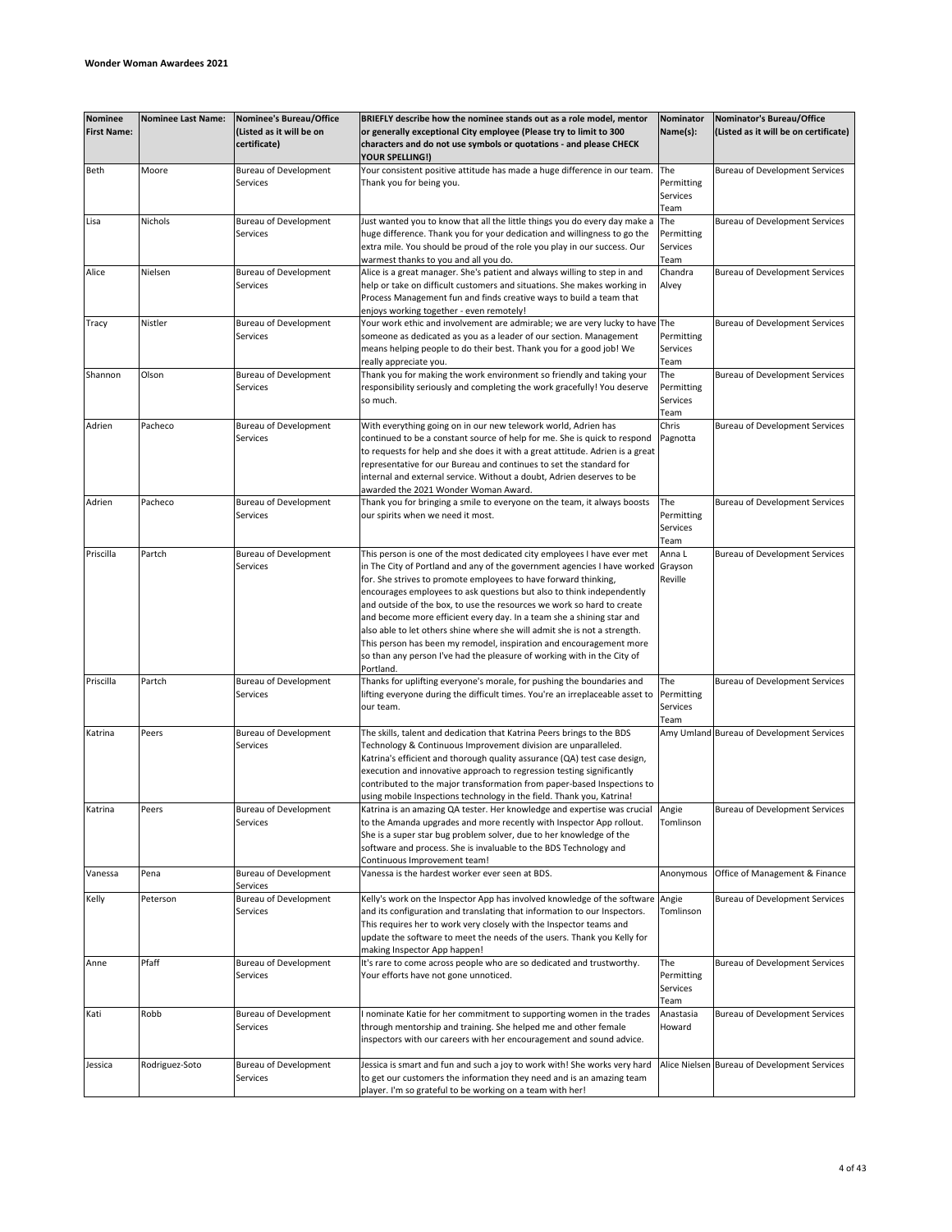| <b>Nominee</b><br><b>First Name:</b> | <b>Nominee Last Name:</b> | Nominee's Bureau/Office<br>(Listed as it will be on<br>certificate) | BRIEFLY describe how the nominee stands out as a role model, mentor<br>or generally exceptional City employee (Please try to limit to 300<br>characters and do not use symbols or quotations - and please CHECK<br>YOUR SPELLING!)                                                                                                                                                                                                                                                                                                                                                                                                                                                             | Nominator<br>Name(s):                 | Nominator's Bureau/Office<br>(Listed as it will be on certificate) |
|--------------------------------------|---------------------------|---------------------------------------------------------------------|------------------------------------------------------------------------------------------------------------------------------------------------------------------------------------------------------------------------------------------------------------------------------------------------------------------------------------------------------------------------------------------------------------------------------------------------------------------------------------------------------------------------------------------------------------------------------------------------------------------------------------------------------------------------------------------------|---------------------------------------|--------------------------------------------------------------------|
| Beth                                 | Moore                     | <b>Bureau of Development</b><br>Services                            | Your consistent positive attitude has made a huge difference in our team.<br>Thank you for being you.                                                                                                                                                                                                                                                                                                                                                                                                                                                                                                                                                                                          | The<br>Permitting<br>Services<br>Team | <b>Bureau of Development Services</b>                              |
| Lisa                                 | Nichols                   | <b>Bureau of Development</b><br>Services                            | Just wanted you to know that all the little things you do every day make a<br>huge difference. Thank you for your dedication and willingness to go the<br>extra mile. You should be proud of the role you play in our success. Our<br>warmest thanks to you and all you do.                                                                                                                                                                                                                                                                                                                                                                                                                    | The<br>Permitting<br>Services<br>Team | <b>Bureau of Development Services</b>                              |
| Alice                                | Nielsen                   | <b>Bureau of Development</b><br>Services                            | Alice is a great manager. She's patient and always willing to step in and<br>help or take on difficult customers and situations. She makes working in<br>Process Management fun and finds creative ways to build a team that<br>enjoys working together - even remotely!                                                                                                                                                                                                                                                                                                                                                                                                                       | Chandra<br>Alvey                      | <b>Bureau of Development Services</b>                              |
| Tracy                                | Nistler                   | <b>Bureau of Development</b><br>Services                            | Your work ethic and involvement are admirable; we are very lucky to have The<br>someone as dedicated as you as a leader of our section. Management<br>means helping people to do their best. Thank you for a good job! We<br>really appreciate you.                                                                                                                                                                                                                                                                                                                                                                                                                                            | Permitting<br>Services<br>Team        | Bureau of Development Services                                     |
| Shannon                              | Olson                     | Bureau of Development<br>Services                                   | Thank you for making the work environment so friendly and taking your<br>responsibility seriously and completing the work gracefully! You deserve<br>so much.                                                                                                                                                                                                                                                                                                                                                                                                                                                                                                                                  | The<br>Permitting<br>Services<br>Team | Bureau of Development Services                                     |
| Adrien                               | Pacheco                   | <b>Bureau of Development</b><br>Services                            | With everything going on in our new telework world, Adrien has<br>continued to be a constant source of help for me. She is quick to respond<br>to requests for help and she does it with a great attitude. Adrien is a great<br>representative for our Bureau and continues to set the standard for<br>internal and external service. Without a doubt, Adrien deserves to be<br>awarded the 2021 Wonder Woman Award.                                                                                                                                                                                                                                                                           | Chris<br>Pagnotta                     | Bureau of Development Services                                     |
| Adrien                               | Pacheco                   | <b>Bureau of Development</b><br>Services                            | Thank you for bringing a smile to everyone on the team, it always boosts<br>our spirits when we need it most.                                                                                                                                                                                                                                                                                                                                                                                                                                                                                                                                                                                  | The<br>Permitting<br>Services<br>Team | Bureau of Development Services                                     |
| Priscilla                            | Partch                    | <b>Bureau of Development</b><br>Services                            | This person is one of the most dedicated city employees I have ever met<br>in The City of Portland and any of the government agencies I have worked<br>for. She strives to promote employees to have forward thinking,<br>encourages employees to ask questions but also to think independently<br>and outside of the box, to use the resources we work so hard to create<br>and become more efficient every day. In a team she a shining star and<br>also able to let others shine where she will admit she is not a strength.<br>This person has been my remodel, inspiration and encouragement more<br>so than any person I've had the pleasure of working with in the City of<br>Portland. | Anna L<br>Grayson<br>Reville          | Bureau of Development Services                                     |
| Priscilla                            | Partch                    | <b>Bureau of Development</b><br>Services                            | Thanks for uplifting everyone's morale, for pushing the boundaries and<br>lifting everyone during the difficult times. You're an irreplaceable asset to<br>our team.                                                                                                                                                                                                                                                                                                                                                                                                                                                                                                                           | The<br>Permitting<br>Services<br>Team | <b>Bureau of Development Services</b>                              |
| Katrina                              | Peers                     | <b>Bureau of Development</b><br>Services                            | The skills, talent and dedication that Katrina Peers brings to the BDS<br>Technology & Continuous Improvement division are unparalleled.<br>Katrina's efficient and thorough quality assurance (QA) test case design,<br>execution and innovative approach to regression testing significantly<br>contributed to the major transformation from paper-based Inspections to<br>using mobile Inspections technology in the field. Thank you, Katrina!                                                                                                                                                                                                                                             |                                       | Amy Umland Bureau of Development Services                          |
| Katrina                              | Peers                     | <b>Bureau of Development</b><br>Services                            | Katrina is an amazing QA tester. Her knowledge and expertise was crucial<br>to the Amanda upgrades and more recently with Inspector App rollout.<br>She is a super star bug problem solver, due to her knowledge of the<br>software and process. She is invaluable to the BDS Technology and<br>Continuous Improvement team!                                                                                                                                                                                                                                                                                                                                                                   | Angie<br>Tomlinson                    | Bureau of Development Services                                     |
| Vanessa                              | Pena                      | <b>Bureau of Development</b><br>Services                            | Vanessa is the hardest worker ever seen at BDS.                                                                                                                                                                                                                                                                                                                                                                                                                                                                                                                                                                                                                                                | Anonymous                             | Office of Management & Finance                                     |
| Kelly                                | Peterson                  | <b>Bureau of Development</b><br>Services                            | Kelly's work on the Inspector App has involved knowledge of the software<br>and its configuration and translating that information to our Inspectors.<br>This requires her to work very closely with the Inspector teams and<br>update the software to meet the needs of the users. Thank you Kelly for<br>making Inspector App happen!                                                                                                                                                                                                                                                                                                                                                        | Angie<br>Tomlinson                    | Bureau of Development Services                                     |
| Anne                                 | Pfaff                     | <b>Bureau of Development</b><br>Services                            | It's rare to come across people who are so dedicated and trustworthy.<br>Your efforts have not gone unnoticed.                                                                                                                                                                                                                                                                                                                                                                                                                                                                                                                                                                                 | The<br>Permitting<br>Services<br>Team | Bureau of Development Services                                     |
| Kati                                 | Robb                      | <b>Bureau of Development</b><br>Services                            | nominate Katie for her commitment to supporting women in the trades<br>through mentorship and training. She helped me and other female<br>inspectors with our careers with her encouragement and sound advice.                                                                                                                                                                                                                                                                                                                                                                                                                                                                                 | Anastasia<br>Howard                   | Bureau of Development Services                                     |
| Jessica                              | Rodriguez-Soto            | <b>Bureau of Development</b><br>Services                            | Jessica is smart and fun and such a joy to work with! She works very hard<br>to get our customers the information they need and is an amazing team<br>player. I'm so grateful to be working on a team with her!                                                                                                                                                                                                                                                                                                                                                                                                                                                                                |                                       | Alice Nielsen Bureau of Development Services                       |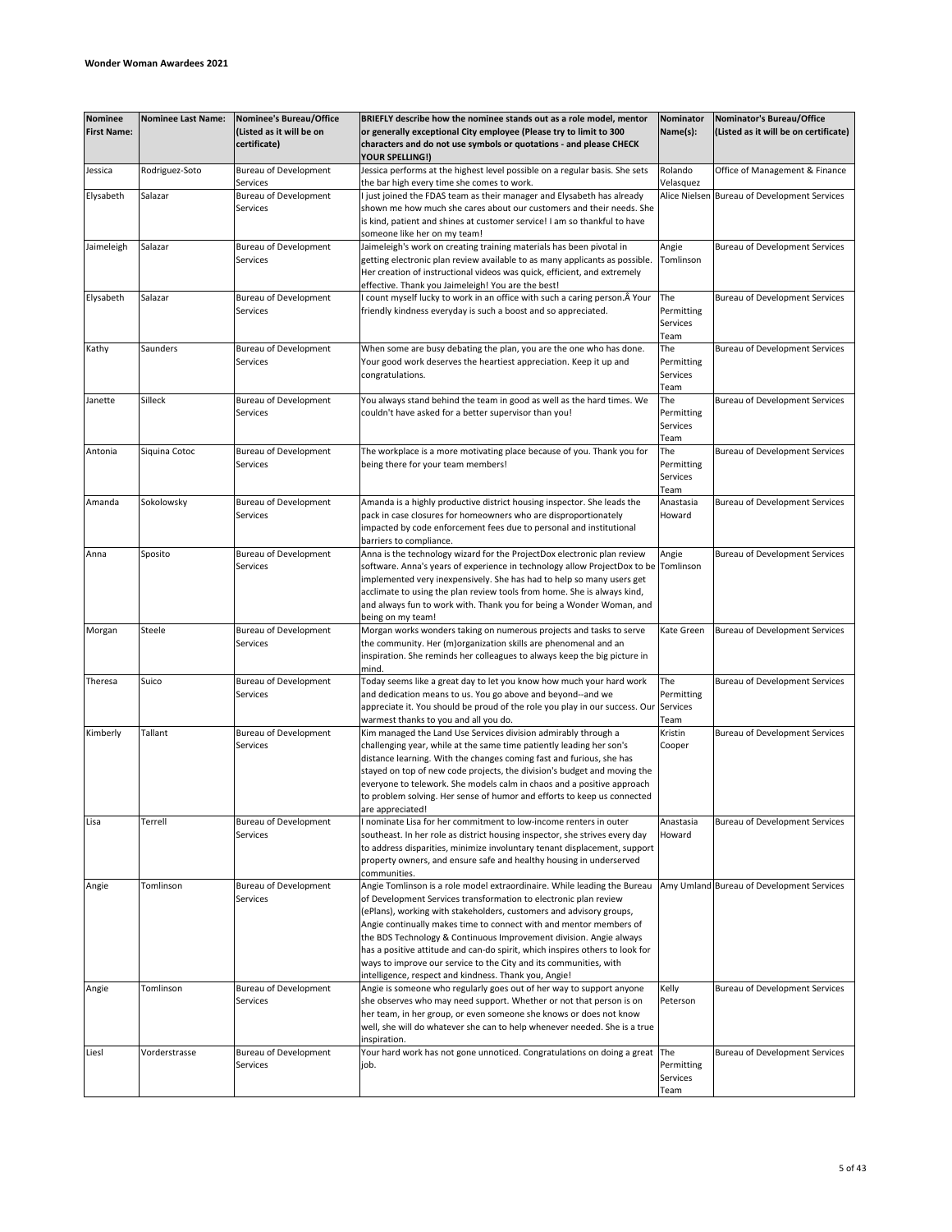| <b>Nominee</b><br><b>First Name:</b> | <b>Nominee Last Name:</b> | <b>Nominee's Bureau/Office</b><br>(Listed as it will be on | BRIEFLY describe how the nominee stands out as a role model, mentor<br>or generally exceptional City employee (Please try to limit to 300                                                                                                                                                                                                                                                                                                                                                                                                                                     | Nominator<br>Name(s):                 | Nominator's Bureau/Office<br>(Listed as it will be on certificate) |
|--------------------------------------|---------------------------|------------------------------------------------------------|-------------------------------------------------------------------------------------------------------------------------------------------------------------------------------------------------------------------------------------------------------------------------------------------------------------------------------------------------------------------------------------------------------------------------------------------------------------------------------------------------------------------------------------------------------------------------------|---------------------------------------|--------------------------------------------------------------------|
|                                      |                           | certificate)                                               | characters and do not use symbols or quotations - and please CHECK<br>YOUR SPELLING!)                                                                                                                                                                                                                                                                                                                                                                                                                                                                                         |                                       |                                                                    |
| Jessica                              | Rodriguez-Soto            | <b>Bureau of Development</b><br>Services                   | Jessica performs at the highest level possible on a regular basis. She sets<br>the bar high every time she comes to work.                                                                                                                                                                                                                                                                                                                                                                                                                                                     | Rolando<br>Velasquez                  | Office of Management & Finance                                     |
| Elysabeth                            | Salazar                   | <b>Bureau of Development</b><br>Services                   | I just joined the FDAS team as their manager and Elysabeth has already<br>shown me how much she cares about our customers and their needs. She<br>is kind, patient and shines at customer service! I am so thankful to have                                                                                                                                                                                                                                                                                                                                                   |                                       | Alice Nielsen Bureau of Development Services                       |
|                                      |                           |                                                            | someone like her on my team!                                                                                                                                                                                                                                                                                                                                                                                                                                                                                                                                                  |                                       |                                                                    |
| Jaimeleigh                           | Salazar                   | <b>Bureau of Development</b><br>Services                   | Jaimeleigh's work on creating training materials has been pivotal in<br>getting electronic plan review available to as many applicants as possible.<br>Her creation of instructional videos was quick, efficient, and extremely<br>effective. Thank you Jaimeleigh! You are the best!                                                                                                                                                                                                                                                                                         | Angie<br>Tomlinson                    | Bureau of Development Services                                     |
| Elysabeth                            | Salazar                   | <b>Bureau of Development</b><br>Services                   | count myself lucky to work in an office with such a caring person. A Your<br>friendly kindness everyday is such a boost and so appreciated.                                                                                                                                                                                                                                                                                                                                                                                                                                   | The<br>Permitting<br>Services<br>Team | <b>Bureau of Development Services</b>                              |
| Kathy                                | Saunders                  | <b>Bureau of Development</b><br>Services                   | When some are busy debating the plan, you are the one who has done.<br>Your good work deserves the heartiest appreciation. Keep it up and<br>congratulations.                                                                                                                                                                                                                                                                                                                                                                                                                 | The<br>Permitting<br>Services<br>Team | Bureau of Development Services                                     |
| Janette                              | Silleck                   | Bureau of Development<br>Services                          | You always stand behind the team in good as well as the hard times. We<br>couldn't have asked for a better supervisor than you!                                                                                                                                                                                                                                                                                                                                                                                                                                               | The<br>Permitting<br>Services<br>Team | <b>Bureau of Development Services</b>                              |
| Antonia                              | Siquina Cotoc             | <b>Bureau of Development</b><br>Services                   | The workplace is a more motivating place because of you. Thank you for<br>being there for your team members!                                                                                                                                                                                                                                                                                                                                                                                                                                                                  | The<br>Permitting<br>Services<br>Team | Bureau of Development Services                                     |
| Amanda                               | Sokolowsky                | <b>Bureau of Development</b><br>Services                   | Amanda is a highly productive district housing inspector. She leads the<br>pack in case closures for homeowners who are disproportionately<br>impacted by code enforcement fees due to personal and institutional<br>barriers to compliance.                                                                                                                                                                                                                                                                                                                                  | Anastasia<br>Howard                   | Bureau of Development Services                                     |
| Anna                                 | Sposito                   | <b>Bureau of Development</b><br>Services                   | Anna is the technology wizard for the ProjectDox electronic plan review<br>software. Anna's years of experience in technology allow ProjectDox to be<br>implemented very inexpensively. She has had to help so many users get<br>acclimate to using the plan review tools from home. She is always kind,<br>and always fun to work with. Thank you for being a Wonder Woman, and<br>being on my team!                                                                                                                                                                         | Angie<br>Tomlinson                    | Bureau of Development Services                                     |
| Morgan                               | Steele                    | <b>Bureau of Development</b><br>Services                   | Morgan works wonders taking on numerous projects and tasks to serve<br>the community. Her (m)organization skills are phenomenal and an<br>inspiration. She reminds her colleagues to always keep the big picture in<br>mind.                                                                                                                                                                                                                                                                                                                                                  | Kate Green                            | Bureau of Development Services                                     |
| Theresa                              | Suico                     | <b>Bureau of Development</b><br>Services                   | Today seems like a great day to let you know how much your hard work<br>and dedication means to us. You go above and beyond--and we<br>appreciate it. You should be proud of the role you play in our success. Our Services<br>warmest thanks to you and all you do.                                                                                                                                                                                                                                                                                                          | The<br>Permitting<br>Team             | Bureau of Development Services                                     |
| Kimberly                             | Tallant                   | <b>Bureau of Development</b><br>Services                   | Kim managed the Land Use Services division admirably through a<br>challenging year, while at the same time patiently leading her son's<br>distance learning. With the changes coming fast and furious, she has<br>stayed on top of new code projects, the division's budget and moving the<br>everyone to telework. She models calm in chaos and a positive approach<br>to problem solving. Her sense of humor and efforts to keep us connected<br>are appreciated!                                                                                                           | Kristin<br>Cooper                     | Bureau of Development Services                                     |
| Lisa                                 | Terrell                   | <b>Bureau of Development</b><br>Services                   | I nominate Lisa for her commitment to low-income renters in outer<br>southeast. In her role as district housing inspector, she strives every day<br>to address disparities, minimize involuntary tenant displacement, support<br>property owners, and ensure safe and healthy housing in underserved<br>communities.                                                                                                                                                                                                                                                          | Anastasia<br>Howard                   | <b>Bureau of Development Services</b>                              |
| Angie                                | Tomlinson                 | <b>Bureau of Development</b><br>Services                   | Angie Tomlinson is a role model extraordinaire. While leading the Bureau<br>of Development Services transformation to electronic plan review<br>(ePlans), working with stakeholders, customers and advisory groups,<br>Angie continually makes time to connect with and mentor members of<br>the BDS Technology & Continuous Improvement division. Angie always<br>has a positive attitude and can-do spirit, which inspires others to look for<br>ways to improve our service to the City and its communities, with<br>intelligence, respect and kindness. Thank you, Angie! |                                       | Amy Umland Bureau of Development Services                          |
| Angie                                | Tomlinson                 | <b>Bureau of Development</b><br>Services                   | Angie is someone who regularly goes out of her way to support anyone<br>she observes who may need support. Whether or not that person is on<br>her team, in her group, or even someone she knows or does not know<br>well, she will do whatever she can to help whenever needed. She is a true<br>inspiration.                                                                                                                                                                                                                                                                | Kelly<br>Peterson                     | <b>Bureau of Development Services</b>                              |
| Liesl                                | Vorderstrasse             | <b>Bureau of Development</b><br>Services                   | Your hard work has not gone unnoticed. Congratulations on doing a great<br>job.                                                                                                                                                                                                                                                                                                                                                                                                                                                                                               | The<br>Permitting<br>Services<br>Team | Bureau of Development Services                                     |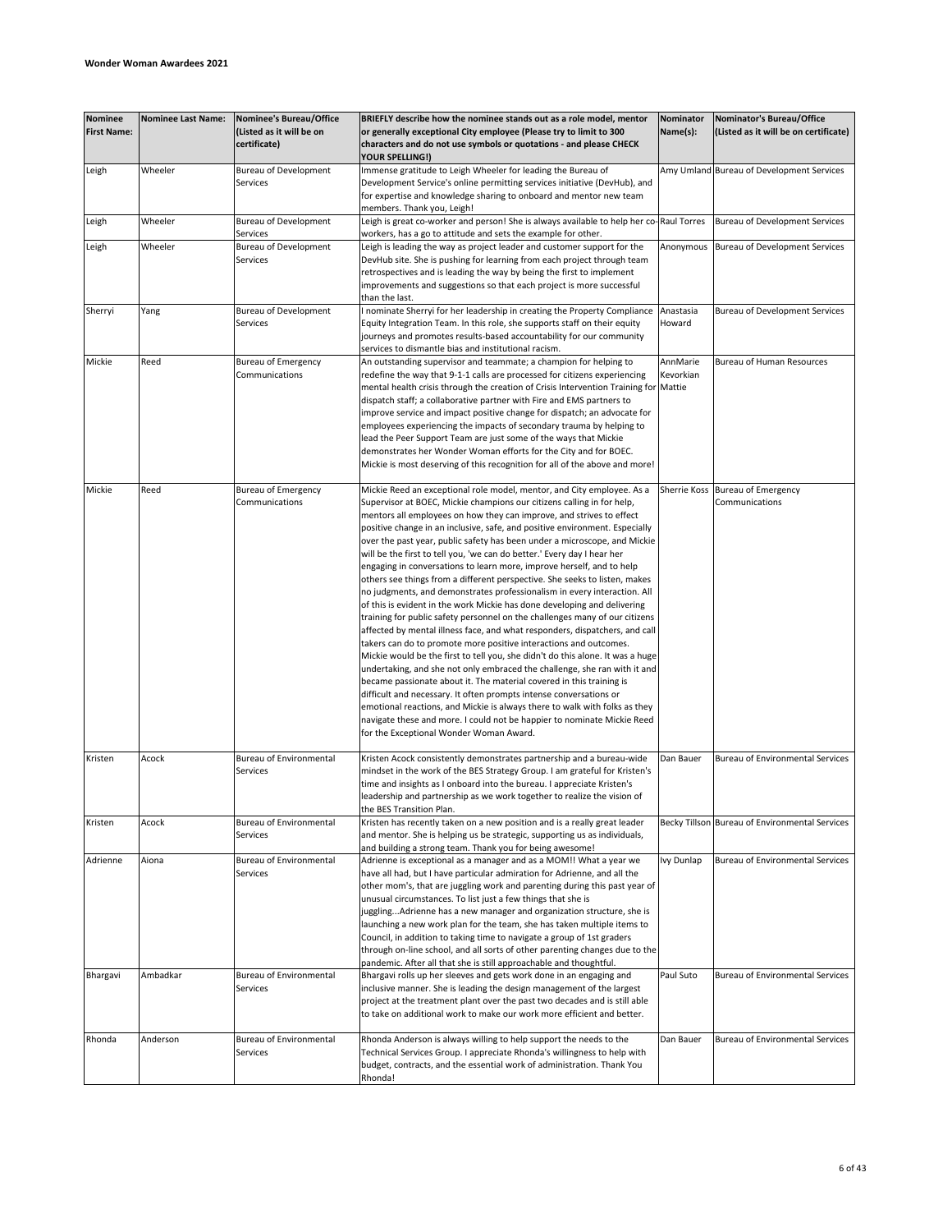| <b>Nominee</b><br><b>First Name:</b> | <b>Nominee Last Name:</b> | Nominee's Bureau/Office<br>(Listed as it will be on<br>certificate) | BRIEFLY describe how the nominee stands out as a role model, mentor<br>or generally exceptional City employee (Please try to limit to 300<br>characters and do not use symbols or quotations - and please CHECK                                                                                                                                                                                                                                                                                                                                                                                                                                                                                                                                                                                                                                                                                                                                                                                                                                                                                                                                                                                                                                                                                                                                                                                                                                                                                                                    | Nominator<br>Name(s): | Nominator's Bureau/Office<br>(Listed as it will be on certificate) |
|--------------------------------------|---------------------------|---------------------------------------------------------------------|------------------------------------------------------------------------------------------------------------------------------------------------------------------------------------------------------------------------------------------------------------------------------------------------------------------------------------------------------------------------------------------------------------------------------------------------------------------------------------------------------------------------------------------------------------------------------------------------------------------------------------------------------------------------------------------------------------------------------------------------------------------------------------------------------------------------------------------------------------------------------------------------------------------------------------------------------------------------------------------------------------------------------------------------------------------------------------------------------------------------------------------------------------------------------------------------------------------------------------------------------------------------------------------------------------------------------------------------------------------------------------------------------------------------------------------------------------------------------------------------------------------------------------|-----------------------|--------------------------------------------------------------------|
| Leigh                                | Wheeler                   | <b>Bureau of Development</b><br>Services                            | YOUR SPELLING!)<br>Immense gratitude to Leigh Wheeler for leading the Bureau of<br>Development Service's online permitting services initiative (DevHub), and<br>for expertise and knowledge sharing to onboard and mentor new team                                                                                                                                                                                                                                                                                                                                                                                                                                                                                                                                                                                                                                                                                                                                                                                                                                                                                                                                                                                                                                                                                                                                                                                                                                                                                                 |                       | Amy Umland Bureau of Development Services                          |
| Leigh                                | Wheeler                   | <b>Bureau of Development</b>                                        | members. Thank you, Leigh!<br>Leigh is great co-worker and person! She is always available to help her co-Raul Torres                                                                                                                                                                                                                                                                                                                                                                                                                                                                                                                                                                                                                                                                                                                                                                                                                                                                                                                                                                                                                                                                                                                                                                                                                                                                                                                                                                                                              |                       | Bureau of Development Services                                     |
| Leigh                                | Wheeler                   | Services<br><b>Bureau of Development</b><br>Services                | workers, has a go to attitude and sets the example for other.<br>Leigh is leading the way as project leader and customer support for the<br>DevHub site. She is pushing for learning from each project through team<br>retrospectives and is leading the way by being the first to implement<br>improvements and suggestions so that each project is more successful<br>than the last.                                                                                                                                                                                                                                                                                                                                                                                                                                                                                                                                                                                                                                                                                                                                                                                                                                                                                                                                                                                                                                                                                                                                             | Anonymous             | Bureau of Development Services                                     |
| Sherryi                              | Yang                      | <b>Bureau of Development</b><br>Services                            | I nominate Sherryi for her leadership in creating the Property Compliance<br>Equity Integration Team. In this role, she supports staff on their equity<br>journeys and promotes results-based accountability for our community<br>services to dismantle bias and institutional racism.                                                                                                                                                                                                                                                                                                                                                                                                                                                                                                                                                                                                                                                                                                                                                                                                                                                                                                                                                                                                                                                                                                                                                                                                                                             | Anastasia<br>Howard   | Bureau of Development Services                                     |
| Mickie                               | Reed                      | <b>Bureau of Emergency</b><br>Communications                        | An outstanding supervisor and teammate; a champion for helping to<br>redefine the way that 9-1-1 calls are processed for citizens experiencing<br>mental health crisis through the creation of Crisis Intervention Training for Mattie<br>dispatch staff; a collaborative partner with Fire and EMS partners to<br>improve service and impact positive change for dispatch; an advocate for<br>employees experiencing the impacts of secondary trauma by helping to<br>lead the Peer Support Team are just some of the ways that Mickie<br>demonstrates her Wonder Woman efforts for the City and for BOEC.<br>Mickie is most deserving of this recognition for all of the above and more!                                                                                                                                                                                                                                                                                                                                                                                                                                                                                                                                                                                                                                                                                                                                                                                                                                         | AnnMarie<br>Kevorkian | <b>Bureau of Human Resources</b>                                   |
| Mickie                               | Reed                      | <b>Bureau of Emergency</b><br>Communications                        | Mickie Reed an exceptional role model, mentor, and City employee. As a<br>Supervisor at BOEC, Mickie champions our citizens calling in for help,<br>mentors all employees on how they can improve, and strives to effect<br>positive change in an inclusive, safe, and positive environment. Especially<br>over the past year, public safety has been under a microscope, and Mickie<br>will be the first to tell you, 'we can do better.' Every day I hear her<br>engaging in conversations to learn more, improve herself, and to help<br>others see things from a different perspective. She seeks to listen, makes<br>no judgments, and demonstrates professionalism in every interaction. All<br>of this is evident in the work Mickie has done developing and delivering<br>training for public safety personnel on the challenges many of our citizens<br>affected by mental illness face, and what responders, dispatchers, and call<br>takers can do to promote more positive interactions and outcomes.<br>Mickie would be the first to tell you, she didn't do this alone. It was a huge<br>undertaking, and she not only embraced the challenge, she ran with it and<br>became passionate about it. The material covered in this training is<br>difficult and necessary. It often prompts intense conversations or<br>emotional reactions, and Mickie is always there to walk with folks as they<br>navigate these and more. I could not be happier to nominate Mickie Reed<br>for the Exceptional Wonder Woman Award. | Sherrie Koss          | <b>Bureau of Emergency</b><br>Communications                       |
| Kristen                              | Acock                     | <b>Bureau of Environmental</b><br>Services                          | Kristen Acock consistently demonstrates partnership and a bureau-wide<br>mindset in the work of the BES Strategy Group. I am grateful for Kristen's<br>time and insights as I onboard into the bureau. I appreciate Kristen's<br>leadership and partnership as we work together to realize the vision of<br>the BES Transition Plan.                                                                                                                                                                                                                                                                                                                                                                                                                                                                                                                                                                                                                                                                                                                                                                                                                                                                                                                                                                                                                                                                                                                                                                                               | Dan Bauer             | <b>Bureau of Environmental Services</b>                            |
| Kristen                              | Acock                     | <b>Bureau of Environmental</b><br>Services                          | Kristen has recently taken on a new position and is a really great leader<br>and mentor. She is helping us be strategic, supporting us as individuals,<br>and building a strong team. Thank you for being awesome!                                                                                                                                                                                                                                                                                                                                                                                                                                                                                                                                                                                                                                                                                                                                                                                                                                                                                                                                                                                                                                                                                                                                                                                                                                                                                                                 |                       | Becky Tillson Bureau of Environmental Services                     |
| Adrienne                             | Aiona                     | Bureau of Environmental<br>Services                                 | Adrienne is exceptional as a manager and as a MOM!! What a year we<br>have all had, but I have particular admiration for Adrienne, and all the<br>other mom's, that are juggling work and parenting during this past year of<br>unusual circumstances. To list just a few things that she is<br>jugglingAdrienne has a new manager and organization structure, she is<br>launching a new work plan for the team, she has taken multiple items to<br>Council, in addition to taking time to navigate a group of 1st graders<br>through on-line school, and all sorts of other parenting changes due to the<br>pandemic. After all that she is still approachable and thoughtful.                                                                                                                                                                                                                                                                                                                                                                                                                                                                                                                                                                                                                                                                                                                                                                                                                                                    | Ivy Dunlap            | Bureau of Environmental Services                                   |
| Bhargavi                             | Ambadkar                  | <b>Bureau of Environmental</b><br>Services                          | Bhargavi rolls up her sleeves and gets work done in an engaging and<br>inclusive manner. She is leading the design management of the largest<br>project at the treatment plant over the past two decades and is still able<br>to take on additional work to make our work more efficient and better.                                                                                                                                                                                                                                                                                                                                                                                                                                                                                                                                                                                                                                                                                                                                                                                                                                                                                                                                                                                                                                                                                                                                                                                                                               | Paul Suto             | <b>Bureau of Environmental Services</b>                            |
| Rhonda                               | Anderson                  | <b>Bureau of Environmental</b><br>Services                          | Rhonda Anderson is always willing to help support the needs to the<br>Technical Services Group. I appreciate Rhonda's willingness to help with<br>budget, contracts, and the essential work of administration. Thank You<br>Rhonda!                                                                                                                                                                                                                                                                                                                                                                                                                                                                                                                                                                                                                                                                                                                                                                                                                                                                                                                                                                                                                                                                                                                                                                                                                                                                                                | Dan Bauer             | <b>Bureau of Environmental Services</b>                            |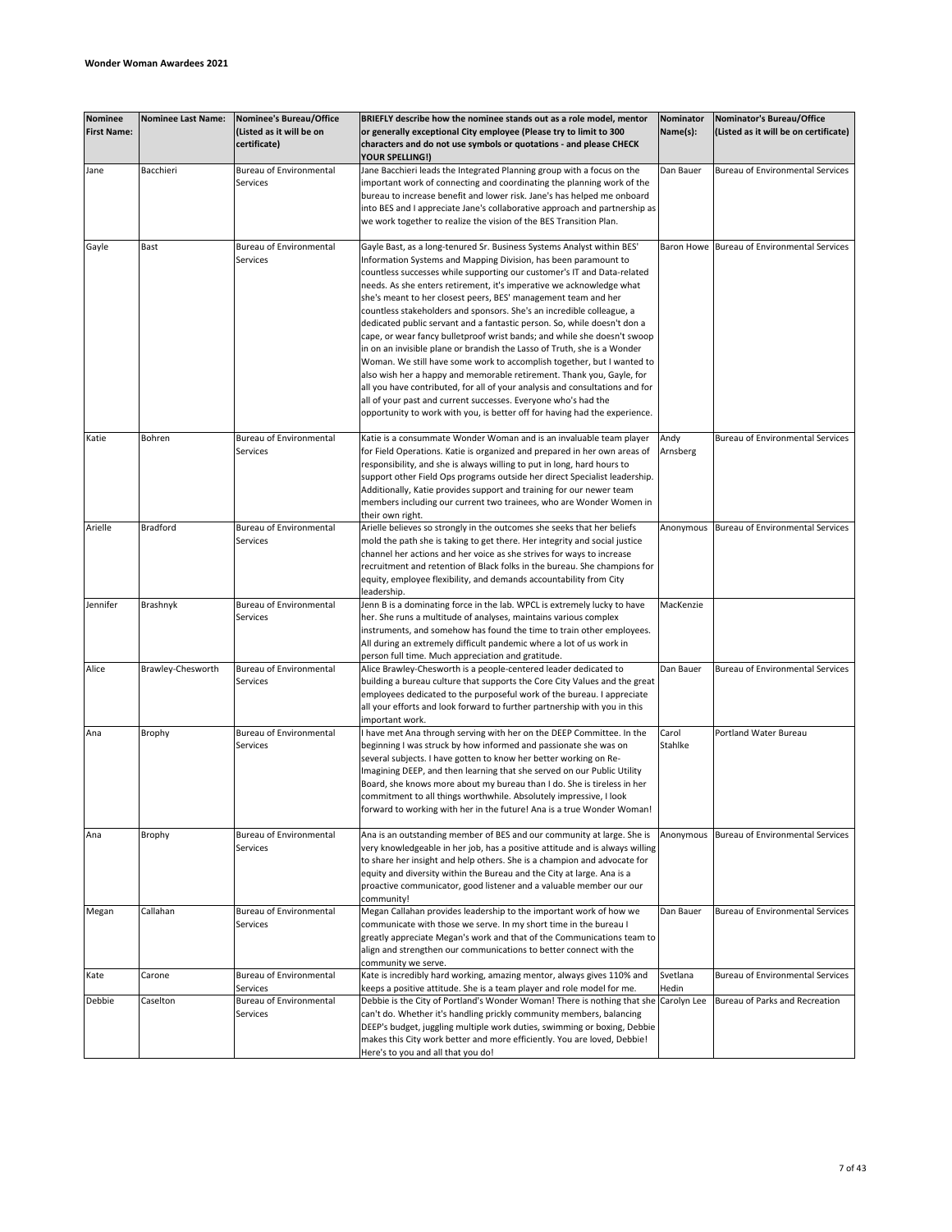| <b>Nominee</b><br><b>First Name:</b> | <b>Nominee Last Name:</b> | <b>Nominee's Bureau/Office</b><br>(Listed as it will be on<br>certificate) | BRIEFLY describe how the nominee stands out as a role model, mentor<br>or generally exceptional City employee (Please try to limit to 300<br>characters and do not use symbols or quotations - and please CHECK                                                                                                                                                                                                                                                                                                                                                                                                                                                                                                                                                                                                                                                                                                                                                                                                                                                | Nominator<br>Name(s): | Nominator's Bureau/Office<br>(Listed as it will be on certificate) |
|--------------------------------------|---------------------------|----------------------------------------------------------------------------|----------------------------------------------------------------------------------------------------------------------------------------------------------------------------------------------------------------------------------------------------------------------------------------------------------------------------------------------------------------------------------------------------------------------------------------------------------------------------------------------------------------------------------------------------------------------------------------------------------------------------------------------------------------------------------------------------------------------------------------------------------------------------------------------------------------------------------------------------------------------------------------------------------------------------------------------------------------------------------------------------------------------------------------------------------------|-----------------------|--------------------------------------------------------------------|
| Jane                                 | Bacchieri                 | Bureau of Environmental<br>Services                                        | <b>YOUR SPELLING!)</b><br>Jane Bacchieri leads the Integrated Planning group with a focus on the<br>important work of connecting and coordinating the planning work of the<br>bureau to increase benefit and lower risk. Jane's has helped me onboard<br>into BES and I appreciate Jane's collaborative approach and partnership as<br>we work together to realize the vision of the BES Transition Plan.                                                                                                                                                                                                                                                                                                                                                                                                                                                                                                                                                                                                                                                      | Dan Bauer             | <b>Bureau of Environmental Services</b>                            |
| Gayle                                | Bast                      | <b>Bureau of Environmental</b><br>Services                                 | Gayle Bast, as a long-tenured Sr. Business Systems Analyst within BES'<br>Information Systems and Mapping Division, has been paramount to<br>countless successes while supporting our customer's IT and Data-related<br>needs. As she enters retirement, it's imperative we acknowledge what<br>she's meant to her closest peers, BES' management team and her<br>countless stakeholders and sponsors. She's an incredible colleague, a<br>dedicated public servant and a fantastic person. So, while doesn't don a<br>cape, or wear fancy bulletproof wrist bands; and while she doesn't swoop<br>in on an invisible plane or brandish the Lasso of Truth, she is a Wonder<br>Woman. We still have some work to accomplish together, but I wanted to<br>also wish her a happy and memorable retirement. Thank you, Gayle, for<br>all you have contributed, for all of your analysis and consultations and for<br>all of your past and current successes. Everyone who's had the<br>opportunity to work with you, is better off for having had the experience. | Baron Howe            | Bureau of Environmental Services                                   |
| Katie                                | Bohren                    | <b>Bureau of Environmental</b><br>Services                                 | Katie is a consummate Wonder Woman and is an invaluable team player<br>for Field Operations. Katie is organized and prepared in her own areas of<br>responsibility, and she is always willing to put in long, hard hours to<br>support other Field Ops programs outside her direct Specialist leadership.<br>Additionally, Katie provides support and training for our newer team<br>members including our current two trainees, who are Wonder Women in<br>their own right.                                                                                                                                                                                                                                                                                                                                                                                                                                                                                                                                                                                   | Andy<br>Arnsberg      | <b>Bureau of Environmental Services</b>                            |
| Arielle                              | <b>Bradford</b>           | <b>Bureau of Environmental</b><br>Services                                 | Arielle believes so strongly in the outcomes she seeks that her beliefs<br>mold the path she is taking to get there. Her integrity and social justice<br>channel her actions and her voice as she strives for ways to increase<br>recruitment and retention of Black folks in the bureau. She champions for<br>equity, employee flexibility, and demands accountability from City<br>leadership.                                                                                                                                                                                                                                                                                                                                                                                                                                                                                                                                                                                                                                                               | Anonymous             | Bureau of Environmental Services                                   |
| Jennifer                             | Brashnyk                  | <b>Bureau of Environmental</b><br>Services                                 | Jenn B is a dominating force in the lab. WPCL is extremely lucky to have<br>her. She runs a multitude of analyses, maintains various complex<br>instruments, and somehow has found the time to train other employees.<br>All during an extremely difficult pandemic where a lot of us work in<br>person full time. Much appreciation and gratitude.                                                                                                                                                                                                                                                                                                                                                                                                                                                                                                                                                                                                                                                                                                            | MacKenzie             |                                                                    |
| Alice                                | Brawley-Chesworth         | <b>Bureau of Environmental</b><br>Services                                 | Alice Brawley-Chesworth is a people-centered leader dedicated to<br>building a bureau culture that supports the Core City Values and the great<br>employees dedicated to the purposeful work of the bureau. I appreciate<br>all your efforts and look forward to further partnership with you in this<br>important work.                                                                                                                                                                                                                                                                                                                                                                                                                                                                                                                                                                                                                                                                                                                                       | Dan Bauer             | <b>Bureau of Environmental Services</b>                            |
| Ana                                  | Brophy                    | <b>Bureau of Environmental</b><br>Services                                 | I have met Ana through serving with her on the DEEP Committee. In the<br>beginning I was struck by how informed and passionate she was on<br>several subjects. I have gotten to know her better working on Re-<br>Imagining DEEP, and then learning that she served on our Public Utility<br>Board, she knows more about my bureau than I do. She is tireless in her<br>commitment to all things worthwhile. Absolutely impressive, I look<br>forward to working with her in the future! Ana is a true Wonder Woman!                                                                                                                                                                                                                                                                                                                                                                                                                                                                                                                                           | Carol<br>Stahlke      | <b>Portland Water Bureau</b>                                       |
| Ana                                  | Brophy                    | Bureau of Environmental<br>Services                                        | Ana is an outstanding member of BES and our community at large. She is<br>very knowledgeable in her job, has a positive attitude and is always willing<br>to share her insight and help others. She is a champion and advocate for<br>equity and diversity within the Bureau and the City at large. Ana is a<br>proactive communicator, good listener and a valuable member our our<br>community!                                                                                                                                                                                                                                                                                                                                                                                                                                                                                                                                                                                                                                                              |                       | Anonymous Bureau of Environmental Services                         |
| Megan                                | Callahan                  | <b>Bureau of Environmental</b><br>Services                                 | Megan Callahan provides leadership to the important work of how we<br>communicate with those we serve. In my short time in the bureau I<br>greatly appreciate Megan's work and that of the Communications team to<br>align and strengthen our communications to better connect with the<br>community we serve.                                                                                                                                                                                                                                                                                                                                                                                                                                                                                                                                                                                                                                                                                                                                                 | Dan Bauer             | <b>Bureau of Environmental Services</b>                            |
| Kate                                 | Carone                    | <b>Bureau of Environmental</b><br>Services                                 | Kate is incredibly hard working, amazing mentor, always gives 110% and<br>keeps a positive attitude. She is a team player and role model for me.                                                                                                                                                                                                                                                                                                                                                                                                                                                                                                                                                                                                                                                                                                                                                                                                                                                                                                               | Svetlana<br>Hedin     | <b>Bureau of Environmental Services</b>                            |
| Debbie                               | Caselton                  | <b>Bureau of Environmental</b><br>Services                                 | Debbie is the City of Portland's Wonder Woman! There is nothing that she Carolyn Lee<br>can't do. Whether it's handling prickly community members, balancing<br>DEEP's budget, juggling multiple work duties, swimming or boxing, Debbie<br>makes this City work better and more efficiently. You are loved, Debbie!<br>Here's to you and all that you do!                                                                                                                                                                                                                                                                                                                                                                                                                                                                                                                                                                                                                                                                                                     |                       | Bureau of Parks and Recreation                                     |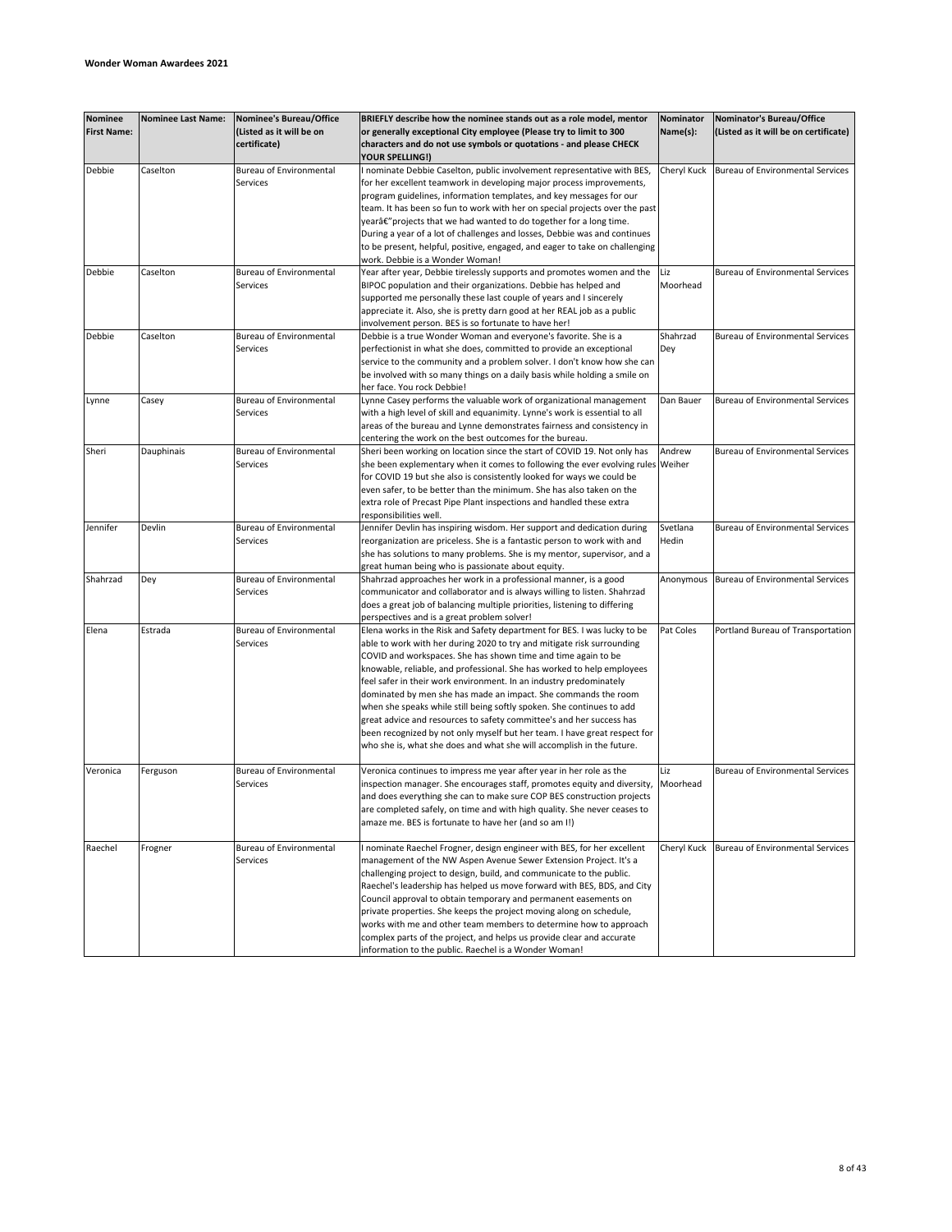| <b>Nominee</b>     | <b>Nominee Last Name:</b> | Nominee's Bureau/Office        | BRIEFLY describe how the nominee stands out as a role model, mentor                                                                          | Nominator   | Nominator's Bureau/Office               |
|--------------------|---------------------------|--------------------------------|----------------------------------------------------------------------------------------------------------------------------------------------|-------------|-----------------------------------------|
| <b>First Name:</b> |                           | (Listed as it will be on       | or generally exceptional City employee (Please try to limit to 300                                                                           | Name(s):    | (Listed as it will be on certificate)   |
|                    |                           | certificate)                   | characters and do not use symbols or quotations - and please CHECK                                                                           |             |                                         |
|                    |                           |                                | YOUR SPELLING!)                                                                                                                              |             |                                         |
| Debbie             | Caselton                  | <b>Bureau of Environmental</b> | I nominate Debbie Caselton, public involvement representative with BES,                                                                      | Cheryl Kuck | Bureau of Environmental Services        |
|                    |                           | Services                       | for her excellent teamwork in developing major process improvements,<br>program guidelines, information templates, and key messages for our  |             |                                         |
|                    |                           |                                | team. It has been so fun to work with her on special projects over the past                                                                  |             |                                         |
|                    |                           |                                | yearâ€" projects that we had wanted to do together for a long time.                                                                          |             |                                         |
|                    |                           |                                | During a year of a lot of challenges and losses, Debbie was and continues                                                                    |             |                                         |
|                    |                           |                                | to be present, helpful, positive, engaged, and eager to take on challenging                                                                  |             |                                         |
|                    |                           |                                | work. Debbie is a Wonder Woman!                                                                                                              |             |                                         |
| Debbie             | Caselton                  | <b>Bureau of Environmental</b> | Year after year, Debbie tirelessly supports and promotes women and the                                                                       | Liz         | <b>Bureau of Environmental Services</b> |
|                    |                           | Services                       | BIPOC population and their organizations. Debbie has helped and                                                                              | Moorhead    |                                         |
|                    |                           |                                | supported me personally these last couple of years and I sincerely                                                                           |             |                                         |
|                    |                           |                                | appreciate it. Also, she is pretty darn good at her REAL job as a public                                                                     |             |                                         |
| Debbie             | Caselton                  | <b>Bureau of Environmental</b> | involvement person. BES is so fortunate to have her!<br>Debbie is a true Wonder Woman and everyone's favorite. She is a                      | Shahrzad    | <b>Bureau of Environmental Services</b> |
|                    |                           | Services                       | perfectionist in what she does, committed to provide an exceptional                                                                          | Dey         |                                         |
|                    |                           |                                | service to the community and a problem solver. I don't know how she can                                                                      |             |                                         |
|                    |                           |                                | be involved with so many things on a daily basis while holding a smile on                                                                    |             |                                         |
|                    |                           |                                | her face. You rock Debbie!                                                                                                                   |             |                                         |
| Lynne              | Casey                     | <b>Bureau of Environmental</b> | Lynne Casey performs the valuable work of organizational management                                                                          | Dan Bauer   | <b>Bureau of Environmental Services</b> |
|                    |                           | Services                       | with a high level of skill and equanimity. Lynne's work is essential to all                                                                  |             |                                         |
|                    |                           |                                | areas of the bureau and Lynne demonstrates fairness and consistency in                                                                       |             |                                         |
|                    |                           |                                | centering the work on the best outcomes for the bureau.                                                                                      |             |                                         |
| Sheri              | Dauphinais                | <b>Bureau of Environmental</b> | Sheri been working on location since the start of COVID 19. Not only has                                                                     | Andrew      | <b>Bureau of Environmental Services</b> |
|                    |                           | Services                       | she been explementary when it comes to following the ever evolving rules Weiher                                                              |             |                                         |
|                    |                           |                                | for COVID 19 but she also is consistently looked for ways we could be                                                                        |             |                                         |
|                    |                           |                                | even safer, to be better than the minimum. She has also taken on the<br>extra role of Precast Pipe Plant inspections and handled these extra |             |                                         |
|                    |                           |                                | responsibilities well.                                                                                                                       |             |                                         |
| Jennifer           | Devlin                    | Bureau of Environmental        | Jennifer Devlin has inspiring wisdom. Her support and dedication during                                                                      | Svetlana    | <b>Bureau of Environmental Services</b> |
|                    |                           | <b>Services</b>                | reorganization are priceless. She is a fantastic person to work with and                                                                     | Hedin       |                                         |
|                    |                           |                                | she has solutions to many problems. She is my mentor, supervisor, and a                                                                      |             |                                         |
|                    |                           |                                | great human being who is passionate about equity.                                                                                            |             |                                         |
| Shahrzad           | Dey                       | Bureau of Environmental        | Shahrzad approaches her work in a professional manner, is a good                                                                             | Anonymous   | Bureau of Environmental Services        |
|                    |                           | Services                       | communicator and collaborator and is always willing to listen. Shahrzad                                                                      |             |                                         |
|                    |                           |                                | does a great job of balancing multiple priorities, listening to differing                                                                    |             |                                         |
| Elena              | Estrada                   | <b>Bureau of Environmental</b> | perspectives and is a great problem solver!<br>Elena works in the Risk and Safety department for BES. I was lucky to be                      | Pat Coles   | Portland Bureau of Transportation       |
|                    |                           | Services                       | able to work with her during 2020 to try and mitigate risk surrounding                                                                       |             |                                         |
|                    |                           |                                | COVID and workspaces. She has shown time and time again to be                                                                                |             |                                         |
|                    |                           |                                | knowable, reliable, and professional. She has worked to help employees                                                                       |             |                                         |
|                    |                           |                                | feel safer in their work environment. In an industry predominately                                                                           |             |                                         |
|                    |                           |                                | dominated by men she has made an impact. She commands the room                                                                               |             |                                         |
|                    |                           |                                | when she speaks while still being softly spoken. She continues to add                                                                        |             |                                         |
|                    |                           |                                | great advice and resources to safety committee's and her success has                                                                         |             |                                         |
|                    |                           |                                | been recognized by not only myself but her team. I have great respect for                                                                    |             |                                         |
|                    |                           |                                | who she is, what she does and what she will accomplish in the future.                                                                        |             |                                         |
| Veronica           | Ferguson                  | <b>Bureau of Environmental</b> | Veronica continues to impress me year after year in her role as the                                                                          | Liz         | <b>Bureau of Environmental Services</b> |
|                    |                           | Services                       | inspection manager. She encourages staff, promotes equity and diversity,                                                                     | Moorhead    |                                         |
|                    |                           |                                | and does everything she can to make sure COP BES construction projects                                                                       |             |                                         |
|                    |                           |                                | are completed safely, on time and with high quality. She never ceases to                                                                     |             |                                         |
|                    |                           |                                | amaze me. BES is fortunate to have her (and so am I!)                                                                                        |             |                                         |
|                    |                           |                                |                                                                                                                                              |             |                                         |
| Raechel            | Frogner                   | <b>Bureau of Environmental</b> | I nominate Raechel Frogner, design engineer with BES, for her excellent                                                                      | Cheryl Kuck | Bureau of Environmental Services        |
|                    |                           | Services                       | management of the NW Aspen Avenue Sewer Extension Project. It's a<br>challenging project to design, build, and communicate to the public.    |             |                                         |
|                    |                           |                                | Raechel's leadership has helped us move forward with BES, BDS, and City                                                                      |             |                                         |
|                    |                           |                                | Council approval to obtain temporary and permanent easements on                                                                              |             |                                         |
|                    |                           |                                | private properties. She keeps the project moving along on schedule,                                                                          |             |                                         |
|                    |                           |                                | works with me and other team members to determine how to approach                                                                            |             |                                         |
|                    |                           |                                | complex parts of the project, and helps us provide clear and accurate                                                                        |             |                                         |
|                    |                           |                                | information to the public. Raechel is a Wonder Woman!                                                                                        |             |                                         |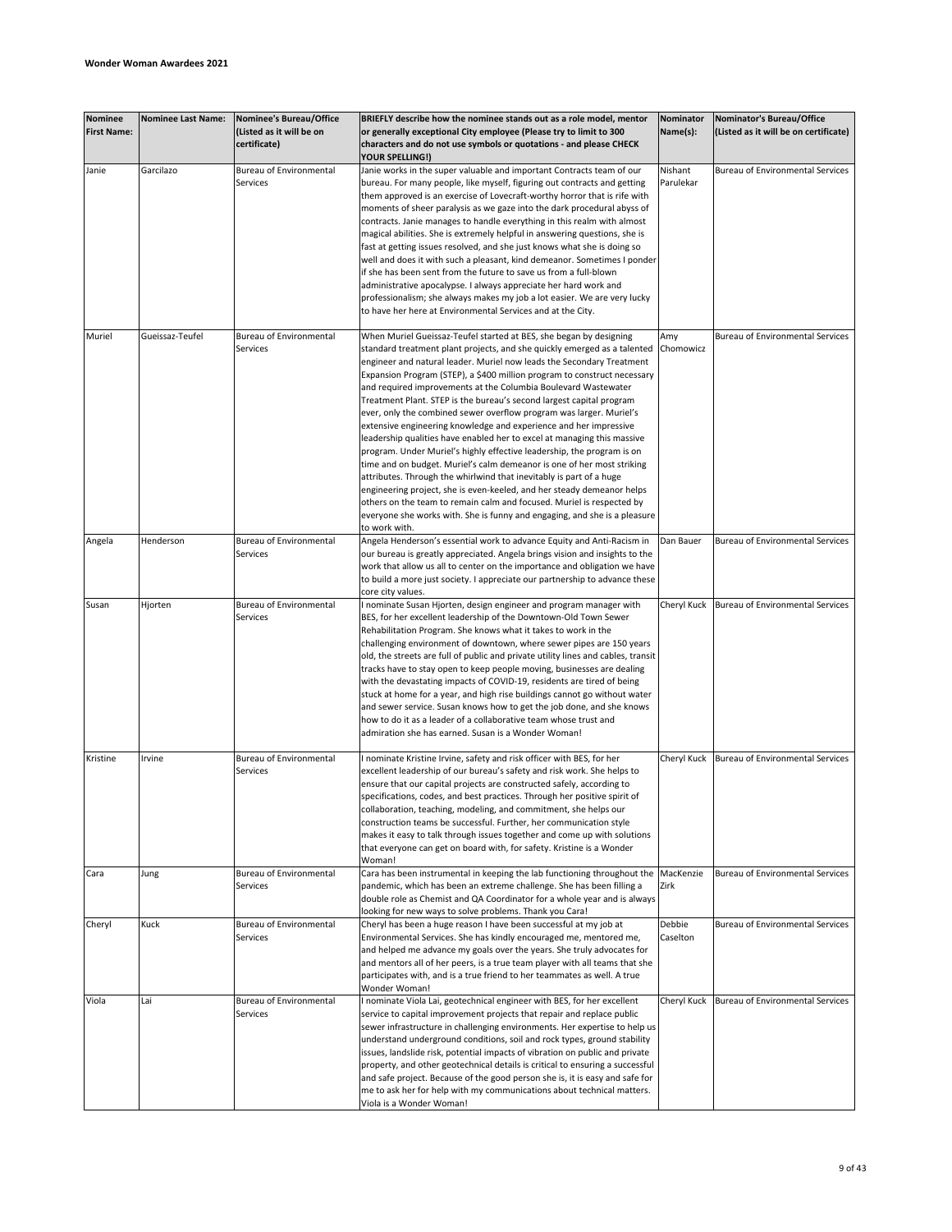| <b>Nominee</b><br><b>First Name:</b> | <b>Nominee Last Name:</b> | Nominee's Bureau/Office<br>(Listed as it will be on<br>certificate) | BRIEFLY describe how the nominee stands out as a role model, mentor<br>or generally exceptional City employee (Please try to limit to 300<br>characters and do not use symbols or quotations - and please CHECK<br><b>YOUR SPELLING!)</b>                                                                                                                                                                                                                                                                                                                                                                                                                                                                                                                                                                                                                                                                                                                                                                                                                                                                                                        | Nominator<br>Name(s): | Nominator's Bureau/Office<br>(Listed as it will be on certificate) |
|--------------------------------------|---------------------------|---------------------------------------------------------------------|--------------------------------------------------------------------------------------------------------------------------------------------------------------------------------------------------------------------------------------------------------------------------------------------------------------------------------------------------------------------------------------------------------------------------------------------------------------------------------------------------------------------------------------------------------------------------------------------------------------------------------------------------------------------------------------------------------------------------------------------------------------------------------------------------------------------------------------------------------------------------------------------------------------------------------------------------------------------------------------------------------------------------------------------------------------------------------------------------------------------------------------------------|-----------------------|--------------------------------------------------------------------|
| Janie                                | Garcilazo                 | <b>Bureau of Environmental</b><br>Services                          | Janie works in the super valuable and important Contracts team of our<br>bureau. For many people, like myself, figuring out contracts and getting<br>them approved is an exercise of Lovecraft-worthy horror that is rife with<br>moments of sheer paralysis as we gaze into the dark procedural abyss of<br>contracts. Janie manages to handle everything in this realm with almost<br>magical abilities. She is extremely helpful in answering questions, she is<br>fast at getting issues resolved, and she just knows what she is doing so<br>well and does it with such a pleasant, kind demeanor. Sometimes I ponder<br>if she has been sent from the future to save us from a full-blown<br>administrative apocalypse. I always appreciate her hard work and<br>professionalism; she always makes my job a lot easier. We are very lucky<br>to have her here at Environmental Services and at the City.                                                                                                                                                                                                                                   | Nishant<br>Parulekar  | <b>Bureau of Environmental Services</b>                            |
| Muriel                               | Gueissaz-Teufel           | <b>Bureau of Environmental</b><br>Services                          | When Muriel Gueissaz-Teufel started at BES, she began by designing<br>standard treatment plant projects, and she quickly emerged as a talented<br>engineer and natural leader. Muriel now leads the Secondary Treatment<br>Expansion Program (STEP), a \$400 million program to construct necessary<br>and required improvements at the Columbia Boulevard Wastewater<br>Treatment Plant. STEP is the bureau's second largest capital program<br>ever, only the combined sewer overflow program was larger. Muriel's<br>extensive engineering knowledge and experience and her impressive<br>leadership qualities have enabled her to excel at managing this massive<br>program. Under Muriel's highly effective leadership, the program is on<br>time and on budget. Muriel's calm demeanor is one of her most striking<br>attributes. Through the whirlwind that inevitably is part of a huge<br>engineering project, she is even-keeled, and her steady demeanor helps<br>others on the team to remain calm and focused. Muriel is respected by<br>everyone she works with. She is funny and engaging, and she is a pleasure<br>to work with. | Amy<br>Chomowicz      | <b>Bureau of Environmental Services</b>                            |
| Angela                               | Henderson                 | <b>Bureau of Environmental</b><br>Services                          | Angela Henderson's essential work to advance Equity and Anti-Racism in<br>our bureau is greatly appreciated. Angela brings vision and insights to the<br>work that allow us all to center on the importance and obligation we have<br>to build a more just society. I appreciate our partnership to advance these<br>core city values.                                                                                                                                                                                                                                                                                                                                                                                                                                                                                                                                                                                                                                                                                                                                                                                                           | Dan Bauer             | <b>Bureau of Environmental Services</b>                            |
| Susan                                | Hjorten                   | <b>Bureau of Environmental</b><br>Services                          | I nominate Susan Hjorten, design engineer and program manager with<br>BES, for her excellent leadership of the Downtown-Old Town Sewer<br>Rehabilitation Program. She knows what it takes to work in the<br>challenging environment of downtown, where sewer pipes are 150 years<br>old, the streets are full of public and private utility lines and cables, transit<br>tracks have to stay open to keep people moving, businesses are dealing<br>with the devastating impacts of COVID-19, residents are tired of being<br>stuck at home for a year, and high rise buildings cannot go without water<br>and sewer service. Susan knows how to get the job done, and she knows<br>how to do it as a leader of a collaborative team whose trust and<br>admiration she has earned. Susan is a Wonder Woman!                                                                                                                                                                                                                                                                                                                                       | Cheryl Kuck           | <b>Bureau of Environmental Services</b>                            |
| Kristine                             | Irvine                    | <b>Bureau of Environmental</b><br>Services                          | I nominate Kristine Irvine, safety and risk officer with BES, for her<br>excellent leadership of our bureau's safety and risk work. She helps to<br>ensure that our capital projects are constructed safely, according to<br>specifications, codes, and best practices. Through her positive spirit of<br>collaboration, teaching, modeling, and commitment, she helps our<br>construction teams be successful. Further, her communication style<br>makes it easy to talk through issues together and come up with solutions<br>that everyone can get on board with, for safety. Kristine is a Wonder<br>Woman!                                                                                                                                                                                                                                                                                                                                                                                                                                                                                                                                  |                       | Cheryl Kuck Bureau of Environmental Services                       |
| Cara                                 | Jung                      | <b>Bureau of Environmental</b><br>Services                          | Cara has been instrumental in keeping the lab functioning throughout the MacKenzie<br>pandemic, which has been an extreme challenge. She has been filling a<br>double role as Chemist and QA Coordinator for a whole year and is always<br>looking for new ways to solve problems. Thank you Cara!                                                                                                                                                                                                                                                                                                                                                                                                                                                                                                                                                                                                                                                                                                                                                                                                                                               | Zirk                  | Bureau of Environmental Services                                   |
| Cheryl                               | Kuck                      | <b>Bureau of Environmental</b><br>Services                          | Cheryl has been a huge reason I have been successful at my job at<br>Environmental Services. She has kindly encouraged me, mentored me,<br>and helped me advance my goals over the years. She truly advocates for<br>and mentors all of her peers, is a true team player with all teams that she<br>participates with, and is a true friend to her teammates as well. A true<br>Wonder Woman!                                                                                                                                                                                                                                                                                                                                                                                                                                                                                                                                                                                                                                                                                                                                                    | Debbie<br>Caselton    | Bureau of Environmental Services                                   |
| Viola                                | Lai                       | <b>Bureau of Environmental</b><br>Services                          | I nominate Viola Lai, geotechnical engineer with BES, for her excellent<br>service to capital improvement projects that repair and replace public<br>sewer infrastructure in challenging environments. Her expertise to help us<br>understand underground conditions, soil and rock types, ground stability<br>issues, landslide risk, potential impacts of vibration on public and private<br>property, and other geotechnical details is critical to ensuring a successful<br>and safe project. Because of the good person she is, it is easy and safe for<br>me to ask her for help with my communications about technical matters.<br>Viola is a Wonder Woman!                                                                                                                                                                                                                                                                                                                                                                                                                                                                               |                       | Cheryl Kuck Bureau of Environmental Services                       |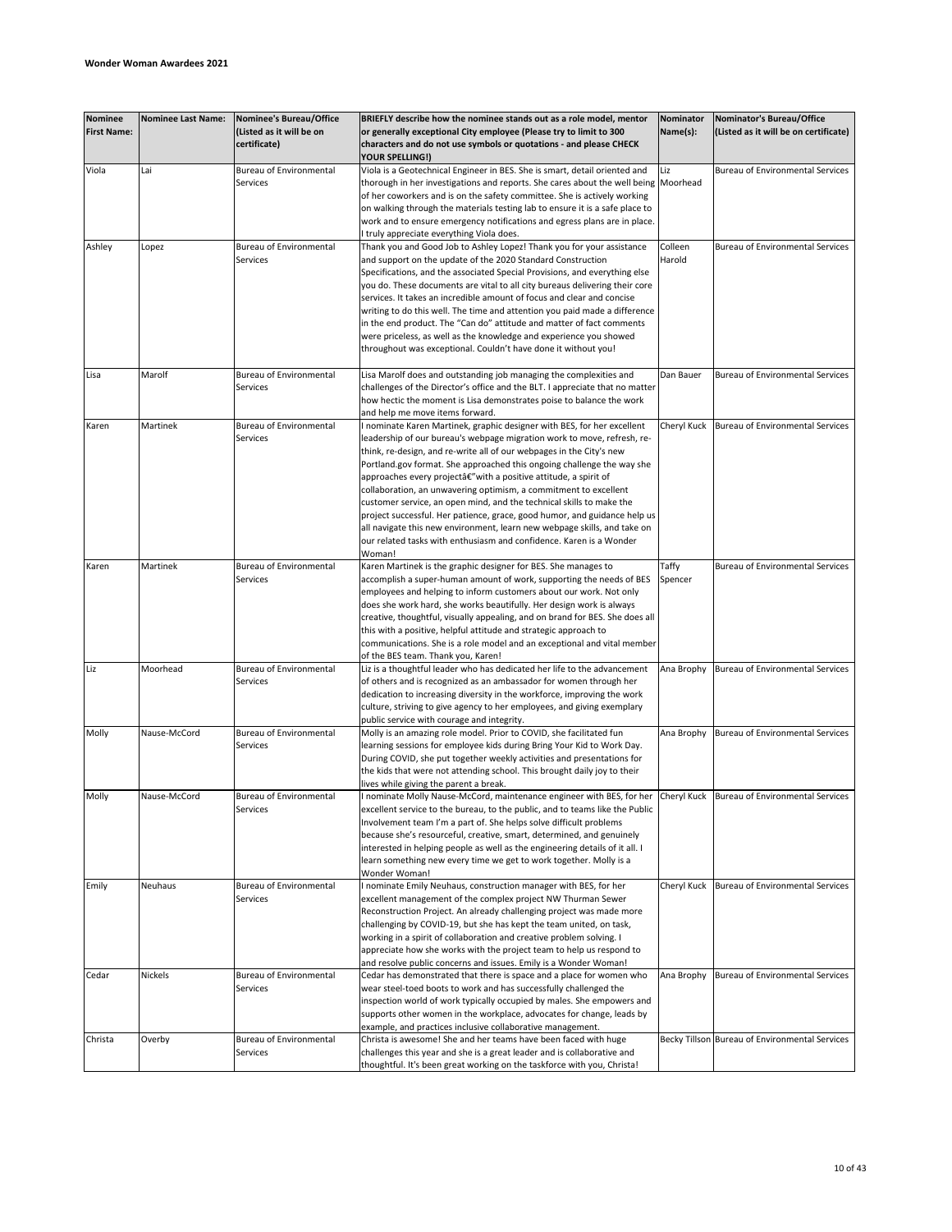| Nominee<br><b>First Name:</b> | <b>Nominee Last Name:</b> | <b>Nominee's Bureau/Office</b><br>(Listed as it will be on<br>certificate) | BRIEFLY describe how the nominee stands out as a role model, mentor<br>or generally exceptional City employee (Please try to limit to 300<br>characters and do not use symbols or quotations - and please CHECK | Nominator<br>Name(s): | Nominator's Bureau/Office<br>(Listed as it will be on certificate) |
|-------------------------------|---------------------------|----------------------------------------------------------------------------|-----------------------------------------------------------------------------------------------------------------------------------------------------------------------------------------------------------------|-----------------------|--------------------------------------------------------------------|
|                               |                           |                                                                            | YOUR SPELLING!)                                                                                                                                                                                                 |                       |                                                                    |
| Viola                         | Lai                       | Bureau of Environmental                                                    | Viola is a Geotechnical Engineer in BES. She is smart, detail oriented and                                                                                                                                      | Liz                   | Bureau of Environmental Services                                   |
|                               |                           | Services                                                                   | thorough in her investigations and reports. She cares about the well being                                                                                                                                      | Moorhead              |                                                                    |
|                               |                           |                                                                            | of her coworkers and is on the safety committee. She is actively working                                                                                                                                        |                       |                                                                    |
|                               |                           |                                                                            | on walking through the materials testing lab to ensure it is a safe place to                                                                                                                                    |                       |                                                                    |
|                               |                           |                                                                            | work and to ensure emergency notifications and egress plans are in place.                                                                                                                                       |                       |                                                                    |
|                               |                           |                                                                            | truly appreciate everything Viola does.                                                                                                                                                                         |                       |                                                                    |
| Ashley                        | Lopez                     | Bureau of Environmental                                                    | Thank you and Good Job to Ashley Lopez! Thank you for your assistance                                                                                                                                           | Colleen               | <b>Bureau of Environmental Services</b>                            |
|                               |                           | Services                                                                   | and support on the update of the 2020 Standard Construction                                                                                                                                                     | Harold                |                                                                    |
|                               |                           |                                                                            | Specifications, and the associated Special Provisions, and everything else                                                                                                                                      |                       |                                                                    |
|                               |                           |                                                                            | you do. These documents are vital to all city bureaus delivering their core                                                                                                                                     |                       |                                                                    |
|                               |                           |                                                                            | services. It takes an incredible amount of focus and clear and concise                                                                                                                                          |                       |                                                                    |
|                               |                           |                                                                            | writing to do this well. The time and attention you paid made a difference                                                                                                                                      |                       |                                                                    |
|                               |                           |                                                                            | in the end product. The "Can do" attitude and matter of fact comments                                                                                                                                           |                       |                                                                    |
|                               |                           |                                                                            | were priceless, as well as the knowledge and experience you showed                                                                                                                                              |                       |                                                                    |
|                               |                           |                                                                            | throughout was exceptional. Couldn't have done it without you!                                                                                                                                                  |                       |                                                                    |
| Lisa                          | Marolf                    | <b>Bureau of Environmental</b>                                             | Lisa Marolf does and outstanding job managing the complexities and                                                                                                                                              | Dan Bauer             | <b>Bureau of Environmental Services</b>                            |
|                               |                           | Services                                                                   | challenges of the Director's office and the BLT. I appreciate that no matter                                                                                                                                    |                       |                                                                    |
|                               |                           |                                                                            | how hectic the moment is Lisa demonstrates poise to balance the work                                                                                                                                            |                       |                                                                    |
|                               |                           |                                                                            | and help me move items forward.                                                                                                                                                                                 |                       |                                                                    |
| Karen                         | Martinek                  | <b>Bureau of Environmental</b>                                             | nominate Karen Martinek, graphic designer with BES, for her excellent                                                                                                                                           | Cheryl Kuck           | <b>Bureau of Environmental Services</b>                            |
|                               |                           | Services                                                                   | leadership of our bureau's webpage migration work to move, refresh, re-                                                                                                                                         |                       |                                                                    |
|                               |                           |                                                                            | think, re-design, and re-write all of our webpages in the City's new                                                                                                                                            |                       |                                                                    |
|                               |                           |                                                                            | Portland.gov format. She approached this ongoing challenge the way she                                                                                                                                          |                       |                                                                    |
|                               |                           |                                                                            | approaches every projectâ€"with a positive attitude, a spirit of                                                                                                                                                |                       |                                                                    |
|                               |                           |                                                                            | collaboration, an unwavering optimism, a commitment to excellent                                                                                                                                                |                       |                                                                    |
|                               |                           |                                                                            | customer service, an open mind, and the technical skills to make the                                                                                                                                            |                       |                                                                    |
|                               |                           |                                                                            | project successful. Her patience, grace, good humor, and guidance help us                                                                                                                                       |                       |                                                                    |
|                               |                           |                                                                            | all navigate this new environment, learn new webpage skills, and take on                                                                                                                                        |                       |                                                                    |
|                               |                           |                                                                            | our related tasks with enthusiasm and confidence. Karen is a Wonder                                                                                                                                             |                       |                                                                    |
|                               |                           |                                                                            | Woman!                                                                                                                                                                                                          |                       |                                                                    |
| Karen                         | Martinek                  | <b>Bureau of Environmental</b>                                             | Karen Martinek is the graphic designer for BES. She manages to                                                                                                                                                  | Taffy                 | <b>Bureau of Environmental Services</b>                            |
|                               |                           | Services                                                                   | accomplish a super-human amount of work, supporting the needs of BES                                                                                                                                            | Spencer               |                                                                    |
|                               |                           |                                                                            | employees and helping to inform customers about our work. Not only                                                                                                                                              |                       |                                                                    |
|                               |                           |                                                                            | does she work hard, she works beautifully. Her design work is always                                                                                                                                            |                       |                                                                    |
|                               |                           |                                                                            | creative, thoughtful, visually appealing, and on brand for BES. She does all                                                                                                                                    |                       |                                                                    |
|                               |                           |                                                                            | this with a positive, helpful attitude and strategic approach to                                                                                                                                                |                       |                                                                    |
|                               |                           |                                                                            | communications. She is a role model and an exceptional and vital member                                                                                                                                         |                       |                                                                    |
|                               |                           |                                                                            | of the BES team. Thank you, Karen!                                                                                                                                                                              |                       |                                                                    |
| Liz                           | Moorhead                  | <b>Bureau of Environmental</b>                                             | Liz is a thoughtful leader who has dedicated her life to the advancement                                                                                                                                        | Ana Brophy            | <b>Bureau of Environmental Services</b>                            |
|                               |                           | Services                                                                   | of others and is recognized as an ambassador for women through her                                                                                                                                              |                       |                                                                    |
|                               |                           |                                                                            | dedication to increasing diversity in the workforce, improving the work                                                                                                                                         |                       |                                                                    |
|                               |                           |                                                                            | culture, striving to give agency to her employees, and giving exemplary                                                                                                                                         |                       |                                                                    |
|                               |                           |                                                                            | public service with courage and integrity.                                                                                                                                                                      |                       |                                                                    |
| Molly                         | Nause-McCord              | <b>Bureau of Environmental</b>                                             | Molly is an amazing role model. Prior to COVID, she facilitated fun                                                                                                                                             | Ana Brophy            | <b>Bureau of Environmental Services</b>                            |
|                               |                           | Services                                                                   | learning sessions for employee kids during Bring Your Kid to Work Day.                                                                                                                                          |                       |                                                                    |
|                               |                           |                                                                            | During COVID, she put together weekly activities and presentations for                                                                                                                                          |                       |                                                                    |
|                               |                           |                                                                            | the kids that were not attending school. This brought daily joy to their                                                                                                                                        |                       |                                                                    |
|                               |                           |                                                                            | lives while giving the parent a break.                                                                                                                                                                          |                       |                                                                    |
| Molly                         | Nause-McCord              | <b>Bureau of Environmental</b>                                             | I nominate Molly Nause-McCord, maintenance engineer with BES, for her Cheryl Kuck Bureau of Environmental Services                                                                                              |                       |                                                                    |
|                               |                           | Services                                                                   | excellent service to the bureau, to the public, and to teams like the Public                                                                                                                                    |                       |                                                                    |
|                               |                           |                                                                            | Involvement team I'm a part of. She helps solve difficult problems                                                                                                                                              |                       |                                                                    |
|                               |                           |                                                                            | because she's resourceful, creative, smart, determined, and genuinely                                                                                                                                           |                       |                                                                    |
|                               |                           |                                                                            | interested in helping people as well as the engineering details of it all. I                                                                                                                                    |                       |                                                                    |
|                               |                           |                                                                            | learn something new every time we get to work together. Molly is a                                                                                                                                              |                       |                                                                    |
|                               |                           |                                                                            | Wonder Woman!                                                                                                                                                                                                   |                       |                                                                    |
| Emily                         | <b>Neuhaus</b>            | <b>Bureau of Environmental</b>                                             | I nominate Emily Neuhaus, construction manager with BES, for her                                                                                                                                                | Cheryl Kuck           | Bureau of Environmental Services                                   |
|                               |                           | Services                                                                   | excellent management of the complex project NW Thurman Sewer                                                                                                                                                    |                       |                                                                    |
|                               |                           |                                                                            | Reconstruction Project. An already challenging project was made more                                                                                                                                            |                       |                                                                    |
|                               |                           |                                                                            | challenging by COVID-19, but she has kept the team united, on task,                                                                                                                                             |                       |                                                                    |
|                               |                           |                                                                            | working in a spirit of collaboration and creative problem solving. I                                                                                                                                            |                       |                                                                    |
|                               |                           |                                                                            | appreciate how she works with the project team to help us respond to                                                                                                                                            |                       |                                                                    |
|                               |                           |                                                                            | and resolve public concerns and issues. Emily is a Wonder Woman!                                                                                                                                                |                       |                                                                    |
| Cedar                         | Nickels                   | <b>Bureau of Environmental</b>                                             | Cedar has demonstrated that there is space and a place for women who                                                                                                                                            | Ana Brophy            | <b>Bureau of Environmental Services</b>                            |
|                               |                           | Services                                                                   | wear steel-toed boots to work and has successfully challenged the                                                                                                                                               |                       |                                                                    |
|                               |                           |                                                                            | inspection world of work typically occupied by males. She empowers and                                                                                                                                          |                       |                                                                    |
|                               |                           |                                                                            | supports other women in the workplace, advocates for change, leads by                                                                                                                                           |                       |                                                                    |
|                               |                           |                                                                            | example, and practices inclusive collaborative management.                                                                                                                                                      |                       |                                                                    |
| Christa                       | Overby                    | <b>Bureau of Environmental</b>                                             | Christa is awesome! She and her teams have been faced with huge                                                                                                                                                 |                       | Becky Tillson Bureau of Environmental Services                     |
|                               |                           | Services                                                                   | challenges this year and she is a great leader and is collaborative and                                                                                                                                         |                       |                                                                    |
|                               |                           |                                                                            | thoughtful. It's been great working on the taskforce with you, Christa!                                                                                                                                         |                       |                                                                    |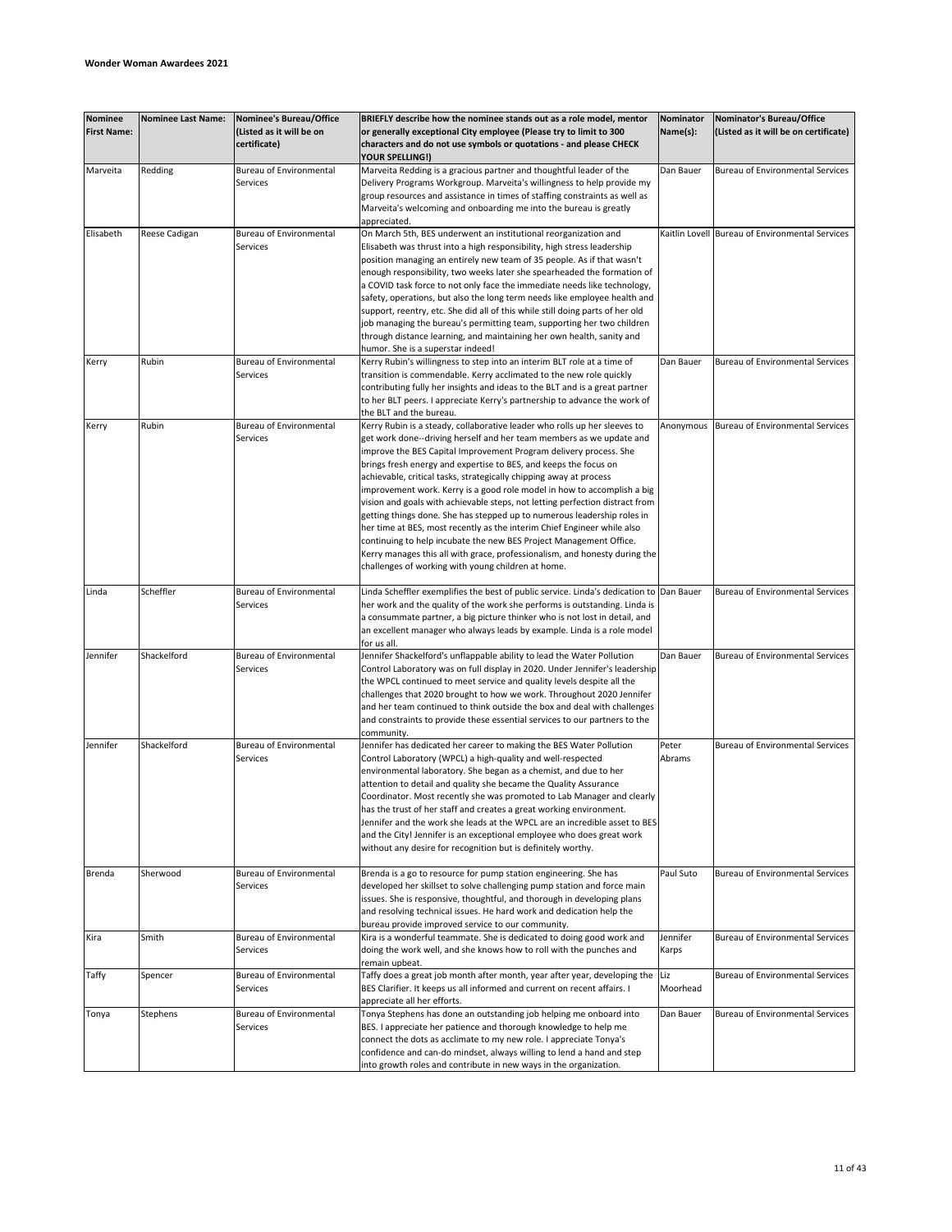| Nominee<br><b>First Name:</b> | <b>Nominee Last Name:</b> | <b>Nominee's Bureau/Office</b><br>(Listed as it will be on<br>certificate) | BRIEFLY describe how the nominee stands out as a role model, mentor<br>or generally exceptional City employee (Please try to limit to 300<br>characters and do not use symbols or quotations - and please CHECK                                                                                                                                                                                                                                                                                                                                                                                                                                                                                                                                                                                                                                                                             | Nominator<br>Name(s): | Nominator's Bureau/Office<br>(Listed as it will be on certificate) |
|-------------------------------|---------------------------|----------------------------------------------------------------------------|---------------------------------------------------------------------------------------------------------------------------------------------------------------------------------------------------------------------------------------------------------------------------------------------------------------------------------------------------------------------------------------------------------------------------------------------------------------------------------------------------------------------------------------------------------------------------------------------------------------------------------------------------------------------------------------------------------------------------------------------------------------------------------------------------------------------------------------------------------------------------------------------|-----------------------|--------------------------------------------------------------------|
| Marveita                      | Redding                   | Bureau of Environmental<br>Services                                        | YOUR SPELLING!)<br>Marveita Redding is a gracious partner and thoughtful leader of the<br>Delivery Programs Workgroup. Marveita's willingness to help provide my<br>group resources and assistance in times of staffing constraints as well as<br>Marveita's welcoming and onboarding me into the bureau is greatly<br>appreciated.                                                                                                                                                                                                                                                                                                                                                                                                                                                                                                                                                         | Dan Bauer             | Bureau of Environmental Services                                   |
| Elisabeth                     | Reese Cadigan             | <b>Bureau of Environmental</b><br>Services                                 | On March 5th, BES underwent an institutional reorganization and<br>Elisabeth was thrust into a high responsibility, high stress leadership<br>position managing an entirely new team of 35 people. As if that wasn't<br>enough responsibility, two weeks later she spearheaded the formation of<br>a COVID task force to not only face the immediate needs like technology,<br>safety, operations, but also the long term needs like employee health and<br>support, reentry, etc. She did all of this while still doing parts of her old<br>job managing the bureau's permitting team, supporting her two children<br>through distance learning, and maintaining her own health, sanity and<br>humor. She is a superstar indeed!                                                                                                                                                           |                       | Kaitlin Lovell Bureau of Environmental Services                    |
| Kerry                         | Rubin                     | <b>Bureau of Environmental</b><br>Services                                 | Kerry Rubin's willingness to step into an interim BLT role at a time of<br>transition is commendable. Kerry acclimated to the new role quickly<br>contributing fully her insights and ideas to the BLT and is a great partner<br>to her BLT peers. I appreciate Kerry's partnership to advance the work of<br>the BLT and the bureau.                                                                                                                                                                                                                                                                                                                                                                                                                                                                                                                                                       | Dan Bauer             | <b>Bureau of Environmental Services</b>                            |
| Kerry                         | Rubin                     | <b>Bureau of Environmental</b><br>Services                                 | Kerry Rubin is a steady, collaborative leader who rolls up her sleeves to<br>get work done--driving herself and her team members as we update and<br>improve the BES Capital Improvement Program delivery process. She<br>brings fresh energy and expertise to BES, and keeps the focus on<br>achievable, critical tasks, strategically chipping away at process<br>improvement work. Kerry is a good role model in how to accomplish a big<br>vision and goals with achievable steps, not letting perfection distract from<br>getting things done. She has stepped up to numerous leadership roles in<br>her time at BES, most recently as the interim Chief Engineer while also<br>continuing to help incubate the new BES Project Management Office.<br>Kerry manages this all with grace, professionalism, and honesty during the<br>challenges of working with young children at home. | Anonymous             | <b>Bureau of Environmental Services</b>                            |
| Linda                         | Scheffler                 | <b>Bureau of Environmental</b><br>Services                                 | Linda Scheffler exemplifies the best of public service. Linda's dedication to Dan Bauer<br>her work and the quality of the work she performs is outstanding. Linda is<br>a consummate partner, a big picture thinker who is not lost in detail, and<br>an excellent manager who always leads by example. Linda is a role model<br>for us all.                                                                                                                                                                                                                                                                                                                                                                                                                                                                                                                                               |                       | <b>Bureau of Environmental Services</b>                            |
| Jennifer                      | Shackelford               | <b>Bureau of Environmental</b><br>Services                                 | Jennifer Shackelford's unflappable ability to lead the Water Pollution<br>Control Laboratory was on full display in 2020. Under Jennifer's leadership<br>the WPCL continued to meet service and quality levels despite all the<br>challenges that 2020 brought to how we work. Throughout 2020 Jennifer<br>and her team continued to think outside the box and deal with challenges<br>and constraints to provide these essential services to our partners to the<br>community.                                                                                                                                                                                                                                                                                                                                                                                                             | Dan Bauer             | <b>Bureau of Environmental Services</b>                            |
| Jennifer                      | Shackelford               | <b>Bureau of Environmental</b><br>Services                                 | Jennifer has dedicated her career to making the BES Water Pollution<br>Control Laboratory (WPCL) a high-quality and well-respected<br>environmental laboratory. She began as a chemist, and due to her<br>attention to detail and quality she became the Quality Assurance<br>Coordinator. Most recently she was promoted to Lab Manager and clearly<br>has the trust of her staff and creates a great working environment.<br>Jennifer and the work she leads at the WPCL are an incredible asset to BES<br>and the City! Jennifer is an exceptional employee who does great work<br>without any desire for recognition but is definitely worthy.                                                                                                                                                                                                                                          | Peter<br>Abrams       | <b>Bureau of Environmental Services</b>                            |
| Brenda                        | Sherwood                  | <b>Bureau of Environmental</b><br>Services                                 | Brenda is a go to resource for pump station engineering. She has<br>developed her skillset to solve challenging pump station and force main<br>issues. She is responsive, thoughtful, and thorough in developing plans<br>and resolving technical issues. He hard work and dedication help the<br>bureau provide improved service to our community.                                                                                                                                                                                                                                                                                                                                                                                                                                                                                                                                         | Paul Suto             | <b>Bureau of Environmental Services</b>                            |
| Kira                          | Smith                     | <b>Bureau of Environmental</b><br>Services                                 | Kira is a wonderful teammate. She is dedicated to doing good work and<br>doing the work well, and she knows how to roll with the punches and<br>remain upbeat.                                                                                                                                                                                                                                                                                                                                                                                                                                                                                                                                                                                                                                                                                                                              | Jennifer<br>Karps     | <b>Bureau of Environmental Services</b>                            |
| Taffy                         | Spencer                   | <b>Bureau of Environmental</b><br>Services                                 | Taffy does a great job month after month, year after year, developing the<br>BES Clarifier. It keeps us all informed and current on recent affairs. I<br>appreciate all her efforts.                                                                                                                                                                                                                                                                                                                                                                                                                                                                                                                                                                                                                                                                                                        | Liz<br>Moorhead       | <b>Bureau of Environmental Services</b>                            |
| Tonya                         | Stephens                  | <b>Bureau of Environmental</b><br>Services                                 | Tonya Stephens has done an outstanding job helping me onboard into<br>BES. I appreciate her patience and thorough knowledge to help me<br>connect the dots as acclimate to my new role. I appreciate Tonya's<br>confidence and can-do mindset, always willing to lend a hand and step<br>into growth roles and contribute in new ways in the organization.                                                                                                                                                                                                                                                                                                                                                                                                                                                                                                                                  | Dan Bauer             | <b>Bureau of Environmental Services</b>                            |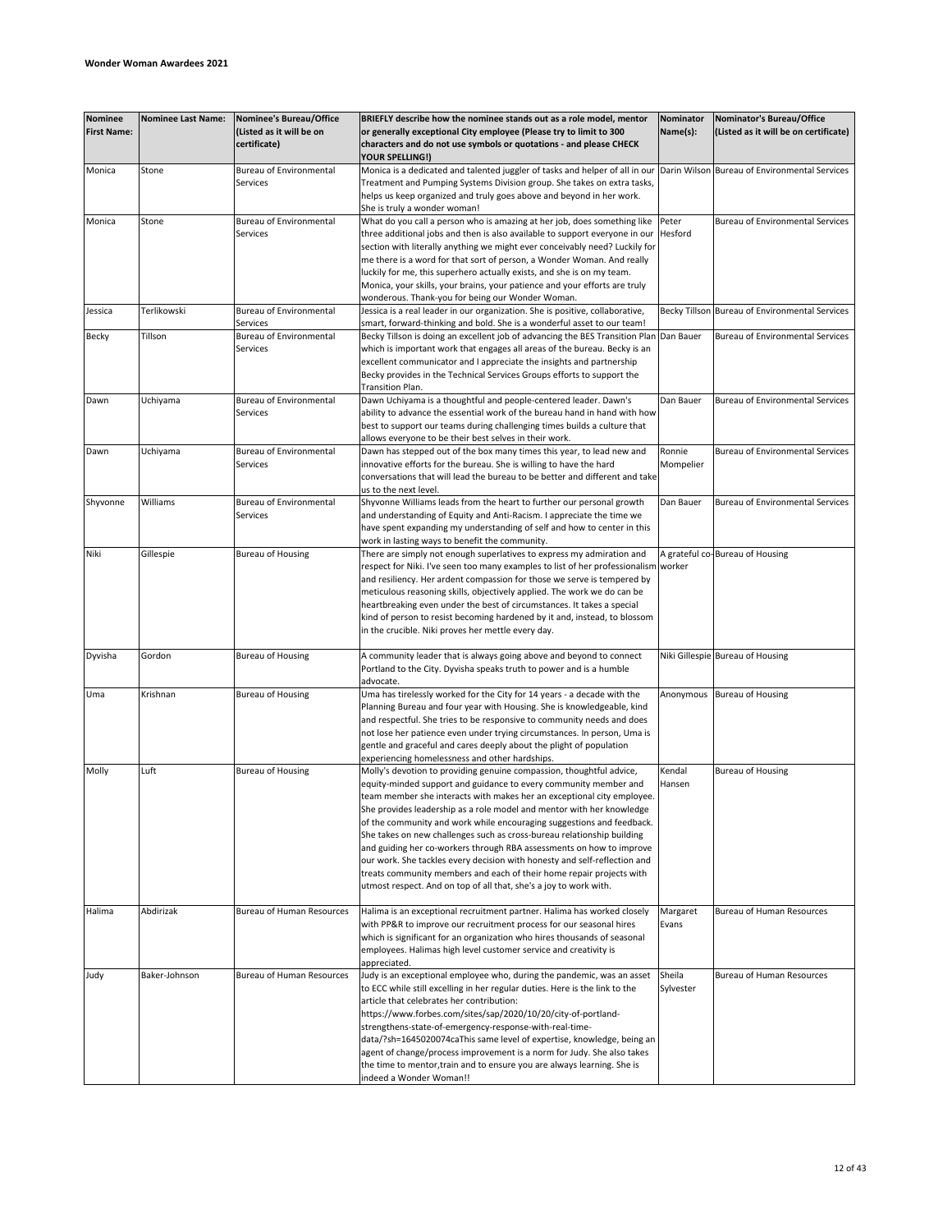| <b>Nominee</b><br><b>First Name:</b> | <b>Nominee Last Name:</b> | Nominee's Bureau/Office<br>(Listed as it will be on<br>certificate) | BRIEFLY describe how the nominee stands out as a role model, mentor<br>or generally exceptional City employee (Please try to limit to 300<br>characters and do not use symbols or quotations - and please CHECK                                                                                                                                                                                                                                                                                                                                                                                                                                                                                                                                  | Nominator<br>Name(s): | Nominator's Bureau/Office<br>(Listed as it will be on certificate) |
|--------------------------------------|---------------------------|---------------------------------------------------------------------|--------------------------------------------------------------------------------------------------------------------------------------------------------------------------------------------------------------------------------------------------------------------------------------------------------------------------------------------------------------------------------------------------------------------------------------------------------------------------------------------------------------------------------------------------------------------------------------------------------------------------------------------------------------------------------------------------------------------------------------------------|-----------------------|--------------------------------------------------------------------|
| Monica                               | Stone                     | <b>Bureau of Environmental</b><br>Services                          | YOUR SPELLING!)<br>Monica is a dedicated and talented juggler of tasks and helper of all in our<br>Treatment and Pumping Systems Division group. She takes on extra tasks,<br>helps us keep organized and truly goes above and beyond in her work.                                                                                                                                                                                                                                                                                                                                                                                                                                                                                               |                       | Darin Wilson Bureau of Environmental Services                      |
| Monica                               | Stone                     | <b>Bureau of Environmental</b><br>Services                          | She is truly a wonder woman!<br>What do you call a person who is amazing at her job, does something like<br>three additional jobs and then is also available to support everyone in our<br>section with literally anything we might ever conceivably need? Luckily for                                                                                                                                                                                                                                                                                                                                                                                                                                                                           | Peter<br>Hesford      | <b>Bureau of Environmental Services</b>                            |
|                                      |                           |                                                                     | me there is a word for that sort of person, a Wonder Woman. And really<br>luckily for me, this superhero actually exists, and she is on my team.<br>Monica, your skills, your brains, your patience and your efforts are truly<br>wonderous. Thank-you for being our Wonder Woman.                                                                                                                                                                                                                                                                                                                                                                                                                                                               |                       |                                                                    |
| Jessica                              | Terlikowski               | <b>Bureau of Environmental</b><br>Services                          | Jessica is a real leader in our organization. She is positive, collaborative,<br>smart, forward-thinking and bold. She is a wonderful asset to our team!                                                                                                                                                                                                                                                                                                                                                                                                                                                                                                                                                                                         |                       | Becky Tillson Bureau of Environmental Services                     |
| Becky                                | Tillson                   | Bureau of Environmental<br>Services                                 | Becky Tillson is doing an excellent job of advancing the BES Transition Plan Dan Bauer<br>which is important work that engages all areas of the bureau. Becky is an<br>excellent communicator and I appreciate the insights and partnership<br>Becky provides in the Technical Services Groups efforts to support the<br>Transition Plan.                                                                                                                                                                                                                                                                                                                                                                                                        |                       | Bureau of Environmental Services                                   |
| Dawn                                 | Uchiyama                  | <b>Bureau of Environmental</b><br>Services                          | Dawn Uchiyama is a thoughtful and people-centered leader. Dawn's<br>ability to advance the essential work of the bureau hand in hand with how<br>best to support our teams during challenging times builds a culture that<br>allows everyone to be their best selves in their work.                                                                                                                                                                                                                                                                                                                                                                                                                                                              | Dan Bauer             | <b>Bureau of Environmental Services</b>                            |
| Dawn                                 | Uchiyama                  | <b>Bureau of Environmental</b><br>Services                          | Dawn has stepped out of the box many times this year, to lead new and<br>innovative efforts for the bureau. She is willing to have the hard<br>conversations that will lead the bureau to be better and different and take<br>us to the next level.                                                                                                                                                                                                                                                                                                                                                                                                                                                                                              | Ronnie<br>Mompelier   | <b>Bureau of Environmental Services</b>                            |
| Shyvonne                             | Williams                  | <b>Bureau of Environmental</b><br>Services                          | Shyvonne Williams leads from the heart to further our personal growth<br>and understanding of Equity and Anti-Racism. I appreciate the time we<br>have spent expanding my understanding of self and how to center in this<br>work in lasting ways to benefit the community.                                                                                                                                                                                                                                                                                                                                                                                                                                                                      | Dan Bauer             | <b>Bureau of Environmental Services</b>                            |
| Niki                                 | Gillespie                 | <b>Bureau of Housing</b>                                            | There are simply not enough superlatives to express my admiration and<br>respect for Niki. I've seen too many examples to list of her professionalism<br>and resiliency. Her ardent compassion for those we serve is tempered by<br>meticulous reasoning skills, objectively applied. The work we do can be<br>heartbreaking even under the best of circumstances. It takes a special<br>kind of person to resist becoming hardened by it and, instead, to blossom<br>in the crucible. Niki proves her mettle every day.                                                                                                                                                                                                                         | worker                | A grateful co-Bureau of Housing                                    |
| Dyvisha                              | Gordon                    | <b>Bureau of Housing</b>                                            | A community leader that is always going above and beyond to connect<br>Portland to the City. Dyvisha speaks truth to power and is a humble<br>advocate.                                                                                                                                                                                                                                                                                                                                                                                                                                                                                                                                                                                          |                       | Niki Gillespie Bureau of Housing                                   |
| Uma                                  | Krishnan                  | <b>Bureau of Housing</b>                                            | Uma has tirelessly worked for the City for 14 years - a decade with the<br>Planning Bureau and four year with Housing. She is knowledgeable, kind<br>and respectful. She tries to be responsive to community needs and does<br>not lose her patience even under trying circumstances. In person, Uma is<br>gentle and graceful and cares deeply about the plight of population<br>experiencing homelessness and other hardships.                                                                                                                                                                                                                                                                                                                 | Anonymous             | <b>Bureau of Housing</b>                                           |
| Molly                                | Luft                      | <b>Bureau of Housing</b>                                            | Molly's devotion to providing genuine compassion, thoughtful advice,<br>equity-minded support and guidance to every community member and<br>team member she interacts with makes her an exceptional city employee.<br>She provides leadership as a role model and mentor with her knowledge<br>of the community and work while encouraging suggestions and feedback.<br>She takes on new challenges such as cross-bureau relationship building<br>and guiding her co-workers through RBA assessments on how to improve<br>our work. She tackles every decision with honesty and self-reflection and<br>treats community members and each of their home repair projects with<br>utmost respect. And on top of all that, she's a joy to work with. | Kendal<br>Hansen      | <b>Bureau of Housing</b>                                           |
| Halima                               | Abdirizak                 | <b>Bureau of Human Resources</b>                                    | Halima is an exceptional recruitment partner. Halima has worked closely<br>with PP&R to improve our recruitment process for our seasonal hires<br>which is significant for an organization who hires thousands of seasonal<br>employees. Halimas high level customer service and creativity is                                                                                                                                                                                                                                                                                                                                                                                                                                                   | Margaret<br>Evans     | Bureau of Human Resources                                          |
| Judy                                 | Baker-Johnson             | <b>Bureau of Human Resources</b>                                    | appreciated.<br>Judy is an exceptional employee who, during the pandemic, was an asset<br>to ECC while still excelling in her regular duties. Here is the link to the<br>article that celebrates her contribution:<br>https://www.forbes.com/sites/sap/2020/10/20/city-of-portland-<br>strengthens-state-of-emergency-response-with-real-time-<br>data/?sh=1645020074caThis same level of expertise, knowledge, being an<br>agent of change/process improvement is a norm for Judy. She also takes<br>the time to mentor, train and to ensure you are always learning. She is<br>indeed a Wonder Woman!!                                                                                                                                         | Sheila<br>Sylvester   | Bureau of Human Resources                                          |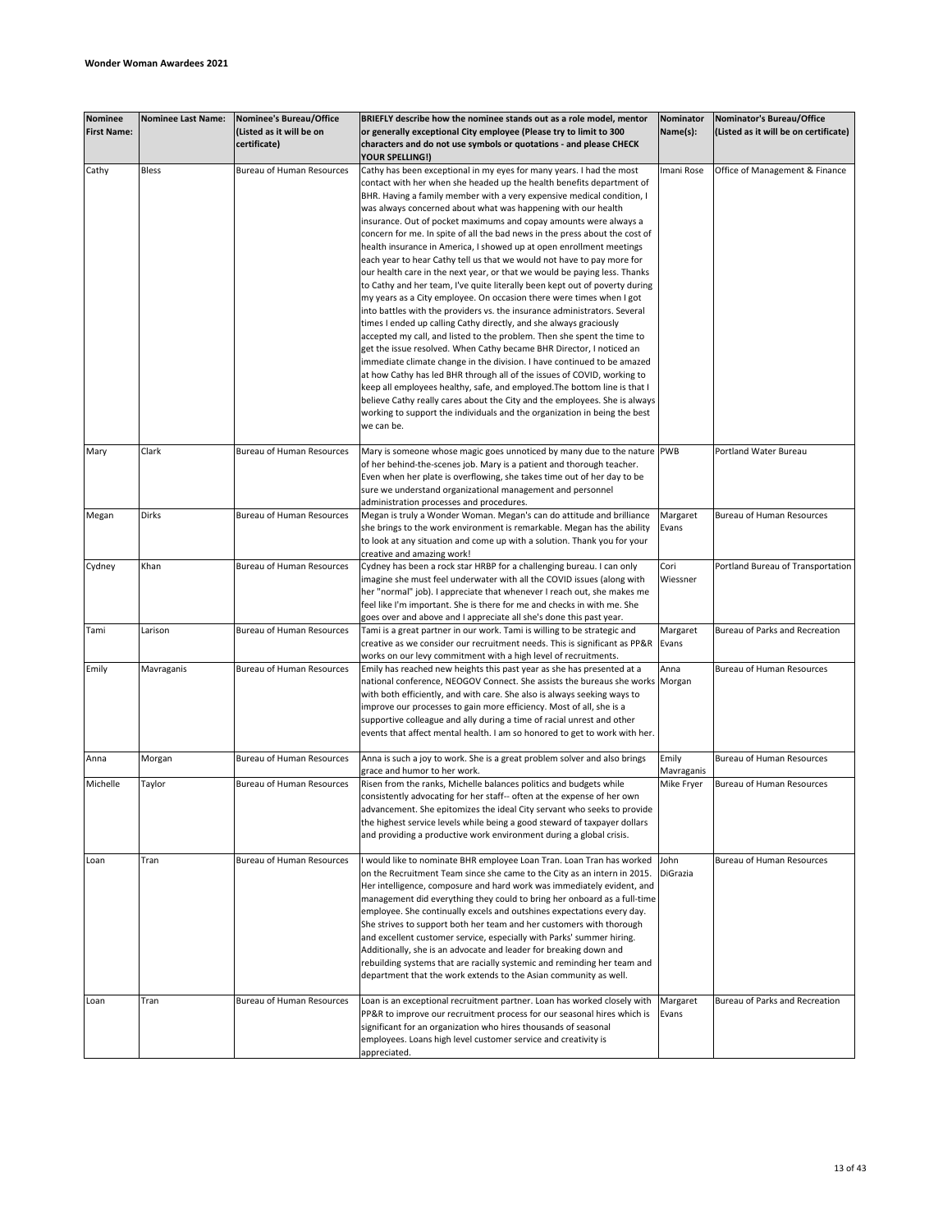| <b>Nominee</b><br><b>First Name:</b> | <b>Nominee Last Name:</b> | Nominee's Bureau/Office<br>(Listed as it will be on<br>certificate) | BRIEFLY describe how the nominee stands out as a role model, mentor<br>or generally exceptional City employee (Please try to limit to 300<br>characters and do not use symbols or quotations - and please CHECK                                                                                                                                                                                                                                                                                                                                                                                                                                                                                                                                                                        | Nominator<br>Name(s): | Nominator's Bureau/Office<br>(Listed as it will be on certificate) |
|--------------------------------------|---------------------------|---------------------------------------------------------------------|----------------------------------------------------------------------------------------------------------------------------------------------------------------------------------------------------------------------------------------------------------------------------------------------------------------------------------------------------------------------------------------------------------------------------------------------------------------------------------------------------------------------------------------------------------------------------------------------------------------------------------------------------------------------------------------------------------------------------------------------------------------------------------------|-----------------------|--------------------------------------------------------------------|
| Cathy                                | <b>Bless</b>              | Bureau of Human Resources                                           | <b>YOUR SPELLING!)</b><br>Cathy has been exceptional in my eyes for many years. I had the most                                                                                                                                                                                                                                                                                                                                                                                                                                                                                                                                                                                                                                                                                         | Imani Rose            | Office of Management & Finance                                     |
|                                      |                           |                                                                     | contact with her when she headed up the health benefits department of<br>BHR. Having a family member with a very expensive medical condition, I<br>was always concerned about what was happening with our health<br>insurance. Out of pocket maximums and copay amounts were always a<br>concern for me. In spite of all the bad news in the press about the cost of<br>health insurance in America, I showed up at open enrollment meetings<br>each year to hear Cathy tell us that we would not have to pay more for<br>our health care in the next year, or that we would be paying less. Thanks<br>to Cathy and her team, I've quite literally been kept out of poverty during                                                                                                     |                       |                                                                    |
|                                      |                           |                                                                     | my years as a City employee. On occasion there were times when I got<br>into battles with the providers vs. the insurance administrators. Several<br>times I ended up calling Cathy directly, and she always graciously<br>accepted my call, and listed to the problem. Then she spent the time to<br>get the issue resolved. When Cathy became BHR Director, I noticed an<br>immediate climate change in the division. I have continued to be amazed<br>at how Cathy has led BHR through all of the issues of COVID, working to<br>keep all employees healthy, safe, and employed. The bottom line is that I<br>believe Cathy really cares about the City and the employees. She is always<br>working to support the individuals and the organization in being the best<br>we can be. |                       |                                                                    |
| Mary                                 | Clark                     | Bureau of Human Resources                                           | Mary is someone whose magic goes unnoticed by many due to the nature PWB<br>of her behind-the-scenes job. Mary is a patient and thorough teacher.<br>Even when her plate is overflowing, she takes time out of her day to be<br>sure we understand organizational management and personnel<br>administration processes and procedures.                                                                                                                                                                                                                                                                                                                                                                                                                                                 |                       | Portland Water Bureau                                              |
| Megan                                | Dirks                     | <b>Bureau of Human Resources</b>                                    | Megan is truly a Wonder Woman. Megan's can do attitude and brilliance<br>she brings to the work environment is remarkable. Megan has the ability<br>to look at any situation and come up with a solution. Thank you for your<br>creative and amazing work!                                                                                                                                                                                                                                                                                                                                                                                                                                                                                                                             | Margaret<br>Evans     | <b>Bureau of Human Resources</b>                                   |
| Cydney                               | Khan                      | Bureau of Human Resources                                           | Cydney has been a rock star HRBP for a challenging bureau. I can only<br>imagine she must feel underwater with all the COVID issues (along with<br>her "normal" job). I appreciate that whenever I reach out, she makes me<br>feel like I'm important. She is there for me and checks in with me. She<br>goes over and above and I appreciate all she's done this past year.                                                                                                                                                                                                                                                                                                                                                                                                           | Cori<br>Wiessner      | Portland Bureau of Transportation                                  |
| Tami                                 | Larison                   | <b>Bureau of Human Resources</b>                                    | Tami is a great partner in our work. Tami is willing to be strategic and<br>creative as we consider our recruitment needs. This is significant as PP&R<br>works on our levy commitment with a high level of recruitments.                                                                                                                                                                                                                                                                                                                                                                                                                                                                                                                                                              | Margaret<br>Evans     | Bureau of Parks and Recreation                                     |
| Emily                                | Mavraganis                | Bureau of Human Resources                                           | Emily has reached new heights this past year as she has presented at a<br>national conference, NEOGOV Connect. She assists the bureaus she works Morgan<br>with both efficiently, and with care. She also is always seeking ways to<br>improve our processes to gain more efficiency. Most of all, she is a<br>supportive colleague and ally during a time of racial unrest and other<br>events that affect mental health. I am so honored to get to work with her.                                                                                                                                                                                                                                                                                                                    | Anna                  | <b>Bureau of Human Resources</b>                                   |
| Anna                                 | Morgan                    | <b>Bureau of Human Resources</b>                                    | Anna is such a joy to work. She is a great problem solver and also brings<br>grace and humor to her work.                                                                                                                                                                                                                                                                                                                                                                                                                                                                                                                                                                                                                                                                              | Emily<br>Mavraganis   | Bureau of Human Resources                                          |
| Michelle                             | Taylor                    | Bureau of Human Resources                                           | Risen from the ranks, Michelle balances politics and budgets while<br>consistently advocating for her staff-- often at the expense of her own<br>advancement. She epitomizes the ideal City servant who seeks to provide<br>the highest service levels while being a good steward of taxpayer dollars<br>and providing a productive work environment during a global crisis.                                                                                                                                                                                                                                                                                                                                                                                                           | Mike Fryer            | Bureau of Human Resources                                          |
| Loan                                 | Tran                      | <b>Bureau of Human Resources</b>                                    | I would like to nominate BHR employee Loan Tran. Loan Tran has worked<br>on the Recruitment Team since she came to the City as an intern in 2015.<br>Her intelligence, composure and hard work was immediately evident, and<br>management did everything they could to bring her onboard as a full-time<br>employee. She continually excels and outshines expectations every day.<br>She strives to support both her team and her customers with thorough<br>and excellent customer service, especially with Parks' summer hiring.<br>Additionally, she is an advocate and leader for breaking down and<br>rebuilding systems that are racially systemic and reminding her team and<br>department that the work extends to the Asian community as well.                                | John<br>DiGrazia      | <b>Bureau of Human Resources</b>                                   |
| Loan                                 | Tran                      | Bureau of Human Resources                                           | Loan is an exceptional recruitment partner. Loan has worked closely with<br>PP&R to improve our recruitment process for our seasonal hires which is<br>significant for an organization who hires thousands of seasonal<br>employees. Loans high level customer service and creativity is<br>appreciated.                                                                                                                                                                                                                                                                                                                                                                                                                                                                               | Margaret<br>Evans     | Bureau of Parks and Recreation                                     |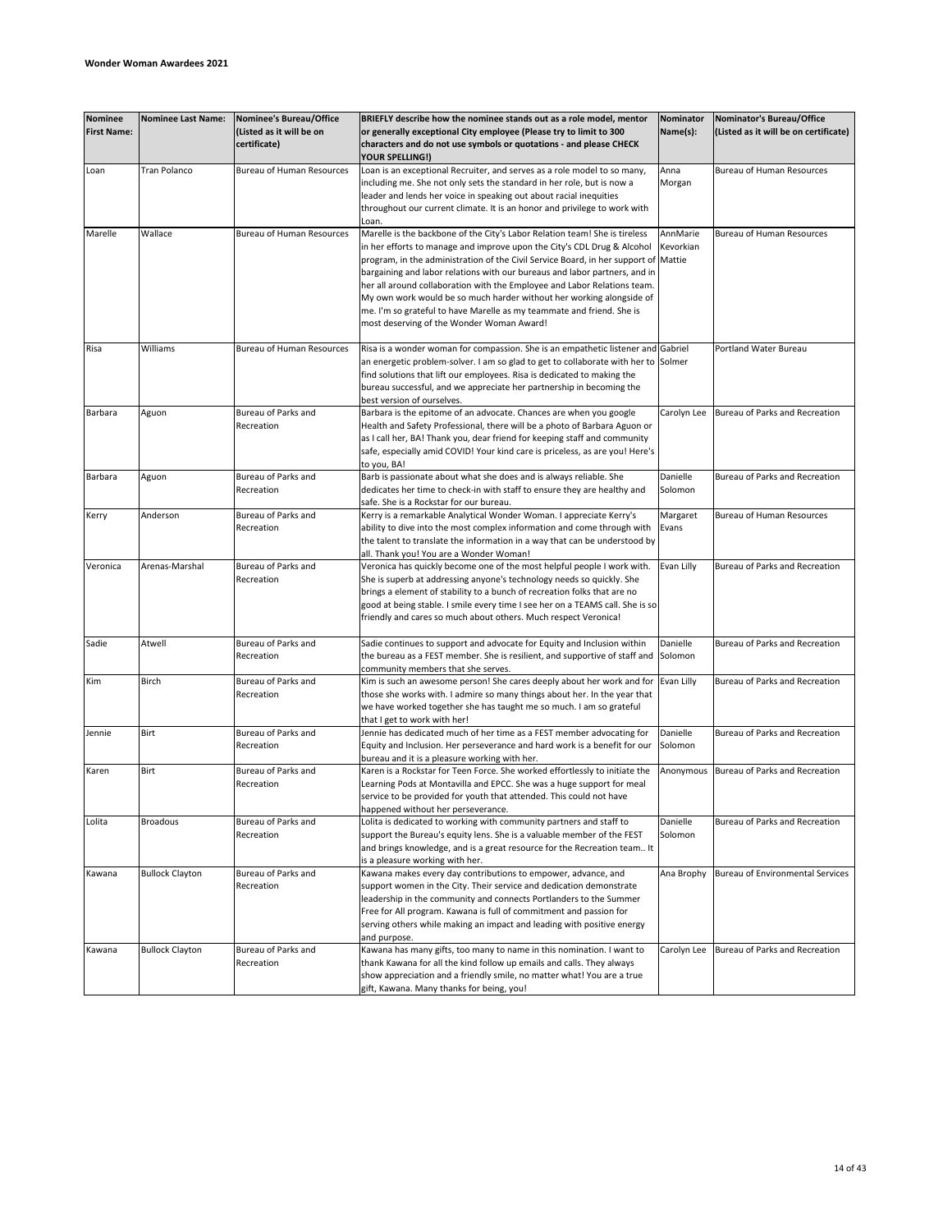| <b>Nominee</b><br><b>First Name:</b> | <b>Nominee Last Name:</b> | Nominee's Bureau/Office<br>(Listed as it will be on<br>certificate) | BRIEFLY describe how the nominee stands out as a role model, mentor<br>or generally exceptional City employee (Please try to limit to 300<br>characters and do not use symbols or quotations - and please CHECK                                                                                                                                                                                                                                                                                                                                                                                      | Nominator<br>Name(s): | Nominator's Bureau/Office<br>(Listed as it will be on certificate) |
|--------------------------------------|---------------------------|---------------------------------------------------------------------|------------------------------------------------------------------------------------------------------------------------------------------------------------------------------------------------------------------------------------------------------------------------------------------------------------------------------------------------------------------------------------------------------------------------------------------------------------------------------------------------------------------------------------------------------------------------------------------------------|-----------------------|--------------------------------------------------------------------|
| Loan                                 | Tran Polanco              | <b>Bureau of Human Resources</b>                                    | YOUR SPELLING!)<br>Loan is an exceptional Recruiter, and serves as a role model to so many,<br>including me. She not only sets the standard in her role, but is now a<br>leader and lends her voice in speaking out about racial inequities<br>throughout our current climate. It is an honor and privilege to work with<br>Loan.                                                                                                                                                                                                                                                                    | Anna<br>Morgan        | Bureau of Human Resources                                          |
| Marelle                              | Wallace                   | <b>Bureau of Human Resources</b>                                    | Marelle is the backbone of the City's Labor Relation team! She is tireless<br>in her efforts to manage and improve upon the City's CDL Drug & Alcohol<br>program, in the administration of the Civil Service Board, in her support of Mattie<br>bargaining and labor relations with our bureaus and labor partners, and in<br>her all around collaboration with the Employee and Labor Relations team.<br>My own work would be so much harder without her working alongside of<br>me. I'm so grateful to have Marelle as my teammate and friend. She is<br>most deserving of the Wonder Woman Award! | AnnMarie<br>Kevorkian | Bureau of Human Resources                                          |
| Risa                                 | Williams                  | <b>Bureau of Human Resources</b>                                    | Risa is a wonder woman for compassion. She is an empathetic listener and Gabriel<br>an energetic problem-solver. I am so glad to get to collaborate with her to Solmer<br>find solutions that lift our employees. Risa is dedicated to making the<br>bureau successful, and we appreciate her partnership in becoming the<br>best version of ourselves.                                                                                                                                                                                                                                              |                       | Portland Water Bureau                                              |
| Barbara                              | Aguon                     | Bureau of Parks and<br>Recreation                                   | Barbara is the epitome of an advocate. Chances are when you google<br>Health and Safety Professional, there will be a photo of Barbara Aguon or<br>as I call her, BA! Thank you, dear friend for keeping staff and community<br>safe, especially amid COVID! Your kind care is priceless, as are you! Here's<br>to you, BA!                                                                                                                                                                                                                                                                          | Carolyn Lee           | Bureau of Parks and Recreation                                     |
| Barbara                              | Aguon                     | Bureau of Parks and<br>Recreation                                   | Barb is passionate about what she does and is always reliable. She<br>dedicates her time to check-in with staff to ensure they are healthy and<br>safe. She is a Rockstar for our bureau.                                                                                                                                                                                                                                                                                                                                                                                                            | Danielle<br>Solomon   | Bureau of Parks and Recreation                                     |
| Kerry                                | Anderson                  | Bureau of Parks and<br>Recreation                                   | Kerry is a remarkable Analytical Wonder Woman. I appreciate Kerry's<br>ability to dive into the most complex information and come through with<br>the talent to translate the information in a way that can be understood by<br>all. Thank you! You are a Wonder Woman!                                                                                                                                                                                                                                                                                                                              | Margaret<br>Evans     | Bureau of Human Resources                                          |
| Veronica                             | Arenas-Marshal            | Bureau of Parks and<br>Recreation                                   | Veronica has quickly become one of the most helpful people I work with.<br>She is superb at addressing anyone's technology needs so quickly. She<br>brings a element of stability to a bunch of recreation folks that are no<br>good at being stable. I smile every time I see her on a TEAMS call. She is so<br>friendly and cares so much about others. Much respect Veronica!                                                                                                                                                                                                                     | Evan Lilly            | Bureau of Parks and Recreation                                     |
| Sadie                                | Atwell                    | Bureau of Parks and<br>Recreation                                   | Sadie continues to support and advocate for Equity and Inclusion within<br>the bureau as a FEST member. She is resilient, and supportive of staff and<br>community members that she serves.                                                                                                                                                                                                                                                                                                                                                                                                          | Danielle<br>Solomon   | Bureau of Parks and Recreation                                     |
| Kim                                  | Birch                     | Bureau of Parks and<br>Recreation                                   | Kim is such an awesome person! She cares deeply about her work and for<br>those she works with. I admire so many things about her. In the year that<br>we have worked together she has taught me so much. I am so grateful<br>that I get to work with her!                                                                                                                                                                                                                                                                                                                                           | Evan Lilly            | Bureau of Parks and Recreation                                     |
| Jennie                               | Birt                      | Bureau of Parks and<br>Recreation                                   | Jennie has dedicated much of her time as a FEST member advocating for<br>Equity and Inclusion. Her perseverance and hard work is a benefit for our<br>bureau and it is a pleasure working with her.                                                                                                                                                                                                                                                                                                                                                                                                  | Danielle<br>Solomon   | Bureau of Parks and Recreation                                     |
| Karen                                | Birt                      | Bureau of Parks and<br>Recreation                                   | Karen is a Rockstar for Teen Force. She worked effortlessly to initiate the<br>Learning Pods at Montavilla and EPCC. She was a huge support for meal<br>service to be provided for youth that attended. This could not have<br>happened without her perseverance.                                                                                                                                                                                                                                                                                                                                    | Anonymous             | Bureau of Parks and Recreation                                     |
| Lolita                               | <b>Broadous</b>           | Bureau of Parks and<br>Recreation                                   | Lolita is dedicated to working with community partners and staff to<br>support the Bureau's equity lens. She is a valuable member of the FEST<br>and brings knowledge, and is a great resource for the Recreation team It<br>is a pleasure working with her.                                                                                                                                                                                                                                                                                                                                         | Danielle<br>Solomon   | Bureau of Parks and Recreation                                     |
| Kawana                               | <b>Bullock Clayton</b>    | Bureau of Parks and<br>Recreation                                   | Kawana makes every day contributions to empower, advance, and<br>support women in the City. Their service and dedication demonstrate<br>leadership in the community and connects Portlanders to the Summer<br>Free for All program. Kawana is full of commitment and passion for<br>serving others while making an impact and leading with positive energy<br>and purpose.                                                                                                                                                                                                                           | Ana Brophy            | Bureau of Environmental Services                                   |
| Kawana                               | <b>Bullock Clayton</b>    | Bureau of Parks and<br>Recreation                                   | Kawana has many gifts, too many to name in this nomination. I want to<br>thank Kawana for all the kind follow up emails and calls. They always<br>show appreciation and a friendly smile, no matter what! You are a true<br>gift, Kawana. Many thanks for being, you!                                                                                                                                                                                                                                                                                                                                | Carolyn Lee           | Bureau of Parks and Recreation                                     |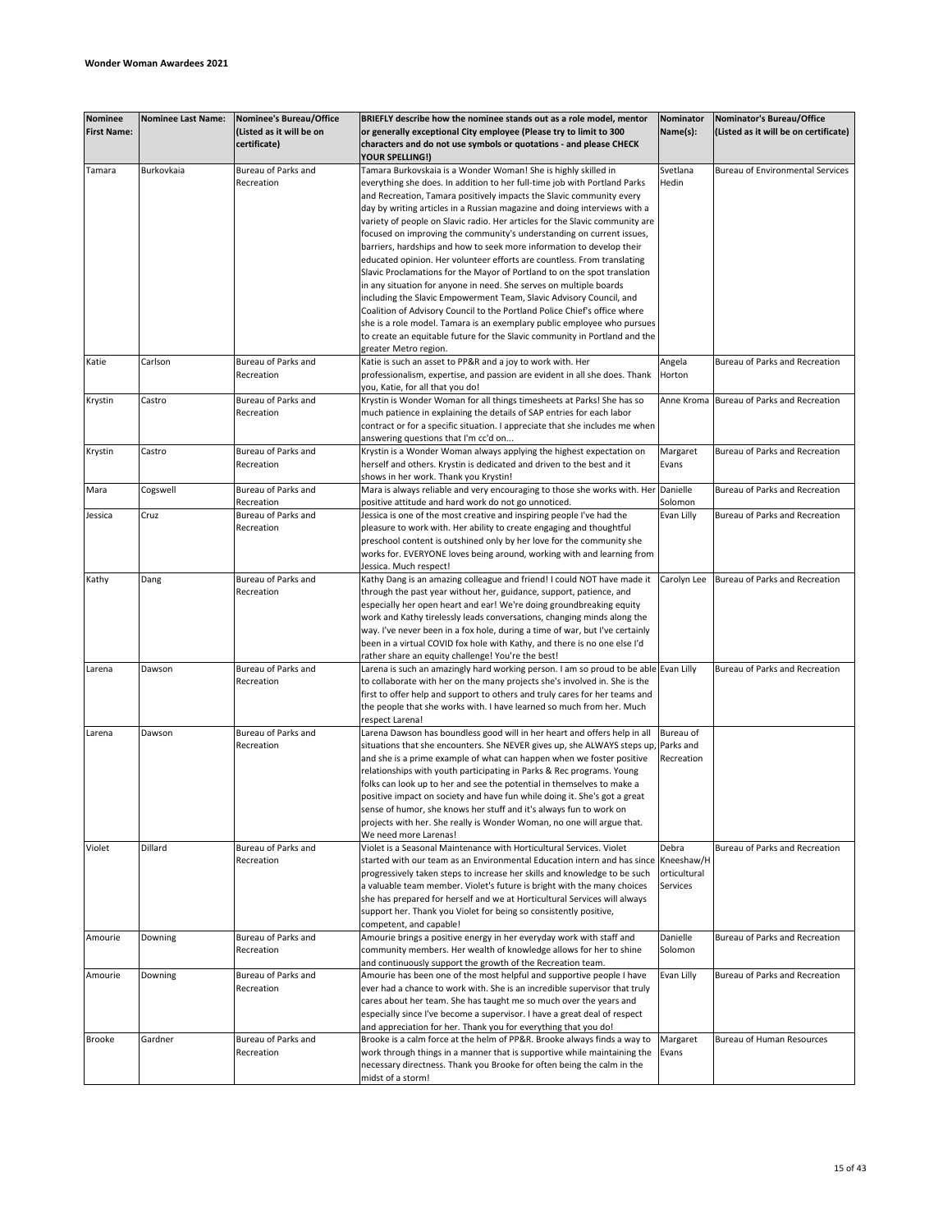| <b>Nominee</b>     | <b>Nominee Last Name:</b> | Nominee's Bureau/Office  | BRIEFLY describe how the nominee stands out as a role model, mentor                  | Nominator       | Nominator's Bureau/Office               |
|--------------------|---------------------------|--------------------------|--------------------------------------------------------------------------------------|-----------------|-----------------------------------------|
| <b>First Name:</b> |                           | (Listed as it will be on | or generally exceptional City employee (Please try to limit to 300                   | Name(s):        | (Listed as it will be on certificate)   |
|                    |                           | certificate)             | characters and do not use symbols or quotations - and please CHECK                   |                 |                                         |
|                    |                           |                          | <b>YOUR SPELLING!)</b>                                                               |                 |                                         |
| Tamara             | Burkovkaia                | Bureau of Parks and      | Tamara Burkovskaia is a Wonder Woman! She is highly skilled in                       | Svetlana        | <b>Bureau of Environmental Services</b> |
|                    |                           | Recreation               | everything she does. In addition to her full-time job with Portland Parks            | Hedin           |                                         |
|                    |                           |                          | and Recreation, Tamara positively impacts the Slavic community every                 |                 |                                         |
|                    |                           |                          |                                                                                      |                 |                                         |
|                    |                           |                          | day by writing articles in a Russian magazine and doing interviews with a            |                 |                                         |
|                    |                           |                          | variety of people on Slavic radio. Her articles for the Slavic community are         |                 |                                         |
|                    |                           |                          | focused on improving the community's understanding on current issues,                |                 |                                         |
|                    |                           |                          | barriers, hardships and how to seek more information to develop their                |                 |                                         |
|                    |                           |                          | educated opinion. Her volunteer efforts are countless. From translating              |                 |                                         |
|                    |                           |                          | Slavic Proclamations for the Mayor of Portland to on the spot translation            |                 |                                         |
|                    |                           |                          | in any situation for anyone in need. She serves on multiple boards                   |                 |                                         |
|                    |                           |                          |                                                                                      |                 |                                         |
|                    |                           |                          | including the Slavic Empowerment Team, Slavic Advisory Council, and                  |                 |                                         |
|                    |                           |                          | Coalition of Advisory Council to the Portland Police Chief's office where            |                 |                                         |
|                    |                           |                          | she is a role model. Tamara is an exemplary public employee who pursues              |                 |                                         |
|                    |                           |                          | to create an equitable future for the Slavic community in Portland and the           |                 |                                         |
|                    |                           |                          | greater Metro region.                                                                |                 |                                         |
|                    |                           |                          |                                                                                      |                 |                                         |
| Katie              | Carlson                   | Bureau of Parks and      | Katie is such an asset to PP&R and a joy to work with. Her                           | Angela          | Bureau of Parks and Recreation          |
|                    |                           | Recreation               | professionalism, expertise, and passion are evident in all she does. Thank           | Horton          |                                         |
|                    |                           |                          | you, Katie, for all that you do!                                                     |                 |                                         |
| Krystin            | Castro                    | Bureau of Parks and      | Krystin is Wonder Woman for all things timesheets at Parks! She has so               | Anne Kroma      | Bureau of Parks and Recreation          |
|                    |                           | Recreation               | much patience in explaining the details of SAP entries for each labor                |                 |                                         |
|                    |                           |                          | contract or for a specific situation. I appreciate that she includes me when         |                 |                                         |
|                    |                           |                          |                                                                                      |                 |                                         |
|                    |                           |                          | answering questions that I'm cc'd on                                                 |                 |                                         |
| Krystin            | Castro                    | Bureau of Parks and      | Krystin is a Wonder Woman always applying the highest expectation on                 | Margaret        | Bureau of Parks and Recreation          |
|                    |                           | Recreation               | herself and others. Krystin is dedicated and driven to the best and it               | Evans           |                                         |
|                    |                           |                          | shows in her work. Thank you Krystin!                                                |                 |                                         |
| Mara               | Cogswell                  | Bureau of Parks and      | Mara is always reliable and very encouraging to those she works with. Her Danielle   |                 | Bureau of Parks and Recreation          |
|                    |                           | Recreation               | positive attitude and hard work do not go unnoticed.                                 | Solomon         |                                         |
|                    |                           |                          |                                                                                      | Evan Lilly      |                                         |
| Jessica            | Cruz                      | Bureau of Parks and      | lessica is one of the most creative and inspiring people I've had the                |                 | Bureau of Parks and Recreation          |
|                    |                           | Recreation               | pleasure to work with. Her ability to create engaging and thoughtful                 |                 |                                         |
|                    |                           |                          | preschool content is outshined only by her love for the community she                |                 |                                         |
|                    |                           |                          | works for. EVERYONE loves being around, working with and learning from               |                 |                                         |
|                    |                           |                          | Jessica. Much respect!                                                               |                 |                                         |
| Kathy              | Dang                      | Bureau of Parks and      | Kathy Dang is an amazing colleague and friend! I could NOT have made it              | Carolyn Lee     | Bureau of Parks and Recreation          |
|                    |                           |                          |                                                                                      |                 |                                         |
|                    |                           | Recreation               | through the past year without her, guidance, support, patience, and                  |                 |                                         |
|                    |                           |                          | especially her open heart and ear! We're doing groundbreaking equity                 |                 |                                         |
|                    |                           |                          | work and Kathy tirelessly leads conversations, changing minds along the              |                 |                                         |
|                    |                           |                          | way. I've never been in a fox hole, during a time of war, but I've certainly         |                 |                                         |
|                    |                           |                          | been in a virtual COVID fox hole with Kathy, and there is no one else I'd            |                 |                                         |
|                    |                           |                          | rather share an equity challenge! You're the best!                                   |                 |                                         |
|                    | Dawson                    | Bureau of Parks and      |                                                                                      |                 | Bureau of Parks and Recreation          |
| Larena             |                           |                          | Larena is such an amazingly hard working person. I am so proud to be able Evan Lilly |                 |                                         |
|                    |                           | Recreation               | to collaborate with her on the many projects she's involved in. She is the           |                 |                                         |
|                    |                           |                          | first to offer help and support to others and truly cares for her teams and          |                 |                                         |
|                    |                           |                          | the people that she works with. I have learned so much from her. Much                |                 |                                         |
|                    |                           |                          | respect Larena!                                                                      |                 |                                         |
| Larena             | Dawson                    | Bureau of Parks and      | Larena Dawson has boundless good will in her heart and offers help in all            | Bureau of       |                                         |
|                    |                           | Recreation               | situations that she encounters. She NEVER gives up, she ALWAYS steps up, Parks and   |                 |                                         |
|                    |                           |                          |                                                                                      |                 |                                         |
|                    |                           |                          | and she is a prime example of what can happen when we foster positive                | Recreation      |                                         |
|                    |                           |                          | relationships with youth participating in Parks & Rec programs. Young                |                 |                                         |
|                    |                           |                          | folks can look up to her and see the potential in themselves to make a               |                 |                                         |
|                    |                           |                          | positive impact on society and have fun while doing it. She's got a great            |                 |                                         |
|                    |                           |                          | sense of humor, she knows her stuff and it's always fun to work on                   |                 |                                         |
|                    |                           |                          | projects with her. She really is Wonder Woman, no one will argue that.               |                 |                                         |
|                    |                           |                          |                                                                                      |                 |                                         |
|                    |                           |                          | We need more Larenas!                                                                |                 |                                         |
| Violet             | Dillard                   | Bureau of Parks and      | Violet is a Seasonal Maintenance with Horticultural Services. Violet                 | Debra           | Bureau of Parks and Recreation          |
|                    |                           | Recreation               | started with our team as an Environmental Education intern and has since             | Kneeshaw/H      |                                         |
|                    |                           |                          | progressively taken steps to increase her skills and knowledge to be such            | orticultural    |                                         |
|                    |                           |                          | a valuable team member. Violet's future is bright with the many choices              | <b>Services</b> |                                         |
|                    |                           |                          | she has prepared for herself and we at Horticultural Services will always            |                 |                                         |
|                    |                           |                          |                                                                                      |                 |                                         |
|                    |                           |                          | support her. Thank you Violet for being so consistently positive,                    |                 |                                         |
|                    |                           |                          | competent, and capable!                                                              |                 |                                         |
| Amourie            | Downing                   | Bureau of Parks and      | Amourie brings a positive energy in her everyday work with staff and                 | Danielle        | Bureau of Parks and Recreation          |
|                    |                           | Recreation               | community members. Her wealth of knowledge allows for her to shine                   | Solomon         |                                         |
|                    |                           |                          | and continuously support the growth of the Recreation team.                          |                 |                                         |
| Amourie            | Downing                   | Bureau of Parks and      | Amourie has been one of the most helpful and supportive people I have                | Evan Lilly      | Bureau of Parks and Recreation          |
|                    |                           | Recreation               | ever had a chance to work with. She is an incredible supervisor that truly           |                 |                                         |
|                    |                           |                          |                                                                                      |                 |                                         |
|                    |                           |                          | cares about her team. She has taught me so much over the years and                   |                 |                                         |
|                    |                           |                          | especially since I've become a supervisor. I have a great deal of respect            |                 |                                         |
|                    |                           |                          | and appreciation for her. Thank you for everything that you do!                      |                 |                                         |
| <b>Brooke</b>      | Gardner                   | Bureau of Parks and      | Brooke is a calm force at the helm of PP&R. Brooke always finds a way to             | Margaret        | Bureau of Human Resources               |
|                    |                           | Recreation               | work through things in a manner that is supportive while maintaining the             | Evans           |                                         |
|                    |                           |                          | necessary directness. Thank you Brooke for often being the calm in the               |                 |                                         |
|                    |                           |                          |                                                                                      |                 |                                         |
|                    |                           |                          | midst of a storm!                                                                    |                 |                                         |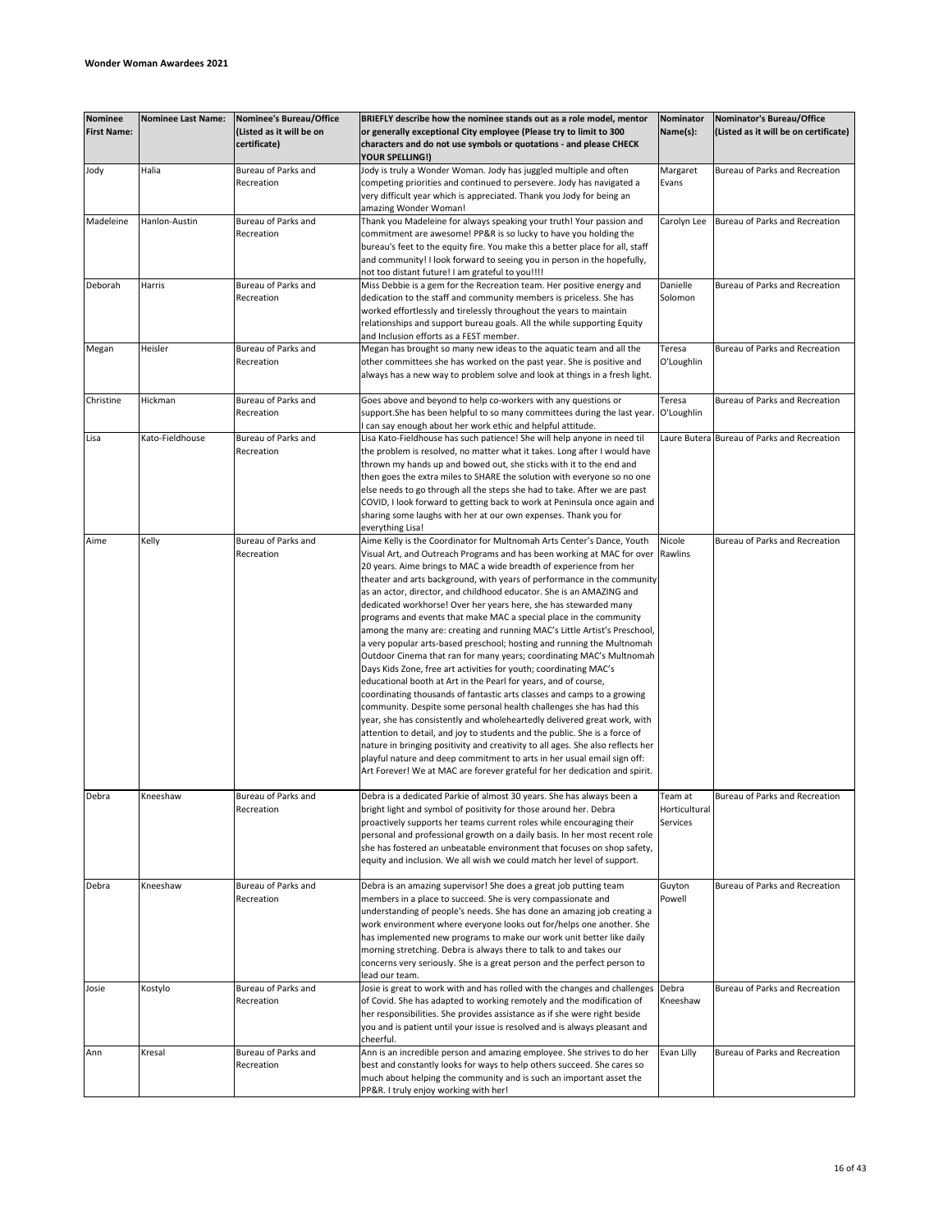| <b>Nominee</b><br><b>First Name:</b> | <b>Nominee Last Name:</b> | Nominee's Bureau/Office<br>(Listed as it will be on<br>certificate) | BRIEFLY describe how the nominee stands out as a role model, mentor<br>or generally exceptional City employee (Please try to limit to 300<br>characters and do not use symbols or quotations - and please CHECK<br>YOUR SPELLING!)                                                                                                                                                                                                                                                                                                                                                                                                                                                                                                                                                                                                                                                                                                                                                                                                                                                                                                                                                                                                                                                                                                                                                                                                                         | Nominator<br>Name(s):                | Nominator's Bureau/Office<br>(Listed as it will be on certificate) |
|--------------------------------------|---------------------------|---------------------------------------------------------------------|------------------------------------------------------------------------------------------------------------------------------------------------------------------------------------------------------------------------------------------------------------------------------------------------------------------------------------------------------------------------------------------------------------------------------------------------------------------------------------------------------------------------------------------------------------------------------------------------------------------------------------------------------------------------------------------------------------------------------------------------------------------------------------------------------------------------------------------------------------------------------------------------------------------------------------------------------------------------------------------------------------------------------------------------------------------------------------------------------------------------------------------------------------------------------------------------------------------------------------------------------------------------------------------------------------------------------------------------------------------------------------------------------------------------------------------------------------|--------------------------------------|--------------------------------------------------------------------|
| Jody                                 | Halia                     | Bureau of Parks and<br>Recreation                                   | Jody is truly a Wonder Woman. Jody has juggled multiple and often<br>competing priorities and continued to persevere. Jody has navigated a<br>very difficult year which is appreciated. Thank you Jody for being an<br>amazing Wonder Woman!                                                                                                                                                                                                                                                                                                                                                                                                                                                                                                                                                                                                                                                                                                                                                                                                                                                                                                                                                                                                                                                                                                                                                                                                               | Margaret<br>Evans                    | Bureau of Parks and Recreation                                     |
| Madeleine                            | Hanlon-Austin             | Bureau of Parks and<br>Recreation                                   | Thank you Madeleine for always speaking your truth! Your passion and<br>commitment are awesome! PP&R is so lucky to have you holding the<br>bureau's feet to the equity fire. You make this a better place for all, staff<br>and community! I look forward to seeing you in person in the hopefully,<br>not too distant future! I am grateful to you!!!!                                                                                                                                                                                                                                                                                                                                                                                                                                                                                                                                                                                                                                                                                                                                                                                                                                                                                                                                                                                                                                                                                                   | Carolyn Lee                          | Bureau of Parks and Recreation                                     |
| Deborah                              | Harris                    | Bureau of Parks and<br>Recreation                                   | Miss Debbie is a gem for the Recreation team. Her positive energy and<br>dedication to the staff and community members is priceless. She has<br>worked effortlessly and tirelessly throughout the years to maintain<br>relationships and support bureau goals. All the while supporting Equity<br>and Inclusion efforts as a FEST member.                                                                                                                                                                                                                                                                                                                                                                                                                                                                                                                                                                                                                                                                                                                                                                                                                                                                                                                                                                                                                                                                                                                  | Danielle<br>Solomon                  | Bureau of Parks and Recreation                                     |
| Megan                                | Heisler                   | Bureau of Parks and<br>Recreation                                   | Megan has brought so many new ideas to the aquatic team and all the<br>other committees she has worked on the past year. She is positive and<br>always has a new way to problem solve and look at things in a fresh light.                                                                                                                                                                                                                                                                                                                                                                                                                                                                                                                                                                                                                                                                                                                                                                                                                                                                                                                                                                                                                                                                                                                                                                                                                                 | Teresa<br>O'Loughlin                 | Bureau of Parks and Recreation                                     |
| Christine                            | Hickman                   | Bureau of Parks and<br>Recreation                                   | Goes above and beyond to help co-workers with any questions or<br>support. She has been helpful to so many committees during the last year. O'Loughlin<br>can say enough about her work ethic and helpful attitude.                                                                                                                                                                                                                                                                                                                                                                                                                                                                                                                                                                                                                                                                                                                                                                                                                                                                                                                                                                                                                                                                                                                                                                                                                                        | Teresa                               | Bureau of Parks and Recreation                                     |
| Lisa                                 | Kato-Fieldhouse           | Bureau of Parks and<br>Recreation                                   | Lisa Kato-Fieldhouse has such patience! She will help anyone in need til<br>the problem is resolved, no matter what it takes. Long after I would have<br>thrown my hands up and bowed out, she sticks with it to the end and<br>then goes the extra miles to SHARE the solution with everyone so no one<br>else needs to go through all the steps she had to take. After we are past<br>COVID, I look forward to getting back to work at Peninsula once again and<br>sharing some laughs with her at our own expenses. Thank you for<br>everything Lisa!                                                                                                                                                                                                                                                                                                                                                                                                                                                                                                                                                                                                                                                                                                                                                                                                                                                                                                   |                                      | Laure Butera Bureau of Parks and Recreation                        |
| Aime                                 | Kelly                     | Bureau of Parks and<br>Recreation                                   | Aime Kelly is the Coordinator for Multnomah Arts Center's Dance, Youth<br>Visual Art, and Outreach Programs and has been working at MAC for over Rawlins<br>20 years. Aime brings to MAC a wide breadth of experience from her<br>theater and arts background, with years of performance in the community<br>as an actor, director, and childhood educator. She is an AMAZING and<br>dedicated workhorse! Over her years here, she has stewarded many<br>programs and events that make MAC a special place in the community<br>among the many are: creating and running MAC's Little Artist's Preschool,<br>a very popular arts-based preschool; hosting and running the Multnomah<br>Outdoor Cinema that ran for many years; coordinating MAC's Multnomah<br>Days Kids Zone, free art activities for youth; coordinating MAC's<br>educational booth at Art in the Pearl for years, and of course,<br>coordinating thousands of fantastic arts classes and camps to a growing<br>community. Despite some personal health challenges she has had this<br>year, she has consistently and wholeheartedly delivered great work, with<br>attention to detail, and joy to students and the public. She is a force of<br>nature in bringing positivity and creativity to all ages. She also reflects her<br>playful nature and deep commitment to arts in her usual email sign off:<br>Art Forever! We at MAC are forever grateful for her dedication and spirit. | Nicole                               | Bureau of Parks and Recreation                                     |
| Debra                                | Kneeshaw                  | Bureau of Parks and<br>Recreation                                   | Debra is a dedicated Parkie of almost 30 years. She has always been a<br>bright light and symbol of positivity for those around her. Debra<br>proactively supports her teams current roles while encouraging their<br>personal and professional growth on a daily basis. In her most recent role<br>she has fostered an unbeatable environment that focuses on shop safety,<br>equity and inclusion. We all wish we could match her level of support.                                                                                                                                                                                                                                                                                                                                                                                                                                                                                                                                                                                                                                                                                                                                                                                                                                                                                                                                                                                                      | Team at<br>Horticultural<br>Services | Bureau of Parks and Recreation                                     |
| Debra                                | Kneeshaw                  | Bureau of Parks and<br>Recreation                                   | Debra is an amazing supervisor! She does a great job putting team<br>members in a place to succeed. She is very compassionate and<br>understanding of people's needs. She has done an amazing job creating a<br>work environment where everyone looks out for/helps one another. She<br>has implemented new programs to make our work unit better like daily<br>morning stretching. Debra is always there to talk to and takes our<br>concerns very seriously. She is a great person and the perfect person to<br>lead our team.                                                                                                                                                                                                                                                                                                                                                                                                                                                                                                                                                                                                                                                                                                                                                                                                                                                                                                                           | Guyton<br>Powell                     | Bureau of Parks and Recreation                                     |
| Josie                                | Kostylo                   | Bureau of Parks and<br>Recreation                                   | Josie is great to work with and has rolled with the changes and challenges<br>of Covid. She has adapted to working remotely and the modification of<br>her responsibilities. She provides assistance as if she were right beside<br>you and is patient until your issue is resolved and is always pleasant and<br>cheerful.                                                                                                                                                                                                                                                                                                                                                                                                                                                                                                                                                                                                                                                                                                                                                                                                                                                                                                                                                                                                                                                                                                                                | Debra<br>Kneeshaw                    | Bureau of Parks and Recreation                                     |
| Ann                                  | Kresal                    | Bureau of Parks and<br>Recreation                                   | Ann is an incredible person and amazing employee. She strives to do her<br>best and constantly looks for ways to help others succeed. She cares so<br>much about helping the community and is such an important asset the<br>PP&R. I truly enjoy working with her!                                                                                                                                                                                                                                                                                                                                                                                                                                                                                                                                                                                                                                                                                                                                                                                                                                                                                                                                                                                                                                                                                                                                                                                         | Evan Lilly                           | Bureau of Parks and Recreation                                     |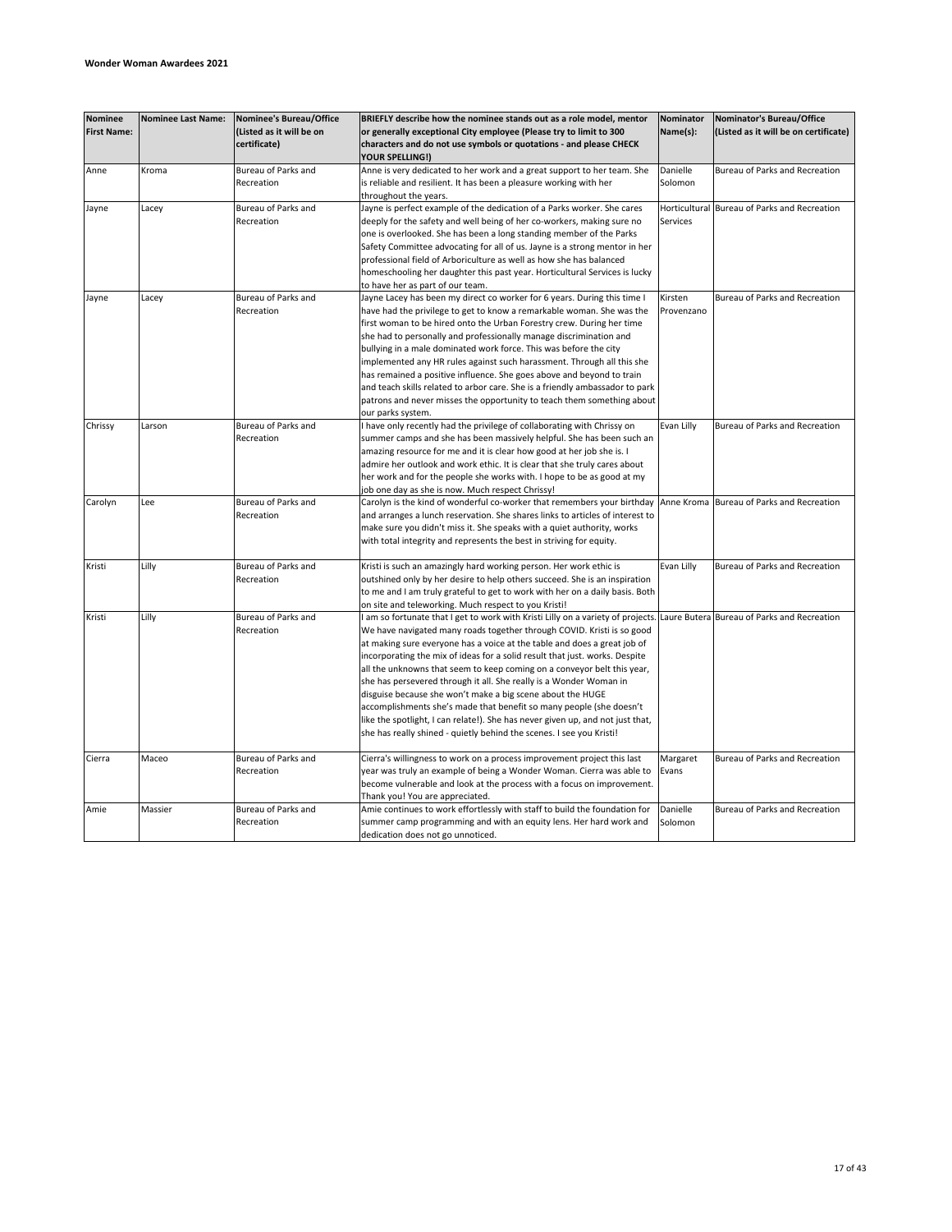| <b>Nominee</b>     | <b>Nominee Last Name:</b> | Nominee's Bureau/Office  | BRIEFLY describe how the nominee stands out as a role model, mentor                                                                                    | Nominator     | Nominator's Bureau/Office                   |
|--------------------|---------------------------|--------------------------|--------------------------------------------------------------------------------------------------------------------------------------------------------|---------------|---------------------------------------------|
| <b>First Name:</b> |                           | (Listed as it will be on | or generally exceptional City employee (Please try to limit to 300                                                                                     | Name(s):      | (Listed as it will be on certificate)       |
|                    |                           | certificate)             | characters and do not use symbols or quotations - and please CHECK                                                                                     |               |                                             |
|                    |                           |                          | YOUR SPELLING!)                                                                                                                                        |               |                                             |
| Anne               | Kroma                     | Bureau of Parks and      | Anne is very dedicated to her work and a great support to her team. She                                                                                | Danielle      | Bureau of Parks and Recreation              |
|                    |                           | Recreation               | is reliable and resilient. It has been a pleasure working with her                                                                                     | Solomon       |                                             |
|                    |                           |                          | throughout the years.                                                                                                                                  |               |                                             |
| Jayne              | Lacey                     | Bureau of Parks and      | Jayne is perfect example of the dedication of a Parks worker. She cares                                                                                | Horticultural | Bureau of Parks and Recreation              |
|                    |                           | Recreation               | deeply for the safety and well being of her co-workers, making sure no                                                                                 | Services      |                                             |
|                    |                           |                          | one is overlooked. She has been a long standing member of the Parks                                                                                    |               |                                             |
|                    |                           |                          | Safety Committee advocating for all of us. Jayne is a strong mentor in her                                                                             |               |                                             |
|                    |                           |                          | professional field of Arboriculture as well as how she has balanced                                                                                    |               |                                             |
|                    |                           |                          | homeschooling her daughter this past year. Horticultural Services is lucky                                                                             |               |                                             |
|                    |                           |                          | to have her as part of our team.                                                                                                                       |               |                                             |
| Jayne              | Lacey                     | Bureau of Parks and      | Jayne Lacey has been my direct co worker for 6 years. During this time I                                                                               | Kirsten       | Bureau of Parks and Recreation              |
|                    |                           | Recreation               | have had the privilege to get to know a remarkable woman. She was the                                                                                  | Provenzano    |                                             |
|                    |                           |                          | first woman to be hired onto the Urban Forestry crew. During her time                                                                                  |               |                                             |
|                    |                           |                          | she had to personally and professionally manage discrimination and                                                                                     |               |                                             |
|                    |                           |                          | bullying in a male dominated work force. This was before the city                                                                                      |               |                                             |
|                    |                           |                          | implemented any HR rules against such harassment. Through all this she                                                                                 |               |                                             |
|                    |                           |                          | has remained a positive influence. She goes above and beyond to train                                                                                  |               |                                             |
|                    |                           |                          | and teach skills related to arbor care. She is a friendly ambassador to park                                                                           |               |                                             |
|                    |                           |                          | patrons and never misses the opportunity to teach them something about                                                                                 |               |                                             |
|                    |                           | Bureau of Parks and      | our parks system.                                                                                                                                      |               | Bureau of Parks and Recreation              |
| Chrissy            | Larson                    | Recreation               | I have only recently had the privilege of collaborating with Chrissy on<br>summer camps and she has been massively helpful. She has been such an       | Evan Lilly    |                                             |
|                    |                           |                          | amazing resource for me and it is clear how good at her job she is. I                                                                                  |               |                                             |
|                    |                           |                          | admire her outlook and work ethic. It is clear that she truly cares about                                                                              |               |                                             |
|                    |                           |                          | her work and for the people she works with. I hope to be as good at my                                                                                 |               |                                             |
|                    |                           |                          | job one day as she is now. Much respect Chrissy!                                                                                                       |               |                                             |
| Carolyn            | Lee                       | Bureau of Parks and      | Carolyn is the kind of wonderful co-worker that remembers your birthday                                                                                |               | Anne Kroma Bureau of Parks and Recreation   |
|                    |                           | Recreation               | and arranges a lunch reservation. She shares links to articles of interest to                                                                          |               |                                             |
|                    |                           |                          | make sure you didn't miss it. She speaks with a quiet authority, works                                                                                 |               |                                             |
|                    |                           |                          | with total integrity and represents the best in striving for equity.                                                                                   |               |                                             |
|                    |                           |                          |                                                                                                                                                        |               |                                             |
| Kristi             | Lilly                     | Bureau of Parks and      | Kristi is such an amazingly hard working person. Her work ethic is                                                                                     | Evan Lilly    | Bureau of Parks and Recreation              |
|                    |                           | Recreation               | outshined only by her desire to help others succeed. She is an inspiration                                                                             |               |                                             |
|                    |                           |                          | to me and I am truly grateful to get to work with her on a daily basis. Both                                                                           |               |                                             |
|                    |                           |                          | on site and teleworking. Much respect to you Kristi!                                                                                                   |               |                                             |
| Kristi             | Lilly                     | Bureau of Parks and      | I am so fortunate that I get to work with Kristi Lilly on a variety of projects.                                                                       |               | Laure Butera Bureau of Parks and Recreation |
|                    |                           | Recreation               | We have navigated many roads together through COVID. Kristi is so good                                                                                 |               |                                             |
|                    |                           |                          | at making sure everyone has a voice at the table and does a great job of                                                                               |               |                                             |
|                    |                           |                          | incorporating the mix of ideas for a solid result that just. works. Despite                                                                            |               |                                             |
|                    |                           |                          | all the unknowns that seem to keep coming on a conveyor belt this year,                                                                                |               |                                             |
|                    |                           |                          | she has persevered through it all. She really is a Wonder Woman in                                                                                     |               |                                             |
|                    |                           |                          | disguise because she won't make a big scene about the HUGE                                                                                             |               |                                             |
|                    |                           |                          | accomplishments she's made that benefit so many people (she doesn't                                                                                    |               |                                             |
|                    |                           |                          | like the spotlight, I can relate!). She has never given up, and not just that,<br>she has really shined - quietly behind the scenes. I see you Kristi! |               |                                             |
|                    |                           |                          |                                                                                                                                                        |               |                                             |
| Cierra             | Maceo                     | Bureau of Parks and      | Cierra's willingness to work on a process improvement project this last                                                                                | Margaret      | Bureau of Parks and Recreation              |
|                    |                           | Recreation               | year was truly an example of being a Wonder Woman. Cierra was able to                                                                                  | Evans         |                                             |
|                    |                           |                          | become vulnerable and look at the process with a focus on improvement.                                                                                 |               |                                             |
|                    |                           |                          | Thank you! You are appreciated.                                                                                                                        |               |                                             |
| Amie               | Massier                   | Bureau of Parks and      | Amie continues to work effortlessly with staff to build the foundation for                                                                             | Danielle      | Bureau of Parks and Recreation              |
|                    |                           | Recreation               | summer camp programming and with an equity lens. Her hard work and                                                                                     | Solomon       |                                             |
|                    |                           |                          | dedication does not go unnoticed.                                                                                                                      |               |                                             |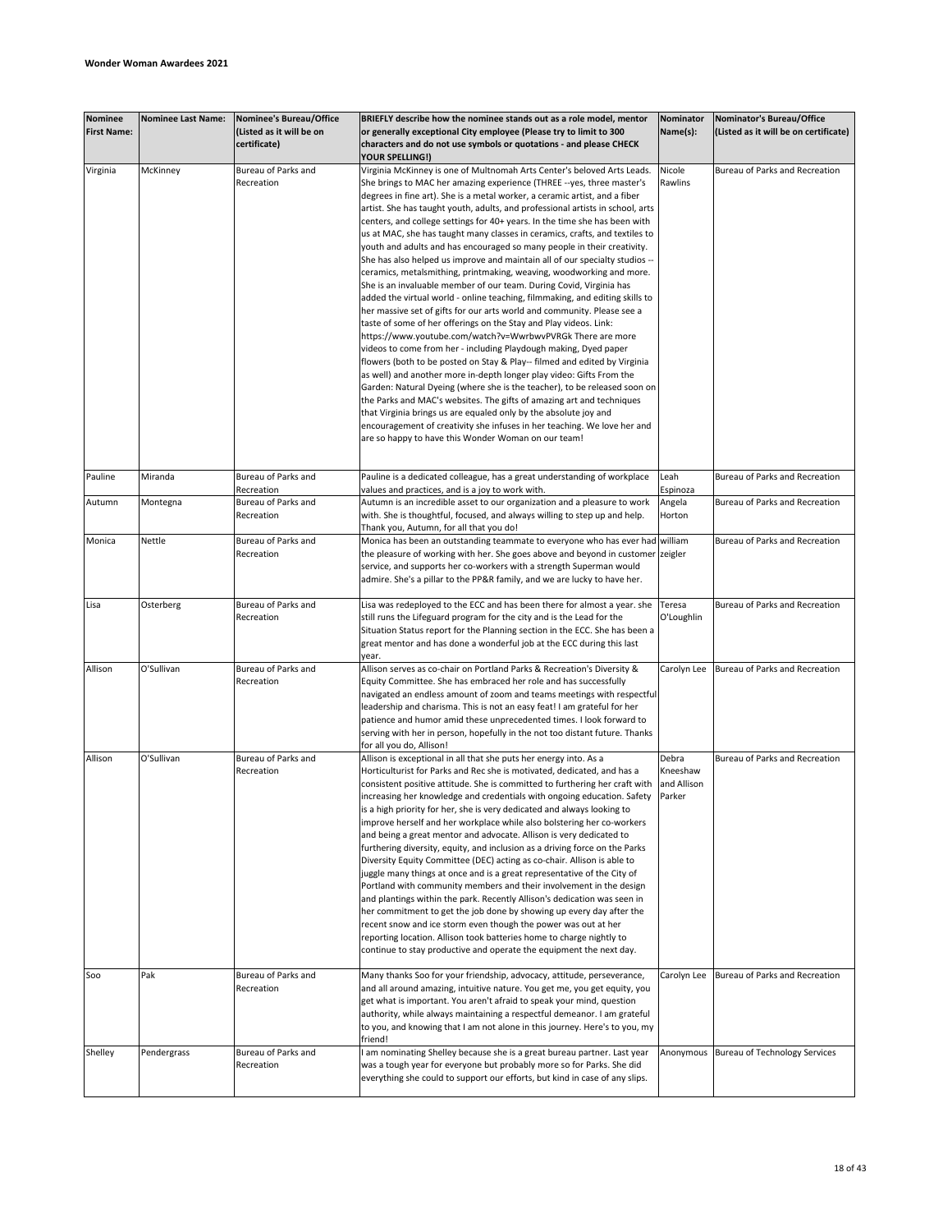| <b>Nominee</b><br><b>First Name:</b> | <b>Nominee Last Name:</b> | Nominee's Bureau/Office<br>(Listed as it will be on<br>certificate) | BRIEFLY describe how the nominee stands out as a role model, mentor<br>or generally exceptional City employee (Please try to limit to 300<br>characters and do not use symbols or quotations - and please CHECK<br>YOUR SPELLING!)                                                                                                                                                                                                                                                                                                                                                                                                                                                                                                                                                                                                                                                                                                                                                                                                                                                                                                                                                                                                                                                                                                                                                                                                                                                                                                                                                                                                                                         | Nominator<br>Name(s):                      | Nominator's Bureau/Office<br>(Listed as it will be on certificate) |
|--------------------------------------|---------------------------|---------------------------------------------------------------------|----------------------------------------------------------------------------------------------------------------------------------------------------------------------------------------------------------------------------------------------------------------------------------------------------------------------------------------------------------------------------------------------------------------------------------------------------------------------------------------------------------------------------------------------------------------------------------------------------------------------------------------------------------------------------------------------------------------------------------------------------------------------------------------------------------------------------------------------------------------------------------------------------------------------------------------------------------------------------------------------------------------------------------------------------------------------------------------------------------------------------------------------------------------------------------------------------------------------------------------------------------------------------------------------------------------------------------------------------------------------------------------------------------------------------------------------------------------------------------------------------------------------------------------------------------------------------------------------------------------------------------------------------------------------------|--------------------------------------------|--------------------------------------------------------------------|
| Virginia                             | McKinney                  | Bureau of Parks and<br>Recreation                                   | Virginia McKinney is one of Multnomah Arts Center's beloved Arts Leads.<br>She brings to MAC her amazing experience (THREE --yes, three master's<br>degrees in fine art). She is a metal worker, a ceramic artist, and a fiber<br>artist. She has taught youth, adults, and professional artists in school, arts<br>centers, and college settings for 40+ years. In the time she has been with<br>us at MAC, she has taught many classes in ceramics, crafts, and textiles to<br>youth and adults and has encouraged so many people in their creativity.<br>She has also helped us improve and maintain all of our specialty studios --<br>ceramics, metalsmithing, printmaking, weaving, woodworking and more.<br>She is an invaluable member of our team. During Covid, Virginia has<br>added the virtual world - online teaching, filmmaking, and editing skills to<br>her massive set of gifts for our arts world and community. Please see a<br>taste of some of her offerings on the Stay and Play videos. Link:<br>https://www.youtube.com/watch?v=WwrbwvPVRGk There are more<br>videos to come from her - including Playdough making, Dyed paper<br>flowers (both to be posted on Stay & Play-- filmed and edited by Virginia<br>as well) and another more in-depth longer play video: Gifts From the<br>Garden: Natural Dyeing (where she is the teacher), to be released soon on<br>the Parks and MAC's websites. The gifts of amazing art and techniques<br>that Virginia brings us are equaled only by the absolute joy and<br>encouragement of creativity she infuses in her teaching. We love her and<br>are so happy to have this Wonder Woman on our team! | Nicole<br>Rawlins                          | Bureau of Parks and Recreation                                     |
| Pauline                              | Miranda                   | Bureau of Parks and                                                 | Pauline is a dedicated colleague, has a great understanding of workplace                                                                                                                                                                                                                                                                                                                                                                                                                                                                                                                                                                                                                                                                                                                                                                                                                                                                                                                                                                                                                                                                                                                                                                                                                                                                                                                                                                                                                                                                                                                                                                                                   | Leah                                       | Bureau of Parks and Recreation                                     |
| Autumn                               | Montegna                  | Recreation<br>Bureau of Parks and<br>Recreation                     | values and practices, and is a joy to work with.<br>Autumn is an incredible asset to our organization and a pleasure to work<br>with. She is thoughtful, focused, and always willing to step up and help.<br>Thank you, Autumn, for all that you do!                                                                                                                                                                                                                                                                                                                                                                                                                                                                                                                                                                                                                                                                                                                                                                                                                                                                                                                                                                                                                                                                                                                                                                                                                                                                                                                                                                                                                       | Espinoza<br>Angela<br>Horton               | Bureau of Parks and Recreation                                     |
| Monica                               | Nettle                    | Bureau of Parks and<br>Recreation                                   | Monica has been an outstanding teammate to everyone who has ever had william<br>the pleasure of working with her. She goes above and beyond in customer zeigler<br>service, and supports her co-workers with a strength Superman would<br>admire. She's a pillar to the PP&R family, and we are lucky to have her.                                                                                                                                                                                                                                                                                                                                                                                                                                                                                                                                                                                                                                                                                                                                                                                                                                                                                                                                                                                                                                                                                                                                                                                                                                                                                                                                                         |                                            | Bureau of Parks and Recreation                                     |
| Lisa                                 | Osterberg                 | Bureau of Parks and<br>Recreation                                   | Lisa was redeployed to the ECC and has been there for almost a year. she<br>still runs the Lifeguard program for the city and is the Lead for the<br>Situation Status report for the Planning section in the ECC. She has been a<br>great mentor and has done a wonderful job at the ECC during this last<br>year.                                                                                                                                                                                                                                                                                                                                                                                                                                                                                                                                                                                                                                                                                                                                                                                                                                                                                                                                                                                                                                                                                                                                                                                                                                                                                                                                                         | Teresa<br>O'Loughlin                       | Bureau of Parks and Recreation                                     |
| Allison                              | O'Sullivan                | Bureau of Parks and<br>Recreation                                   | Allison serves as co-chair on Portland Parks & Recreation's Diversity &<br>Equity Committee. She has embraced her role and has successfully<br>navigated an endless amount of zoom and teams meetings with respectful<br>leadership and charisma. This is not an easy feat! I am grateful for her<br>patience and humor amid these unprecedented times. I look forward to<br>serving with her in person, hopefully in the not too distant future. Thanks<br>for all you do, Allison!                                                                                                                                                                                                                                                                                                                                                                                                                                                                                                                                                                                                                                                                                                                                                                                                                                                                                                                                                                                                                                                                                                                                                                                       | Carolyn Lee                                | Bureau of Parks and Recreation                                     |
| Allison                              | O'Sullivan                | Bureau of Parks and<br>Recreation                                   | Allison is exceptional in all that she puts her energy into. As a<br>Horticulturist for Parks and Rec she is motivated, dedicated, and has a<br>consistent positive attitude. She is committed to furthering her craft with<br>increasing her knowledge and credentials with ongoing education. Safety<br>is a high priority for her, she is very dedicated and always looking to<br>improve herself and her workplace while also bolstering her co-workers<br>and being a great mentor and advocate. Allison is very dedicated to<br>furthering diversity, equity, and inclusion as a driving force on the Parks<br>Diversity Equity Committee (DEC) acting as co-chair. Allison is able to<br>juggle many things at once and is a great representative of the City of<br>Portland with community members and their involvement in the design<br>and plantings within the park. Recently Allison's dedication was seen in<br>her commitment to get the job done by showing up every day after the<br>recent snow and ice storm even though the power was out at her<br>reporting location. Allison took batteries home to charge nightly to<br>continue to stay productive and operate the equipment the next day.                                                                                                                                                                                                                                                                                                                                                                                                                                                        | Debra<br>Kneeshaw<br>and Allison<br>Parker | Bureau of Parks and Recreation                                     |
| Soo                                  | Pak                       | Bureau of Parks and<br>Recreation                                   | Many thanks Soo for your friendship, advocacy, attitude, perseverance,<br>and all around amazing, intuitive nature. You get me, you get equity, you<br>get what is important. You aren't afraid to speak your mind, question<br>authority, while always maintaining a respectful demeanor. I am grateful<br>to you, and knowing that I am not alone in this journey. Here's to you, my<br>friend!                                                                                                                                                                                                                                                                                                                                                                                                                                                                                                                                                                                                                                                                                                                                                                                                                                                                                                                                                                                                                                                                                                                                                                                                                                                                          | Carolyn Lee                                | Bureau of Parks and Recreation                                     |
| Shelley                              | Pendergrass               | Bureau of Parks and<br>Recreation                                   | am nominating Shelley because she is a great bureau partner. Last year<br>was a tough year for everyone but probably more so for Parks. She did<br>everything she could to support our efforts, but kind in case of any slips.                                                                                                                                                                                                                                                                                                                                                                                                                                                                                                                                                                                                                                                                                                                                                                                                                                                                                                                                                                                                                                                                                                                                                                                                                                                                                                                                                                                                                                             |                                            | Anonymous Bureau of Technology Services                            |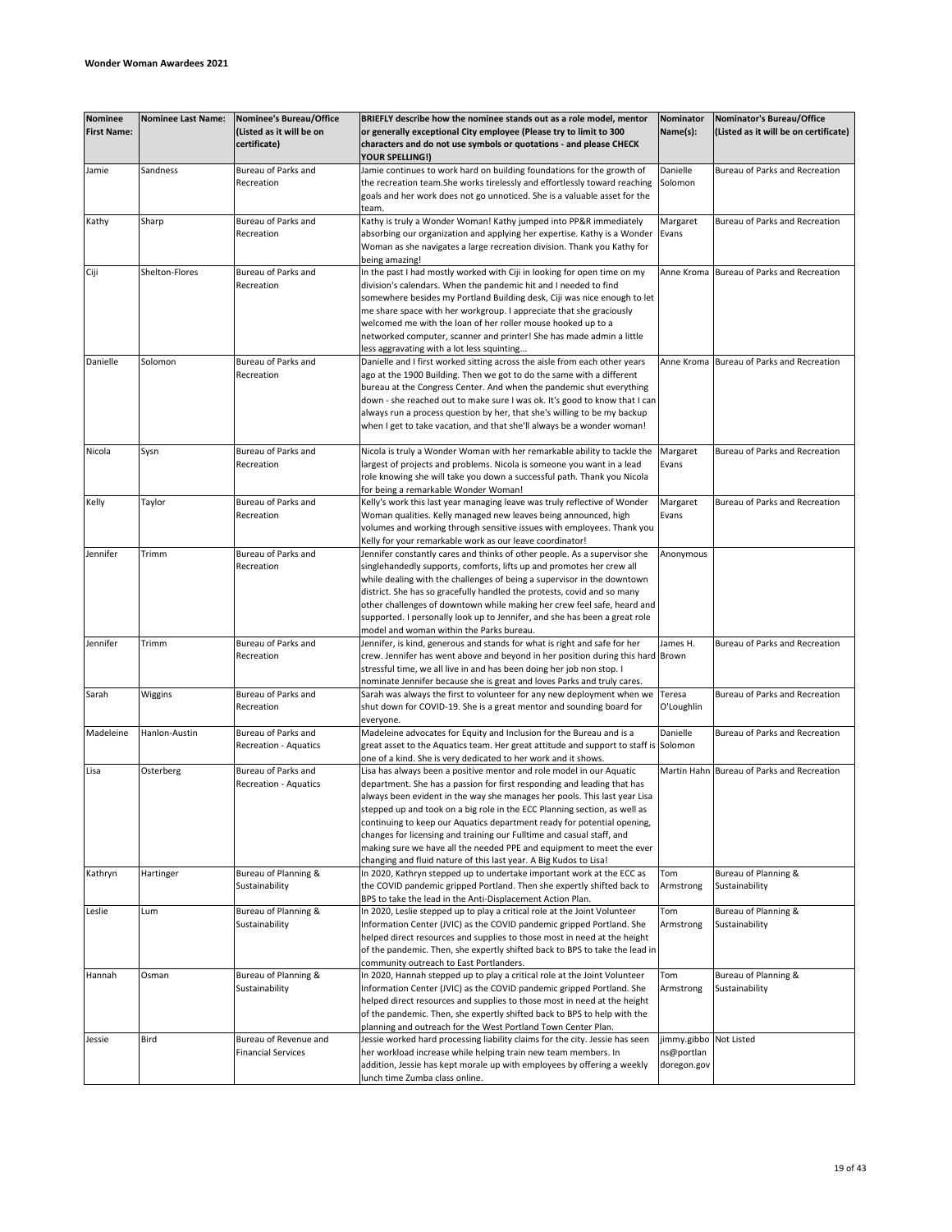| <b>Nominee</b><br><b>First Name:</b> | <b>Nominee Last Name:</b> | Nominee's Bureau/Office<br>(Listed as it will be on<br>certificate) | BRIEFLY describe how the nominee stands out as a role model, mentor<br>or generally exceptional City employee (Please try to limit to 300<br>characters and do not use symbols or quotations - and please CHECK                                                                                                                                                                                                                                                                                                                                                                                             | Nominator<br>Name(s):                               | Nominator's Bureau/Office<br>(Listed as it will be on certificate) |
|--------------------------------------|---------------------------|---------------------------------------------------------------------|-------------------------------------------------------------------------------------------------------------------------------------------------------------------------------------------------------------------------------------------------------------------------------------------------------------------------------------------------------------------------------------------------------------------------------------------------------------------------------------------------------------------------------------------------------------------------------------------------------------|-----------------------------------------------------|--------------------------------------------------------------------|
| Jamie                                | Sandness                  | Bureau of Parks and                                                 | YOUR SPELLING!)<br>Jamie continues to work hard on building foundations for the growth of                                                                                                                                                                                                                                                                                                                                                                                                                                                                                                                   | Danielle                                            | Bureau of Parks and Recreation                                     |
|                                      |                           | Recreation                                                          | the recreation team. She works tirelessly and effortlessly toward reaching<br>goals and her work does not go unnoticed. She is a valuable asset for the<br>team.                                                                                                                                                                                                                                                                                                                                                                                                                                            | Solomon                                             |                                                                    |
| Kathy                                | Sharp                     | Bureau of Parks and<br>Recreation                                   | Kathy is truly a Wonder Woman! Kathy jumped into PP&R immediately<br>absorbing our organization and applying her expertise. Kathy is a Wonder                                                                                                                                                                                                                                                                                                                                                                                                                                                               | Margaret<br>Evans                                   | Bureau of Parks and Recreation                                     |
|                                      |                           |                                                                     | Woman as she navigates a large recreation division. Thank you Kathy for<br>being amazing!                                                                                                                                                                                                                                                                                                                                                                                                                                                                                                                   |                                                     |                                                                    |
| Ciji                                 | Shelton-Flores            | Bureau of Parks and<br>Recreation                                   | In the past I had mostly worked with Ciji in looking for open time on my<br>division's calendars. When the pandemic hit and I needed to find<br>somewhere besides my Portland Building desk, Ciji was nice enough to let<br>me share space with her workgroup. I appreciate that she graciously<br>welcomed me with the loan of her roller mouse hooked up to a<br>networked computer, scanner and printer! She has made admin a little                                                                                                                                                                     | Anne Kroma                                          | Bureau of Parks and Recreation                                     |
|                                      |                           |                                                                     | less aggravating with a lot less squinting                                                                                                                                                                                                                                                                                                                                                                                                                                                                                                                                                                  |                                                     |                                                                    |
| Danielle                             | Solomon                   | Bureau of Parks and<br>Recreation                                   | Danielle and I first worked sitting across the aisle from each other years<br>ago at the 1900 Building. Then we got to do the same with a different<br>bureau at the Congress Center. And when the pandemic shut everything<br>down - she reached out to make sure I was ok. It's good to know that I can<br>always run a process question by her, that she's willing to be my backup<br>when I get to take vacation, and that she'll always be a wonder woman!                                                                                                                                             | Anne Kroma                                          | Bureau of Parks and Recreation                                     |
| Nicola                               | Sysn                      | Bureau of Parks and<br>Recreation                                   | Nicola is truly a Wonder Woman with her remarkable ability to tackle the<br>largest of projects and problems. Nicola is someone you want in a lead<br>role knowing she will take you down a successful path. Thank you Nicola<br>for being a remarkable Wonder Woman!                                                                                                                                                                                                                                                                                                                                       | Margaret<br>Evans                                   | Bureau of Parks and Recreation                                     |
| Kelly                                | Taylor                    | Bureau of Parks and<br>Recreation                                   | Kelly's work this last year managing leave was truly reflective of Wonder<br>Woman qualities. Kelly managed new leaves being announced, high<br>volumes and working through sensitive issues with employees. Thank you<br>Kelly for your remarkable work as our leave coordinator!                                                                                                                                                                                                                                                                                                                          | Margaret<br>Evans                                   | Bureau of Parks and Recreation                                     |
| Jennifer                             | Trimm                     | Bureau of Parks and<br>Recreation                                   | Jennifer constantly cares and thinks of other people. As a supervisor she<br>singlehandedly supports, comforts, lifts up and promotes her crew all<br>while dealing with the challenges of being a supervisor in the downtown<br>district. She has so gracefully handled the protests, covid and so many<br>other challenges of downtown while making her crew feel safe, heard and<br>supported. I personally look up to Jennifer, and she has been a great role<br>model and woman within the Parks bureau.                                                                                               | Anonymous                                           |                                                                    |
| Jennifer                             | Trimm                     | Bureau of Parks and<br>Recreation                                   | Jennifer, is kind, generous and stands for what is right and safe for her<br>crew. Jennifer has went above and beyond in her position during this hard Brown<br>stressful time, we all live in and has been doing her job non stop. I<br>nominate Jennifer because she is great and loves Parks and truly cares.                                                                                                                                                                                                                                                                                            | James H.                                            | Bureau of Parks and Recreation                                     |
| Sarah                                | Wiggins                   | Bureau of Parks and<br>Recreation                                   | Sarah was always the first to volunteer for any new deployment when we<br>shut down for COVID-19. She is a great mentor and sounding board for<br>everyone.                                                                                                                                                                                                                                                                                                                                                                                                                                                 | Teresa<br>O'Loughlin                                | Bureau of Parks and Recreation                                     |
| Madeleine                            | Hanlon-Austin             | Bureau of Parks and<br>Recreation - Aquatics                        | Madeleine advocates for Equity and Inclusion for the Bureau and is a<br>great asset to the Aquatics team. Her great attitude and support to staff is Solomon<br>one of a kind. She is very dedicated to her work and it shows.                                                                                                                                                                                                                                                                                                                                                                              | Danielle                                            | Bureau of Parks and Recreation                                     |
| Lisa                                 | Osterberg                 | Bureau of Parks and<br>Recreation - Aquatics                        | Lisa has always been a positive mentor and role model in our Aquatic<br>department. She has a passion for first responding and leading that has<br>always been evident in the way she manages her pools. This last year Lisa<br>stepped up and took on a big role in the ECC Planning section, as well as<br>continuing to keep our Aquatics department ready for potential opening,<br>changes for licensing and training our Fulltime and casual staff, and<br>making sure we have all the needed PPE and equipment to meet the ever<br>changing and fluid nature of this last year. A Big Kudos to Lisa! |                                                     | Martin Hahn Bureau of Parks and Recreation                         |
| Kathryn                              | Hartinger                 | Bureau of Planning &<br>Sustainability                              | In 2020, Kathryn stepped up to undertake important work at the ECC as<br>the COVID pandemic gripped Portland. Then she expertly shifted back to<br>BPS to take the lead in the Anti-Displacement Action Plan.                                                                                                                                                                                                                                                                                                                                                                                               | Tom<br>Armstrong                                    | Bureau of Planning &<br>Sustainability                             |
| Leslie                               | Lum                       | Bureau of Planning &<br>Sustainability                              | In 2020, Leslie stepped up to play a critical role at the Joint Volunteer<br>Information Center (JVIC) as the COVID pandemic gripped Portland. She<br>helped direct resources and supplies to those most in need at the height<br>of the pandemic. Then, she expertly shifted back to BPS to take the lead in<br>community outreach to East Portlanders.                                                                                                                                                                                                                                                    | Tom<br>Armstrong                                    | Bureau of Planning &<br>Sustainability                             |
| Hannah                               | Osman                     | Bureau of Planning &<br>Sustainability                              | In 2020, Hannah stepped up to play a critical role at the Joint Volunteer<br>Information Center (JVIC) as the COVID pandemic gripped Portland. She<br>helped direct resources and supplies to those most in need at the height<br>of the pandemic. Then, she expertly shifted back to BPS to help with the<br>planning and outreach for the West Portland Town Center Plan.                                                                                                                                                                                                                                 | Tom<br>Armstrong                                    | Bureau of Planning &<br>Sustainability                             |
| Jessie                               | Bird                      | Bureau of Revenue and<br><b>Financial Services</b>                  | Jessie worked hard processing liability claims for the city. Jessie has seen<br>her workload increase while helping train new team members. In<br>addition, Jessie has kept morale up with employees by offering a weekly<br>lunch time Zumba class online.                                                                                                                                                                                                                                                                                                                                                 | jimmy.gibbo Not Listed<br>ns@portlan<br>doregon.gov |                                                                    |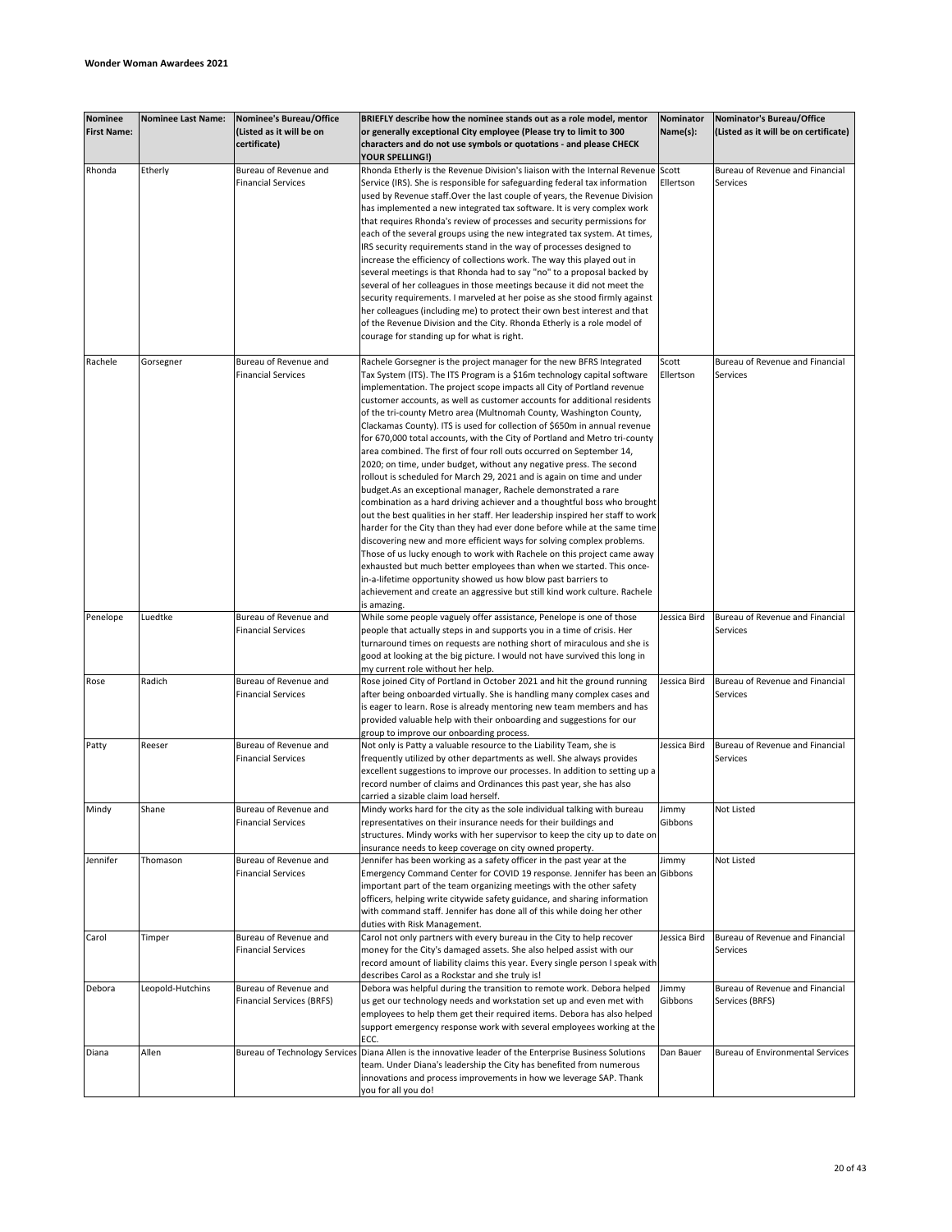| <b>Nominee</b><br><b>First Name:</b> | <b>Nominee Last Name:</b> | <b>Nominee's Bureau/Office</b><br>(Listed as it will be on<br>certificate) | BRIEFLY describe how the nominee stands out as a role model, mentor<br>or generally exceptional City employee (Please try to limit to 300<br>characters and do not use symbols or quotations - and please CHECK | Nominator<br>Name(s): | Nominator's Bureau/Office<br>(Listed as it will be on certificate) |
|--------------------------------------|---------------------------|----------------------------------------------------------------------------|-----------------------------------------------------------------------------------------------------------------------------------------------------------------------------------------------------------------|-----------------------|--------------------------------------------------------------------|
|                                      |                           |                                                                            | <b>YOUR SPELLING!)</b>                                                                                                                                                                                          |                       |                                                                    |
| Rhonda                               | Etherly                   | Bureau of Revenue and                                                      | Rhonda Etherly is the Revenue Division's liaison with the Internal Revenue Scott                                                                                                                                |                       | Bureau of Revenue and Financial                                    |
|                                      |                           | <b>Financial Services</b>                                                  | Service (IRS). She is responsible for safeguarding federal tax information                                                                                                                                      | Ellertson             | Services                                                           |
|                                      |                           |                                                                            | used by Revenue staff. Over the last couple of years, the Revenue Division                                                                                                                                      |                       |                                                                    |
|                                      |                           |                                                                            | has implemented a new integrated tax software. It is very complex work                                                                                                                                          |                       |                                                                    |
|                                      |                           |                                                                            | that requires Rhonda's review of processes and security permissions for                                                                                                                                         |                       |                                                                    |
|                                      |                           |                                                                            | each of the several groups using the new integrated tax system. At times,                                                                                                                                       |                       |                                                                    |
|                                      |                           |                                                                            | IRS security requirements stand in the way of processes designed to                                                                                                                                             |                       |                                                                    |
|                                      |                           |                                                                            | increase the efficiency of collections work. The way this played out in                                                                                                                                         |                       |                                                                    |
|                                      |                           |                                                                            | several meetings is that Rhonda had to say "no" to a proposal backed by                                                                                                                                         |                       |                                                                    |
|                                      |                           |                                                                            | several of her colleagues in those meetings because it did not meet the                                                                                                                                         |                       |                                                                    |
|                                      |                           |                                                                            | security requirements. I marveled at her poise as she stood firmly against                                                                                                                                      |                       |                                                                    |
|                                      |                           |                                                                            | her colleagues (including me) to protect their own best interest and that                                                                                                                                       |                       |                                                                    |
|                                      |                           |                                                                            | of the Revenue Division and the City. Rhonda Etherly is a role model of                                                                                                                                         |                       |                                                                    |
|                                      |                           |                                                                            | courage for standing up for what is right.                                                                                                                                                                      |                       |                                                                    |
|                                      |                           |                                                                            |                                                                                                                                                                                                                 |                       |                                                                    |
|                                      |                           |                                                                            |                                                                                                                                                                                                                 |                       |                                                                    |
| Rachele                              | Gorsegner                 | Bureau of Revenue and                                                      | Rachele Gorsegner is the project manager for the new BFRS Integrated                                                                                                                                            | Scott                 | Bureau of Revenue and Financial                                    |
|                                      |                           | <b>Financial Services</b>                                                  | Tax System (ITS). The ITS Program is a \$16m technology capital software                                                                                                                                        | Ellertson             | Services                                                           |
|                                      |                           |                                                                            | implementation. The project scope impacts all City of Portland revenue                                                                                                                                          |                       |                                                                    |
|                                      |                           |                                                                            | customer accounts, as well as customer accounts for additional residents                                                                                                                                        |                       |                                                                    |
|                                      |                           |                                                                            | of the tri-county Metro area (Multnomah County, Washington County,                                                                                                                                              |                       |                                                                    |
|                                      |                           |                                                                            | Clackamas County). ITS is used for collection of \$650m in annual revenue                                                                                                                                       |                       |                                                                    |
|                                      |                           |                                                                            | for 670,000 total accounts, with the City of Portland and Metro tri-county                                                                                                                                      |                       |                                                                    |
|                                      |                           |                                                                            | area combined. The first of four roll outs occurred on September 14,                                                                                                                                            |                       |                                                                    |
|                                      |                           |                                                                            | 2020; on time, under budget, without any negative press. The second                                                                                                                                             |                       |                                                                    |
|                                      |                           |                                                                            | rollout is scheduled for March 29, 2021 and is again on time and under                                                                                                                                          |                       |                                                                    |
|                                      |                           |                                                                            | budget.As an exceptional manager, Rachele demonstrated a rare                                                                                                                                                   |                       |                                                                    |
|                                      |                           |                                                                            | combination as a hard driving achiever and a thoughtful boss who brought                                                                                                                                        |                       |                                                                    |
|                                      |                           |                                                                            | out the best qualities in her staff. Her leadership inspired her staff to work                                                                                                                                  |                       |                                                                    |
|                                      |                           |                                                                            | harder for the City than they had ever done before while at the same time                                                                                                                                       |                       |                                                                    |
|                                      |                           |                                                                            | discovering new and more efficient ways for solving complex problems.                                                                                                                                           |                       |                                                                    |
|                                      |                           |                                                                            | Those of us lucky enough to work with Rachele on this project came away                                                                                                                                         |                       |                                                                    |
|                                      |                           |                                                                            | exhausted but much better employees than when we started. This once-                                                                                                                                            |                       |                                                                    |
|                                      |                           |                                                                            |                                                                                                                                                                                                                 |                       |                                                                    |
|                                      |                           |                                                                            | in-a-lifetime opportunity showed us how blow past barriers to                                                                                                                                                   |                       |                                                                    |
|                                      |                           |                                                                            | achievement and create an aggressive but still kind work culture. Rachele                                                                                                                                       |                       |                                                                    |
|                                      |                           |                                                                            | is amazing.                                                                                                                                                                                                     |                       |                                                                    |
| Penelope                             | Luedtke                   | Bureau of Revenue and                                                      | While some people vaguely offer assistance, Penelope is one of those                                                                                                                                            | Jessica Bird          | Bureau of Revenue and Financial                                    |
|                                      |                           | <b>Financial Services</b>                                                  | people that actually steps in and supports you in a time of crisis. Her                                                                                                                                         |                       | Services                                                           |
|                                      |                           |                                                                            | turnaround times on requests are nothing short of miraculous and she is                                                                                                                                         |                       |                                                                    |
|                                      |                           |                                                                            | good at looking at the big picture. I would not have survived this long in                                                                                                                                      |                       |                                                                    |
|                                      |                           |                                                                            | my current role without her help.                                                                                                                                                                               |                       |                                                                    |
| Rose                                 | Radich                    | Bureau of Revenue and                                                      | Rose joined City of Portland in October 2021 and hit the ground running                                                                                                                                         | Jessica Bird          | Bureau of Revenue and Financial                                    |
|                                      |                           | <b>Financial Services</b>                                                  | after being onboarded virtually. She is handling many complex cases and                                                                                                                                         |                       | Services                                                           |
|                                      |                           |                                                                            | is eager to learn. Rose is already mentoring new team members and has                                                                                                                                           |                       |                                                                    |
|                                      |                           |                                                                            | provided valuable help with their onboarding and suggestions for our                                                                                                                                            |                       |                                                                    |
|                                      |                           |                                                                            | group to improve our onboarding process.                                                                                                                                                                        |                       |                                                                    |
| Patty                                | Reeser                    | Bureau of Revenue and                                                      | Not only is Patty a valuable resource to the Liability Team, she is                                                                                                                                             | Jessica Bird          | Bureau of Revenue and Financial                                    |
|                                      |                           | <b>Financial Services</b>                                                  | frequently utilized by other departments as well. She always provides                                                                                                                                           |                       | <b>Services</b>                                                    |
|                                      |                           |                                                                            | excellent suggestions to improve our processes. In addition to setting up a                                                                                                                                     |                       |                                                                    |
|                                      |                           |                                                                            | record number of claims and Ordinances this past year, she has also                                                                                                                                             |                       |                                                                    |
|                                      |                           |                                                                            | carried a sizable claim load herself.                                                                                                                                                                           |                       |                                                                    |
| Mindy                                | Shane                     | Bureau of Revenue and                                                      | Mindy works hard for the city as the sole individual talking with bureau                                                                                                                                        | Jimmy                 | Not Listed                                                         |
|                                      |                           | <b>Financial Services</b>                                                  | representatives on their insurance needs for their buildings and                                                                                                                                                | Gibbons               |                                                                    |
|                                      |                           |                                                                            | structures. Mindy works with her supervisor to keep the city up to date on                                                                                                                                      |                       |                                                                    |
|                                      |                           |                                                                            |                                                                                                                                                                                                                 |                       |                                                                    |
|                                      |                           |                                                                            | insurance needs to keep coverage on city owned property.                                                                                                                                                        |                       |                                                                    |
| Jennifer                             | Thomason                  | Bureau of Revenue and                                                      | Jennifer has been working as a safety officer in the past year at the                                                                                                                                           | Jimmy                 | Not Listed                                                         |
|                                      |                           | <b>Financial Services</b>                                                  | Emergency Command Center for COVID 19 response. Jennifer has been an Gibbons                                                                                                                                    |                       |                                                                    |
|                                      |                           |                                                                            | important part of the team organizing meetings with the other safety                                                                                                                                            |                       |                                                                    |
|                                      |                           |                                                                            | officers, helping write citywide safety guidance, and sharing information                                                                                                                                       |                       |                                                                    |
|                                      |                           |                                                                            | with command staff. Jennifer has done all of this while doing her other                                                                                                                                         |                       |                                                                    |
|                                      |                           |                                                                            | duties with Risk Management.                                                                                                                                                                                    |                       |                                                                    |
| Carol                                | Timper                    | Bureau of Revenue and                                                      | Carol not only partners with every bureau in the City to help recover                                                                                                                                           | Jessica Bird          | Bureau of Revenue and Financial                                    |
|                                      |                           | <b>Financial Services</b>                                                  | money for the City's damaged assets. She also helped assist with our                                                                                                                                            |                       | Services                                                           |
|                                      |                           |                                                                            | record amount of liability claims this year. Every single person I speak with                                                                                                                                   |                       |                                                                    |
|                                      |                           |                                                                            | describes Carol as a Rockstar and she truly is!                                                                                                                                                                 |                       |                                                                    |
| Debora                               | Leopold-Hutchins          | Bureau of Revenue and                                                      | Debora was helpful during the transition to remote work. Debora helped                                                                                                                                          | Jimmy                 | Bureau of Revenue and Financial                                    |
|                                      |                           | <b>Financial Services (BRFS)</b>                                           | us get our technology needs and workstation set up and even met with                                                                                                                                            | Gibbons               | Services (BRFS)                                                    |
|                                      |                           |                                                                            | employees to help them get their required items. Debora has also helped                                                                                                                                         |                       |                                                                    |
|                                      |                           |                                                                            |                                                                                                                                                                                                                 |                       |                                                                    |
|                                      |                           |                                                                            | support emergency response work with several employees working at the                                                                                                                                           |                       |                                                                    |
|                                      |                           |                                                                            | ECC.                                                                                                                                                                                                            |                       |                                                                    |
| Diana                                | Allen                     | <b>Bureau of Technology Services</b>                                       | Diana Allen is the innovative leader of the Enterprise Business Solutions                                                                                                                                       | Dan Bauer             | <b>Bureau of Environmental Services</b>                            |
|                                      |                           |                                                                            | team. Under Diana's leadership the City has benefited from numerous                                                                                                                                             |                       |                                                                    |
|                                      |                           |                                                                            | innovations and process improvements in how we leverage SAP. Thank                                                                                                                                              |                       |                                                                    |
|                                      |                           |                                                                            | you for all you do!                                                                                                                                                                                             |                       |                                                                    |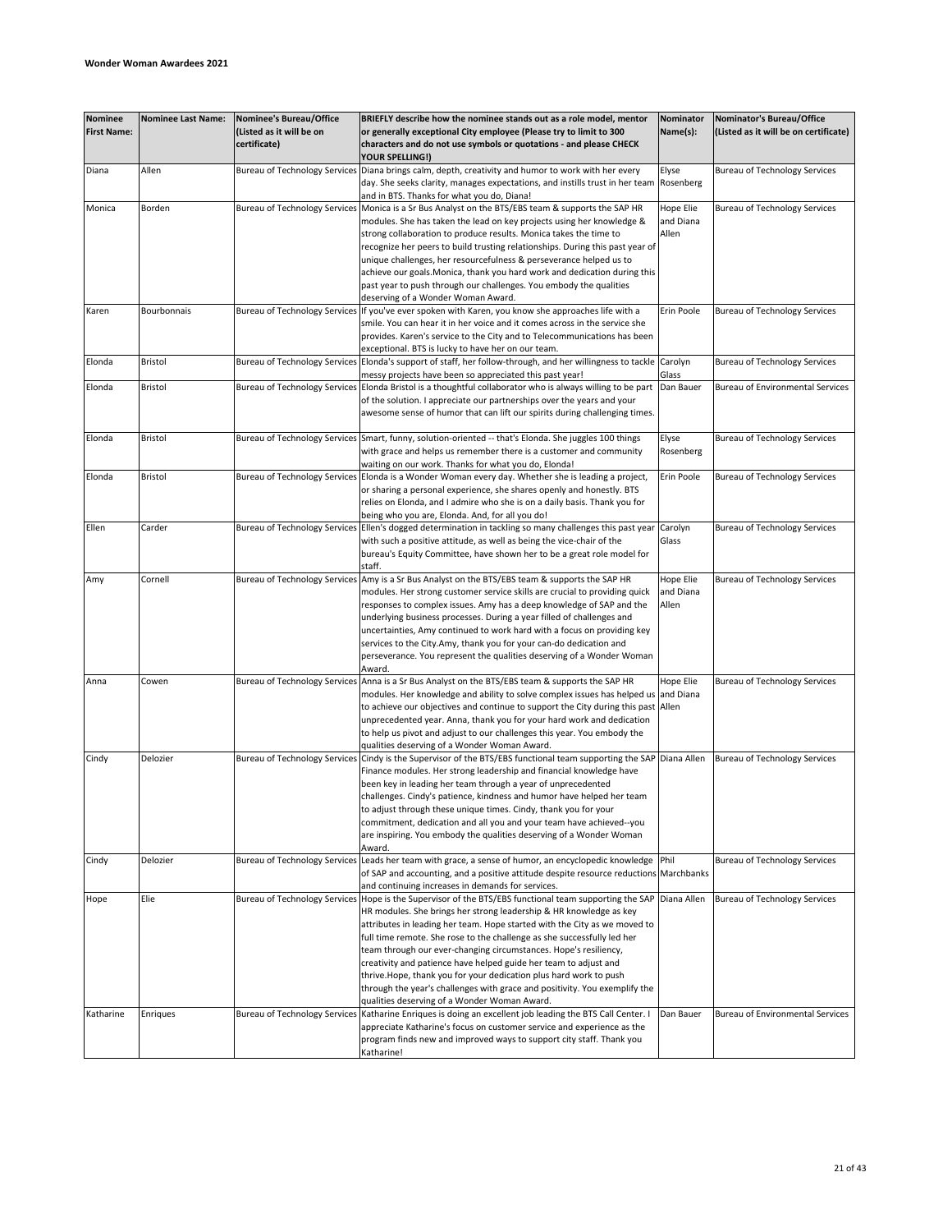| <b>Nominee</b><br><b>First Name:</b> | <b>Nominee Last Name:</b> | Nominee's Bureau/Office<br>(Listed as it will be on<br>certificate) | BRIEFLY describe how the nominee stands out as a role model, mentor<br>or generally exceptional City employee (Please try to limit to 300<br>characters and do not use symbols or quotations - and please CHECK                                                                                                                                                                                                                                                                                                                                                                                                                                               | Nominator<br>Name(s):           | Nominator's Bureau/Office<br>(Listed as it will be on certificate) |
|--------------------------------------|---------------------------|---------------------------------------------------------------------|---------------------------------------------------------------------------------------------------------------------------------------------------------------------------------------------------------------------------------------------------------------------------------------------------------------------------------------------------------------------------------------------------------------------------------------------------------------------------------------------------------------------------------------------------------------------------------------------------------------------------------------------------------------|---------------------------------|--------------------------------------------------------------------|
| Diana                                | Allen                     | <b>Bureau of Technology Services</b>                                | YOUR SPELLING!)<br>Diana brings calm, depth, creativity and humor to work with her every<br>day. She seeks clarity, manages expectations, and instills trust in her team Rosenberg                                                                                                                                                                                                                                                                                                                                                                                                                                                                            | Elyse                           | <b>Bureau of Technology Services</b>                               |
| Monica                               | Borden                    | <b>Bureau of Technology Services</b>                                | and in BTS. Thanks for what you do, Diana!<br>Monica is a Sr Bus Analyst on the BTS/EBS team & supports the SAP HR<br>modules. She has taken the lead on key projects using her knowledge &<br>strong collaboration to produce results. Monica takes the time to                                                                                                                                                                                                                                                                                                                                                                                              | Hope Elie<br>and Diana<br>Allen | <b>Bureau of Technology Services</b>                               |
|                                      |                           |                                                                     | recognize her peers to build trusting relationships. During this past year of<br>unique challenges, her resourcefulness & perseverance helped us to<br>achieve our goals. Monica, thank you hard work and dedication during this<br>past year to push through our challenges. You embody the qualities<br>deserving of a Wonder Woman Award.                                                                                                                                                                                                                                                                                                                  |                                 |                                                                    |
| Karen                                | Bourbonnais               | <b>Bureau of Technology Services</b>                                | If you've ever spoken with Karen, you know she approaches life with a<br>smile. You can hear it in her voice and it comes across in the service she<br>provides. Karen's service to the City and to Telecommunications has been<br>exceptional. BTS is lucky to have her on our team.                                                                                                                                                                                                                                                                                                                                                                         | Erin Poole                      | <b>Bureau of Technology Services</b>                               |
| Elonda                               | Bristol                   | <b>Bureau of Technology Services</b>                                | Elonda's support of staff, her follow-through, and her willingness to tackle Carolyn<br>messy projects have been so appreciated this past year!                                                                                                                                                                                                                                                                                                                                                                                                                                                                                                               | Glass                           | <b>Bureau of Technology Services</b>                               |
| Elonda                               | Bristol                   | <b>Bureau of Technology Services</b>                                | Elonda Bristol is a thoughtful collaborator who is always willing to be part<br>of the solution. I appreciate our partnerships over the years and your<br>awesome sense of humor that can lift our spirits during challenging times.                                                                                                                                                                                                                                                                                                                                                                                                                          | Dan Bauer                       | <b>Bureau of Environmental Services</b>                            |
| Elonda                               | Bristol                   | <b>Bureau of Technology Services</b>                                | Smart, funny, solution-oriented -- that's Elonda. She juggles 100 things<br>with grace and helps us remember there is a customer and community<br>waiting on our work. Thanks for what you do, Elonda!                                                                                                                                                                                                                                                                                                                                                                                                                                                        | Elyse<br>Rosenberg              | <b>Bureau of Technology Services</b>                               |
| Elonda                               | Bristol                   | <b>Bureau of Technology Services</b>                                | Elonda is a Wonder Woman every day. Whether she is leading a project,<br>or sharing a personal experience, she shares openly and honestly. BTS<br>relies on Elonda, and I admire who she is on a daily basis. Thank you for<br>being who you are, Elonda. And, for all you do!                                                                                                                                                                                                                                                                                                                                                                                | Erin Poole                      | <b>Bureau of Technology Services</b>                               |
| Ellen                                | Carder                    | <b>Bureau of Technology Services</b>                                | Ellen's dogged determination in tackling so many challenges this past year<br>with such a positive attitude, as well as being the vice-chair of the<br>bureau's Equity Committee, have shown her to be a great role model for<br>staff.                                                                                                                                                                                                                                                                                                                                                                                                                       | Carolyn<br>Glass                | <b>Bureau of Technology Services</b>                               |
| Amy                                  | Cornell                   | <b>Bureau of Technology Services</b>                                | Amy is a Sr Bus Analyst on the BTS/EBS team & supports the SAP HR<br>modules. Her strong customer service skills are crucial to providing quick<br>responses to complex issues. Amy has a deep knowledge of SAP and the<br>underlying business processes. During a year filled of challenges and<br>uncertainties, Amy continued to work hard with a focus on providing key<br>services to the City.Amy, thank you for your can-do dedication and<br>perseverance. You represent the qualities deserving of a Wonder Woman<br>Award.                                                                                                                          | Hope Elie<br>and Diana<br>Allen | <b>Bureau of Technology Services</b>                               |
| Anna                                 | Cowen                     | <b>Bureau of Technology Services</b>                                | Anna is a Sr Bus Analyst on the BTS/EBS team & supports the SAP HR<br>modules. Her knowledge and ability to solve complex issues has helped us and Diana<br>to achieve our objectives and continue to support the City during this past Allen<br>unprecedented year. Anna, thank you for your hard work and dedication<br>to help us pivot and adjust to our challenges this year. You embody the<br>qualities deserving of a Wonder Woman Award.                                                                                                                                                                                                             | Hope Elie                       | <b>Bureau of Technology Services</b>                               |
| Cindy                                | Delozier                  | <b>Bureau of Technology Service:</b>                                | Cindy is the Supervisor of the BTS/EBS functional team supporting the SAP Diana Allen<br>Finance modules. Her strong leadership and financial knowledge have<br>been key in leading her team through a year of unprecedented<br>challenges. Cindy's patience, kindness and humor have helped her team<br>to adjust through these unique times. Cindy, thank you for your<br>commitment, dedication and all you and your team have achieved--you<br>are inspiring. You embody the qualities deserving of a Wonder Woman<br>Award.                                                                                                                              |                                 | <b>Bureau of Technology Services</b>                               |
| Cindy                                | Delozier                  | <b>Bureau of Technology Services</b>                                | Leads her team with grace, a sense of humor, an encyclopedic knowledge Phil<br>of SAP and accounting, and a positive attitude despite resource reductions Marchbanks<br>and continuing increases in demands for services.                                                                                                                                                                                                                                                                                                                                                                                                                                     |                                 | <b>Bureau of Technology Services</b>                               |
| Hope                                 | Elie                      | <b>Bureau of Technology Services</b>                                | Hope is the Supervisor of the BTS/EBS functional team supporting the SAP Diana Allen<br>HR modules. She brings her strong leadership & HR knowledge as key<br>attributes in leading her team. Hope started with the City as we moved to<br>full time remote. She rose to the challenge as she successfully led her<br>team through our ever-changing circumstances. Hope's resiliency,<br>creativity and patience have helped guide her team to adjust and<br>thrive.Hope, thank you for your dedication plus hard work to push<br>through the year's challenges with grace and positivity. You exemplify the<br>qualities deserving of a Wonder Woman Award. |                                 | <b>Bureau of Technology Services</b>                               |
| Katharine                            | Enriques                  | <b>Bureau of Technology Services</b>                                | Katharine Enriques is doing an excellent job leading the BTS Call Center. I<br>appreciate Katharine's focus on customer service and experience as the<br>program finds new and improved ways to support city staff. Thank you<br>Katharine!                                                                                                                                                                                                                                                                                                                                                                                                                   | Dan Bauer                       | <b>Bureau of Environmental Services</b>                            |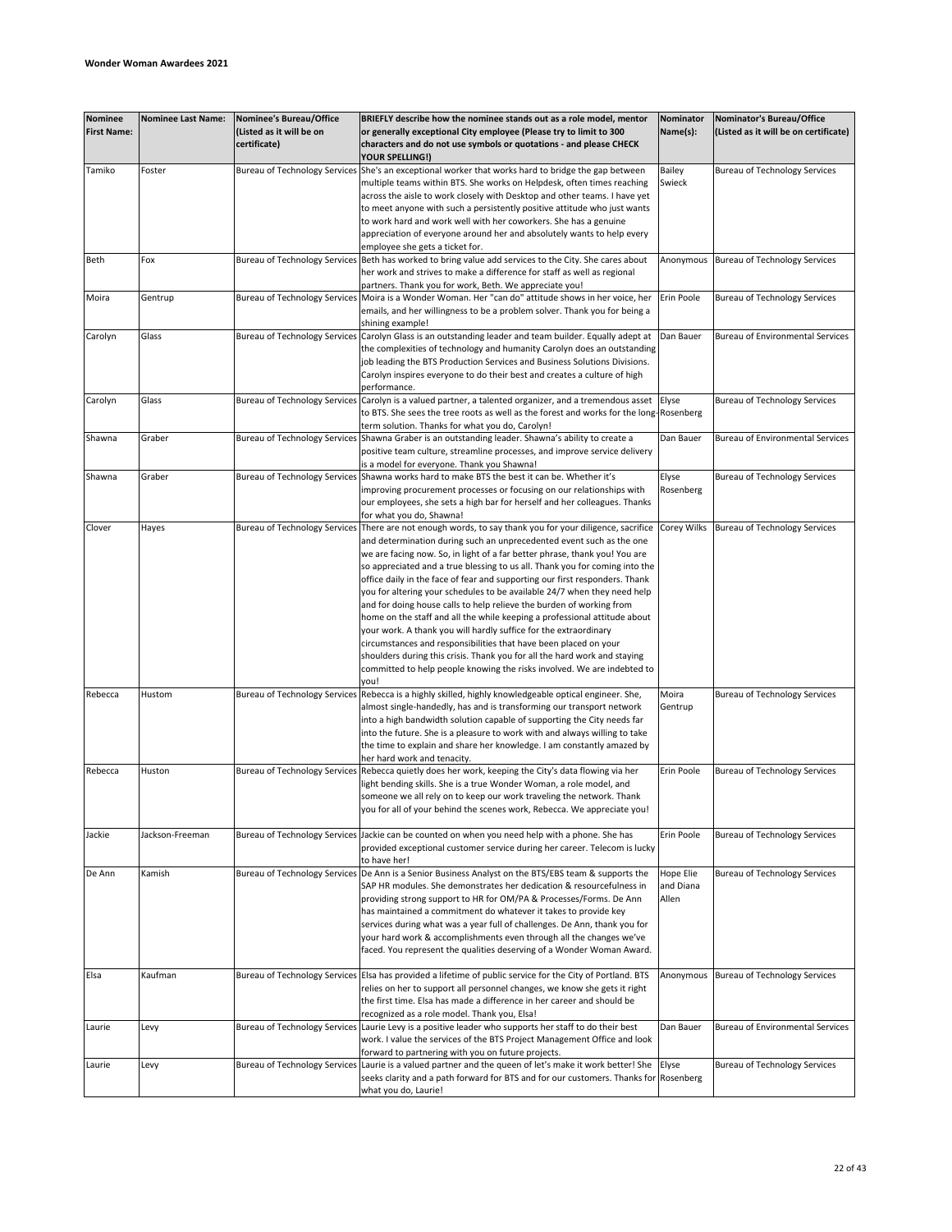| <b>Nominee</b><br><b>First Name:</b> | <b>Nominee Last Name:</b> | Nominee's Bureau/Office<br>(Listed as it will be on<br>certificate) | BRIEFLY describe how the nominee stands out as a role model, mentor<br>or generally exceptional City employee (Please try to limit to 300<br>characters and do not use symbols or quotations - and please CHECK | Nominator<br>Name(s): | Nominator's Bureau/Office<br>(Listed as it will be on certificate) |
|--------------------------------------|---------------------------|---------------------------------------------------------------------|-----------------------------------------------------------------------------------------------------------------------------------------------------------------------------------------------------------------|-----------------------|--------------------------------------------------------------------|
|                                      |                           |                                                                     | YOUR SPELLING!)                                                                                                                                                                                                 |                       |                                                                    |
| Tamiko                               | Foster                    | <b>Bureau of Technology Services</b>                                | She's an exceptional worker that works hard to bridge the gap between                                                                                                                                           | Bailey                | <b>Bureau of Technology Services</b>                               |
|                                      |                           |                                                                     | multiple teams within BTS. She works on Helpdesk, often times reaching                                                                                                                                          | Swieck                |                                                                    |
|                                      |                           |                                                                     | across the aisle to work closely with Desktop and other teams. I have yet<br>to meet anyone with such a persistently positive attitude who just wants                                                           |                       |                                                                    |
|                                      |                           |                                                                     | to work hard and work well with her coworkers. She has a genuine                                                                                                                                                |                       |                                                                    |
|                                      |                           |                                                                     | appreciation of everyone around her and absolutely wants to help every                                                                                                                                          |                       |                                                                    |
|                                      |                           |                                                                     | employee she gets a ticket for.                                                                                                                                                                                 |                       |                                                                    |
| Beth                                 | Fox                       | <b>Bureau of Technology Services</b>                                | Beth has worked to bring value add services to the City. She cares about<br>her work and strives to make a difference for staff as well as regional                                                             | Anonymous             | <b>Bureau of Technology Services</b>                               |
| Moira                                | Gentrup                   | <b>Bureau of Technology Services</b>                                | partners. Thank you for work, Beth. We appreciate you!<br>Moira is a Wonder Woman. Her "can do" attitude shows in her voice, her                                                                                | Erin Poole            | <b>Bureau of Technology Services</b>                               |
|                                      |                           |                                                                     | emails, and her willingness to be a problem solver. Thank you for being a                                                                                                                                       |                       |                                                                    |
|                                      |                           |                                                                     | shining example!                                                                                                                                                                                                |                       |                                                                    |
| Carolyn                              | Glass                     | <b>Bureau of Technology Services</b>                                | Carolyn Glass is an outstanding leader and team builder. Equally adept at                                                                                                                                       | Dan Bauer             | <b>Bureau of Environmental Services</b>                            |
|                                      |                           |                                                                     | the complexities of technology and humanity Carolyn does an outstanding<br>job leading the BTS Production Services and Business Solutions Divisions.                                                            |                       |                                                                    |
|                                      |                           |                                                                     | Carolyn inspires everyone to do their best and creates a culture of high                                                                                                                                        |                       |                                                                    |
|                                      |                           |                                                                     | performance.                                                                                                                                                                                                    |                       |                                                                    |
| Carolyn                              | Glass                     | <b>Bureau of Technology Services</b>                                | Carolyn is a valued partner, a talented organizer, and a tremendous asset                                                                                                                                       | Elyse                 | <b>Bureau of Technology Services</b>                               |
|                                      |                           |                                                                     | to BTS. She sees the tree roots as well as the forest and works for the long-Rosenberg                                                                                                                          |                       |                                                                    |
| Shawna                               | Graber                    | <b>Bureau of Technology Services</b>                                | term solution. Thanks for what you do, Carolyn!<br>Shawna Graber is an outstanding leader. Shawna's ability to create a                                                                                         | Dan Bauer             | <b>Bureau of Environmental Services</b>                            |
|                                      |                           |                                                                     | positive team culture, streamline processes, and improve service delivery                                                                                                                                       |                       |                                                                    |
|                                      |                           |                                                                     | is a model for everyone. Thank you Shawna!                                                                                                                                                                      |                       |                                                                    |
| Shawna                               | Graber                    | <b>Bureau of Technology Services</b>                                | Shawna works hard to make BTS the best it can be. Whether it's                                                                                                                                                  | Elyse                 | <b>Bureau of Technology Services</b>                               |
|                                      |                           |                                                                     | improving procurement processes or focusing on our relationships with                                                                                                                                           | Rosenberg             |                                                                    |
|                                      |                           |                                                                     | our employees, she sets a high bar for herself and her colleagues. Thanks                                                                                                                                       |                       |                                                                    |
| Clover                               | Hayes                     | <b>Bureau of Technology Services</b>                                | for what you do, Shawna!<br>There are not enough words, to say thank you for your diligence, sacrifice                                                                                                          | Corey Wilks           | <b>Bureau of Technology Services</b>                               |
|                                      |                           |                                                                     | and determination during such an unprecedented event such as the one                                                                                                                                            |                       |                                                                    |
|                                      |                           |                                                                     | we are facing now. So, in light of a far better phrase, thank you! You are                                                                                                                                      |                       |                                                                    |
|                                      |                           |                                                                     | so appreciated and a true blessing to us all. Thank you for coming into the                                                                                                                                     |                       |                                                                    |
|                                      |                           |                                                                     | office daily in the face of fear and supporting our first responders. Thank                                                                                                                                     |                       |                                                                    |
|                                      |                           |                                                                     | you for altering your schedules to be available 24/7 when they need help<br>and for doing house calls to help relieve the burden of working from                                                                |                       |                                                                    |
|                                      |                           |                                                                     | home on the staff and all the while keeping a professional attitude about                                                                                                                                       |                       |                                                                    |
|                                      |                           |                                                                     | your work. A thank you will hardly suffice for the extraordinary                                                                                                                                                |                       |                                                                    |
|                                      |                           |                                                                     | circumstances and responsibilities that have been placed on your                                                                                                                                                |                       |                                                                    |
|                                      |                           |                                                                     | shoulders during this crisis. Thank you for all the hard work and staying                                                                                                                                       |                       |                                                                    |
|                                      |                           |                                                                     | committed to help people knowing the risks involved. We are indebted to<br>vou!                                                                                                                                 |                       |                                                                    |
| Rebecca                              | Hustom                    | <b>Bureau of Technology Services</b>                                | Rebecca is a highly skilled, highly knowledgeable optical engineer. She,                                                                                                                                        | Moira                 | <b>Bureau of Technology Services</b>                               |
|                                      |                           |                                                                     | almost single-handedly, has and is transforming our transport network                                                                                                                                           | Gentrup               |                                                                    |
|                                      |                           |                                                                     | into a high bandwidth solution capable of supporting the City needs far                                                                                                                                         |                       |                                                                    |
|                                      |                           |                                                                     | into the future. She is a pleasure to work with and always willing to take                                                                                                                                      |                       |                                                                    |
|                                      |                           |                                                                     | the time to explain and share her knowledge. I am constantly amazed by<br>her hard work and tenacity.                                                                                                           |                       |                                                                    |
| Rebecca                              | Huston                    | <b>Bureau of Technology Services</b>                                | Rebecca quietly does her work, keeping the City's data flowing via her                                                                                                                                          | Erin Poole            | <b>Bureau of Technology Services</b>                               |
|                                      |                           |                                                                     | light bending skills. She is a true Wonder Woman, a role model, and                                                                                                                                             |                       |                                                                    |
|                                      |                           |                                                                     | someone we all rely on to keep our work traveling the network. Thank                                                                                                                                            |                       |                                                                    |
|                                      |                           |                                                                     | you for all of your behind the scenes work, Rebecca. We appreciate you!                                                                                                                                         |                       |                                                                    |
| Jackie                               | Jackson-Freeman           |                                                                     | Bureau of Technology Services Jackie can be counted on when you need help with a phone. She has                                                                                                                 | Erin Poole            | <b>Bureau of Technology Services</b>                               |
|                                      |                           |                                                                     | provided exceptional customer service during her career. Telecom is lucky                                                                                                                                       |                       |                                                                    |
|                                      |                           |                                                                     | to have her!                                                                                                                                                                                                    |                       |                                                                    |
| De Ann                               | Kamish                    | <b>Bureau of Technology Services</b>                                | De Ann is a Senior Business Analyst on the BTS/EBS team & supports the                                                                                                                                          | Hope Elie             | <b>Bureau of Technology Services</b>                               |
|                                      |                           |                                                                     | SAP HR modules. She demonstrates her dedication & resourcefulness in                                                                                                                                            | and Diana             |                                                                    |
|                                      |                           |                                                                     | providing strong support to HR for OM/PA & Processes/Forms. De Ann<br>has maintained a commitment do whatever it takes to provide key                                                                           | Allen                 |                                                                    |
|                                      |                           |                                                                     | services during what was a year full of challenges. De Ann, thank you for                                                                                                                                       |                       |                                                                    |
|                                      |                           |                                                                     | your hard work & accomplishments even through all the changes we've                                                                                                                                             |                       |                                                                    |
|                                      |                           |                                                                     | faced. You represent the qualities deserving of a Wonder Woman Award.                                                                                                                                           |                       |                                                                    |
|                                      | Kaufman                   |                                                                     |                                                                                                                                                                                                                 | Anonymous             |                                                                    |
| Elsa                                 |                           | <b>Bureau of Technology Services</b>                                | Elsa has provided a lifetime of public service for the City of Portland. BTS<br>relies on her to support all personnel changes, we know she gets it right                                                       |                       | <b>Bureau of Technology Services</b>                               |
|                                      |                           |                                                                     | the first time. Elsa has made a difference in her career and should be                                                                                                                                          |                       |                                                                    |
|                                      |                           |                                                                     | recognized as a role model. Thank you, Elsa!                                                                                                                                                                    |                       |                                                                    |
| Laurie                               | Levy                      | <b>Bureau of Technology Services</b>                                | Laurie Levy is a positive leader who supports her staff to do their best                                                                                                                                        | Dan Bauer             | <b>Bureau of Environmental Services</b>                            |
|                                      |                           |                                                                     | work. I value the services of the BTS Project Management Office and look                                                                                                                                        |                       |                                                                    |
| Laurie                               | Levy                      | <b>Bureau of Technology Services</b>                                | forward to partnering with you on future projects.<br>Laurie is a valued partner and the queen of let's make it work better! She                                                                                | Elyse                 | <b>Bureau of Technology Services</b>                               |
|                                      |                           |                                                                     | seeks clarity and a path forward for BTS and for our customers. Thanks for Rosenberg                                                                                                                            |                       |                                                                    |
|                                      |                           |                                                                     | what you do, Laurie!                                                                                                                                                                                            |                       |                                                                    |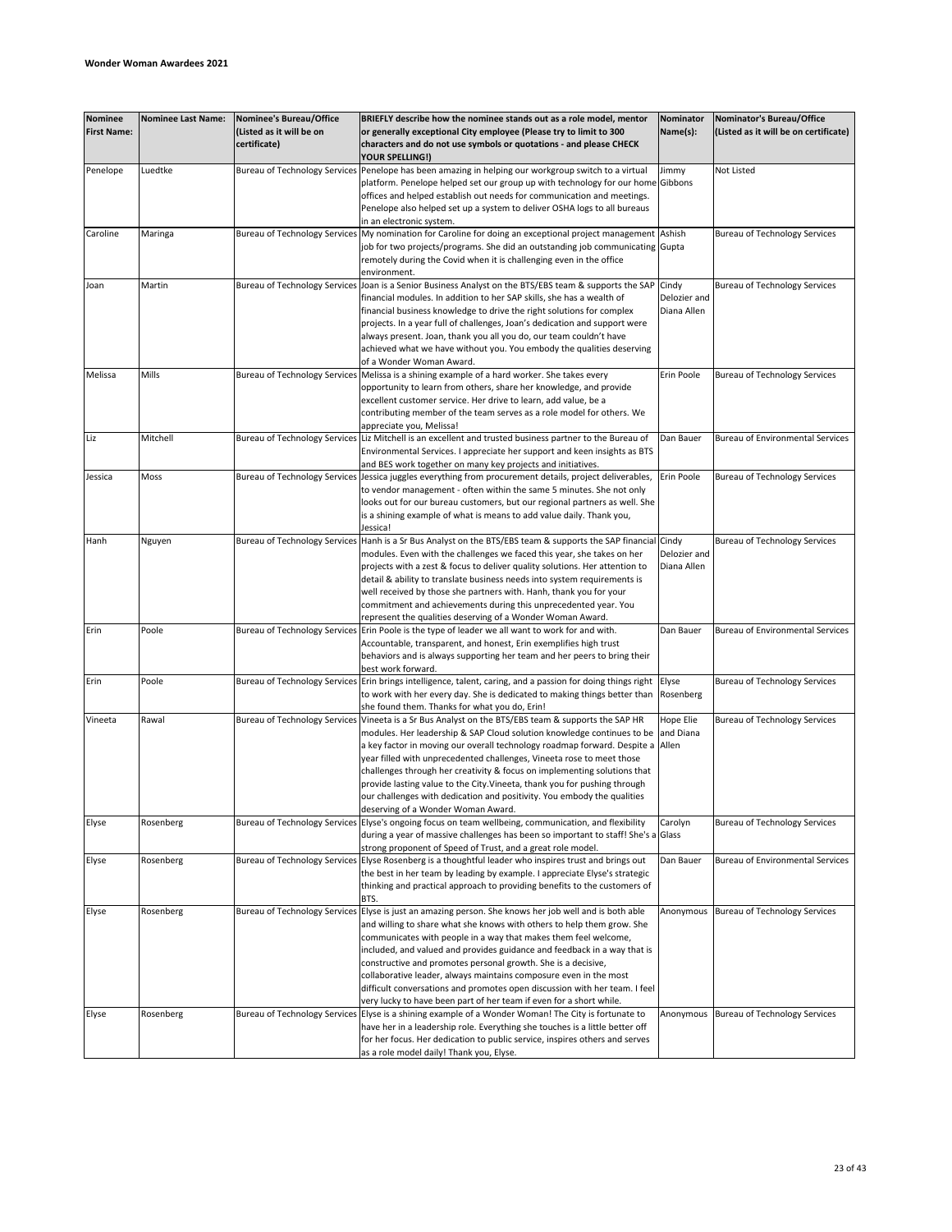| <b>Nominee</b>     | <b>Nominee Last Name:</b> | Nominee's Bureau/Office              | BRIEFLY describe how the nominee stands out as a role model, mentor                                                                                     | Nominator    | Nominator's Bureau/Office               |
|--------------------|---------------------------|--------------------------------------|---------------------------------------------------------------------------------------------------------------------------------------------------------|--------------|-----------------------------------------|
| <b>First Name:</b> |                           | (Listed as it will be on             | or generally exceptional City employee (Please try to limit to 300                                                                                      | Name(s):     | (Listed as it will be on certificate)   |
|                    |                           | certificate)                         | characters and do not use symbols or quotations - and please CHECK                                                                                      |              |                                         |
|                    |                           |                                      | YOUR SPELLING!)                                                                                                                                         |              |                                         |
| Penelope           | Luedtke                   | <b>Bureau of Technology Services</b> | Penelope has been amazing in helping our workgroup switch to a virtual                                                                                  | Jimmy        | Not Listed                              |
|                    |                           |                                      | platform. Penelope helped set our group up with technology for our home Gibbons                                                                         |              |                                         |
|                    |                           |                                      | offices and helped establish out needs for communication and meetings.<br>Penelope also helped set up a system to deliver OSHA logs to all bureaus      |              |                                         |
|                    |                           |                                      | in an electronic system.                                                                                                                                |              |                                         |
| Caroline           | Maringa                   | <b>Bureau of Technology Services</b> | My nomination for Caroline for doing an exceptional project management                                                                                  | Ashish       | <b>Bureau of Technology Services</b>    |
|                    |                           |                                      | job for two projects/programs. She did an outstanding job communicating  Gupta                                                                          |              |                                         |
|                    |                           |                                      | remotely during the Covid when it is challenging even in the office                                                                                     |              |                                         |
|                    |                           |                                      | environment.                                                                                                                                            |              |                                         |
| Joan               | Martin                    | <b>Bureau of Technology Services</b> | Joan is a Senior Business Analyst on the BTS/EBS team & supports the SAP                                                                                | Cindy        | <b>Bureau of Technology Services</b>    |
|                    |                           |                                      | financial modules. In addition to her SAP skills, she has a wealth of                                                                                   | Delozier and |                                         |
|                    |                           |                                      | financial business knowledge to drive the right solutions for complex<br>projects. In a year full of challenges, Joan's dedication and support were     | Diana Allen  |                                         |
|                    |                           |                                      | always present. Joan, thank you all you do, our team couldn't have                                                                                      |              |                                         |
|                    |                           |                                      | achieved what we have without you. You embody the qualities deserving                                                                                   |              |                                         |
|                    |                           |                                      | of a Wonder Woman Award.                                                                                                                                |              |                                         |
| Melissa            | Mills                     | <b>Bureau of Technology Services</b> | Melissa is a shining example of a hard worker. She takes every                                                                                          | Erin Poole   | <b>Bureau of Technology Services</b>    |
|                    |                           |                                      | opportunity to learn from others, share her knowledge, and provide                                                                                      |              |                                         |
|                    |                           |                                      | excellent customer service. Her drive to learn, add value, be a                                                                                         |              |                                         |
|                    |                           |                                      | contributing member of the team serves as a role model for others. We                                                                                   |              |                                         |
| Liz                | Mitchell                  |                                      | appreciate you, Melissa!                                                                                                                                | Dan Bauer    | <b>Bureau of Environmental Services</b> |
|                    |                           | <b>Bureau of Technology Services</b> | Liz Mitchell is an excellent and trusted business partner to the Bureau of<br>Environmental Services. I appreciate her support and keen insights as BTS |              |                                         |
|                    |                           |                                      | and BES work together on many key projects and initiatives.                                                                                             |              |                                         |
| Jessica            | Moss                      | <b>Bureau of Technology Services</b> | Jessica juggles everything from procurement details, project deliverables,                                                                              | Erin Poole   | <b>Bureau of Technology Services</b>    |
|                    |                           |                                      | to vendor management - often within the same 5 minutes. She not only                                                                                    |              |                                         |
|                    |                           |                                      | looks out for our bureau customers, but our regional partners as well. She                                                                              |              |                                         |
|                    |                           |                                      | is a shining example of what is means to add value daily. Thank you,                                                                                    |              |                                         |
|                    |                           |                                      | Jessica!                                                                                                                                                |              |                                         |
| Hanh               | Nguyen                    | <b>Bureau of Technology Services</b> | Hanh is a Sr Bus Analyst on the BTS/EBS team & supports the SAP financial Cindy                                                                         |              | <b>Bureau of Technology Services</b>    |
|                    |                           |                                      | modules. Even with the challenges we faced this year, she takes on her                                                                                  | Delozier and |                                         |
|                    |                           |                                      | projects with a zest & focus to deliver quality solutions. Her attention to<br>detail & ability to translate business needs into system requirements is | Diana Allen  |                                         |
|                    |                           |                                      | well received by those she partners with. Hanh, thank you for your                                                                                      |              |                                         |
|                    |                           |                                      | commitment and achievements during this unprecedented year. You                                                                                         |              |                                         |
|                    |                           |                                      | represent the qualities deserving of a Wonder Woman Award.                                                                                              |              |                                         |
| Erin               | Poole                     | <b>Bureau of Technology Services</b> | Erin Poole is the type of leader we all want to work for and with.                                                                                      | Dan Bauer    | Bureau of Environmental Services        |
|                    |                           |                                      | Accountable, transparent, and honest, Erin exemplifies high trust                                                                                       |              |                                         |
|                    |                           |                                      | behaviors and is always supporting her team and her peers to bring their<br>best work forward.                                                          |              |                                         |
| Erin               | Poole                     | <b>Bureau of Technology Services</b> | Erin brings intelligence, talent, caring, and a passion for doing things right                                                                          | Elyse        | <b>Bureau of Technology Services</b>    |
|                    |                           |                                      | to work with her every day. She is dedicated to making things better than                                                                               | Rosenberg    |                                         |
|                    |                           |                                      | she found them. Thanks for what you do, Erin!                                                                                                           |              |                                         |
| Vineeta            | Rawal                     | <b>Bureau of Technology Services</b> | Vineeta is a Sr Bus Analyst on the BTS/EBS team & supports the SAP HR                                                                                   | Hope Elie    | <b>Bureau of Technology Services</b>    |
|                    |                           |                                      | modules. Her leadership & SAP Cloud solution knowledge continues to be                                                                                  | and Diana    |                                         |
|                    |                           |                                      | a key factor in moving our overall technology roadmap forward. Despite a Allen                                                                          |              |                                         |
|                    |                           |                                      | year filled with unprecedented challenges, Vineeta rose to meet those                                                                                   |              |                                         |
|                    |                           |                                      | challenges through her creativity & focus on implementing solutions that                                                                                |              |                                         |
|                    |                           |                                      | provide lasting value to the City. Vineeta, thank you for pushing through<br>our challenges with dedication and positivity. You embody the qualities    |              |                                         |
|                    |                           |                                      | deserving of a Wonder Woman Award.                                                                                                                      |              |                                         |
| Elyse              | Rosenberg                 | <b>Bureau of Technology Services</b> | Elyse's ongoing focus on team wellbeing, communication, and flexibility                                                                                 | Carolyn      | <b>Bureau of Technology Services</b>    |
|                    |                           |                                      | during a year of massive challenges has been so important to staff! She's a Glass                                                                       |              |                                         |
|                    |                           |                                      | strong proponent of Speed of Trust, and a great role model.                                                                                             |              |                                         |
| Elyse              | Rosenberg                 | <b>Bureau of Technology Services</b> | Elyse Rosenberg is a thoughtful leader who inspires trust and brings out                                                                                | Dan Bauer    | <b>Bureau of Environmental Services</b> |
|                    |                           |                                      | the best in her team by leading by example. I appreciate Elyse's strategic                                                                              |              |                                         |
|                    |                           |                                      | thinking and practical approach to providing benefits to the customers of                                                                               |              |                                         |
| Elyse              | Rosenberg                 | <b>Bureau of Technology Services</b> | BTS.<br>Elyse is just an amazing person. She knows her job well and is both able                                                                        | Anonymous    | <b>Bureau of Technology Services</b>    |
|                    |                           |                                      | and willing to share what she knows with others to help them grow. She                                                                                  |              |                                         |
|                    |                           |                                      | communicates with people in a way that makes them feel welcome,                                                                                         |              |                                         |
|                    |                           |                                      | included, and valued and provides guidance and feedback in a way that is                                                                                |              |                                         |
|                    |                           |                                      | constructive and promotes personal growth. She is a decisive,                                                                                           |              |                                         |
|                    |                           |                                      | collaborative leader, always maintains composure even in the most                                                                                       |              |                                         |
|                    |                           |                                      | difficult conversations and promotes open discussion with her team. I feel                                                                              |              |                                         |
|                    |                           |                                      | very lucky to have been part of her team if even for a short while.                                                                                     |              |                                         |
| Elyse              | Rosenberg                 | <b>Bureau of Technology Services</b> | Elyse is a shining example of a Wonder Woman! The City is fortunate to<br>have her in a leadership role. Everything she touches is a little better off  | Anonymous    | <b>Bureau of Technology Services</b>    |
|                    |                           |                                      | for her focus. Her dedication to public service, inspires others and serves                                                                             |              |                                         |
|                    |                           |                                      | as a role model daily! Thank you, Elyse.                                                                                                                |              |                                         |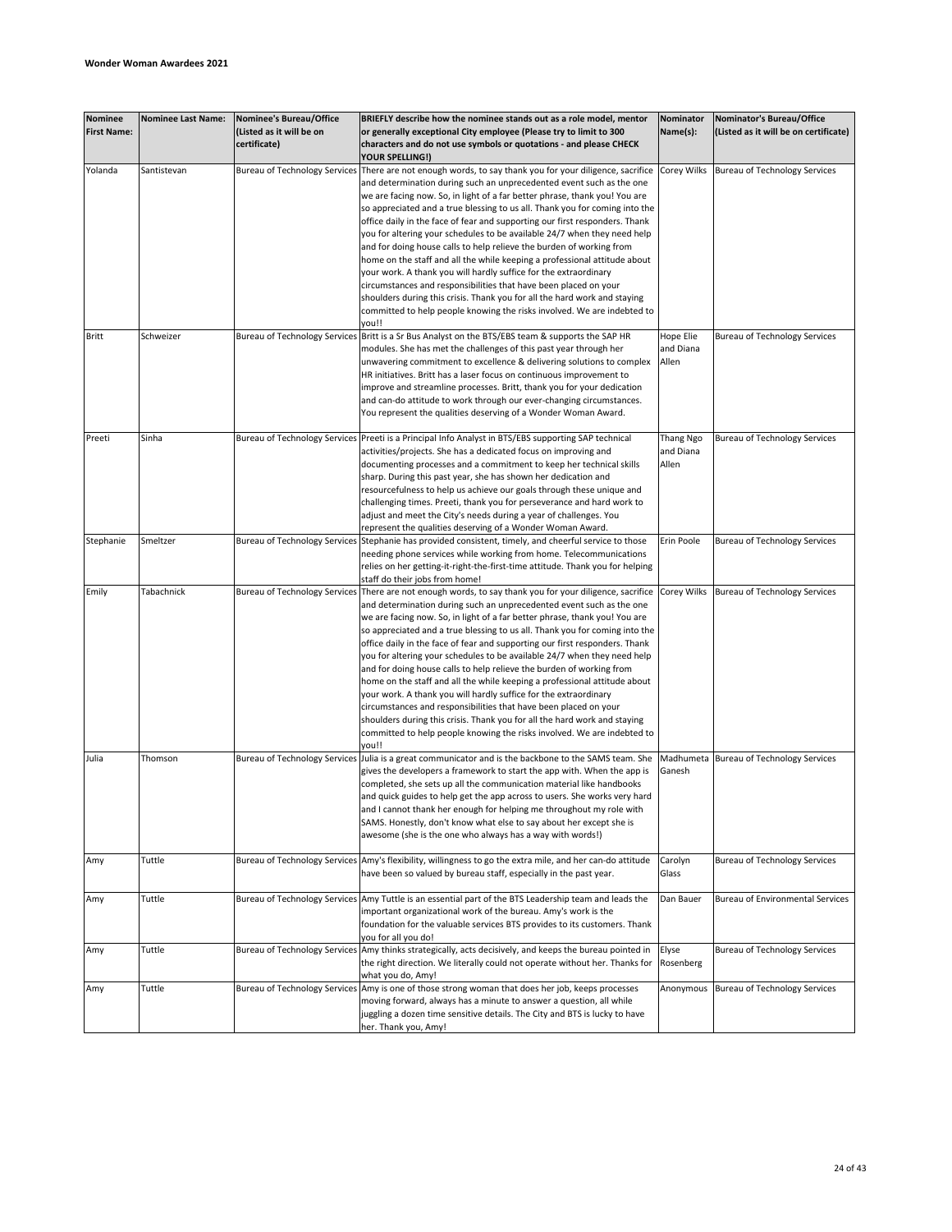| <b>Nominee</b><br><b>First Name:</b> | <b>Nominee Last Name:</b> | Nominee's Bureau/Office<br>(Listed as it will be on | BRIEFLY describe how the nominee stands out as a role model, mentor<br>or generally exceptional City employee (Please try to limit to 300          | <b>Nominator</b><br>Name(s): | Nominator's Bureau/Office<br>(Listed as it will be on certificate) |
|--------------------------------------|---------------------------|-----------------------------------------------------|----------------------------------------------------------------------------------------------------------------------------------------------------|------------------------------|--------------------------------------------------------------------|
|                                      |                           | certificate)                                        | characters and do not use symbols or quotations - and please CHECK<br>YOUR SPELLING!)                                                              |                              |                                                                    |
| Yolanda                              | Santistevan               | <b>Bureau of Technology Services</b>                | There are not enough words, to say thank you for your diligence, sacrifice                                                                         | Corey Wilks                  | <b>Bureau of Technology Services</b>                               |
|                                      |                           |                                                     | and determination during such an unprecedented event such as the one<br>we are facing now. So, in light of a far better phrase, thank you! You are |                              |                                                                    |
|                                      |                           |                                                     | so appreciated and a true blessing to us all. Thank you for coming into the                                                                        |                              |                                                                    |
|                                      |                           |                                                     | office daily in the face of fear and supporting our first responders. Thank                                                                        |                              |                                                                    |
|                                      |                           |                                                     | you for altering your schedules to be available 24/7 when they need help                                                                           |                              |                                                                    |
|                                      |                           |                                                     | and for doing house calls to help relieve the burden of working from                                                                               |                              |                                                                    |
|                                      |                           |                                                     | home on the staff and all the while keeping a professional attitude about                                                                          |                              |                                                                    |
|                                      |                           |                                                     | your work. A thank you will hardly suffice for the extraordinary                                                                                   |                              |                                                                    |
|                                      |                           |                                                     | circumstances and responsibilities that have been placed on your<br>shoulders during this crisis. Thank you for all the hard work and staying      |                              |                                                                    |
|                                      |                           |                                                     | committed to help people knowing the risks involved. We are indebted to                                                                            |                              |                                                                    |
|                                      |                           |                                                     | vou!!                                                                                                                                              |                              |                                                                    |
| Britt                                | Schweizer                 | <b>Bureau of Technology Services</b>                | Britt is a Sr Bus Analyst on the BTS/EBS team & supports the SAP HR                                                                                | Hope Elie                    | <b>Bureau of Technology Services</b>                               |
|                                      |                           |                                                     | modules. She has met the challenges of this past year through her                                                                                  | and Diana                    |                                                                    |
|                                      |                           |                                                     | unwavering commitment to excellence & delivering solutions to complex<br>HR initiatives. Britt has a laser focus on continuous improvement to      | Allen                        |                                                                    |
|                                      |                           |                                                     | improve and streamline processes. Britt, thank you for your dedication                                                                             |                              |                                                                    |
|                                      |                           |                                                     | and can-do attitude to work through our ever-changing circumstances.                                                                               |                              |                                                                    |
|                                      |                           |                                                     | You represent the qualities deserving of a Wonder Woman Award.                                                                                     |                              |                                                                    |
|                                      |                           |                                                     |                                                                                                                                                    |                              |                                                                    |
| Preeti                               | Sinha                     | <b>Bureau of Technology Services</b>                | Preeti is a Principal Info Analyst in BTS/EBS supporting SAP technical<br>activities/projects. She has a dedicated focus on improving and          | Thang Ngo<br>and Diana       | <b>Bureau of Technology Services</b>                               |
|                                      |                           |                                                     | documenting processes and a commitment to keep her technical skills                                                                                | Allen                        |                                                                    |
|                                      |                           |                                                     | sharp. During this past year, she has shown her dedication and                                                                                     |                              |                                                                    |
|                                      |                           |                                                     | resourcefulness to help us achieve our goals through these unique and                                                                              |                              |                                                                    |
|                                      |                           |                                                     | challenging times. Preeti, thank you for perseverance and hard work to                                                                             |                              |                                                                    |
|                                      |                           |                                                     | adjust and meet the City's needs during a year of challenges. You                                                                                  |                              |                                                                    |
| Stephanie                            | Smeltzer                  | <b>Bureau of Technology Services</b>                | represent the qualities deserving of a Wonder Woman Award.<br>Stephanie has provided consistent, timely, and cheerful service to those             | Erin Poole                   | <b>Bureau of Technology Services</b>                               |
|                                      |                           |                                                     | needing phone services while working from home. Telecommunications                                                                                 |                              |                                                                    |
|                                      |                           |                                                     | relies on her getting-it-right-the-first-time attitude. Thank you for helping                                                                      |                              |                                                                    |
|                                      |                           |                                                     | staff do their jobs from home!                                                                                                                     |                              |                                                                    |
| Emily                                | Tabachnick                | <b>Bureau of Technology Services</b>                | There are not enough words, to say thank you for your diligence, sacrifice                                                                         | Corey Wilks                  | <b>Bureau of Technology Services</b>                               |
|                                      |                           |                                                     | and determination during such an unprecedented event such as the one<br>we are facing now. So, in light of a far better phrase, thank you! You are |                              |                                                                    |
|                                      |                           |                                                     | so appreciated and a true blessing to us all. Thank you for coming into the                                                                        |                              |                                                                    |
|                                      |                           |                                                     | office daily in the face of fear and supporting our first responders. Thank                                                                        |                              |                                                                    |
|                                      |                           |                                                     | you for altering your schedules to be available 24/7 when they need help                                                                           |                              |                                                                    |
|                                      |                           |                                                     | and for doing house calls to help relieve the burden of working from                                                                               |                              |                                                                    |
|                                      |                           |                                                     | home on the staff and all the while keeping a professional attitude about                                                                          |                              |                                                                    |
|                                      |                           |                                                     | your work. A thank you will hardly suffice for the extraordinary<br>circumstances and responsibilities that have been placed on your               |                              |                                                                    |
|                                      |                           |                                                     | shoulders during this crisis. Thank you for all the hard work and staying                                                                          |                              |                                                                    |
|                                      |                           |                                                     | committed to help people knowing the risks involved. We are indebted to                                                                            |                              |                                                                    |
|                                      |                           |                                                     | you!!                                                                                                                                              |                              |                                                                    |
| Julia                                | Thomson                   | <b>Bureau of Technology Services</b>                | Julia is a great communicator and is the backbone to the SAMS team. She                                                                            |                              | Madhumeta Bureau of Technology Services                            |
|                                      |                           |                                                     | gives the developers a framework to start the app with. When the app is<br>completed, she sets up all the communication material like handbooks    | Ganesh                       |                                                                    |
|                                      |                           |                                                     | and quick guides to help get the app across to users. She works very hard                                                                          |                              |                                                                    |
|                                      |                           |                                                     | and I cannot thank her enough for helping me throughout my role with                                                                               |                              |                                                                    |
|                                      |                           |                                                     | SAMS. Honestly, don't know what else to say about her except she is                                                                                |                              |                                                                    |
|                                      |                           |                                                     | awesome (she is the one who always has a way with words!)                                                                                          |                              |                                                                    |
| Amy                                  | Tuttle                    | <b>Bureau of Technology Services</b>                | Amy's flexibility, willingness to go the extra mile, and her can-do attitude                                                                       | Carolyn                      | Bureau of Technology Services                                      |
|                                      |                           |                                                     | have been so valued by bureau staff, especially in the past year.                                                                                  | Glass                        |                                                                    |
|                                      |                           |                                                     |                                                                                                                                                    |                              |                                                                    |
| Amy                                  | Tuttle                    | <b>Bureau of Technology Services</b>                | Amy Tuttle is an essential part of the BTS Leadership team and leads the                                                                           | Dan Bauer                    | <b>Bureau of Environmental Services</b>                            |
|                                      |                           |                                                     | important organizational work of the bureau. Amy's work is the                                                                                     |                              |                                                                    |
|                                      |                           |                                                     | foundation for the valuable services BTS provides to its customers. Thank<br>you for all you do!                                                   |                              |                                                                    |
| Amy                                  | Tuttle                    | <b>Bureau of Technology Services</b>                | Amy thinks strategically, acts decisively, and keeps the bureau pointed in                                                                         | Elyse                        | Bureau of Technology Services                                      |
|                                      |                           |                                                     | the right direction. We literally could not operate without her. Thanks for                                                                        | Rosenberg                    |                                                                    |
|                                      |                           |                                                     | what you do, Amy!                                                                                                                                  |                              |                                                                    |
| Amy                                  | Tuttle                    | <b>Bureau of Technology Services</b>                | Amy is one of those strong woman that does her job, keeps processes                                                                                | Anonymous                    | <b>Bureau of Technology Services</b>                               |
|                                      |                           |                                                     | moving forward, always has a minute to answer a question, all while<br>juggling a dozen time sensitive details. The City and BTS is lucky to have  |                              |                                                                    |
|                                      |                           |                                                     | her. Thank you, Amy!                                                                                                                               |                              |                                                                    |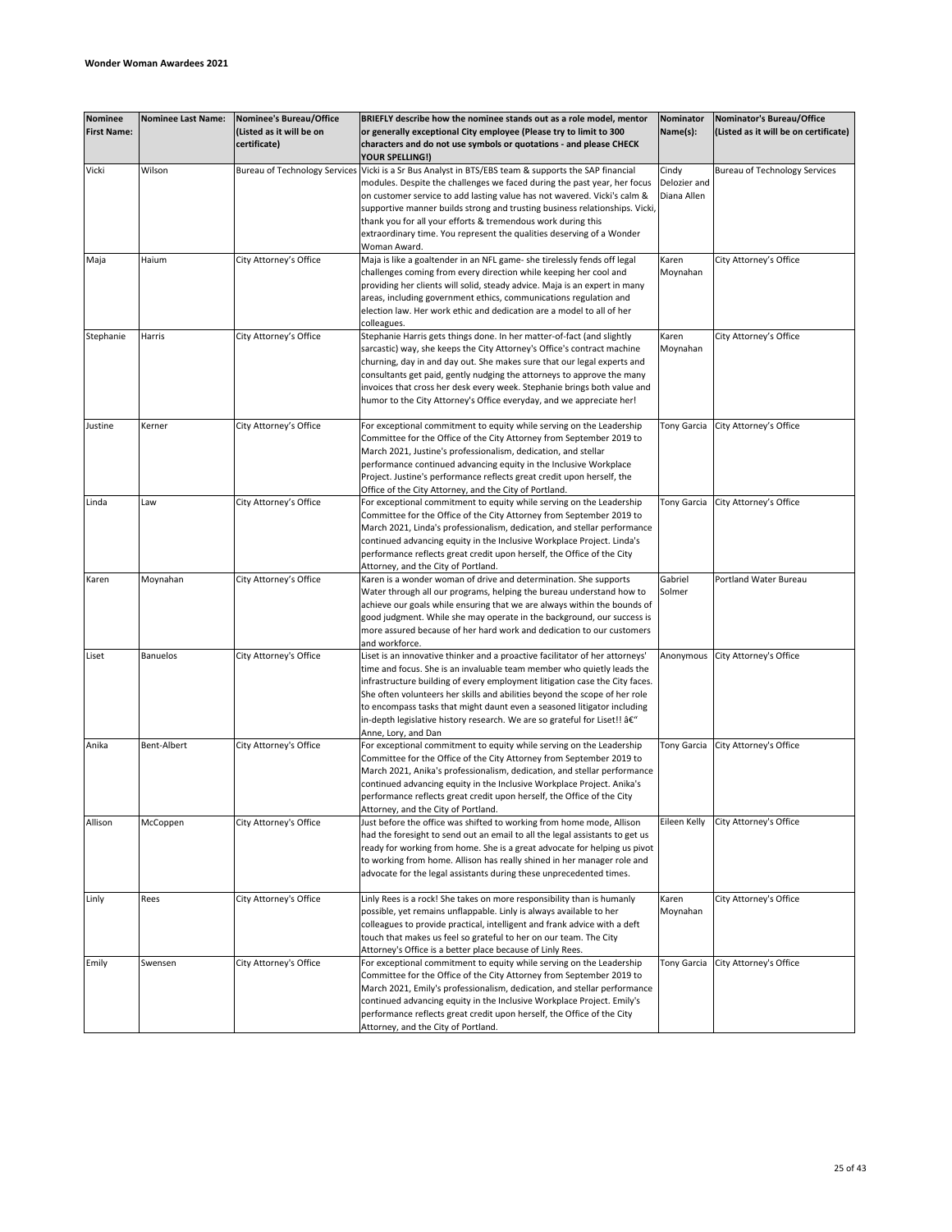| Nominee<br><b>First Name:</b> | <b>Nominee Last Name:</b> | <b>Nominee's Bureau/Office</b><br>(Listed as it will be on<br>certificate) | BRIEFLY describe how the nominee stands out as a role model, mentor<br>or generally exceptional City employee (Please try to limit to 300<br>characters and do not use symbols or quotations - and please CHECK                                                                                                                                                                                                                                                                                    | Nominator<br>Name(s):                | Nominator's Bureau/Office<br>(Listed as it will be on certificate) |
|-------------------------------|---------------------------|----------------------------------------------------------------------------|----------------------------------------------------------------------------------------------------------------------------------------------------------------------------------------------------------------------------------------------------------------------------------------------------------------------------------------------------------------------------------------------------------------------------------------------------------------------------------------------------|--------------------------------------|--------------------------------------------------------------------|
|                               |                           |                                                                            | YOUR SPELLING!)                                                                                                                                                                                                                                                                                                                                                                                                                                                                                    |                                      |                                                                    |
| Vicki                         | Wilson                    | <b>Bureau of Technology Services</b>                                       | Vicki is a Sr Bus Analyst in BTS/EBS team & supports the SAP financial<br>modules. Despite the challenges we faced during the past year, her focus<br>on customer service to add lasting value has not wavered. Vicki's calm &<br>supportive manner builds strong and trusting business relationships. Vicki,<br>thank you for all your efforts & tremendous work during this<br>extraordinary time. You represent the qualities deserving of a Wonder                                             | Cindy<br>Delozier and<br>Diana Allen | <b>Bureau of Technology Services</b>                               |
| Maja                          | Haium                     | City Attorney's Office                                                     | Woman Award.<br>Maja is like a goaltender in an NFL game- she tirelessly fends off legal<br>challenges coming from every direction while keeping her cool and<br>providing her clients will solid, steady advice. Maja is an expert in many<br>areas, including government ethics, communications regulation and<br>election law. Her work ethic and dedication are a model to all of her<br>colleagues.                                                                                           | Karen<br>Moynahan                    | City Attorney's Office                                             |
| Stephanie                     | Harris                    | City Attorney's Office                                                     | Stephanie Harris gets things done. In her matter-of-fact (and slightly<br>sarcastic) way, she keeps the City Attorney's Office's contract machine<br>churning, day in and day out. She makes sure that our legal experts and<br>consultants get paid, gently nudging the attorneys to approve the many<br>invoices that cross her desk every week. Stephanie brings both value and<br>humor to the City Attorney's Office everyday, and we appreciate her!                                         | Karen<br>Moynahan                    | City Attorney's Office                                             |
| Justine                       | Kerner                    | City Attorney's Office                                                     | For exceptional commitment to equity while serving on the Leadership<br>Committee for the Office of the City Attorney from September 2019 to<br>March 2021, Justine's professionalism, dedication, and stellar<br>performance continued advancing equity in the Inclusive Workplace<br>Project. Justine's performance reflects great credit upon herself, the<br>Office of the City Attorney, and the City of Portland.                                                                            | Tony Garcia                          | City Attorney's Office                                             |
| Linda                         | Law                       | City Attorney's Office                                                     | For exceptional commitment to equity while serving on the Leadership<br>Committee for the Office of the City Attorney from September 2019 to<br>March 2021, Linda's professionalism, dedication, and stellar performance<br>continued advancing equity in the Inclusive Workplace Project. Linda's<br>performance reflects great credit upon herself, the Office of the City<br>Attorney, and the City of Portland.                                                                                | Tony Garcia                          | City Attorney's Office                                             |
| Karen                         | Moynahan                  | City Attorney's Office                                                     | Karen is a wonder woman of drive and determination. She supports<br>Water through all our programs, helping the bureau understand how to<br>achieve our goals while ensuring that we are always within the bounds of<br>good judgment. While she may operate in the background, our success is<br>more assured because of her hard work and dedication to our customers<br>and workforce.                                                                                                          | Gabriel<br>Solmer                    | Portland Water Bureau                                              |
| Liset                         | <b>Banuelos</b>           | City Attorney's Office                                                     | Liset is an innovative thinker and a proactive facilitator of her attorneys'<br>time and focus. She is an invaluable team member who quietly leads the<br>infrastructure building of every employment litigation case the City faces.<br>She often volunteers her skills and abilities beyond the scope of her role<br>to encompass tasks that might daunt even a seasoned litigator including<br>in-depth legislative history research. We are so grateful for Liset!! â€"<br>Anne, Lory, and Dan | Anonymous                            | City Attorney's Office                                             |
| Anika                         | Bent-Albert               | City Attorney's Office                                                     | For exceptional commitment to equity while serving on the Leadership<br>Committee for the Office of the City Attorney from September 2019 to<br>March 2021, Anika's professionalism, dedication, and stellar performance<br>continued advancing equity in the Inclusive Workplace Project. Anika's<br>performance reflects great credit upon herself, the Office of the City<br>Attorney, and the City of Portland.                                                                                | <b>Tony Garcia</b>                   | City Attorney's Office                                             |
| Allison                       | McCoppen                  | City Attorney's Office                                                     | Just before the office was shifted to working from home mode, Allison<br>had the foresight to send out an email to all the legal assistants to get us<br>ready for working from home. She is a great advocate for helping us pivot<br>to working from home. Allison has really shined in her manager role and<br>advocate for the legal assistants during these unprecedented times.                                                                                                               | Eileen Kelly                         | City Attorney's Office                                             |
| Linly                         | Rees                      | City Attorney's Office                                                     | Linly Rees is a rock! She takes on more responsibility than is humanly<br>possible, yet remains unflappable. Linly is always available to her<br>colleagues to provide practical, intelligent and frank advice with a deft<br>touch that makes us feel so grateful to her on our team. The City<br>Attorney's Office is a better place because of Linly Rees.                                                                                                                                      | Karen<br>Moynahan                    | City Attorney's Office                                             |
| Emily                         | Swensen                   | City Attorney's Office                                                     | For exceptional commitment to equity while serving on the Leadership<br>Committee for the Office of the City Attorney from September 2019 to<br>March 2021, Emily's professionalism, dedication, and stellar performance<br>continued advancing equity in the Inclusive Workplace Project. Emily's<br>performance reflects great credit upon herself, the Office of the City<br>Attorney, and the City of Portland.                                                                                | Tony Garcia                          | City Attorney's Office                                             |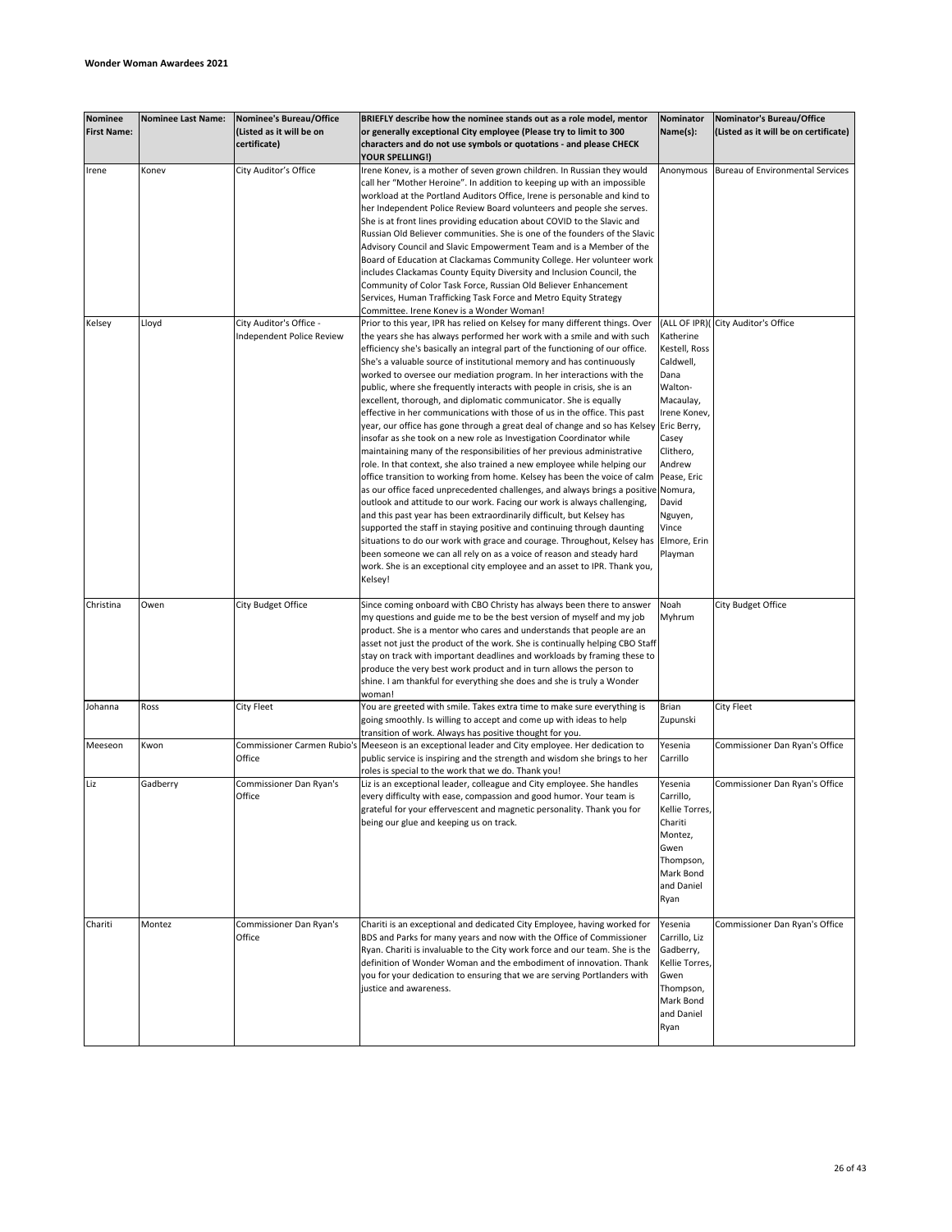| <b>Nominee</b><br><b>First Name:</b> | <b>Nominee Last Name:</b> | Nominee's Bureau/Office<br>(Listed as it will be on<br>certificate) | BRIEFLY describe how the nominee stands out as a role model, mentor<br>or generally exceptional City employee (Please try to limit to 300<br>characters and do not use symbols or quotations - and please CHECK                                                                                                                                                                                                                                                                                                                                                                                                                                                                                                                                                                                                                                                                                                                                                                                                                                                                                                                                                                                                                                                                                                                                                                                                                                                                                                                                                                                                               | Nominator<br>Name(s):                                                                                                                                                                                         | Nominator's Bureau/Office<br>(Listed as it will be on certificate) |
|--------------------------------------|---------------------------|---------------------------------------------------------------------|-------------------------------------------------------------------------------------------------------------------------------------------------------------------------------------------------------------------------------------------------------------------------------------------------------------------------------------------------------------------------------------------------------------------------------------------------------------------------------------------------------------------------------------------------------------------------------------------------------------------------------------------------------------------------------------------------------------------------------------------------------------------------------------------------------------------------------------------------------------------------------------------------------------------------------------------------------------------------------------------------------------------------------------------------------------------------------------------------------------------------------------------------------------------------------------------------------------------------------------------------------------------------------------------------------------------------------------------------------------------------------------------------------------------------------------------------------------------------------------------------------------------------------------------------------------------------------------------------------------------------------|---------------------------------------------------------------------------------------------------------------------------------------------------------------------------------------------------------------|--------------------------------------------------------------------|
| Irene                                | Konev                     | City Auditor's Office                                               | YOUR SPELLING!)<br>Irene Konev, is a mother of seven grown children. In Russian they would<br>call her "Mother Heroine". In addition to keeping up with an impossible<br>workload at the Portland Auditors Office, Irene is personable and kind to<br>her Independent Police Review Board volunteers and people she serves.<br>She is at front lines providing education about COVID to the Slavic and<br>Russian Old Believer communities. She is one of the founders of the Slavic<br>Advisory Council and Slavic Empowerment Team and is a Member of the<br>Board of Education at Clackamas Community College. Her volunteer work<br>includes Clackamas County Equity Diversity and Inclusion Council, the<br>Community of Color Task Force, Russian Old Believer Enhancement<br>Services, Human Trafficking Task Force and Metro Equity Strategy                                                                                                                                                                                                                                                                                                                                                                                                                                                                                                                                                                                                                                                                                                                                                                          | Anonymous                                                                                                                                                                                                     | Bureau of Environmental Services                                   |
| Kelsey                               | Lloyd                     | City Auditor's Office -<br>Independent Police Review                | Committee. Irene Konev is a Wonder Woman!<br>Prior to this year, IPR has relied on Kelsey for many different things. Over<br>the years she has always performed her work with a smile and with such<br>efficiency she's basically an integral part of the functioning of our office.<br>She's a valuable source of institutional memory and has continuously<br>worked to oversee our mediation program. In her interactions with the<br>public, where she frequently interacts with people in crisis, she is an<br>excellent, thorough, and diplomatic communicator. She is equally<br>effective in her communications with those of us in the office. This past<br>year, our office has gone through a great deal of change and so has Kelsey<br>insofar as she took on a new role as Investigation Coordinator while<br>maintaining many of the responsibilities of her previous administrative<br>role. In that context, she also trained a new employee while helping our<br>office transition to working from home. Kelsey has been the voice of calm<br>as our office faced unprecedented challenges, and always brings a positive Nomura,<br>outlook and attitude to our work. Facing our work is always challenging,<br>and this past year has been extraordinarily difficult, but Kelsey has<br>supported the staff in staying positive and continuing through daunting<br>situations to do our work with grace and courage. Throughout, Kelsey has<br>been someone we can all rely on as a voice of reason and steady hard<br>work. She is an exceptional city employee and an asset to IPR. Thank you,<br>Kelsey! | Katherine<br>Kestell, Ross<br>Caldwell,<br>Dana<br>Walton-<br>Macaulay,<br>Irene Konev,<br>Eric Berry,<br>Casey<br>Clithero,<br>Andrew<br>Pease, Eric<br>David<br>Nguyen,<br>Vince<br>Elmore, Erin<br>Playman | (ALL OF IPR)( City Auditor's Office                                |
| Christina                            | Owen                      | City Budget Office                                                  | Since coming onboard with CBO Christy has always been there to answer<br>my questions and guide me to be the best version of myself and my job<br>product. She is a mentor who cares and understands that people are an<br>asset not just the product of the work. She is continually helping CBO Staff<br>stay on track with important deadlines and workloads by framing these to<br>produce the very best work product and in turn allows the person to<br>shine. I am thankful for everything she does and she is truly a Wonder<br>woman!                                                                                                                                                                                                                                                                                                                                                                                                                                                                                                                                                                                                                                                                                                                                                                                                                                                                                                                                                                                                                                                                                | Noah<br>Myhrum                                                                                                                                                                                                | City Budget Office                                                 |
| Johanna                              | Ross                      | City Fleet                                                          | You are greeted with smile. Takes extra time to make sure everything is<br>going smoothly. Is willing to accept and come up with ideas to help<br>transition of work. Always has positive thought for you.                                                                                                                                                                                                                                                                                                                                                                                                                                                                                                                                                                                                                                                                                                                                                                                                                                                                                                                                                                                                                                                                                                                                                                                                                                                                                                                                                                                                                    | Brian<br>Zupunski                                                                                                                                                                                             | <b>City Fleet</b>                                                  |
| Meeseon                              | Kwon                      | Commissioner Carmen Rubio's<br>Office                               | Meeseon is an exceptional leader and City employee. Her dedication to<br>public service is inspiring and the strength and wisdom she brings to her<br>roles is special to the work that we do. Thank you!                                                                                                                                                                                                                                                                                                                                                                                                                                                                                                                                                                                                                                                                                                                                                                                                                                                                                                                                                                                                                                                                                                                                                                                                                                                                                                                                                                                                                     | Yesenia<br>Carrillo                                                                                                                                                                                           | Commissioner Dan Ryan's Office                                     |
| Liz                                  | Gadberry                  | Commissioner Dan Ryan's<br>Office                                   | Liz is an exceptional leader, colleague and City employee. She handles<br>every difficulty with ease, compassion and good humor. Your team is<br>grateful for your effervescent and magnetic personality. Thank you for<br>being our glue and keeping us on track.                                                                                                                                                                                                                                                                                                                                                                                                                                                                                                                                                                                                                                                                                                                                                                                                                                                                                                                                                                                                                                                                                                                                                                                                                                                                                                                                                            | Yesenia<br>Carrillo,<br>Kellie Torres,<br>Chariti<br>Montez,<br>Gwen<br>Thompson,<br>Mark Bond<br>and Daniel<br>Ryan                                                                                          | Commissioner Dan Ryan's Office                                     |
| Chariti                              | Montez                    | Commissioner Dan Ryan's<br>Office                                   | Chariti is an exceptional and dedicated City Employee, having worked for<br>BDS and Parks for many years and now with the Office of Commissioner<br>Ryan. Chariti is invaluable to the City work force and our team. She is the<br>definition of Wonder Woman and the embodiment of innovation. Thank<br>you for your dedication to ensuring that we are serving Portlanders with<br>justice and awareness.                                                                                                                                                                                                                                                                                                                                                                                                                                                                                                                                                                                                                                                                                                                                                                                                                                                                                                                                                                                                                                                                                                                                                                                                                   | Yesenia<br>Carrillo, Liz<br>Gadberry,<br>Kellie Torres,<br>Gwen<br>Thompson,<br>Mark Bond<br>and Daniel<br>Ryan                                                                                               | Commissioner Dan Ryan's Office                                     |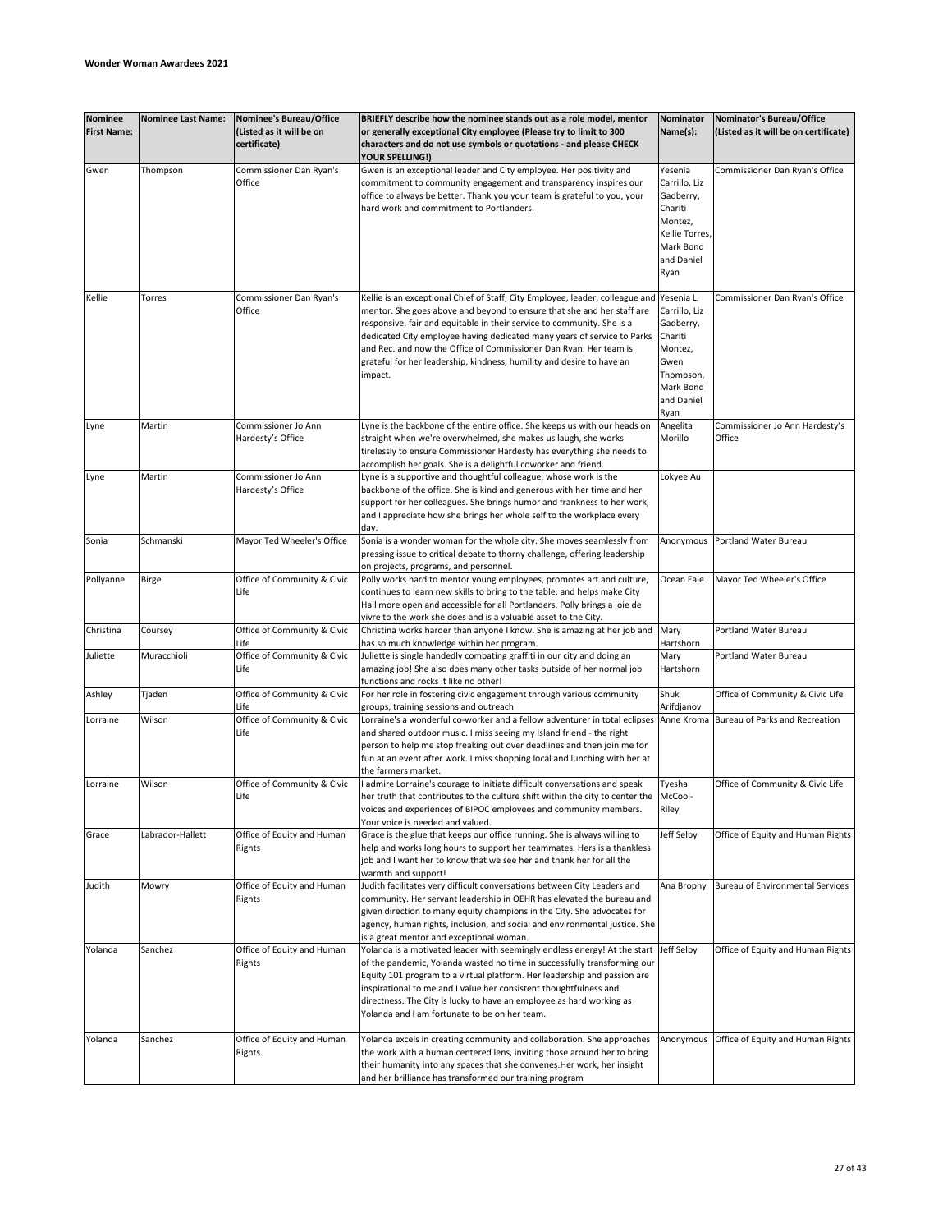| <b>Nominee</b><br><b>First Name:</b> | <b>Nominee Last Name:</b> | <b>Nominee's Bureau/Office</b><br>(Listed as it will be on<br>certificate) | BRIEFLY describe how the nominee stands out as a role model, mentor<br>or generally exceptional City employee (Please try to limit to 300<br>characters and do not use symbols or quotations - and please CHECK<br><b>YOUR SPELLING!)</b>                                                                                                                                                                                                                             | Nominator<br>Name(s):                                                                                                  | Nominator's Bureau/Office<br>(Listed as it will be on certificate) |
|--------------------------------------|---------------------------|----------------------------------------------------------------------------|-----------------------------------------------------------------------------------------------------------------------------------------------------------------------------------------------------------------------------------------------------------------------------------------------------------------------------------------------------------------------------------------------------------------------------------------------------------------------|------------------------------------------------------------------------------------------------------------------------|--------------------------------------------------------------------|
| Gwen                                 | Thompson                  | Commissioner Dan Ryan's<br>Office                                          | Gwen is an exceptional leader and City employee. Her positivity and<br>commitment to community engagement and transparency inspires our<br>office to always be better. Thank you your team is grateful to you, your<br>hard work and commitment to Portlanders.                                                                                                                                                                                                       | Yesenia<br>Carrillo, Liz<br>Gadberry,<br>Chariti<br>Montez,<br>Kellie Torres,<br>Mark Bond<br>and Daniel<br>Ryan       | Commissioner Dan Ryan's Office                                     |
| Kellie                               | Torres                    | Commissioner Dan Ryan's<br>Office                                          | Kellie is an exceptional Chief of Staff, City Employee, leader, colleague and<br>mentor. She goes above and beyond to ensure that she and her staff are<br>responsive, fair and equitable in their service to community. She is a<br>dedicated City employee having dedicated many years of service to Parks<br>and Rec. and now the Office of Commissioner Dan Ryan. Her team is<br>grateful for her leadership, kindness, humility and desire to have an<br>impact. | Yesenia L.<br>Carrillo, Liz<br>Gadberry,<br>Chariti<br>Montez,<br>Gwen<br>Thompson,<br>Mark Bond<br>and Daniel<br>Ryan | Commissioner Dan Ryan's Office                                     |
| Lyne                                 | Martin                    | Commissioner Jo Ann<br>Hardesty's Office                                   | Lyne is the backbone of the entire office. She keeps us with our heads on<br>straight when we're overwhelmed, she makes us laugh, she works<br>tirelessly to ensure Commissioner Hardesty has everything she needs to<br>accomplish her goals. She is a delightful coworker and friend.                                                                                                                                                                               | Angelita<br>Morillo                                                                                                    | Commissioner Jo Ann Hardesty's<br>Office                           |
| Lyne                                 | Martin                    | Commissioner Jo Ann<br>Hardesty's Office                                   | Lyne is a supportive and thoughtful colleague, whose work is the<br>backbone of the office. She is kind and generous with her time and her<br>support for her colleagues. She brings humor and frankness to her work,<br>and I appreciate how she brings her whole self to the workplace every<br>day.                                                                                                                                                                | Lokyee Au                                                                                                              |                                                                    |
| Sonia                                | Schmanski                 | Mayor Ted Wheeler's Office                                                 | Sonia is a wonder woman for the whole city. She moves seamlessly from<br>pressing issue to critical debate to thorny challenge, offering leadership<br>on projects, programs, and personnel.                                                                                                                                                                                                                                                                          | Anonymous                                                                                                              | Portland Water Bureau                                              |
| Pollyanne                            | Birge                     | Office of Community & Civic<br>Life                                        | Polly works hard to mentor young employees, promotes art and culture,<br>continues to learn new skills to bring to the table, and helps make City<br>Hall more open and accessible for all Portlanders. Polly brings a joie de<br>vivre to the work she does and is a valuable asset to the City.                                                                                                                                                                     | Ocean Eale                                                                                                             | Mayor Ted Wheeler's Office                                         |
| Christina                            | Coursey                   | Office of Community & Civic<br>Life                                        | Christina works harder than anyone I know. She is amazing at her job and<br>has so much knowledge within her program.                                                                                                                                                                                                                                                                                                                                                 | Mary<br>Hartshorn                                                                                                      | Portland Water Bureau                                              |
| Juliette                             | Muracchioli               | Office of Community & Civic<br>Life                                        | Juliette is single handedly combating graffiti in our city and doing an<br>amazing job! She also does many other tasks outside of her normal job<br>functions and rocks it like no other!                                                                                                                                                                                                                                                                             | Mary<br>Hartshorn                                                                                                      | Portland Water Bureau                                              |
| Ashley                               | Tjaden                    | Office of Community & Civic<br>Life                                        | For her role in fostering civic engagement through various community<br>groups, training sessions and outreach                                                                                                                                                                                                                                                                                                                                                        | Shuk<br>Arifdjanov                                                                                                     | Office of Community & Civic Life                                   |
| Lorraine                             | Wilson                    | Office of Community & Civic<br>Life                                        | Lorraine's a wonderful co-worker and a fellow adventurer in total eclipses<br>and shared outdoor music. I miss seeing my Island friend - the right<br>person to help me stop freaking out over deadlines and then join me for<br>fun at an event after work. I miss shopping local and lunching with her at<br>the farmers market.                                                                                                                                    | Anne Kroma                                                                                                             | Bureau of Parks and Recreation                                     |
| Lorraine                             | Wilson                    | Office of Community & Civic<br>Life                                        | I admire Lorraine's courage to initiate difficult conversations and speak<br>her truth that contributes to the culture shift within the city to center the McCool-<br>voices and experiences of BIPOC employees and community members.<br>Your voice is needed and valued.                                                                                                                                                                                            | Tyesha<br>Riley                                                                                                        | Office of Community & Civic Life                                   |
| Grace                                | Labrador-Hallett          | Office of Equity and Human<br>Rights                                       | Grace is the glue that keeps our office running. She is always willing to<br>help and works long hours to support her teammates. Hers is a thankless<br>job and I want her to know that we see her and thank her for all the<br>warmth and support!                                                                                                                                                                                                                   | Jeff Selby                                                                                                             | Office of Equity and Human Rights                                  |
| Judith                               | Mowry                     | Office of Equity and Human<br>Rights                                       | Judith facilitates very difficult conversations between City Leaders and<br>community. Her servant leadership in OEHR has elevated the bureau and<br>given direction to many equity champions in the City. She advocates for<br>agency, human rights, inclusion, and social and environmental justice. She<br>is a great mentor and exceptional woman.                                                                                                                | Ana Brophy                                                                                                             | Bureau of Environmental Services                                   |
| Yolanda                              | Sanchez                   | Office of Equity and Human<br>Rights                                       | Yolanda is a motivated leader with seemingly endless energy! At the start<br>of the pandemic, Yolanda wasted no time in successfully transforming our<br>Equity 101 program to a virtual platform. Her leadership and passion are<br>inspirational to me and I value her consistent thoughtfulness and<br>directness. The City is lucky to have an employee as hard working as<br>Yolanda and I am fortunate to be on her team.                                       | Jeff Selby                                                                                                             | Office of Equity and Human Rights                                  |
| Yolanda                              | Sanchez                   | Office of Equity and Human<br>Rights                                       | Yolanda excels in creating community and collaboration. She approaches<br>the work with a human centered lens, inviting those around her to bring<br>their humanity into any spaces that she convenes. Her work, her insight<br>and her brilliance has transformed our training program                                                                                                                                                                               | Anonymous                                                                                                              | Office of Equity and Human Rights                                  |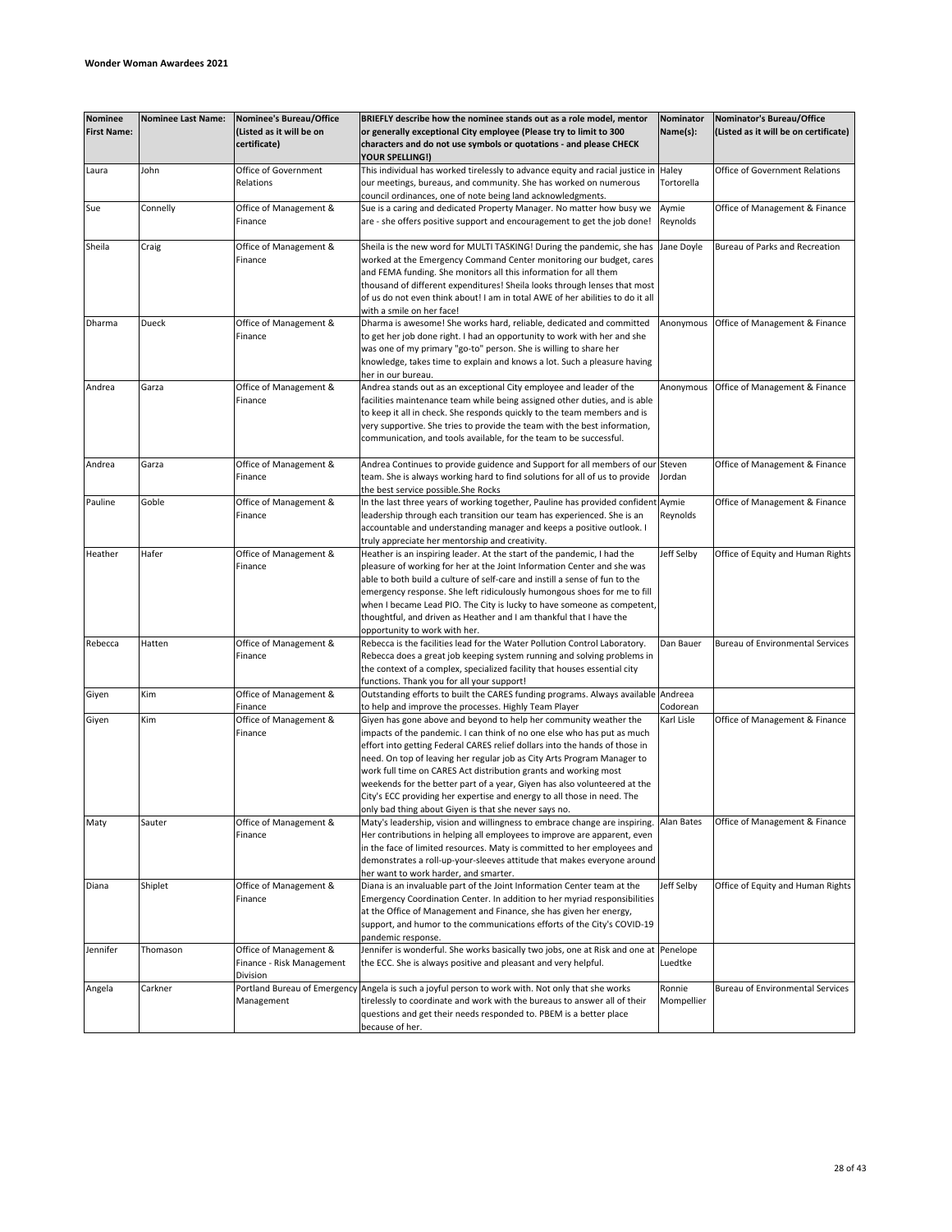| <b>Nominee</b><br><b>First Name:</b> | <b>Nominee Last Name:</b> | <b>Nominee's Bureau/Office</b><br>(Listed as it will be on<br>certificate) | BRIEFLY describe how the nominee stands out as a role model, mentor<br>or generally exceptional City employee (Please try to limit to 300<br>characters and do not use symbols or quotations - and please CHECK<br>YOUR SPELLING!) | Nominator<br>Name(s): | Nominator's Bureau/Office<br>(Listed as it will be on certificate) |
|--------------------------------------|---------------------------|----------------------------------------------------------------------------|------------------------------------------------------------------------------------------------------------------------------------------------------------------------------------------------------------------------------------|-----------------------|--------------------------------------------------------------------|
| Laura                                | John                      | Office of Government<br>Relations                                          | This individual has worked tirelessly to advance equity and racial justice in<br>our meetings, bureaus, and community. She has worked on numerous<br>council ordinances, one of note being land acknowledgments.                   | Haley<br>Tortorella   | Office of Government Relations                                     |
| Sue                                  | Connelly                  | Office of Management &                                                     | Sue is a caring and dedicated Property Manager. No matter how busy we                                                                                                                                                              | Aymie                 | Office of Management & Finance                                     |
|                                      |                           | Finance                                                                    | are - she offers positive support and encouragement to get the job done!                                                                                                                                                           | Reynolds              |                                                                    |
| Sheila                               | Craig                     | Office of Management &                                                     | Sheila is the new word for MULTI TASKING! During the pandemic, she has                                                                                                                                                             | Jane Doyle            | Bureau of Parks and Recreation                                     |
|                                      |                           | Finance                                                                    | worked at the Emergency Command Center monitoring our budget, cares                                                                                                                                                                |                       |                                                                    |
|                                      |                           |                                                                            | and FEMA funding. She monitors all this information for all them                                                                                                                                                                   |                       |                                                                    |
|                                      |                           |                                                                            | thousand of different expenditures! Sheila looks through lenses that most                                                                                                                                                          |                       |                                                                    |
|                                      |                           |                                                                            | of us do not even think about! I am in total AWE of her abilities to do it all<br>with a smile on her face!                                                                                                                        |                       |                                                                    |
| Dharma                               | Dueck                     | Office of Management &                                                     | Dharma is awesome! She works hard, reliable, dedicated and committed                                                                                                                                                               | Anonymous             | Office of Management & Finance                                     |
|                                      |                           | Finance                                                                    | to get her job done right. I had an opportunity to work with her and she                                                                                                                                                           |                       |                                                                    |
|                                      |                           |                                                                            | was one of my primary "go-to" person. She is willing to share her                                                                                                                                                                  |                       |                                                                    |
|                                      |                           |                                                                            | knowledge, takes time to explain and knows a lot. Such a pleasure having                                                                                                                                                           |                       |                                                                    |
|                                      |                           |                                                                            | her in our bureau.                                                                                                                                                                                                                 |                       |                                                                    |
| Andrea                               | Garza                     | Office of Management &                                                     | Andrea stands out as an exceptional City employee and leader of the                                                                                                                                                                | Anonymous             | Office of Management & Finance                                     |
|                                      |                           | Finance                                                                    | facilities maintenance team while being assigned other duties, and is able                                                                                                                                                         |                       |                                                                    |
|                                      |                           |                                                                            | to keep it all in check. She responds quickly to the team members and is<br>very supportive. She tries to provide the team with the best information,                                                                              |                       |                                                                    |
|                                      |                           |                                                                            | communication, and tools available, for the team to be successful.                                                                                                                                                                 |                       |                                                                    |
|                                      |                           |                                                                            |                                                                                                                                                                                                                                    |                       |                                                                    |
| Andrea                               | Garza                     | Office of Management &                                                     | Andrea Continues to provide guidence and Support for all members of our Steven                                                                                                                                                     |                       | Office of Management & Finance                                     |
|                                      |                           | Finance                                                                    | team. She is always working hard to find solutions for all of us to provide                                                                                                                                                        | Jordan                |                                                                    |
|                                      |                           |                                                                            | the best service possible.She Rocks                                                                                                                                                                                                |                       |                                                                    |
| Pauline                              | Goble                     | Office of Management &<br>Finance                                          | In the last three years of working together, Pauline has provided confident Aymie<br>leadership through each transition our team has experienced. She is an                                                                        | Reynolds              | Office of Management & Finance                                     |
|                                      |                           |                                                                            | accountable and understanding manager and keeps a positive outlook. I                                                                                                                                                              |                       |                                                                    |
|                                      |                           |                                                                            | truly appreciate her mentorship and creativity.                                                                                                                                                                                    |                       |                                                                    |
| Heather                              | Hafer                     | Office of Management &                                                     | Heather is an inspiring leader. At the start of the pandemic, I had the                                                                                                                                                            | leff Selby            | Office of Equity and Human Rights                                  |
|                                      |                           | Finance                                                                    | pleasure of working for her at the Joint Information Center and she was                                                                                                                                                            |                       |                                                                    |
|                                      |                           |                                                                            | able to both build a culture of self-care and instill a sense of fun to the                                                                                                                                                        |                       |                                                                    |
|                                      |                           |                                                                            | emergency response. She left ridiculously humongous shoes for me to fill                                                                                                                                                           |                       |                                                                    |
|                                      |                           |                                                                            | when I became Lead PIO. The City is lucky to have someone as competent,<br>thoughtful, and driven as Heather and I am thankful that I have the                                                                                     |                       |                                                                    |
|                                      |                           |                                                                            | opportunity to work with her.                                                                                                                                                                                                      |                       |                                                                    |
| Rebecca                              | Hatten                    | Office of Management &                                                     | Rebecca is the facilities lead for the Water Pollution Control Laboratory.                                                                                                                                                         | Dan Bauer             | <b>Bureau of Environmental Services</b>                            |
|                                      |                           | Finance                                                                    | Rebecca does a great job keeping system running and solving problems in                                                                                                                                                            |                       |                                                                    |
|                                      |                           |                                                                            | the context of a complex, specialized facility that houses essential city                                                                                                                                                          |                       |                                                                    |
|                                      | Kim                       | Office of Management &                                                     | functions. Thank you for all your support!<br>Outstanding efforts to built the CARES funding programs. Always available Andreea                                                                                                    |                       |                                                                    |
| Giyen                                |                           | Finance                                                                    | to help and improve the processes. Highly Team Player                                                                                                                                                                              | Codorean              |                                                                    |
| Giyen                                | Kim                       | Office of Management &                                                     | Giyen has gone above and beyond to help her community weather the                                                                                                                                                                  | Karl Lisle            | Office of Management & Finance                                     |
|                                      |                           | Finance                                                                    | impacts of the pandemic. I can think of no one else who has put as much                                                                                                                                                            |                       |                                                                    |
|                                      |                           |                                                                            | effort into getting Federal CARES relief dollars into the hands of those in                                                                                                                                                        |                       |                                                                    |
|                                      |                           |                                                                            | need. On top of leaving her regular job as City Arts Program Manager to                                                                                                                                                            |                       |                                                                    |
|                                      |                           |                                                                            | work full time on CARES Act distribution grants and working most<br>weekends for the better part of a year, Giyen has also volunteered at the                                                                                      |                       |                                                                    |
|                                      |                           |                                                                            | City's ECC providing her expertise and energy to all those in need. The                                                                                                                                                            |                       |                                                                    |
|                                      |                           |                                                                            | only bad thing about Giyen is that she never says no.                                                                                                                                                                              |                       |                                                                    |
| Maty                                 | Sauter                    | Office of Management &                                                     | Maty's leadership, vision and willingness to embrace change are inspiring.                                                                                                                                                         | Alan Bates            | Office of Management & Finance                                     |
|                                      |                           | Finance                                                                    | Her contributions in helping all employees to improve are apparent, even                                                                                                                                                           |                       |                                                                    |
|                                      |                           |                                                                            | in the face of limited resources. Maty is committed to her employees and                                                                                                                                                           |                       |                                                                    |
|                                      |                           |                                                                            | demonstrates a roll-up-your-sleeves attitude that makes everyone around<br>her want to work harder, and smarter.                                                                                                                   |                       |                                                                    |
| Diana                                | Shiplet                   | Office of Management &                                                     | Diana is an invaluable part of the Joint Information Center team at the                                                                                                                                                            | Jeff Selby            | Office of Equity and Human Rights                                  |
|                                      |                           | Finance                                                                    | Emergency Coordination Center. In addition to her myriad responsibilities                                                                                                                                                          |                       |                                                                    |
|                                      |                           |                                                                            | at the Office of Management and Finance, she has given her energy,                                                                                                                                                                 |                       |                                                                    |
|                                      |                           |                                                                            | support, and humor to the communications efforts of the City's COVID-19                                                                                                                                                            |                       |                                                                    |
|                                      |                           |                                                                            | pandemic response.                                                                                                                                                                                                                 |                       |                                                                    |
| Jennifer                             | Thomason                  | Office of Management &<br>Finance - Risk Management                        | Jennifer is wonderful. She works basically two jobs, one at Risk and one at Penelope<br>the ECC. She is always positive and pleasant and very helpful.                                                                             | Luedtke               |                                                                    |
|                                      |                           | Division                                                                   |                                                                                                                                                                                                                                    |                       |                                                                    |
| Angela                               | Carkner                   | Portland Bureau of Emergency                                               | Angela is such a joyful person to work with. Not only that she works                                                                                                                                                               | Ronnie                | <b>Bureau of Environmental Services</b>                            |
|                                      |                           | Management                                                                 | tirelessly to coordinate and work with the bureaus to answer all of their                                                                                                                                                          | Mompellier            |                                                                    |
|                                      |                           |                                                                            | questions and get their needs responded to. PBEM is a better place                                                                                                                                                                 |                       |                                                                    |
|                                      |                           |                                                                            | because of her.                                                                                                                                                                                                                    |                       |                                                                    |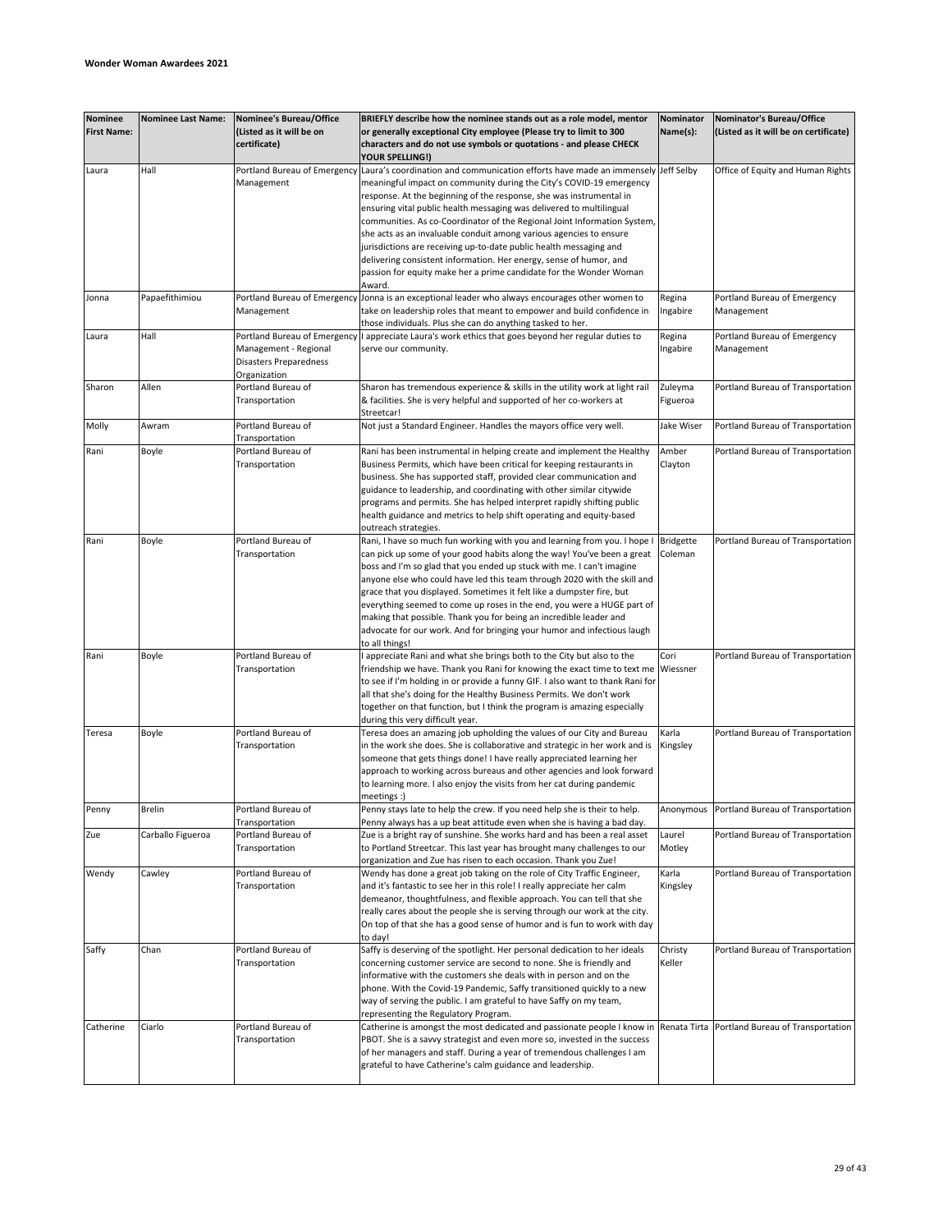| Nominee<br><b>First Name:</b> | <b>Nominee Last Name:</b> | Nominee's Bureau/Office<br>(Listed as it will be on<br>certificate)                             | BRIEFLY describe how the nominee stands out as a role model, mentor<br>or generally exceptional City employee (Please try to limit to 300<br>characters and do not use symbols or quotations - and please CHECK<br>YOUR SPELLING!)                                                                                                                                                                                                                                                                                                                                                                                                                                                                     | Nominator<br>Name(s):       | Nominator's Bureau/Office<br>(Listed as it will be on certificate) |
|-------------------------------|---------------------------|-------------------------------------------------------------------------------------------------|--------------------------------------------------------------------------------------------------------------------------------------------------------------------------------------------------------------------------------------------------------------------------------------------------------------------------------------------------------------------------------------------------------------------------------------------------------------------------------------------------------------------------------------------------------------------------------------------------------------------------------------------------------------------------------------------------------|-----------------------------|--------------------------------------------------------------------|
| Laura                         | Hall                      | Management                                                                                      | Portland Bureau of Emergency Laura's coordination and communication efforts have made an immensely<br>meaningful impact on community during the City's COVID-19 emergency<br>response. At the beginning of the response, she was instrumental in<br>ensuring vital public health messaging was delivered to multilingual<br>communities. As co-Coordinator of the Regional Joint Information System,<br>she acts as an invaluable conduit among various agencies to ensure<br>jurisdictions are receiving up-to-date public health messaging and<br>delivering consistent information. Her energy, sense of humor, and<br>passion for equity make her a prime candidate for the Wonder Woman<br>Award. | Jeff Selby                  | Office of Equity and Human Rights                                  |
| Jonna                         | Papaefithimiou            | Portland Bureau of Emergency<br>Management                                                      | Jonna is an exceptional leader who always encourages other women to<br>take on leadership roles that meant to empower and build confidence in<br>those individuals. Plus she can do anything tasked to her.                                                                                                                                                                                                                                                                                                                                                                                                                                                                                            | Regina<br>Ingabire          | Portland Bureau of Emergency<br>Management                         |
| Laura                         | Hall                      | Portland Bureau of Emergency<br>Management - Regional<br>Disasters Preparedness<br>Organization | I appreciate Laura's work ethics that goes beyond her regular duties to<br>serve our community.                                                                                                                                                                                                                                                                                                                                                                                                                                                                                                                                                                                                        | Regina<br>Ingabire          | Portland Bureau of Emergency<br>Management                         |
| Sharon                        | Allen                     | Portland Bureau of<br>Transportation                                                            | Sharon has tremendous experience & skills in the utility work at light rail<br>& facilities. She is very helpful and supported of her co-workers at<br>Streetcar!                                                                                                                                                                                                                                                                                                                                                                                                                                                                                                                                      | Zuleyma<br>Figueroa         | Portland Bureau of Transportation                                  |
| Molly                         | Awram                     | Portland Bureau of<br>Transportation                                                            | Not just a Standard Engineer. Handles the mayors office very well.                                                                                                                                                                                                                                                                                                                                                                                                                                                                                                                                                                                                                                     | Jake Wiser                  | Portland Bureau of Transportation                                  |
| Rani                          | Boyle                     | Portland Bureau of<br>Transportation                                                            | Rani has been instrumental in helping create and implement the Healthy<br>Business Permits, which have been critical for keeping restaurants in<br>business. She has supported staff, provided clear communication and<br>guidance to leadership, and coordinating with other similar citywide<br>programs and permits. She has helped interpret rapidly shifting public<br>health guidance and metrics to help shift operating and equity-based<br>outreach strategies.                                                                                                                                                                                                                               | Amber<br>Clayton            | Portland Bureau of Transportation                                  |
| Rani                          | Boyle                     | Portland Bureau of<br>Transportation                                                            | Rani, I have so much fun working with you and learning from you. I hope I<br>can pick up some of your good habits along the way! You've been a great<br>boss and I'm so glad that you ended up stuck with me. I can't imagine<br>anyone else who could have led this team through 2020 with the skill and<br>grace that you displayed. Sometimes it felt like a dumpster fire, but<br>everything seemed to come up roses in the end, you were a HUGE part of<br>making that possible. Thank you for being an incredible leader and<br>advocate for our work. And for bringing your humor and infectious laugh<br>to all things!                                                                        | <b>Bridgette</b><br>Coleman | Portland Bureau of Transportation                                  |
| Rani                          | Boyle                     | Portland Bureau of<br>Transportation                                                            | I appreciate Rani and what she brings both to the City but also to the<br>friendship we have. Thank you Rani for knowing the exact time to text me<br>to see if I'm holding in or provide a funny GIF. I also want to thank Rani for<br>all that she's doing for the Healthy Business Permits. We don't work<br>together on that function, but I think the program is amazing especially<br>during this very difficult year.                                                                                                                                                                                                                                                                           | Cori<br>Wiessner            | Portland Bureau of Transportation                                  |
| Teresa                        | Boyle                     | Portland Bureau of<br>Transportation                                                            | Teresa does an amazing job upholding the values of our City and Bureau<br>in the work she does. She is collaborative and strategic in her work and is<br>someone that gets things done! I have really appreciated learning her<br>approach to working across bureaus and other agencies and look forward<br>to learning more. I also enjoy the visits from her cat during pandemic<br>meetings :)                                                                                                                                                                                                                                                                                                      | Karla<br>Kingsley           | Portland Bureau of Transportation                                  |
| Penny                         | <b>Brelin</b>             | Portland Bureau of<br>Transportation                                                            | Penny stays late to help the crew. If you need help she is their to help.<br>Penny always has a up beat attitude even when she is having a bad day.<br>Zue is a bright ray of sunshine. She works hard and has been a real asset                                                                                                                                                                                                                                                                                                                                                                                                                                                                       |                             | Anonymous Portland Bureau of Transportation                        |
| Zue                           | Carballo Figueroa         | Portland Bureau of<br>Transportation                                                            | to Portland Streetcar. This last year has brought many challenges to our<br>organization and Zue has risen to each occasion. Thank you Zue!                                                                                                                                                                                                                                                                                                                                                                                                                                                                                                                                                            | Laurel<br>Motley            | Portland Bureau of Transportation                                  |
| Wendy                         | Cawley                    | Portland Bureau of<br>Transportation                                                            | Wendy has done a great job taking on the role of City Traffic Engineer,<br>and it's fantastic to see her in this role! I really appreciate her calm<br>demeanor, thoughtfulness, and flexible approach. You can tell that she<br>really cares about the people she is serving through our work at the city.<br>On top of that she has a good sense of humor and is fun to work with day<br>to day!                                                                                                                                                                                                                                                                                                     | Karla<br>Kingsley           | Portland Bureau of Transportation                                  |
| Saffy                         | Chan                      | Portland Bureau of<br>Transportation                                                            | Saffy is deserving of the spotlight. Her personal dedication to her ideals<br>concerning customer service are second to none. She is friendly and<br>informative with the customers she deals with in person and on the<br>phone. With the Covid-19 Pandemic, Saffy transitioned quickly to a new<br>way of serving the public. I am grateful to have Saffy on my team,<br>representing the Regulatory Program.                                                                                                                                                                                                                                                                                        | Christy<br>Keller           | Portland Bureau of Transportation                                  |
| Catherine                     | Ciarlo                    | Portland Bureau of<br>Transportation                                                            | Catherine is amongst the most dedicated and passionate people I know in<br>PBOT. She is a savvy strategist and even more so, invested in the success<br>of her managers and staff. During a year of tremendous challenges I am<br>grateful to have Catherine's calm guidance and leadership.                                                                                                                                                                                                                                                                                                                                                                                                           |                             | Renata Tirta Portland Bureau of Transportation                     |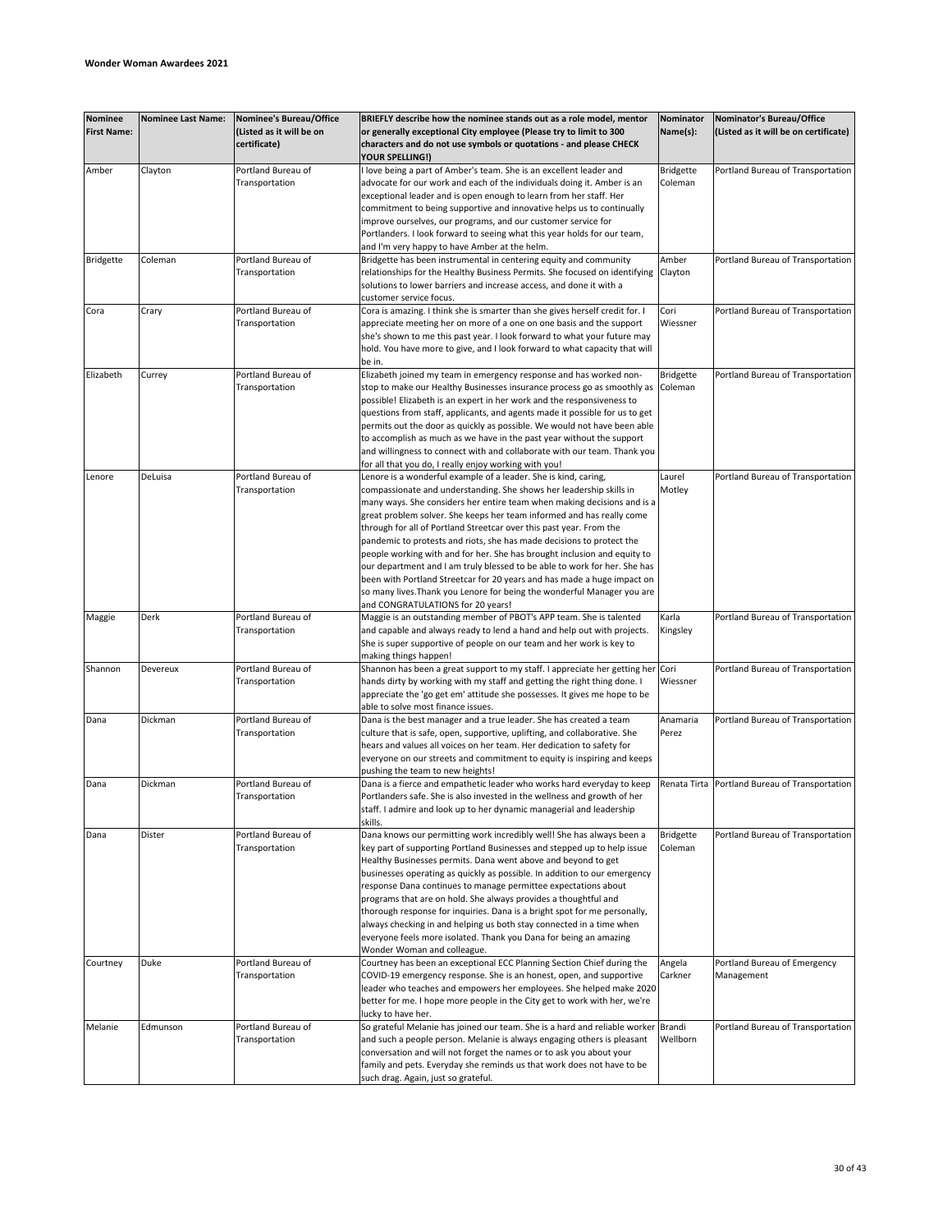| Nominee<br><b>First Name:</b> | <b>Nominee Last Name:</b> | <b>Nominee's Bureau/Office</b><br>(Listed as it will be on<br>certificate) | BRIEFLY describe how the nominee stands out as a role model, mentor<br>or generally exceptional City employee (Please try to limit to 300<br>characters and do not use symbols or quotations - and please CHECK | Nominator<br>Name(s): | Nominator's Bureau/Office<br>(Listed as it will be on certificate) |
|-------------------------------|---------------------------|----------------------------------------------------------------------------|-----------------------------------------------------------------------------------------------------------------------------------------------------------------------------------------------------------------|-----------------------|--------------------------------------------------------------------|
|                               |                           |                                                                            | <b>YOUR SPELLING!)</b>                                                                                                                                                                                          |                       |                                                                    |
| Amber                         | Clayton                   | Portland Bureau of                                                         | love being a part of Amber's team. She is an excellent leader and                                                                                                                                               | <b>Bridgette</b>      | Portland Bureau of Transportation                                  |
|                               |                           | Transportation                                                             | advocate for our work and each of the individuals doing it. Amber is an                                                                                                                                         | Coleman               |                                                                    |
|                               |                           |                                                                            | exceptional leader and is open enough to learn from her staff. Her                                                                                                                                              |                       |                                                                    |
|                               |                           |                                                                            | commitment to being supportive and innovative helps us to continually<br>improve ourselves, our programs, and our customer service for                                                                          |                       |                                                                    |
|                               |                           |                                                                            | Portlanders. I look forward to seeing what this year holds for our team,                                                                                                                                        |                       |                                                                    |
|                               |                           |                                                                            | and I'm very happy to have Amber at the helm.                                                                                                                                                                   |                       |                                                                    |
| <b>Bridgette</b>              | Coleman                   | Portland Bureau of                                                         | Bridgette has been instrumental in centering equity and community                                                                                                                                               | Amber                 | Portland Bureau of Transportation                                  |
|                               |                           | Transportation                                                             | relationships for the Healthy Business Permits. She focused on identifying                                                                                                                                      | Clayton               |                                                                    |
|                               |                           |                                                                            | solutions to lower barriers and increase access, and done it with a                                                                                                                                             |                       |                                                                    |
|                               |                           |                                                                            | customer service focus.                                                                                                                                                                                         |                       |                                                                    |
| Cora                          | Crary                     | Portland Bureau of                                                         | Cora is amazing. I think she is smarter than she gives herself credit for. I                                                                                                                                    | Cori                  | Portland Bureau of Transportation                                  |
|                               |                           | Transportation                                                             | appreciate meeting her on more of a one on one basis and the support                                                                                                                                            | Wiessner              |                                                                    |
|                               |                           |                                                                            | she's shown to me this past year. I look forward to what your future may                                                                                                                                        |                       |                                                                    |
|                               |                           |                                                                            | hold. You have more to give, and I look forward to what capacity that will                                                                                                                                      |                       |                                                                    |
|                               |                           |                                                                            | be in                                                                                                                                                                                                           |                       |                                                                    |
| Elizabeth                     | Currey                    | Portland Bureau of                                                         | Elizabeth joined my team in emergency response and has worked non-                                                                                                                                              | <b>Bridgette</b>      | Portland Bureau of Transportation                                  |
|                               |                           | Transportation                                                             | stop to make our Healthy Businesses insurance process go as smoothly as                                                                                                                                         | Coleman               |                                                                    |
|                               |                           |                                                                            | possible! Elizabeth is an expert in her work and the responsiveness to                                                                                                                                          |                       |                                                                    |
|                               |                           |                                                                            | questions from staff, applicants, and agents made it possible for us to get                                                                                                                                     |                       |                                                                    |
|                               |                           |                                                                            | permits out the door as quickly as possible. We would not have been able                                                                                                                                        |                       |                                                                    |
|                               |                           |                                                                            | to accomplish as much as we have in the past year without the support                                                                                                                                           |                       |                                                                    |
|                               |                           |                                                                            | and willingness to connect with and collaborate with our team. Thank you                                                                                                                                        |                       |                                                                    |
|                               |                           |                                                                            | for all that you do, I really enjoy working with you!                                                                                                                                                           |                       |                                                                    |
| Lenore                        | DeLuisa                   | Portland Bureau of                                                         | Lenore is a wonderful example of a leader. She is kind, caring,                                                                                                                                                 | Laurel                | Portland Bureau of Transportation                                  |
|                               |                           | Transportation                                                             | compassionate and understanding. She shows her leadership skills in                                                                                                                                             | Motley                |                                                                    |
|                               |                           |                                                                            | many ways. She considers her entire team when making decisions and is a                                                                                                                                         |                       |                                                                    |
|                               |                           |                                                                            | great problem solver. She keeps her team informed and has really come                                                                                                                                           |                       |                                                                    |
|                               |                           |                                                                            | through for all of Portland Streetcar over this past year. From the                                                                                                                                             |                       |                                                                    |
|                               |                           |                                                                            | pandemic to protests and riots, she has made decisions to protect the                                                                                                                                           |                       |                                                                    |
|                               |                           |                                                                            | people working with and for her. She has brought inclusion and equity to                                                                                                                                        |                       |                                                                    |
|                               |                           |                                                                            | our department and I am truly blessed to be able to work for her. She has                                                                                                                                       |                       |                                                                    |
|                               |                           |                                                                            | been with Portland Streetcar for 20 years and has made a huge impact on                                                                                                                                         |                       |                                                                    |
|                               |                           |                                                                            | so many lives. Thank you Lenore for being the wonderful Manager you are                                                                                                                                         |                       |                                                                    |
|                               |                           |                                                                            | and CONGRATULATIONS for 20 years!                                                                                                                                                                               |                       |                                                                    |
| Maggie                        | Derk                      | Portland Bureau of                                                         | Maggie is an outstanding member of PBOT's APP team. She is talented                                                                                                                                             | Karla                 | Portland Bureau of Transportation                                  |
|                               |                           | Transportation                                                             | and capable and always ready to lend a hand and help out with projects.                                                                                                                                         | Kingsley              |                                                                    |
|                               |                           |                                                                            | She is super supportive of people on our team and her work is key to                                                                                                                                            |                       |                                                                    |
|                               |                           |                                                                            | making things happen!                                                                                                                                                                                           |                       |                                                                    |
| Shannon                       | Devereux                  | Portland Bureau of                                                         | Shannon has been a great support to my staff. I appreciate her getting her                                                                                                                                      | Cori                  | Portland Bureau of Transportation                                  |
|                               |                           | Transportation                                                             | hands dirty by working with my staff and getting the right thing done. I                                                                                                                                        | Wiessner              |                                                                    |
|                               |                           |                                                                            | appreciate the 'go get em' attitude she possesses. It gives me hope to be                                                                                                                                       |                       |                                                                    |
|                               |                           |                                                                            | able to solve most finance issues.                                                                                                                                                                              |                       |                                                                    |
| Dana                          | Dickman                   | Portland Bureau of                                                         | Dana is the best manager and a true leader. She has created a team                                                                                                                                              | Anamaria              | Portland Bureau of Transportation                                  |
|                               |                           | Transportation                                                             | culture that is safe, open, supportive, uplifting, and collaborative. She                                                                                                                                       | Perez                 |                                                                    |
|                               |                           |                                                                            | hears and values all voices on her team. Her dedication to safety for                                                                                                                                           |                       |                                                                    |
|                               |                           |                                                                            | everyone on our streets and commitment to equity is inspiring and keeps                                                                                                                                         |                       |                                                                    |
|                               | Dickman                   | Portland Bureau of                                                         | pushing the team to new heights!                                                                                                                                                                                |                       | Renata Tirta Portland Bureau of Transportation                     |
| Dana                          |                           | Transportation                                                             | Dana is a fierce and empathetic leader who works hard everyday to keep<br>Portlanders safe. She is also invested in the wellness and growth of her                                                              |                       |                                                                    |
|                               |                           |                                                                            | staff. I admire and look up to her dynamic managerial and leadership                                                                                                                                            |                       |                                                                    |
|                               |                           |                                                                            | skills.                                                                                                                                                                                                         |                       |                                                                    |
| Dana                          | Dister                    | Portland Bureau of                                                         | Dana knows our permitting work incredibly well! She has always been a                                                                                                                                           | <b>Bridgette</b>      | Portland Bureau of Transportation                                  |
|                               |                           | Transportation                                                             | key part of supporting Portland Businesses and stepped up to help issue                                                                                                                                         | Coleman               |                                                                    |
|                               |                           |                                                                            | Healthy Businesses permits. Dana went above and beyond to get                                                                                                                                                   |                       |                                                                    |
|                               |                           |                                                                            | businesses operating as quickly as possible. In addition to our emergency                                                                                                                                       |                       |                                                                    |
|                               |                           |                                                                            | response Dana continues to manage permittee expectations about                                                                                                                                                  |                       |                                                                    |
|                               |                           |                                                                            | programs that are on hold. She always provides a thoughtful and                                                                                                                                                 |                       |                                                                    |
|                               |                           |                                                                            | thorough response for inquiries. Dana is a bright spot for me personally,                                                                                                                                       |                       |                                                                    |
|                               |                           |                                                                            | always checking in and helping us both stay connected in a time when                                                                                                                                            |                       |                                                                    |
|                               |                           |                                                                            | everyone feels more isolated. Thank you Dana for being an amazing                                                                                                                                               |                       |                                                                    |
|                               |                           |                                                                            | Wonder Woman and colleague.                                                                                                                                                                                     |                       |                                                                    |
| Courtney                      | Duke                      | Portland Bureau of                                                         | Courtney has been an exceptional ECC Planning Section Chief during the                                                                                                                                          | Angela                | Portland Bureau of Emergency                                       |
|                               |                           | Transportation                                                             | COVID-19 emergency response. She is an honest, open, and supportive                                                                                                                                             | Carkner               | Management                                                         |
|                               |                           |                                                                            | leader who teaches and empowers her employees. She helped make 2020                                                                                                                                             |                       |                                                                    |
|                               |                           |                                                                            | better for me. I hope more people in the City get to work with her, we're                                                                                                                                       |                       |                                                                    |
|                               |                           |                                                                            | lucky to have her.                                                                                                                                                                                              |                       |                                                                    |
| Melanie                       | Edmunson                  | Portland Bureau of                                                         | So grateful Melanie has joined our team. She is a hard and reliable worker                                                                                                                                      | Brandi                | Portland Bureau of Transportation                                  |
|                               |                           | Transportation                                                             | and such a people person. Melanie is always engaging others is pleasant                                                                                                                                         | Wellborn              |                                                                    |
|                               |                           |                                                                            | conversation and will not forget the names or to ask you about your                                                                                                                                             |                       |                                                                    |
|                               |                           |                                                                            | family and pets. Everyday she reminds us that work does not have to be                                                                                                                                          |                       |                                                                    |
|                               |                           |                                                                            | such drag. Again, just so grateful.                                                                                                                                                                             |                       |                                                                    |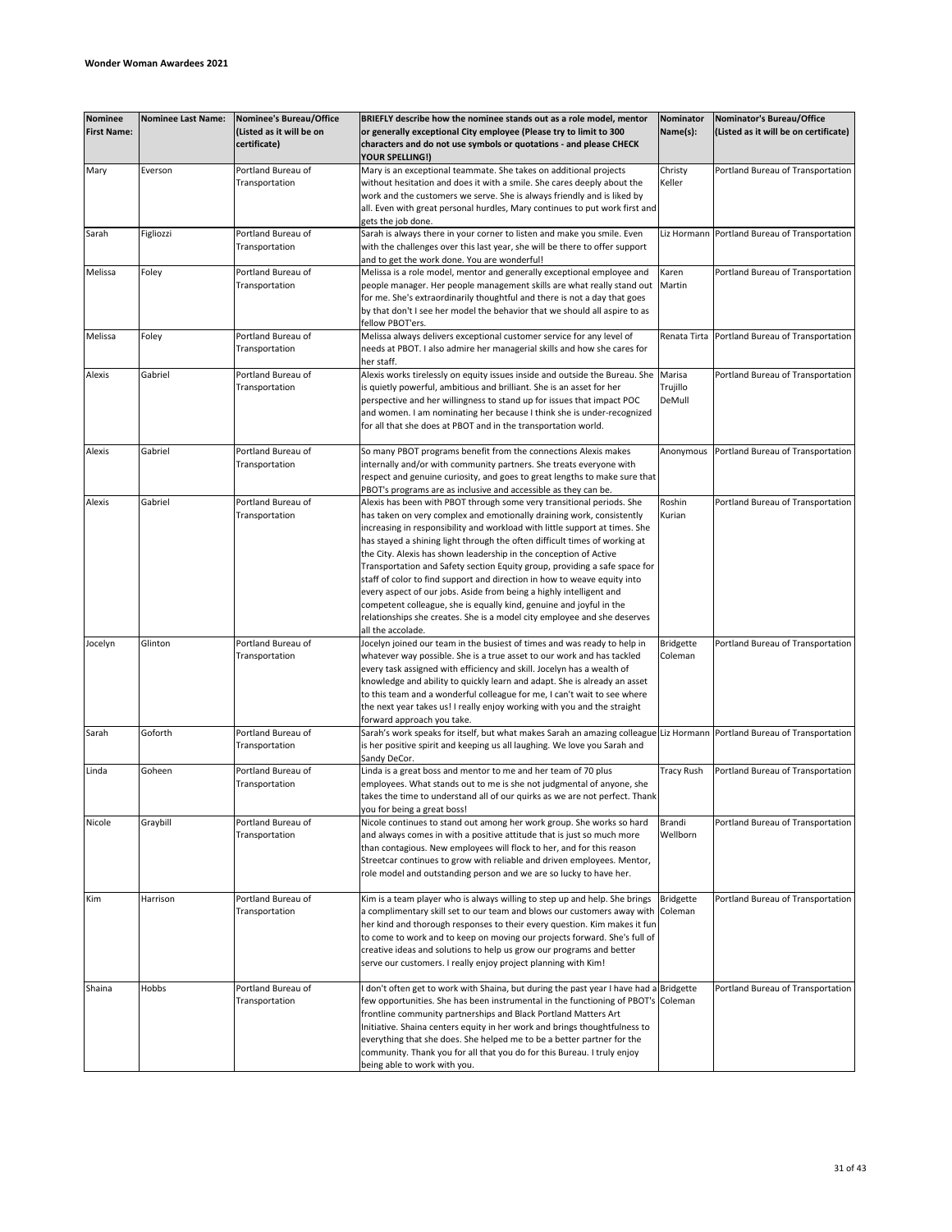| <b>Nominee</b><br><b>First Name:</b> | <b>Nominee Last Name:</b> | Nominee's Bureau/Office<br>(Listed as it will be on<br>certificate) | BRIEFLY describe how the nominee stands out as a role model, mentor<br>or generally exceptional City employee (Please try to limit to 300<br>characters and do not use symbols or quotations - and please CHECK                                                                                                                                                                                                                                                                                                                                                                                                                                                                                                                                                                           | Nominator<br>Name(s):        | Nominator's Bureau/Office<br>(Listed as it will be on certificate) |
|--------------------------------------|---------------------------|---------------------------------------------------------------------|-------------------------------------------------------------------------------------------------------------------------------------------------------------------------------------------------------------------------------------------------------------------------------------------------------------------------------------------------------------------------------------------------------------------------------------------------------------------------------------------------------------------------------------------------------------------------------------------------------------------------------------------------------------------------------------------------------------------------------------------------------------------------------------------|------------------------------|--------------------------------------------------------------------|
|                                      |                           |                                                                     | YOUR SPELLING!)                                                                                                                                                                                                                                                                                                                                                                                                                                                                                                                                                                                                                                                                                                                                                                           |                              |                                                                    |
| Mary                                 | Everson                   | Portland Bureau of<br>Transportation                                | Mary is an exceptional teammate. She takes on additional projects<br>without hesitation and does it with a smile. She cares deeply about the<br>work and the customers we serve. She is always friendly and is liked by<br>all. Even with great personal hurdles, Mary continues to put work first and<br>gets the job done.                                                                                                                                                                                                                                                                                                                                                                                                                                                              | Christy<br>Keller            | Portland Bureau of Transportation                                  |
| Sarah                                | Figliozzi                 | Portland Bureau of<br>Transportation                                | Sarah is always there in your corner to listen and make you smile. Even<br>with the challenges over this last year, she will be there to offer support<br>and to get the work done. You are wonderful!                                                                                                                                                                                                                                                                                                                                                                                                                                                                                                                                                                                    |                              | Liz Hormann Portland Bureau of Transportation                      |
| Melissa                              | Foley                     | Portland Bureau of<br>Transportation                                | Melissa is a role model, mentor and generally exceptional employee and<br>people manager. Her people management skills are what really stand out<br>for me. She's extraordinarily thoughtful and there is not a day that goes<br>by that don't I see her model the behavior that we should all aspire to as<br>fellow PBOT'ers.                                                                                                                                                                                                                                                                                                                                                                                                                                                           | Karen<br>Martin              | Portland Bureau of Transportation                                  |
| Melissa                              | Foley                     | Portland Bureau of<br>Transportation                                | Melissa always delivers exceptional customer service for any level of<br>needs at PBOT. I also admire her managerial skills and how she cares for<br>her staff.                                                                                                                                                                                                                                                                                                                                                                                                                                                                                                                                                                                                                           | Renata Tirta                 | Portland Bureau of Transportation                                  |
| Alexis                               | Gabriel                   | Portland Bureau of<br>Transportation                                | Alexis works tirelessly on equity issues inside and outside the Bureau. She<br>is quietly powerful, ambitious and brilliant. She is an asset for her<br>perspective and her willingness to stand up for issues that impact POC<br>and women. I am nominating her because I think she is under-recognized<br>for all that she does at PBOT and in the transportation world.                                                                                                                                                                                                                                                                                                                                                                                                                | Marisa<br>Trujillo<br>DeMull | Portland Bureau of Transportation                                  |
| Alexis                               | Gabriel                   | Portland Bureau of<br>Transportation                                | So many PBOT programs benefit from the connections Alexis makes<br>internally and/or with community partners. She treats everyone with<br>respect and genuine curiosity, and goes to great lengths to make sure that<br>PBOT's programs are as inclusive and accessible as they can be.                                                                                                                                                                                                                                                                                                                                                                                                                                                                                                   | Anonymous                    | Portland Bureau of Transportation                                  |
| Alexis                               | Gabriel                   | Portland Bureau of<br>Transportation                                | Alexis has been with PBOT through some very transitional periods. She<br>has taken on very complex and emotionally draining work, consistently<br>increasing in responsibility and workload with little support at times. She<br>has stayed a shining light through the often difficult times of working at<br>the City. Alexis has shown leadership in the conception of Active<br>Transportation and Safety section Equity group, providing a safe space for<br>staff of color to find support and direction in how to weave equity into<br>every aspect of our jobs. Aside from being a highly intelligent and<br>competent colleague, she is equally kind, genuine and joyful in the<br>relationships she creates. She is a model city employee and she deserves<br>all the accolade. | Roshin<br>Kurian             | Portland Bureau of Transportation                                  |
| Jocelyn                              | Glinton                   | Portland Bureau of<br>Transportation                                | Jocelyn joined our team in the busiest of times and was ready to help in<br>whatever way possible. She is a true asset to our work and has tackled<br>every task assigned with efficiency and skill. Jocelyn has a wealth of<br>knowledge and ability to quickly learn and adapt. She is already an asset<br>to this team and a wonderful colleague for me, I can't wait to see where<br>the next year takes us! I really enjoy working with you and the straight<br>forward approach you take.                                                                                                                                                                                                                                                                                           | <b>Bridgette</b><br>Coleman  | Portland Bureau of Transportation                                  |
| Sarah                                | Goforth                   | Portland Bureau of<br>Transportation                                | Sarah's work speaks for itself, but what makes Sarah an amazing colleague Liz Hormann Portland Bureau of Transportation<br>is her positive spirit and keeping us all laughing. We love you Sarah and<br>Sandy DeCor.                                                                                                                                                                                                                                                                                                                                                                                                                                                                                                                                                                      |                              |                                                                    |
| Linda                                | Goheen                    | Portland Bureau of<br>Transportation                                | Linda is a great boss and mentor to me and her team of 70 plus<br>employees. What stands out to me is she not judgmental of anyone, she<br>takes the time to understand all of our quirks as we are not perfect. Thank<br>you for being a great boss!                                                                                                                                                                                                                                                                                                                                                                                                                                                                                                                                     | <b>Tracy Rush</b>            | Portland Bureau of Transportation                                  |
| Nicole                               | Graybill                  | Portland Bureau of<br>Transportation                                | Nicole continues to stand out among her work group. She works so hard<br>and always comes in with a positive attitude that is just so much more<br>than contagious. New employees will flock to her, and for this reason<br>Streetcar continues to grow with reliable and driven employees. Mentor,<br>role model and outstanding person and we are so lucky to have her.                                                                                                                                                                                                                                                                                                                                                                                                                 | Brandi<br>Wellborn           | Portland Bureau of Transportation                                  |
| Kim                                  | Harrison                  | Portland Bureau of<br>Transportation                                | Kim is a team player who is always willing to step up and help. She brings<br>a complimentary skill set to our team and blows our customers away with<br>her kind and thorough responses to their every question. Kim makes it fun<br>to come to work and to keep on moving our projects forward. She's full of<br>creative ideas and solutions to help us grow our programs and better<br>serve our customers. I really enjoy project planning with Kim!                                                                                                                                                                                                                                                                                                                                 | <b>Bridgette</b><br>Coleman  | Portland Bureau of Transportation                                  |
| Shaina                               | Hobbs                     | Portland Bureau of<br>Transportation                                | I don't often get to work with Shaina, but during the past year I have had a Bridgette<br>few opportunities. She has been instrumental in the functioning of PBOT's Coleman<br>frontline community partnerships and Black Portland Matters Art<br>Initiative. Shaina centers equity in her work and brings thoughtfulness to<br>everything that she does. She helped me to be a better partner for the<br>community. Thank you for all that you do for this Bureau. I truly enjoy<br>being able to work with you.                                                                                                                                                                                                                                                                         |                              | Portland Bureau of Transportation                                  |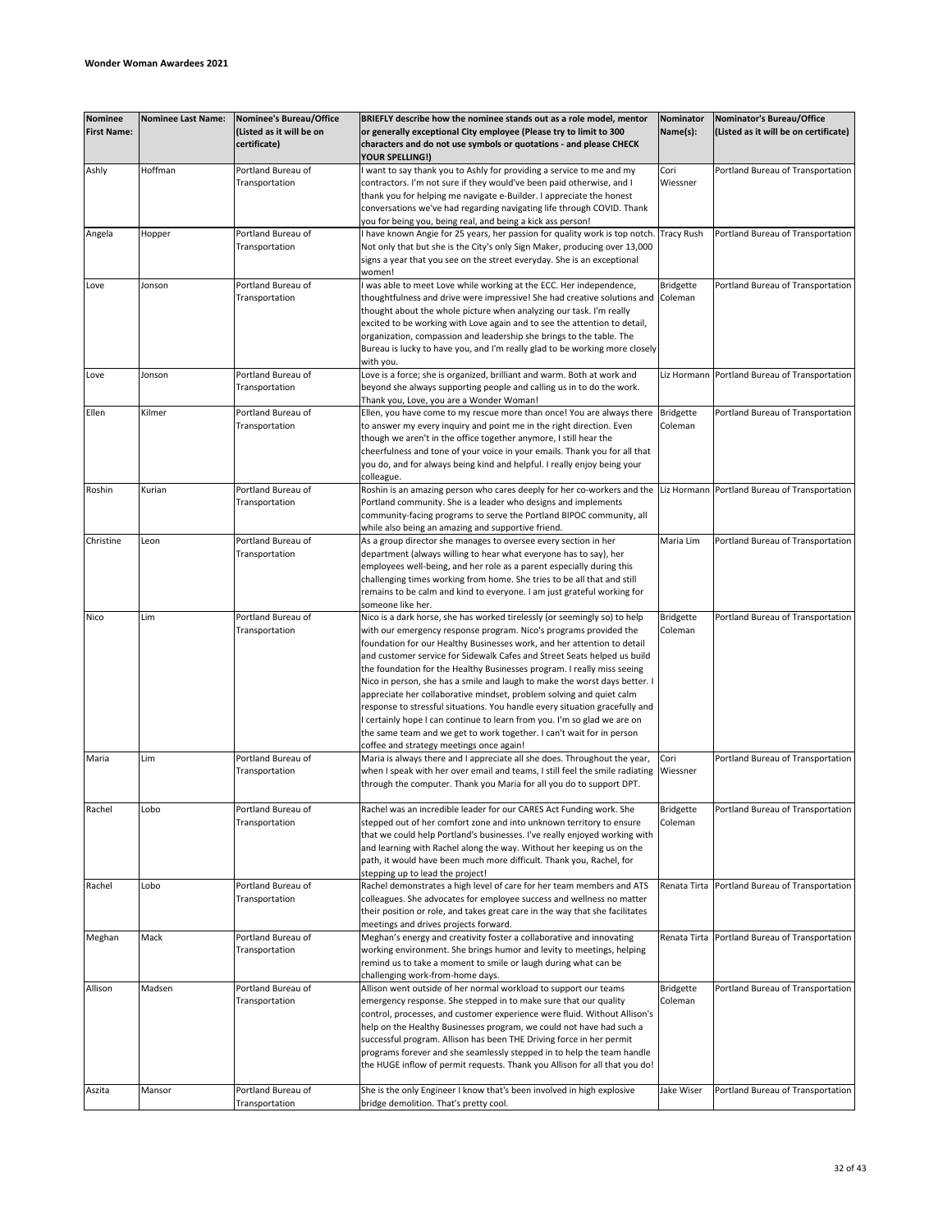| <b>Nominee</b><br><b>First Name:</b> | <b>Nominee Last Name:</b> | Nominee's Bureau/Office<br>(Listed as it will be on<br>certificate) | BRIEFLY describe how the nominee stands out as a role model, mentor<br>or generally exceptional City employee (Please try to limit to 300<br>characters and do not use symbols or quotations - and please CHECK                                                                                                                                                                                                                                                                                                                                                                                                                                                                                                                                                                                                        | Nominator<br>Name(s):       | Nominator's Bureau/Office<br>(Listed as it will be on certificate) |
|--------------------------------------|---------------------------|---------------------------------------------------------------------|------------------------------------------------------------------------------------------------------------------------------------------------------------------------------------------------------------------------------------------------------------------------------------------------------------------------------------------------------------------------------------------------------------------------------------------------------------------------------------------------------------------------------------------------------------------------------------------------------------------------------------------------------------------------------------------------------------------------------------------------------------------------------------------------------------------------|-----------------------------|--------------------------------------------------------------------|
| Ashly                                | Hoffman                   | Portland Bureau of<br>Transportation                                | <b>YOUR SPELLING!)</b><br>I want to say thank you to Ashly for providing a service to me and my<br>contractors. I'm not sure if they would've been paid otherwise, and I<br>thank you for helping me navigate e-Builder. I appreciate the honest<br>conversations we've had regarding navigating life through COVID. Thank                                                                                                                                                                                                                                                                                                                                                                                                                                                                                             | Cori<br>Wiessner            | Portland Bureau of Transportation                                  |
| Angela                               | Hopper                    | Portland Bureau of<br>Transportation                                | you for being you, being real, and being a kick ass person!<br>I have known Angie for 25 years, her passion for quality work is top notch.<br>Not only that but she is the City's only Sign Maker, producing over 13,000<br>signs a year that you see on the street everyday. She is an exceptional<br>women!                                                                                                                                                                                                                                                                                                                                                                                                                                                                                                          | <b>Tracy Rush</b>           | Portland Bureau of Transportation                                  |
| Love                                 | Jonson                    | Portland Bureau of<br>Transportation                                | I was able to meet Love while working at the ECC. Her independence,<br>thoughtfulness and drive were impressive! She had creative solutions and Coleman<br>thought about the whole picture when analyzing our task. I'm really<br>excited to be working with Love again and to see the attention to detail,<br>organization, compassion and leadership she brings to the table. The<br>Bureau is lucky to have you, and I'm really glad to be working more closely<br>with you.                                                                                                                                                                                                                                                                                                                                        | <b>Bridgette</b>            | Portland Bureau of Transportation                                  |
| Love                                 | Jonson                    | Portland Bureau of<br>Transportation                                | Love is a force; she is organized, brilliant and warm. Both at work and<br>beyond she always supporting people and calling us in to do the work.<br>Thank you, Love, you are a Wonder Woman!                                                                                                                                                                                                                                                                                                                                                                                                                                                                                                                                                                                                                           |                             | Liz Hormann Portland Bureau of Transportation                      |
| Ellen                                | Kilmer                    | Portland Bureau of<br>Transportation                                | Ellen, you have come to my rescue more than once! You are always there<br>to answer my every inquiry and point me in the right direction. Even<br>though we aren't in the office together anymore, I still hear the<br>cheerfulness and tone of your voice in your emails. Thank you for all that<br>you do, and for always being kind and helpful. I really enjoy being your                                                                                                                                                                                                                                                                                                                                                                                                                                          | <b>Bridgette</b><br>Coleman | Portland Bureau of Transportation                                  |
| Roshin                               | Kurian                    | Portland Bureau of<br>Transportation                                | colleague.<br>Roshin is an amazing person who cares deeply for her co-workers and the Liz Hormann Portland Bureau of Transportation<br>Portland community. She is a leader who designs and implements<br>community-facing programs to serve the Portland BIPOC community, all<br>while also being an amazing and supportive friend.                                                                                                                                                                                                                                                                                                                                                                                                                                                                                    |                             |                                                                    |
| Christine                            | Leon                      | Portland Bureau of<br>Transportation                                | As a group director she manages to oversee every section in her<br>department (always willing to hear what everyone has to say), her<br>employees well-being, and her role as a parent especially during this<br>challenging times working from home. She tries to be all that and still<br>remains to be calm and kind to everyone. I am just grateful working for<br>someone like her.                                                                                                                                                                                                                                                                                                                                                                                                                               | Maria Lim                   | Portland Bureau of Transportation                                  |
| Nico                                 | Lim                       | Portland Bureau of<br>Transportation                                | Nico is a dark horse, she has worked tirelessly (or seemingly so) to help<br>with our emergency response program. Nico's programs provided the<br>foundation for our Healthy Businesses work, and her attention to detail<br>and customer service for Sidewalk Cafes and Street Seats helped us build<br>the foundation for the Healthy Businesses program. I really miss seeing<br>Nico in person, she has a smile and laugh to make the worst days better. I<br>appreciate her collaborative mindset, problem solving and quiet calm<br>response to stressful situations. You handle every situation gracefully and<br>I certainly hope I can continue to learn from you. I'm so glad we are on<br>the same team and we get to work together. I can't wait for in person<br>coffee and strategy meetings once again! | Bridgette<br>Coleman        | Portland Bureau of Transportation                                  |
| Maria                                | Lim                       | Portland Bureau of<br>Transportation                                | Maria is always there and I appreciate all she does. Throughout the year,<br>when I speak with her over email and teams, I still feel the smile radiating<br>through the computer. Thank you Maria for all you do to support DPT.                                                                                                                                                                                                                                                                                                                                                                                                                                                                                                                                                                                      | Cori<br>Wiessner            | Portland Bureau of Transportation                                  |
| Rachel                               | Lobo                      | Portland Bureau of<br>Transportation                                | Rachel was an incredible leader for our CARES Act Funding work. She<br>stepped out of her comfort zone and into unknown territory to ensure<br>that we could help Portland's businesses. I've really enjoyed working with<br>and learning with Rachel along the way. Without her keeping us on the<br>path, it would have been much more difficult. Thank you, Rachel, for<br>stepping up to lead the project!                                                                                                                                                                                                                                                                                                                                                                                                         | <b>Bridgette</b><br>Coleman | Portland Bureau of Transportation                                  |
| Rachel                               | Lobo                      | Portland Bureau of<br>Transportation                                | Rachel demonstrates a high level of care for her team members and ATS<br>colleagues. She advocates for employee success and wellness no matter<br>their position or role, and takes great care in the way that she facilitates<br>meetings and drives projects forward.                                                                                                                                                                                                                                                                                                                                                                                                                                                                                                                                                |                             | Renata Tirta Portland Bureau of Transportation                     |
| Meghan                               | Mack                      | Portland Bureau of<br>Transportation                                | Meghan's energy and creativity foster a collaborative and innovating<br>working environment. She brings humor and levity to meetings, helping<br>remind us to take a moment to smile or laugh during what can be<br>challenging work-from-home days.                                                                                                                                                                                                                                                                                                                                                                                                                                                                                                                                                                   |                             | Renata Tirta Portland Bureau of Transportation                     |
| Allison                              | Madsen                    | Portland Bureau of<br>Transportation                                | Allison went outside of her normal workload to support our teams<br>emergency response. She stepped in to make sure that our quality<br>control, processes, and customer experience were fluid. Without Allison's<br>help on the Healthy Businesses program, we could not have had such a<br>successful program. Allison has been THE Driving force in her permit<br>programs forever and she seamlessly stepped in to help the team handle<br>the HUGE inflow of permit requests. Thank you Allison for all that you do!                                                                                                                                                                                                                                                                                              | <b>Bridgette</b><br>Coleman | Portland Bureau of Transportation                                  |
| Aszita                               | Mansor                    | Portland Bureau of<br>Transportation                                | She is the only Engineer I know that's been involved in high explosive<br>bridge demolition. That's pretty cool.                                                                                                                                                                                                                                                                                                                                                                                                                                                                                                                                                                                                                                                                                                       | Jake Wiser                  | Portland Bureau of Transportation                                  |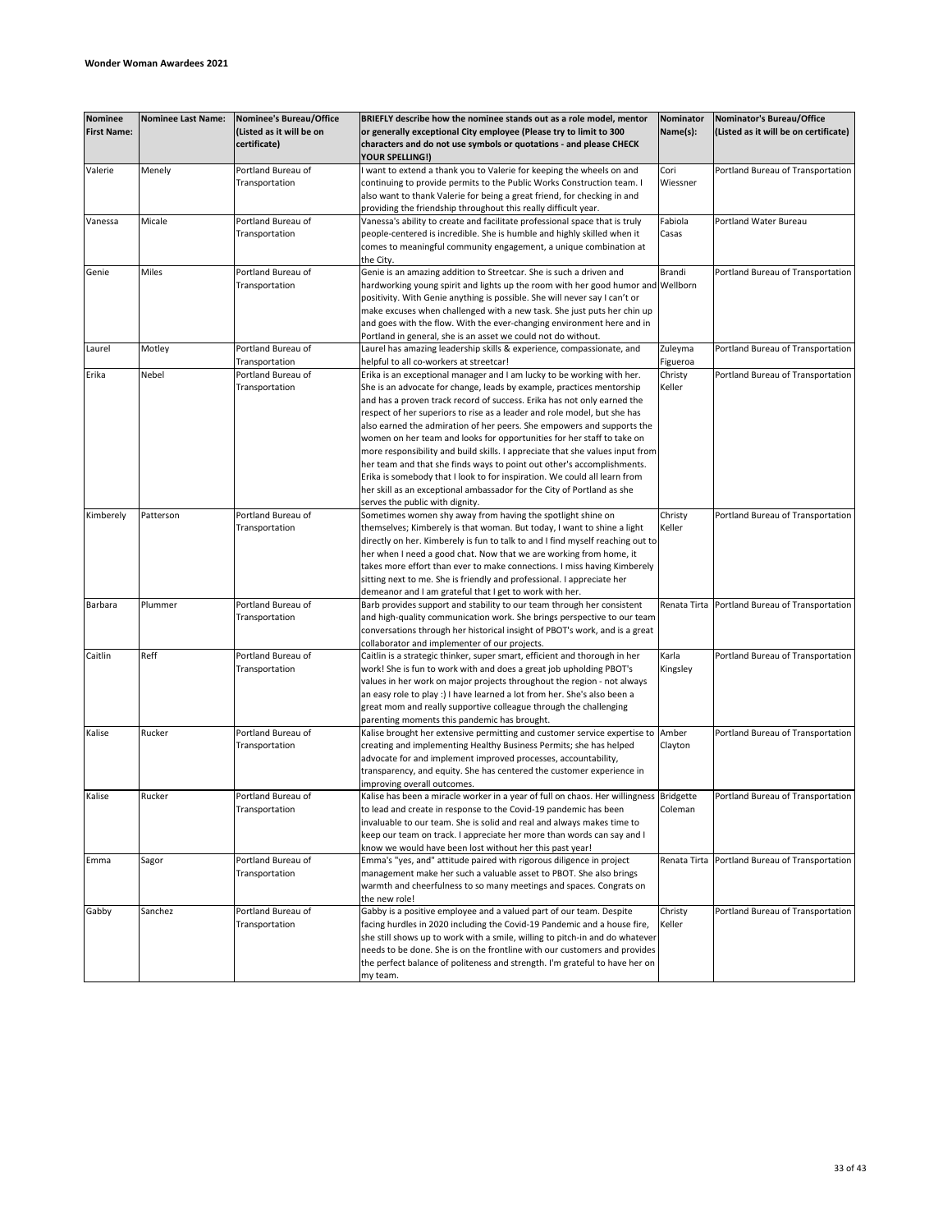| <b>Nominee</b>     | <b>Nominee Last Name:</b> | <b>Nominee's Bureau/Office</b>       | BRIEFLY describe how the nominee stands out as a role model, mentor                                                                               | Nominator | Nominator's Bureau/Office                      |
|--------------------|---------------------------|--------------------------------------|---------------------------------------------------------------------------------------------------------------------------------------------------|-----------|------------------------------------------------|
| <b>First Name:</b> |                           | (Listed as it will be on             | or generally exceptional City employee (Please try to limit to 300                                                                                | Name(s):  | (Listed as it will be on certificate)          |
|                    |                           | certificate)                         | characters and do not use symbols or quotations - and please CHECK                                                                                |           |                                                |
|                    |                           |                                      | YOUR SPELLING!)                                                                                                                                   |           |                                                |
| Valerie            | Menely                    | Portland Bureau of                   | want to extend a thank you to Valerie for keeping the wheels on and                                                                               | Cori      | Portland Bureau of Transportation              |
|                    |                           | Transportation                       | continuing to provide permits to the Public Works Construction team. I                                                                            | Wiessner  |                                                |
|                    |                           |                                      | also want to thank Valerie for being a great friend, for checking in and                                                                          |           |                                                |
|                    |                           |                                      | providing the friendship throughout this really difficult year.                                                                                   |           |                                                |
| Vanessa            | Micale                    | Portland Bureau of                   | Vanessa's ability to create and facilitate professional space that is truly                                                                       | Fabiola   | Portland Water Bureau                          |
|                    |                           | Transportation                       | people-centered is incredible. She is humble and highly skilled when it                                                                           | Casas     |                                                |
|                    |                           |                                      | comes to meaningful community engagement, a unique combination at                                                                                 |           |                                                |
|                    |                           |                                      | the City.                                                                                                                                         |           |                                                |
| Genie              | Miles                     | Portland Bureau of                   | Genie is an amazing addition to Streetcar. She is such a driven and                                                                               | Brandi    | Portland Bureau of Transportation              |
|                    |                           | Transportation                       | hardworking young spirit and lights up the room with her good humor and Wellborn                                                                  |           |                                                |
|                    |                           |                                      | positivity. With Genie anything is possible. She will never say I can't or                                                                        |           |                                                |
|                    |                           |                                      | make excuses when challenged with a new task. She just puts her chin up<br>and goes with the flow. With the ever-changing environment here and in |           |                                                |
|                    |                           |                                      | Portland in general, she is an asset we could not do without.                                                                                     |           |                                                |
| Laurel             | Motley                    | Portland Bureau of                   | Laurel has amazing leadership skills & experience, compassionate, and                                                                             | Zuleyma   | Portland Bureau of Transportation              |
|                    |                           | Transportation                       | helpful to all co-workers at streetcar!                                                                                                           | Figueroa  |                                                |
| Erika              | Nebel                     | Portland Bureau of                   | Erika is an exceptional manager and I am lucky to be working with her.                                                                            | Christy   | Portland Bureau of Transportation              |
|                    |                           | Transportation                       | She is an advocate for change, leads by example, practices mentorship                                                                             | Keller    |                                                |
|                    |                           |                                      | and has a proven track record of success. Erika has not only earned the                                                                           |           |                                                |
|                    |                           |                                      | respect of her superiors to rise as a leader and role model, but she has                                                                          |           |                                                |
|                    |                           |                                      | also earned the admiration of her peers. She empowers and supports the                                                                            |           |                                                |
|                    |                           |                                      | women on her team and looks for opportunities for her staff to take on                                                                            |           |                                                |
|                    |                           |                                      | more responsibility and build skills. I appreciate that she values input from                                                                     |           |                                                |
|                    |                           |                                      | her team and that she finds ways to point out other's accomplishments.                                                                            |           |                                                |
|                    |                           |                                      | Erika is somebody that I look to for inspiration. We could all learn from                                                                         |           |                                                |
|                    |                           |                                      | her skill as an exceptional ambassador for the City of Portland as she                                                                            |           |                                                |
|                    |                           |                                      | serves the public with dignity.                                                                                                                   |           |                                                |
| Kimberely          | Patterson                 | Portland Bureau of                   | Sometimes women shy away from having the spotlight shine on                                                                                       | Christy   | Portland Bureau of Transportation              |
|                    |                           | Transportation                       | themselves; Kimberely is that woman. But today, I want to shine a light                                                                           | Keller    |                                                |
|                    |                           |                                      | directly on her. Kimberely is fun to talk to and I find myself reaching out to                                                                    |           |                                                |
|                    |                           |                                      | her when I need a good chat. Now that we are working from home, it                                                                                |           |                                                |
|                    |                           |                                      | takes more effort than ever to make connections. I miss having Kimberely                                                                          |           |                                                |
|                    |                           |                                      | sitting next to me. She is friendly and professional. I appreciate her                                                                            |           |                                                |
|                    |                           | Portland Bureau of                   | demeanor and I am grateful that I get to work with her.                                                                                           |           |                                                |
| Barbara            | Plummer                   | Transportation                       | Barb provides support and stability to our team through her consistent<br>and high-quality communication work. She brings perspective to our team |           | Renata Tirta Portland Bureau of Transportation |
|                    |                           |                                      | conversations through her historical insight of PBOT's work, and is a great                                                                       |           |                                                |
|                    |                           |                                      | collaborator and implementer of our projects.                                                                                                     |           |                                                |
| Caitlin            | Reff                      | Portland Bureau of                   | Caitlin is a strategic thinker, super smart, efficient and thorough in her                                                                        | Karla     | Portland Bureau of Transportation              |
|                    |                           | Transportation                       | work! She is fun to work with and does a great job upholding PBOT's                                                                               | Kingsley  |                                                |
|                    |                           |                                      | values in her work on major projects throughout the region - not always                                                                           |           |                                                |
|                    |                           |                                      | an easy role to play :) I have learned a lot from her. She's also been a                                                                          |           |                                                |
|                    |                           |                                      | great mom and really supportive colleague through the challenging                                                                                 |           |                                                |
|                    |                           |                                      | parenting moments this pandemic has brought.                                                                                                      |           |                                                |
| Kalise             | Rucker                    | Portland Bureau of                   | Kalise brought her extensive permitting and customer service expertise to                                                                         | Amber     | Portland Bureau of Transportation              |
|                    |                           | Transportation                       | creating and implementing Healthy Business Permits; she has helped                                                                                | Clayton   |                                                |
|                    |                           |                                      | advocate for and implement improved processes, accountability,                                                                                    |           |                                                |
|                    |                           |                                      | transparency, and equity. She has centered the customer experience in                                                                             |           |                                                |
|                    |                           |                                      | improving overall outcomes.                                                                                                                       |           |                                                |
| Kalise             | Rucker                    | Portland Bureau of                   | Kalise has been a miracle worker in a year of full on chaos. Her willingness Bridgette                                                            |           | Portland Bureau of Transportation              |
|                    |                           | Transportation                       | to lead and create in response to the Covid-19 pandemic has been                                                                                  | Coleman   |                                                |
|                    |                           |                                      | invaluable to our team. She is solid and real and always makes time to                                                                            |           |                                                |
|                    |                           |                                      | keep our team on track. I appreciate her more than words can say and I                                                                            |           |                                                |
| Emma               |                           |                                      | know we would have been lost without her this past year!                                                                                          |           | Renata Tirta Portland Bureau of Transportation |
|                    | Sagor                     | Portland Bureau of<br>Transportation | Emma's "yes, and" attitude paired with rigorous diligence in project<br>management make her such a valuable asset to PBOT. She also brings        |           |                                                |
|                    |                           |                                      | warmth and cheerfulness to so many meetings and spaces. Congrats on                                                                               |           |                                                |
|                    |                           |                                      | the new role!                                                                                                                                     |           |                                                |
| Gabby              | Sanchez                   | Portland Bureau of                   | Gabby is a positive employee and a valued part of our team. Despite                                                                               | Christy   | Portland Bureau of Transportation              |
|                    |                           | Transportation                       | facing hurdles in 2020 including the Covid-19 Pandemic and a house fire,                                                                          | Keller    |                                                |
|                    |                           |                                      | she still shows up to work with a smile, willing to pitch-in and do whatever                                                                      |           |                                                |
|                    |                           |                                      | needs to be done. She is on the frontline with our customers and provides                                                                         |           |                                                |
|                    |                           |                                      | the perfect balance of politeness and strength. I'm grateful to have her on                                                                       |           |                                                |
|                    |                           |                                      | my team.                                                                                                                                          |           |                                                |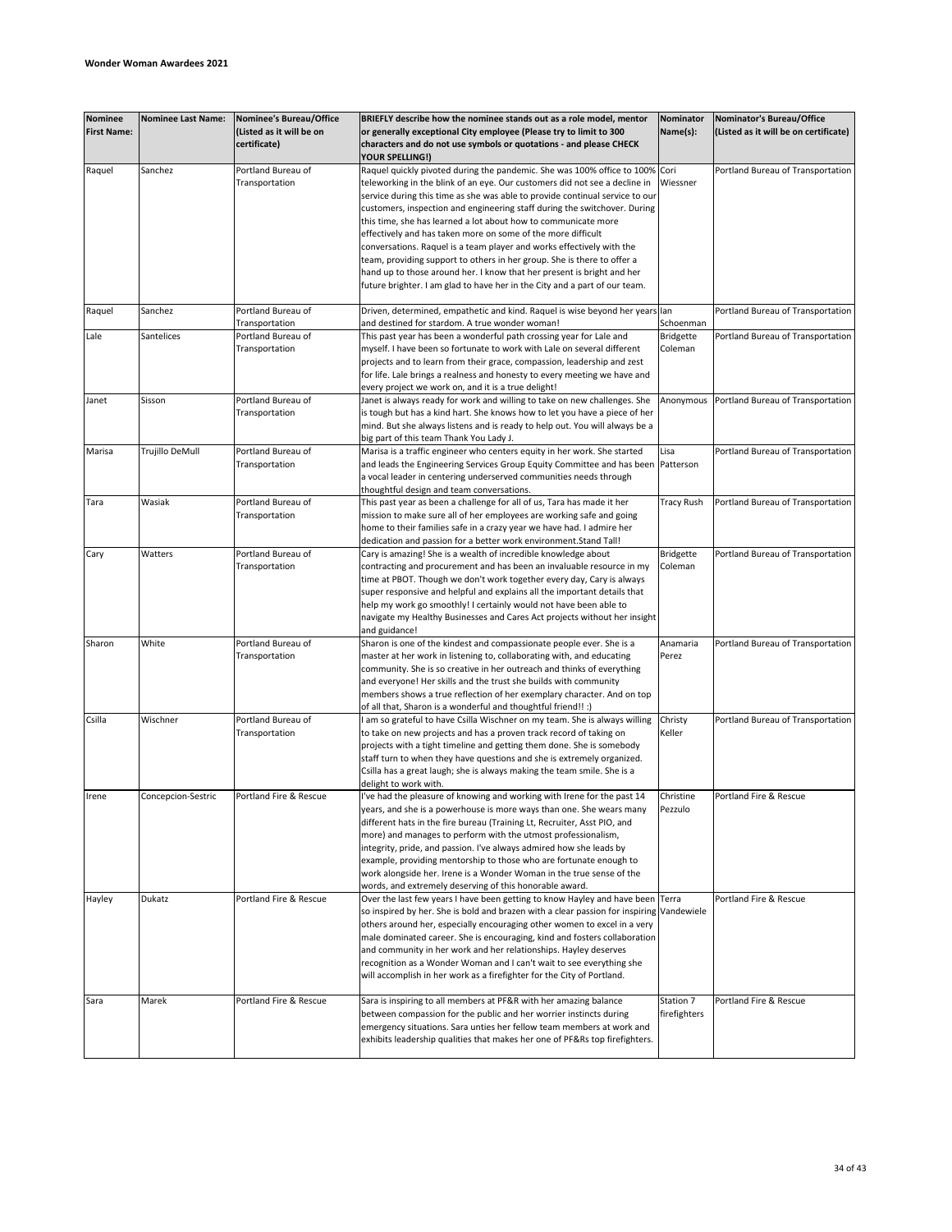| <b>Nominee</b><br><b>First Name:</b> | <b>Nominee Last Name:</b> | <b>Nominee's Bureau/Office</b><br>(Listed as it will be on<br>certificate) | BRIEFLY describe how the nominee stands out as a role model, mentor<br>or generally exceptional City employee (Please try to limit to 300<br>characters and do not use symbols or quotations - and please CHECK<br>YOUR SPELLING!)                                                                                                                                                                                                                                                                                                                                                                                                                                                                                                                                    | Nominator<br>Name(s):       | Nominator's Bureau/Office<br>(Listed as it will be on certificate) |
|--------------------------------------|---------------------------|----------------------------------------------------------------------------|-----------------------------------------------------------------------------------------------------------------------------------------------------------------------------------------------------------------------------------------------------------------------------------------------------------------------------------------------------------------------------------------------------------------------------------------------------------------------------------------------------------------------------------------------------------------------------------------------------------------------------------------------------------------------------------------------------------------------------------------------------------------------|-----------------------------|--------------------------------------------------------------------|
| Raquel                               | Sanchez                   | Portland Bureau of<br>Transportation                                       | Raquel quickly pivoted during the pandemic. She was 100% office to 100% Cori<br>teleworking in the blink of an eye. Our customers did not see a decline in<br>service during this time as she was able to provide continual service to our<br>customers, inspection and engineering staff during the switchover. During<br>this time, she has learned a lot about how to communicate more<br>effectively and has taken more on some of the more difficult<br>conversations. Raquel is a team player and works effectively with the<br>team, providing support to others in her group. She is there to offer a<br>hand up to those around her. I know that her present is bright and her<br>future brighter. I am glad to have her in the City and a part of our team. | Wiessner                    | Portland Bureau of Transportation                                  |
| Raquel                               | Sanchez                   | Portland Bureau of                                                         | Driven, determined, empathetic and kind. Raquel is wise beyond her years lan                                                                                                                                                                                                                                                                                                                                                                                                                                                                                                                                                                                                                                                                                          |                             | Portland Bureau of Transportation                                  |
|                                      |                           | Transportation                                                             | and destined for stardom. A true wonder woman!                                                                                                                                                                                                                                                                                                                                                                                                                                                                                                                                                                                                                                                                                                                        | Schoenman                   |                                                                    |
| Lale                                 | Santelices                | Portland Bureau of<br>Transportation                                       | This past year has been a wonderful path crossing year for Lale and<br>myself. I have been so fortunate to work with Lale on several different<br>projects and to learn from their grace, compassion, leadership and zest<br>for life. Lale brings a realness and honesty to every meeting we have and<br>every project we work on, and it is a true delight!                                                                                                                                                                                                                                                                                                                                                                                                         | <b>Bridgette</b><br>Coleman | Portland Bureau of Transportation                                  |
| Janet                                | Sisson                    | Portland Bureau of<br>Transportation                                       | Janet is always ready for work and willing to take on new challenges. She<br>is tough but has a kind hart. She knows how to let you have a piece of her<br>mind. But she always listens and is ready to help out. You will always be a<br>big part of this team Thank You Lady J.                                                                                                                                                                                                                                                                                                                                                                                                                                                                                     | Anonymous                   | Portland Bureau of Transportation                                  |
| Marisa                               | Trujillo DeMull           | Portland Bureau of<br>Transportation                                       | Marisa is a traffic engineer who centers equity in her work. She started<br>and leads the Engineering Services Group Equity Committee and has been<br>a vocal leader in centering underserved communities needs through<br>thoughtful design and team conversations.                                                                                                                                                                                                                                                                                                                                                                                                                                                                                                  | Lisa<br>Patterson           | Portland Bureau of Transportation                                  |
| Tara                                 | Wasiak                    | Portland Bureau of<br>Transportation                                       | This past year as been a challenge for all of us, Tara has made it her<br>mission to make sure all of her employees are working safe and going<br>home to their families safe in a crazy year we have had. I admire her<br>dedication and passion for a better work environment. Stand Tall!                                                                                                                                                                                                                                                                                                                                                                                                                                                                          | <b>Tracy Rush</b>           | Portland Bureau of Transportation                                  |
| Cary                                 | Watters                   | Portland Bureau of<br>Transportation                                       | Cary is amazing! She is a wealth of incredible knowledge about<br>contracting and procurement and has been an invaluable resource in my<br>time at PBOT. Though we don't work together every day, Cary is always<br>super responsive and helpful and explains all the important details that<br>help my work go smoothly! I certainly would not have been able to<br>navigate my Healthy Businesses and Cares Act projects without her insight<br>and guidance!                                                                                                                                                                                                                                                                                                       | <b>Bridgette</b><br>Coleman | Portland Bureau of Transportation                                  |
| Sharon                               | White                     | Portland Bureau of<br>Transportation                                       | Sharon is one of the kindest and compassionate people ever. She is a<br>master at her work in listening to, collaborating with, and educating<br>community. She is so creative in her outreach and thinks of everything<br>and everyone! Her skills and the trust she builds with community<br>members shows a true reflection of her exemplary character. And on top<br>of all that, Sharon is a wonderful and thoughtful friend!! :)                                                                                                                                                                                                                                                                                                                                | Anamaria<br>Perez           | Portland Bureau of Transportation                                  |
| Csilla                               | Wischner                  | Portland Bureau of<br>Transportation                                       | am so grateful to have Csilla Wischner on my team. She is always willing<br>to take on new projects and has a proven track record of taking on<br>projects with a tight timeline and getting them done. She is somebody<br>staff turn to when they have questions and she is extremely organized.<br>Csilla has a great laugh; she is always making the team smile. She is a<br>delight to work with.                                                                                                                                                                                                                                                                                                                                                                 | Christy<br>Keller           | Portland Bureau of Transportation                                  |
| Irene                                | Concepcion-Sestric        | Portland Fire & Rescue                                                     | I've had the pleasure of knowing and working with Irene for the past 14<br>years, and she is a powerhouse is more ways than one. She wears many<br>different hats in the fire bureau (Training Lt, Recruiter, Asst PIO, and<br>more) and manages to perform with the utmost professionalism,<br>integrity, pride, and passion. I've always admired how she leads by<br>example, providing mentorship to those who are fortunate enough to<br>work alongside her. Irene is a Wonder Woman in the true sense of the<br>words, and extremely deserving of this honorable award.                                                                                                                                                                                          | Christine<br>Pezzulo        | Portland Fire & Rescue                                             |
| Hayley                               | Dukatz                    | Portland Fire & Rescue                                                     | Over the last few years I have been getting to know Hayley and have been Terra<br>so inspired by her. She is bold and brazen with a clear passion for inspiring Vandewiele<br>others around her, especially encouraging other women to excel in a very<br>male dominated career. She is encouraging, kind and fosters collaboration<br>and community in her work and her relationships. Hayley deserves<br>recognition as a Wonder Woman and I can't wait to see everything she<br>will accomplish in her work as a firefighter for the City of Portland.                                                                                                                                                                                                             |                             | Portland Fire & Rescue                                             |
| Sara                                 | Marek                     | Portland Fire & Rescue                                                     | Sara is inspiring to all members at PF&R with her amazing balance<br>between compassion for the public and her worrier instincts during<br>emergency situations. Sara unties her fellow team members at work and<br>exhibits leadership qualities that makes her one of PF&Rs top firefighters.                                                                                                                                                                                                                                                                                                                                                                                                                                                                       | Station 7<br>firefighters   | Portland Fire & Rescue                                             |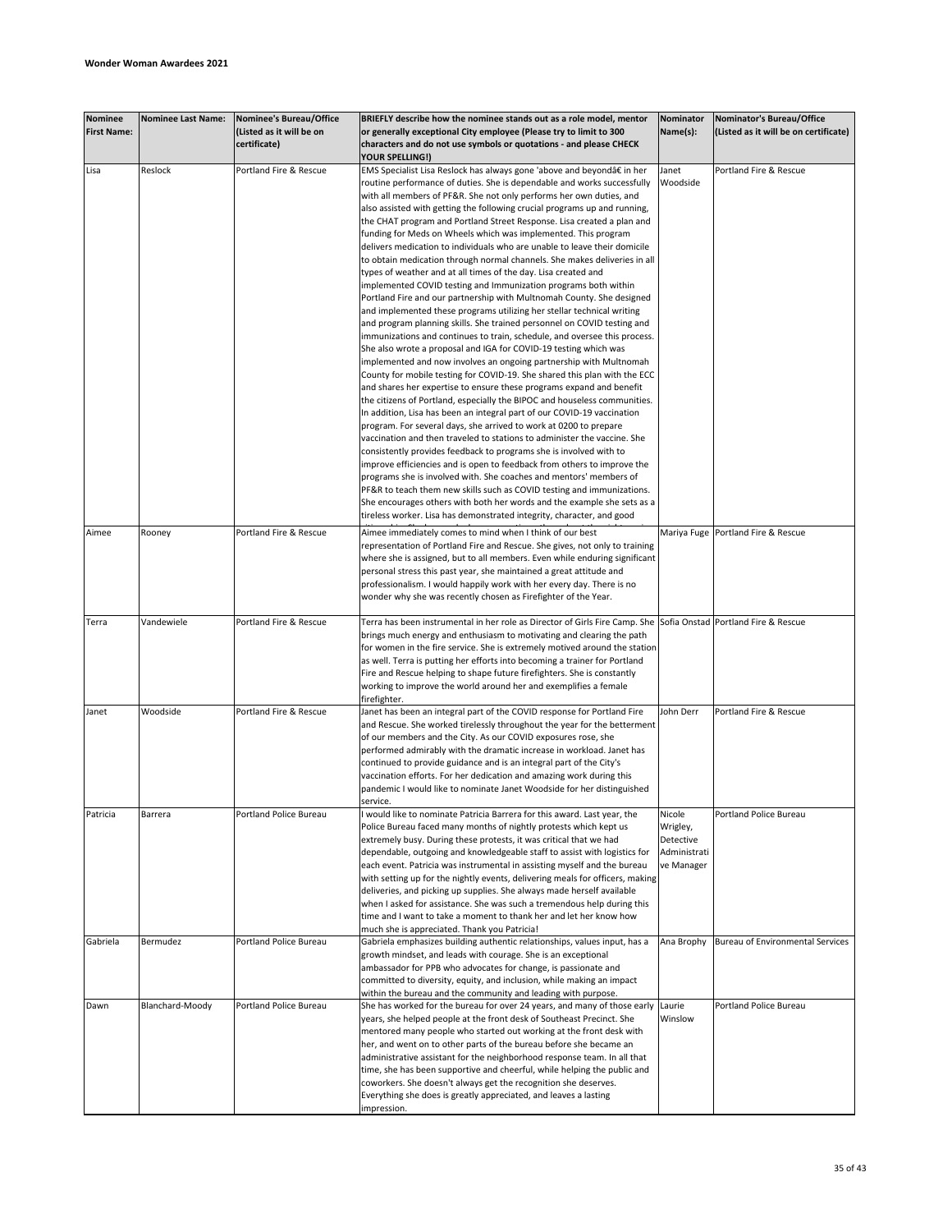| <b>Nominee</b>     | <b>Nominee Last Name:</b> |                                                     |                                                                                                                 |              |                                                                    |
|--------------------|---------------------------|-----------------------------------------------------|-----------------------------------------------------------------------------------------------------------------|--------------|--------------------------------------------------------------------|
| <b>First Name:</b> |                           | Nominee's Bureau/Office<br>(Listed as it will be on | BRIEFLY describe how the nominee stands out as a role model, mentor                                             | Nominator    | Nominator's Bureau/Office<br>(Listed as it will be on certificate) |
|                    |                           |                                                     | or generally exceptional City employee (Please try to limit to 300                                              | Name(s):     |                                                                    |
|                    |                           | certificate)                                        | characters and do not use symbols or quotations - and please CHECK                                              |              |                                                                    |
|                    |                           |                                                     | YOUR SPELLING!)                                                                                                 |              |                                                                    |
| Lisa               | Reslock                   | Portland Fire & Rescue                              | EMS Specialist Lisa Reslock has always gone 'above and beyond†in her                                            | Janet        | Portland Fire & Rescue                                             |
|                    |                           |                                                     | routine performance of duties. She is dependable and works successfully                                         | Woodside     |                                                                    |
|                    |                           |                                                     | with all members of PF&R. She not only performs her own duties, and                                             |              |                                                                    |
|                    |                           |                                                     | also assisted with getting the following crucial programs up and running,                                       |              |                                                                    |
|                    |                           |                                                     | the CHAT program and Portland Street Response. Lisa created a plan and                                          |              |                                                                    |
|                    |                           |                                                     | funding for Meds on Wheels which was implemented. This program                                                  |              |                                                                    |
|                    |                           |                                                     | delivers medication to individuals who are unable to leave their domicile                                       |              |                                                                    |
|                    |                           |                                                     | to obtain medication through normal channels. She makes deliveries in all                                       |              |                                                                    |
|                    |                           |                                                     | types of weather and at all times of the day. Lisa created and                                                  |              |                                                                    |
|                    |                           |                                                     | implemented COVID testing and Immunization programs both within                                                 |              |                                                                    |
|                    |                           |                                                     | Portland Fire and our partnership with Multnomah County. She designed                                           |              |                                                                    |
|                    |                           |                                                     | and implemented these programs utilizing her stellar technical writing                                          |              |                                                                    |
|                    |                           |                                                     | and program planning skills. She trained personnel on COVID testing and                                         |              |                                                                    |
|                    |                           |                                                     | immunizations and continues to train, schedule, and oversee this process.                                       |              |                                                                    |
|                    |                           |                                                     | She also wrote a proposal and IGA for COVID-19 testing which was                                                |              |                                                                    |
|                    |                           |                                                     | implemented and now involves an ongoing partnership with Multnomah                                              |              |                                                                    |
|                    |                           |                                                     | County for mobile testing for COVID-19. She shared this plan with the ECC                                       |              |                                                                    |
|                    |                           |                                                     | and shares her expertise to ensure these programs expand and benefit                                            |              |                                                                    |
|                    |                           |                                                     | the citizens of Portland, especially the BIPOC and houseless communities.                                       |              |                                                                    |
|                    |                           |                                                     | In addition, Lisa has been an integral part of our COVID-19 vaccination                                         |              |                                                                    |
|                    |                           |                                                     | program. For several days, she arrived to work at 0200 to prepare                                               |              |                                                                    |
|                    |                           |                                                     | vaccination and then traveled to stations to administer the vaccine. She                                        |              |                                                                    |
|                    |                           |                                                     | consistently provides feedback to programs she is involved with to                                              |              |                                                                    |
|                    |                           |                                                     | improve efficiencies and is open to feedback from others to improve the                                         |              |                                                                    |
|                    |                           |                                                     | programs she is involved with. She coaches and mentors' members of                                              |              |                                                                    |
|                    |                           |                                                     | PF&R to teach them new skills such as COVID testing and immunizations.                                          |              |                                                                    |
|                    |                           |                                                     | She encourages others with both her words and the example she sets as a                                         |              |                                                                    |
|                    |                           |                                                     | tireless worker. Lisa has demonstrated integrity, character, and good                                           |              |                                                                    |
|                    |                           |                                                     |                                                                                                                 |              |                                                                    |
| Aimee              | Rooney                    | Portland Fire & Rescue                              | Aimee immediately comes to mind when I think of our best                                                        |              | Mariya Fuge Portland Fire & Rescue                                 |
|                    |                           |                                                     | representation of Portland Fire and Rescue. She gives, not only to training                                     |              |                                                                    |
|                    |                           |                                                     | where she is assigned, but to all members. Even while enduring significant                                      |              |                                                                    |
|                    |                           |                                                     | personal stress this past year, she maintained a great attitude and                                             |              |                                                                    |
|                    |                           |                                                     | professionalism. I would happily work with her every day. There is no                                           |              |                                                                    |
|                    |                           |                                                     | wonder why she was recently chosen as Firefighter of the Year.                                                  |              |                                                                    |
|                    |                           |                                                     |                                                                                                                 |              |                                                                    |
| Terra              | Vandewiele                | Portland Fire & Rescue                              | Terra has been instrumental in her role as Director of Girls Fire Camp. She Sofia Onstad Portland Fire & Rescue |              |                                                                    |
|                    |                           |                                                     | brings much energy and enthusiasm to motivating and clearing the path                                           |              |                                                                    |
|                    |                           |                                                     | for women in the fire service. She is extremely motived around the station                                      |              |                                                                    |
|                    |                           |                                                     | as well. Terra is putting her efforts into becoming a trainer for Portland                                      |              |                                                                    |
|                    |                           |                                                     | Fire and Rescue helping to shape future firefighters. She is constantly                                         |              |                                                                    |
|                    |                           |                                                     | working to improve the world around her and exemplifies a female                                                |              |                                                                    |
|                    |                           |                                                     | firefighter.                                                                                                    |              |                                                                    |
| Janet              | Woodside                  | Portland Fire & Rescue                              | Janet has been an integral part of the COVID response for Portland Fire                                         | John Derr    | Portland Fire & Rescue                                             |
|                    |                           |                                                     | and Rescue. She worked tirelessly throughout the year for the betterment                                        |              |                                                                    |
|                    |                           |                                                     | of our members and the City. As our COVID exposures rose, she                                                   |              |                                                                    |
|                    |                           |                                                     |                                                                                                                 |              |                                                                    |
|                    |                           |                                                     | performed admirably with the dramatic increase in workload. Janet has                                           |              |                                                                    |
|                    |                           |                                                     | continued to provide guidance and is an integral part of the City's                                             |              |                                                                    |
|                    |                           |                                                     | vaccination efforts. For her dedication and amazing work during this                                            |              |                                                                    |
|                    |                           |                                                     | pandemic I would like to nominate Janet Woodside for her distinguished                                          |              |                                                                    |
|                    |                           |                                                     | service.                                                                                                        |              |                                                                    |
| Patricia           | Barrera                   | Portland Police Bureau                              | would like to nominate Patricia Barrera for this award. Last year, the                                          | Nicole       | Portland Police Bureau                                             |
|                    |                           |                                                     | Police Bureau faced many months of nightly protests which kept us                                               | Wrigley,     |                                                                    |
|                    |                           |                                                     | extremely busy. During these protests, it was critical that we had                                              | Detective    |                                                                    |
|                    |                           |                                                     | dependable, outgoing and knowledgeable staff to assist with logistics for                                       | Administrati |                                                                    |
|                    |                           |                                                     | each event. Patricia was instrumental in assisting myself and the bureau                                        | ve Manager   |                                                                    |
|                    |                           |                                                     | with setting up for the nightly events, delivering meals for officers, making                                   |              |                                                                    |
|                    |                           |                                                     | deliveries, and picking up supplies. She always made herself available                                          |              |                                                                    |
|                    |                           |                                                     | when I asked for assistance. She was such a tremendous help during this                                         |              |                                                                    |
|                    |                           |                                                     | time and I want to take a moment to thank her and let her know how                                              |              |                                                                    |
|                    |                           |                                                     | much she is appreciated. Thank you Patricia!                                                                    |              |                                                                    |
| Gabriela           | Bermudez                  | Portland Police Bureau                              | Gabriela emphasizes building authentic relationships, values input, has a                                       | Ana Brophy   | <b>Bureau of Environmental Services</b>                            |
|                    |                           |                                                     | growth mindset, and leads with courage. She is an exceptional                                                   |              |                                                                    |
|                    |                           |                                                     | ambassador for PPB who advocates for change, is passionate and                                                  |              |                                                                    |
|                    |                           |                                                     | committed to diversity, equity, and inclusion, while making an impact                                           |              |                                                                    |
|                    |                           |                                                     | within the bureau and the community and leading with purpose.                                                   |              |                                                                    |
| Dawn               | Blanchard-Moody           | Portland Police Bureau                              | She has worked for the bureau for over 24 years, and many of those early Laurie                                 |              | Portland Police Bureau                                             |
|                    |                           |                                                     | years, she helped people at the front desk of Southeast Precinct. She                                           | Winslow      |                                                                    |
|                    |                           |                                                     | mentored many people who started out working at the front desk with                                             |              |                                                                    |
|                    |                           |                                                     | her, and went on to other parts of the bureau before she became an                                              |              |                                                                    |
|                    |                           |                                                     | administrative assistant for the neighborhood response team. In all that                                        |              |                                                                    |
|                    |                           |                                                     | time, she has been supportive and cheerful, while helping the public and                                        |              |                                                                    |
|                    |                           |                                                     | coworkers. She doesn't always get the recognition she deserves.                                                 |              |                                                                    |
|                    |                           |                                                     |                                                                                                                 |              |                                                                    |
|                    |                           |                                                     | Everything she does is greatly appreciated, and leaves a lasting                                                |              |                                                                    |
|                    |                           |                                                     | impression.                                                                                                     |              |                                                                    |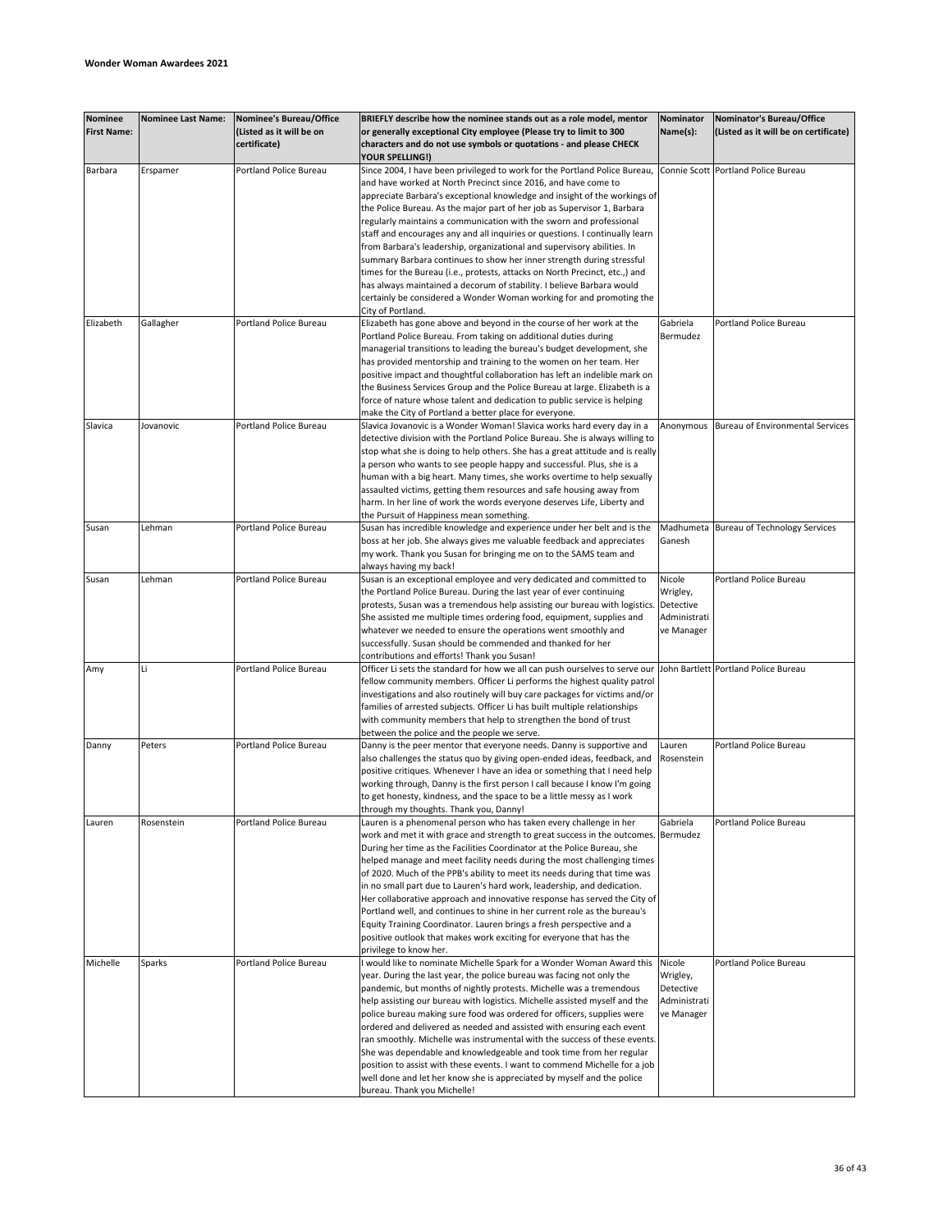| Nominee<br><b>First Name:</b> | <b>Nominee Last Name:</b> | <b>Nominee's Bureau/Office</b><br>(Listed as it will be on<br>certificate) | BRIEFLY describe how the nominee stands out as a role model, mentor<br>or generally exceptional City employee (Please try to limit to 300<br>characters and do not use symbols or quotations - and please CHECK | Nominator<br>Name(s): | Nominator's Bureau/Office<br>(Listed as it will be on certificate) |
|-------------------------------|---------------------------|----------------------------------------------------------------------------|-----------------------------------------------------------------------------------------------------------------------------------------------------------------------------------------------------------------|-----------------------|--------------------------------------------------------------------|
|                               |                           |                                                                            | YOUR SPELLING!)                                                                                                                                                                                                 |                       |                                                                    |
| Barbara                       | Erspamer                  | Portland Police Bureau                                                     | Since 2004, I have been privileged to work for the Portland Police Bureau,                                                                                                                                      |                       | Connie Scott Portland Police Bureau                                |
|                               |                           |                                                                            | and have worked at North Precinct since 2016, and have come to                                                                                                                                                  |                       |                                                                    |
|                               |                           |                                                                            | appreciate Barbara's exceptional knowledge and insight of the workings of                                                                                                                                       |                       |                                                                    |
|                               |                           |                                                                            | the Police Bureau. As the major part of her job as Supervisor 1, Barbara                                                                                                                                        |                       |                                                                    |
|                               |                           |                                                                            | regularly maintains a communication with the sworn and professional                                                                                                                                             |                       |                                                                    |
|                               |                           |                                                                            | staff and encourages any and all inquiries or questions. I continually learn                                                                                                                                    |                       |                                                                    |
|                               |                           |                                                                            | from Barbara's leadership, organizational and supervisory abilities. In                                                                                                                                         |                       |                                                                    |
|                               |                           |                                                                            | summary Barbara continues to show her inner strength during stressful                                                                                                                                           |                       |                                                                    |
|                               |                           |                                                                            | times for the Bureau (i.e., protests, attacks on North Precinct, etc.,) and                                                                                                                                     |                       |                                                                    |
|                               |                           |                                                                            | has always maintained a decorum of stability. I believe Barbara would                                                                                                                                           |                       |                                                                    |
|                               |                           |                                                                            | certainly be considered a Wonder Woman working for and promoting the                                                                                                                                            |                       |                                                                    |
|                               |                           |                                                                            | City of Portland.                                                                                                                                                                                               |                       |                                                                    |
| Elizabeth                     | Gallagher                 | Portland Police Bureau                                                     | Elizabeth has gone above and beyond in the course of her work at the                                                                                                                                            | Gabriela              | Portland Police Bureau                                             |
|                               |                           |                                                                            | Portland Police Bureau. From taking on additional duties during                                                                                                                                                 | Bermudez              |                                                                    |
|                               |                           |                                                                            | managerial transitions to leading the bureau's budget development, she                                                                                                                                          |                       |                                                                    |
|                               |                           |                                                                            | has provided mentorship and training to the women on her team. Her                                                                                                                                              |                       |                                                                    |
|                               |                           |                                                                            | positive impact and thoughtful collaboration has left an indelible mark on                                                                                                                                      |                       |                                                                    |
|                               |                           |                                                                            | the Business Services Group and the Police Bureau at large. Elizabeth is a                                                                                                                                      |                       |                                                                    |
|                               |                           |                                                                            | force of nature whose talent and dedication to public service is helping                                                                                                                                        |                       |                                                                    |
|                               |                           |                                                                            | make the City of Portland a better place for everyone.                                                                                                                                                          |                       |                                                                    |
| Slavica                       | Jovanovic                 | Portland Police Bureau                                                     | Slavica Jovanovic is a Wonder Woman! Slavica works hard every day in a                                                                                                                                          | Anonymous             | <b>Bureau of Environmental Services</b>                            |
|                               |                           |                                                                            | detective division with the Portland Police Bureau. She is always willing to                                                                                                                                    |                       |                                                                    |
|                               |                           |                                                                            | stop what she is doing to help others. She has a great attitude and is really                                                                                                                                   |                       |                                                                    |
|                               |                           |                                                                            | a person who wants to see people happy and successful. Plus, she is a                                                                                                                                           |                       |                                                                    |
|                               |                           |                                                                            | human with a big heart. Many times, she works overtime to help sexually                                                                                                                                         |                       |                                                                    |
|                               |                           |                                                                            | assaulted victims, getting them resources and safe housing away from                                                                                                                                            |                       |                                                                    |
|                               |                           |                                                                            | harm. In her line of work the words everyone deserves Life, Liberty and                                                                                                                                         |                       |                                                                    |
|                               |                           |                                                                            | the Pursuit of Happiness mean something.                                                                                                                                                                        |                       |                                                                    |
| Susan                         | Lehman                    | Portland Police Bureau                                                     | Susan has incredible knowledge and experience under her belt and is the                                                                                                                                         | Madhumeta             | Bureau of Technology Services                                      |
|                               |                           |                                                                            | boss at her job. She always gives me valuable feedback and appreciates                                                                                                                                          | Ganesh                |                                                                    |
|                               |                           |                                                                            | my work. Thank you Susan for bringing me on to the SAMS team and                                                                                                                                                |                       |                                                                    |
|                               |                           |                                                                            | always having my back!                                                                                                                                                                                          |                       |                                                                    |
| Susan                         | Lehman                    | Portland Police Bureau                                                     | Susan is an exceptional employee and very dedicated and committed to                                                                                                                                            | Nicole                | Portland Police Bureau                                             |
|                               |                           |                                                                            | the Portland Police Bureau. During the last year of ever continuing                                                                                                                                             | Wrigley,              |                                                                    |
|                               |                           |                                                                            | protests, Susan was a tremendous help assisting our bureau with logistics.                                                                                                                                      | Detective             |                                                                    |
|                               |                           |                                                                            | She assisted me multiple times ordering food, equipment, supplies and                                                                                                                                           | Administrati          |                                                                    |
|                               |                           |                                                                            | whatever we needed to ensure the operations went smoothly and                                                                                                                                                   | ve Manager            |                                                                    |
|                               |                           |                                                                            | successfully. Susan should be commended and thanked for her                                                                                                                                                     |                       |                                                                    |
|                               |                           |                                                                            | contributions and efforts! Thank you Susan!                                                                                                                                                                     |                       |                                                                    |
| Amy                           | Li                        | Portland Police Bureau                                                     | Officer Li sets the standard for how we all can push ourselves to serve our                                                                                                                                     |                       | John Bartlett Portland Police Bureau                               |
|                               |                           |                                                                            | fellow community members. Officer Li performs the highest quality patrol                                                                                                                                        |                       |                                                                    |
|                               |                           |                                                                            | investigations and also routinely will buy care packages for victims and/or                                                                                                                                     |                       |                                                                    |
|                               |                           |                                                                            | families of arrested subjects. Officer Li has built multiple relationships                                                                                                                                      |                       |                                                                    |
|                               |                           |                                                                            | with community members that help to strengthen the bond of trust                                                                                                                                                |                       |                                                                    |
|                               |                           |                                                                            | between the police and the people we serve.                                                                                                                                                                     |                       |                                                                    |
| Danny                         | Peters                    | <b>Portland Police Bureau</b>                                              | Danny is the peer mentor that everyone needs. Danny is supportive and                                                                                                                                           | Lauren                | Portland Police Bureau                                             |
|                               |                           |                                                                            | also challenges the status quo by giving open-ended ideas, feedback, and                                                                                                                                        | Rosenstein            |                                                                    |
|                               |                           |                                                                            | positive critiques. Whenever I have an idea or something that I need help                                                                                                                                       |                       |                                                                    |
|                               |                           |                                                                            | working through, Danny is the first person I call because I know I'm going                                                                                                                                      |                       |                                                                    |
|                               |                           |                                                                            | to get honesty, kindness, and the space to be a little messy as I work                                                                                                                                          |                       |                                                                    |
|                               |                           |                                                                            | through my thoughts. Thank you, Danny!                                                                                                                                                                          |                       |                                                                    |
| Lauren                        | Rosenstein                | Portland Police Bureau                                                     | Lauren is a phenomenal person who has taken every challenge in her                                                                                                                                              | Gabriela              | Portland Police Bureau                                             |
|                               |                           |                                                                            | work and met it with grace and strength to great success in the outcomes. Bermudez                                                                                                                              |                       |                                                                    |
|                               |                           |                                                                            | During her time as the Facilities Coordinator at the Police Bureau, she                                                                                                                                         |                       |                                                                    |
|                               |                           |                                                                            | helped manage and meet facility needs during the most challenging times                                                                                                                                         |                       |                                                                    |
|                               |                           |                                                                            |                                                                                                                                                                                                                 |                       |                                                                    |
|                               |                           |                                                                            | of 2020. Much of the PPB's ability to meet its needs during that time was                                                                                                                                       |                       |                                                                    |
|                               |                           |                                                                            | in no small part due to Lauren's hard work, leadership, and dedication.                                                                                                                                         |                       |                                                                    |
|                               |                           |                                                                            | Her collaborative approach and innovative response has served the City of                                                                                                                                       |                       |                                                                    |
|                               |                           |                                                                            | Portland well, and continues to shine in her current role as the bureau's                                                                                                                                       |                       |                                                                    |
|                               |                           |                                                                            | Equity Training Coordinator. Lauren brings a fresh perspective and a                                                                                                                                            |                       |                                                                    |
|                               |                           |                                                                            | positive outlook that makes work exciting for everyone that has the                                                                                                                                             |                       |                                                                    |
|                               |                           |                                                                            | privilege to know her.                                                                                                                                                                                          |                       |                                                                    |
| Michelle                      | Sparks                    | <b>Portland Police Bureau</b>                                              | would like to nominate Michelle Spark for a Wonder Woman Award this                                                                                                                                             | Nicole                | Portland Police Bureau                                             |
|                               |                           |                                                                            | year. During the last year, the police bureau was facing not only the                                                                                                                                           | Wrigley,              |                                                                    |
|                               |                           |                                                                            | pandemic, but months of nightly protests. Michelle was a tremendous                                                                                                                                             | Detective             |                                                                    |
|                               |                           |                                                                            | help assisting our bureau with logistics. Michelle assisted myself and the                                                                                                                                      | Administrati          |                                                                    |
|                               |                           |                                                                            | police bureau making sure food was ordered for officers, supplies were                                                                                                                                          | ve Manager            |                                                                    |
|                               |                           |                                                                            | ordered and delivered as needed and assisted with ensuring each event                                                                                                                                           |                       |                                                                    |
|                               |                           |                                                                            | ran smoothly. Michelle was instrumental with the success of these events.                                                                                                                                       |                       |                                                                    |
|                               |                           |                                                                            | She was dependable and knowledgeable and took time from her regular                                                                                                                                             |                       |                                                                    |
|                               |                           |                                                                            | position to assist with these events. I want to commend Michelle for a job                                                                                                                                      |                       |                                                                    |
|                               |                           |                                                                            | well done and let her know she is appreciated by myself and the police                                                                                                                                          |                       |                                                                    |
|                               |                           |                                                                            | bureau. Thank you Michelle!                                                                                                                                                                                     |                       |                                                                    |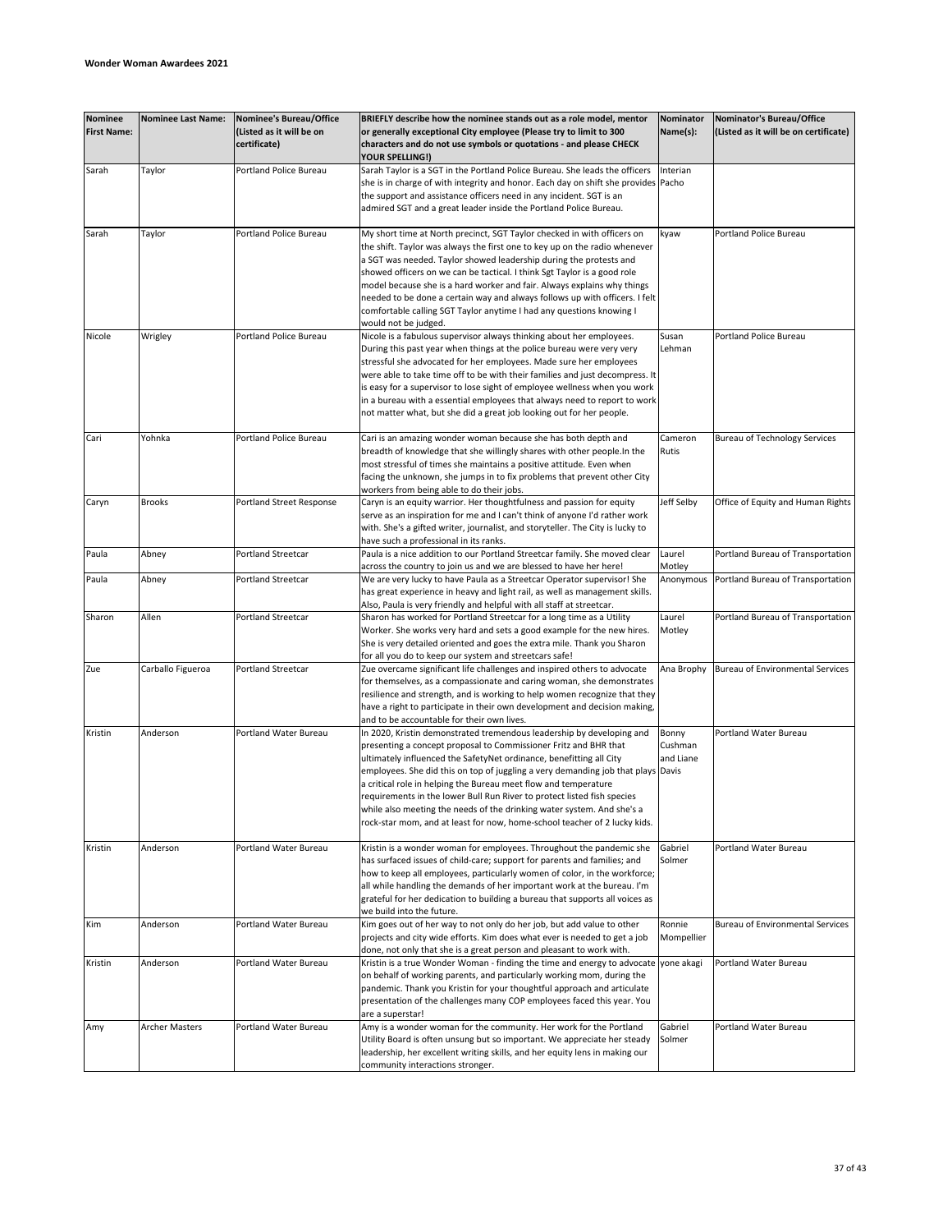| <b>Nominee</b><br><b>First Name:</b> | <b>Nominee Last Name:</b> | Nominee's Bureau/Office<br>(Listed as it will be on<br>certificate) | BRIEFLY describe how the nominee stands out as a role model, mentor<br>or generally exceptional City employee (Please try to limit to 300<br>characters and do not use symbols or quotations - and please CHECK<br>YOUR SPELLING!)                                                                                                                                                                                                                                                                                                                                                                        | Nominator<br>Name(s):         | Nominator's Bureau/Office<br>(Listed as it will be on certificate) |
|--------------------------------------|---------------------------|---------------------------------------------------------------------|-----------------------------------------------------------------------------------------------------------------------------------------------------------------------------------------------------------------------------------------------------------------------------------------------------------------------------------------------------------------------------------------------------------------------------------------------------------------------------------------------------------------------------------------------------------------------------------------------------------|-------------------------------|--------------------------------------------------------------------|
| Sarah                                | Taylor                    | Portland Police Bureau                                              | Sarah Taylor is a SGT in the Portland Police Bureau. She leads the officers<br>she is in charge of with integrity and honor. Each day on shift she provides<br>the support and assistance officers need in any incident. SGT is an<br>admired SGT and a great leader inside the Portland Police Bureau.                                                                                                                                                                                                                                                                                                   | Interian<br>Pacho             |                                                                    |
| Sarah                                | Taylor                    | Portland Police Bureau                                              | My short time at North precinct, SGT Taylor checked in with officers on<br>the shift. Taylor was always the first one to key up on the radio whenever<br>a SGT was needed. Taylor showed leadership during the protests and<br>showed officers on we can be tactical. I think Sgt Taylor is a good role<br>model because she is a hard worker and fair. Always explains why things<br>needed to be done a certain way and always follows up with officers. I felt<br>comfortable calling SGT Taylor anytime I had any questions knowing I<br>would not be judged.                                         | kyaw                          | Portland Police Bureau                                             |
| Nicole                               | Wrigley                   | Portland Police Bureau                                              | Nicole is a fabulous supervisor always thinking about her employees.<br>During this past year when things at the police bureau were very very<br>stressful she advocated for her employees. Made sure her employees<br>were able to take time off to be with their families and just decompress. It<br>is easy for a supervisor to lose sight of employee wellness when you work<br>in a bureau with a essential employees that always need to report to work<br>not matter what, but she did a great job looking out for her people.                                                                     | Susan<br>Lehman               | Portland Police Bureau                                             |
| Cari                                 | Yohnka                    | Portland Police Bureau                                              | Cari is an amazing wonder woman because she has both depth and<br>breadth of knowledge that she willingly shares with other people. In the<br>most stressful of times she maintains a positive attitude. Even when<br>facing the unknown, she jumps in to fix problems that prevent other City<br>workers from being able to do their jobs.                                                                                                                                                                                                                                                               | Cameron<br>Rutis              | <b>Bureau of Technology Services</b>                               |
| Caryn                                | <b>Brooks</b>             | <b>Portland Street Response</b>                                     | Caryn is an equity warrior. Her thoughtfulness and passion for equity<br>serve as an inspiration for me and I can't think of anyone I'd rather work<br>with. She's a gifted writer, journalist, and storyteller. The City is lucky to<br>have such a professional in its ranks.                                                                                                                                                                                                                                                                                                                           | Jeff Selby                    | Office of Equity and Human Rights                                  |
| Paula                                | Abney                     | <b>Portland Streetcar</b>                                           | Paula is a nice addition to our Portland Streetcar family. She moved clear<br>across the country to join us and we are blessed to have her here!                                                                                                                                                                                                                                                                                                                                                                                                                                                          | Laurel<br>Motley              | Portland Bureau of Transportation                                  |
| Paula                                | Abney                     | <b>Portland Streetcar</b>                                           | We are very lucky to have Paula as a Streetcar Operator supervisor! She<br>has great experience in heavy and light rail, as well as management skills.<br>Also, Paula is very friendly and helpful with all staff at streetcar.                                                                                                                                                                                                                                                                                                                                                                           | Anonymous                     | Portland Bureau of Transportation                                  |
| Sharon                               | Allen                     | Portland Streetcar                                                  | Sharon has worked for Portland Streetcar for a long time as a Utility<br>Worker. She works very hard and sets a good example for the new hires.<br>She is very detailed oriented and goes the extra mile. Thank you Sharon<br>for all you do to keep our system and streetcars safe!                                                                                                                                                                                                                                                                                                                      | Laurel<br>Motley              | Portland Bureau of Transportation                                  |
| Zue                                  | Carballo Figueroa         | <b>Portland Streetcar</b>                                           | Zue overcame significant life challenges and inspired others to advocate<br>for themselves, as a compassionate and caring woman, she demonstrates<br>resilience and strength, and is working to help women recognize that they<br>have a right to participate in their own development and decision making,<br>and to be accountable for their own lives.                                                                                                                                                                                                                                                 | Ana Brophy                    | <b>Bureau of Environmental Services</b>                            |
| Kristin                              | Anderson                  | Portland Water Bureau                                               | In 2020, Kristin demonstrated tremendous leadership by developing and<br>presenting a concept proposal to Commissioner Fritz and BHR that<br>ultimately influenced the SafetyNet ordinance, benefitting all City<br>employees. She did this on top of juggling a very demanding job that plays Davis<br>a critical role in helping the Bureau meet flow and temperature<br>requirements in the lower Bull Run River to protect listed fish species<br>while also meeting the needs of the drinking water system. And she's a<br>rock-star mom, and at least for now, home-school teacher of 2 lucky kids. | Bonny<br>Cushman<br>and Liane | Portland Water Bureau                                              |
| Kristin                              | Anderson                  | Portland Water Bureau                                               | Kristin is a wonder woman for employees. Throughout the pandemic she<br>has surfaced issues of child-care; support for parents and families; and<br>how to keep all employees, particularly women of color, in the workforce;<br>all while handling the demands of her important work at the bureau. I'm<br>grateful for her dedication to building a bureau that supports all voices as<br>we build into the future.                                                                                                                                                                                     | Gabriel<br>Solmer             | Portland Water Bureau                                              |
| Kim                                  | Anderson                  | Portland Water Bureau                                               | Kim goes out of her way to not only do her job, but add value to other<br>projects and city wide efforts. Kim does what ever is needed to get a job<br>done, not only that she is a great person and pleasant to work with.                                                                                                                                                                                                                                                                                                                                                                               | Ronnie<br>Mompellier          | <b>Bureau of Environmental Services</b>                            |
| Kristin                              | Anderson                  | Portland Water Bureau                                               | Kristin is a true Wonder Woman - finding the time and energy to advocate<br>on behalf of working parents, and particularly working mom, during the<br>pandemic. Thank you Kristin for your thoughtful approach and articulate<br>presentation of the challenges many COP employees faced this year. You<br>are a superstar!                                                                                                                                                                                                                                                                               | yone akagi                    | Portland Water Bureau                                              |
| Amy                                  | <b>Archer Masters</b>     | Portland Water Bureau                                               | Amy is a wonder woman for the community. Her work for the Portland<br>Utility Board is often unsung but so important. We appreciate her steady<br>leadership, her excellent writing skills, and her equity lens in making our<br>community interactions stronger.                                                                                                                                                                                                                                                                                                                                         | Gabriel<br>Solmer             | Portland Water Bureau                                              |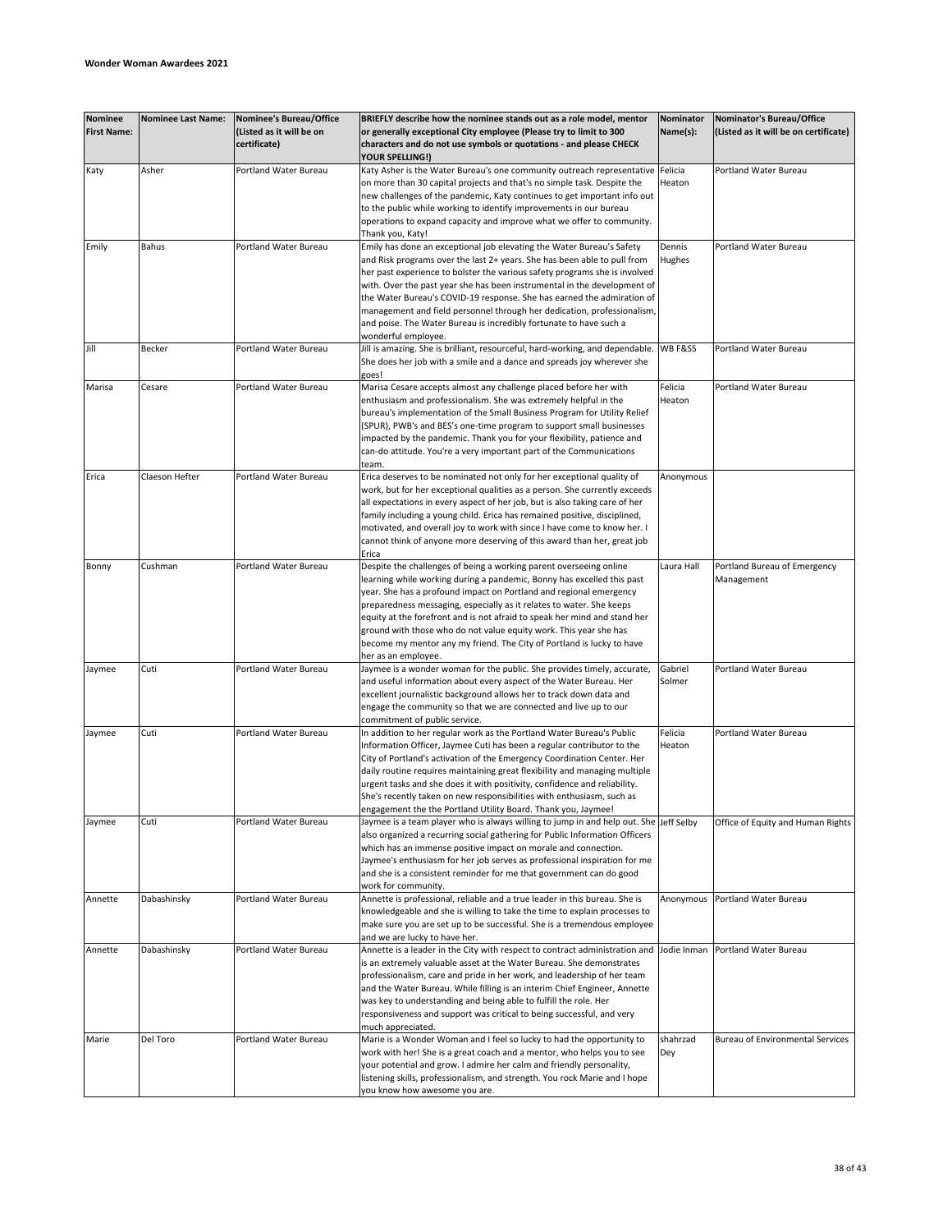| <b>Nominee</b><br><b>First Name:</b> | <b>Nominee Last Name:</b> | <b>Nominee's Bureau/Office</b><br>(Listed as it will be on<br>certificate) | BRIEFLY describe how the nominee stands out as a role model, mentor<br>or generally exceptional City employee (Please try to limit to 300<br>characters and do not use symbols or quotations - and please CHECK | Nominator<br>Name(s): | Nominator's Bureau/Office<br>(Listed as it will be on certificate) |
|--------------------------------------|---------------------------|----------------------------------------------------------------------------|-----------------------------------------------------------------------------------------------------------------------------------------------------------------------------------------------------------------|-----------------------|--------------------------------------------------------------------|
|                                      |                           |                                                                            | <b>YOUR SPELLING!)</b>                                                                                                                                                                                          |                       |                                                                    |
| Katy                                 | Asher                     | Portland Water Bureau                                                      | Katy Asher is the Water Bureau's one community outreach representative                                                                                                                                          | Felicia               | Portland Water Bureau                                              |
|                                      |                           |                                                                            | on more than 30 capital projects and that's no simple task. Despite the                                                                                                                                         | Heaton                |                                                                    |
|                                      |                           |                                                                            | new challenges of the pandemic, Katy continues to get important info out                                                                                                                                        |                       |                                                                    |
|                                      |                           |                                                                            | to the public while working to identify improvements in our bureau                                                                                                                                              |                       |                                                                    |
|                                      |                           |                                                                            | operations to expand capacity and improve what we offer to community.                                                                                                                                           |                       |                                                                    |
|                                      |                           |                                                                            | Thank you, Katy!                                                                                                                                                                                                |                       |                                                                    |
| Emily                                | Bahus                     | Portland Water Bureau                                                      | Emily has done an exceptional job elevating the Water Bureau's Safety                                                                                                                                           | Dennis                | Portland Water Bureau                                              |
|                                      |                           |                                                                            | and Risk programs over the last 2+ years. She has been able to pull from                                                                                                                                        | Hughes                |                                                                    |
|                                      |                           |                                                                            | her past experience to bolster the various safety programs she is involved<br>with. Over the past year she has been instrumental in the development of                                                          |                       |                                                                    |
|                                      |                           |                                                                            | the Water Bureau's COVID-19 response. She has earned the admiration of                                                                                                                                          |                       |                                                                    |
|                                      |                           |                                                                            | management and field personnel through her dedication, professionalism,                                                                                                                                         |                       |                                                                    |
|                                      |                           |                                                                            | and poise. The Water Bureau is incredibly fortunate to have such a                                                                                                                                              |                       |                                                                    |
|                                      |                           |                                                                            | wonderful employee.                                                                                                                                                                                             |                       |                                                                    |
| Jill                                 | Becker                    | Portland Water Bureau                                                      | Jill is amazing. She is brilliant, resourceful, hard-working, and dependable.                                                                                                                                   | WB F&SS               | Portland Water Bureau                                              |
|                                      |                           |                                                                            | She does her job with a smile and a dance and spreads joy wherever she                                                                                                                                          |                       |                                                                    |
|                                      |                           |                                                                            | goes!                                                                                                                                                                                                           |                       |                                                                    |
| Marisa                               | Cesare                    | Portland Water Bureau                                                      | Marisa Cesare accepts almost any challenge placed before her with                                                                                                                                               | Felicia               | Portland Water Bureau                                              |
|                                      |                           |                                                                            | enthusiasm and professionalism. She was extremely helpful in the                                                                                                                                                | Heaton                |                                                                    |
|                                      |                           |                                                                            | bureau's implementation of the Small Business Program for Utility Relief                                                                                                                                        |                       |                                                                    |
|                                      |                           |                                                                            | (SPUR), PWB's and BES's one-time program to support small businesses                                                                                                                                            |                       |                                                                    |
|                                      |                           |                                                                            | impacted by the pandemic. Thank you for your flexibility, patience and                                                                                                                                          |                       |                                                                    |
|                                      |                           |                                                                            | can-do attitude. You're a very important part of the Communications                                                                                                                                             |                       |                                                                    |
|                                      |                           |                                                                            | team.                                                                                                                                                                                                           |                       |                                                                    |
| Erica                                | Claeson Hefter            | Portland Water Bureau                                                      | Erica deserves to be nominated not only for her exceptional quality of                                                                                                                                          | Anonymous             |                                                                    |
|                                      |                           |                                                                            | work, but for her exceptional qualities as a person. She currently exceeds                                                                                                                                      |                       |                                                                    |
|                                      |                           |                                                                            | all expectations in every aspect of her job, but is also taking care of her                                                                                                                                     |                       |                                                                    |
|                                      |                           |                                                                            | family including a young child. Erica has remained positive, disciplined,                                                                                                                                       |                       |                                                                    |
|                                      |                           |                                                                            | motivated, and overall joy to work with since I have come to know her. I                                                                                                                                        |                       |                                                                    |
|                                      |                           |                                                                            | cannot think of anyone more deserving of this award than her, great job                                                                                                                                         |                       |                                                                    |
|                                      |                           |                                                                            | Erica                                                                                                                                                                                                           |                       |                                                                    |
| Bonny                                | Cushman                   | Portland Water Bureau                                                      | Despite the challenges of being a working parent overseeing online                                                                                                                                              | Laura Hall            | Portland Bureau of Emergency                                       |
|                                      |                           |                                                                            | learning while working during a pandemic, Bonny has excelled this past                                                                                                                                          |                       | Management                                                         |
|                                      |                           |                                                                            | year. She has a profound impact on Portland and regional emergency                                                                                                                                              |                       |                                                                    |
|                                      |                           |                                                                            | preparedness messaging, especially as it relates to water. She keeps                                                                                                                                            |                       |                                                                    |
|                                      |                           |                                                                            | equity at the forefront and is not afraid to speak her mind and stand her                                                                                                                                       |                       |                                                                    |
|                                      |                           |                                                                            | ground with those who do not value equity work. This year she has                                                                                                                                               |                       |                                                                    |
|                                      |                           |                                                                            | become my mentor any my friend. The City of Portland is lucky to have                                                                                                                                           |                       |                                                                    |
|                                      |                           |                                                                            | her as an employee.                                                                                                                                                                                             |                       |                                                                    |
| Jaymee                               | Cuti                      | Portland Water Bureau                                                      | Jaymee is a wonder woman for the public. She provides timely, accurate,                                                                                                                                         | Gabriel               | Portland Water Bureau                                              |
|                                      |                           |                                                                            | and useful information about every aspect of the Water Bureau. Her<br>excellent journalistic background allows her to track down data and                                                                       | Solmer                |                                                                    |
|                                      |                           |                                                                            | engage the community so that we are connected and live up to our                                                                                                                                                |                       |                                                                    |
|                                      |                           |                                                                            | commitment of public service.                                                                                                                                                                                   |                       |                                                                    |
| Jaymee                               | Cuti                      | <b>Portland Water Bureau</b>                                               | In addition to her regular work as the Portland Water Bureau's Public                                                                                                                                           | Felicia               | Portland Water Bureau                                              |
|                                      |                           |                                                                            | Information Officer, Jaymee Cuti has been a regular contributor to the                                                                                                                                          | Heaton                |                                                                    |
|                                      |                           |                                                                            | City of Portland's activation of the Emergency Coordination Center. Her                                                                                                                                         |                       |                                                                    |
|                                      |                           |                                                                            | daily routine requires maintaining great flexibility and managing multiple                                                                                                                                      |                       |                                                                    |
|                                      |                           |                                                                            | urgent tasks and she does it with positivity, confidence and reliability.                                                                                                                                       |                       |                                                                    |
|                                      |                           |                                                                            | She's recently taken on new responsibilities with enthusiasm, such as                                                                                                                                           |                       |                                                                    |
|                                      |                           |                                                                            | engagement the the Portland Utility Board. Thank you, Jaymee!                                                                                                                                                   |                       |                                                                    |
| Jaymee                               | Cuti                      | Portland Water Bureau                                                      | Jaymee is a team player who is always willing to jump in and help out. She Jeff Selby                                                                                                                           |                       | Office of Equity and Human Rights                                  |
|                                      |                           |                                                                            | also organized a recurring social gathering for Public Information Officers                                                                                                                                     |                       |                                                                    |
|                                      |                           |                                                                            | which has an immense positive impact on morale and connection.                                                                                                                                                  |                       |                                                                    |
|                                      |                           |                                                                            | Jaymee's enthusiasm for her job serves as professional inspiration for me                                                                                                                                       |                       |                                                                    |
|                                      |                           |                                                                            | and she is a consistent reminder for me that government can do good                                                                                                                                             |                       |                                                                    |
|                                      |                           |                                                                            | work for community.                                                                                                                                                                                             |                       |                                                                    |
| Annette                              | Dabashinsky               | Portland Water Bureau                                                      | Annette is professional, reliable and a true leader in this bureau. She is                                                                                                                                      |                       | Anonymous Portland Water Bureau                                    |
|                                      |                           |                                                                            | knowledgeable and she is willing to take the time to explain processes to                                                                                                                                       |                       |                                                                    |
|                                      |                           |                                                                            | make sure you are set up to be successful. She is a tremendous employee                                                                                                                                         |                       |                                                                    |
|                                      |                           |                                                                            | and we are lucky to have her.                                                                                                                                                                                   |                       |                                                                    |
| Annette                              | Dabashinsky               | <b>Portland Water Bureau</b>                                               | Annette is a leader in the City with respect to contract administration and                                                                                                                                     | Jodie Inman           | Portland Water Bureau                                              |
|                                      |                           |                                                                            | is an extremely valuable asset at the Water Bureau. She demonstrates                                                                                                                                            |                       |                                                                    |
|                                      |                           |                                                                            | professionalism, care and pride in her work, and leadership of her team                                                                                                                                         |                       |                                                                    |
|                                      |                           |                                                                            | and the Water Bureau. While filling is an interim Chief Engineer, Annette                                                                                                                                       |                       |                                                                    |
|                                      |                           |                                                                            | was key to understanding and being able to fulfill the role. Her                                                                                                                                                |                       |                                                                    |
|                                      |                           |                                                                            | responsiveness and support was critical to being successful, and very                                                                                                                                           |                       |                                                                    |
|                                      |                           |                                                                            | much appreciated.                                                                                                                                                                                               |                       |                                                                    |
| Marie                                | Del Toro                  | Portland Water Bureau                                                      | Marie is a Wonder Woman and I feel so lucky to had the opportunity to                                                                                                                                           | shahrzad              | <b>Bureau of Environmental Services</b>                            |
|                                      |                           |                                                                            | work with her! She is a great coach and a mentor, who helps you to see                                                                                                                                          | Dey                   |                                                                    |
|                                      |                           |                                                                            | your potential and grow. I admire her calm and friendly personality,                                                                                                                                            |                       |                                                                    |
|                                      |                           |                                                                            | listening skills, professionalism, and strength. You rock Marie and I hope                                                                                                                                      |                       |                                                                    |
|                                      |                           |                                                                            | you know how awesome you are.                                                                                                                                                                                   |                       |                                                                    |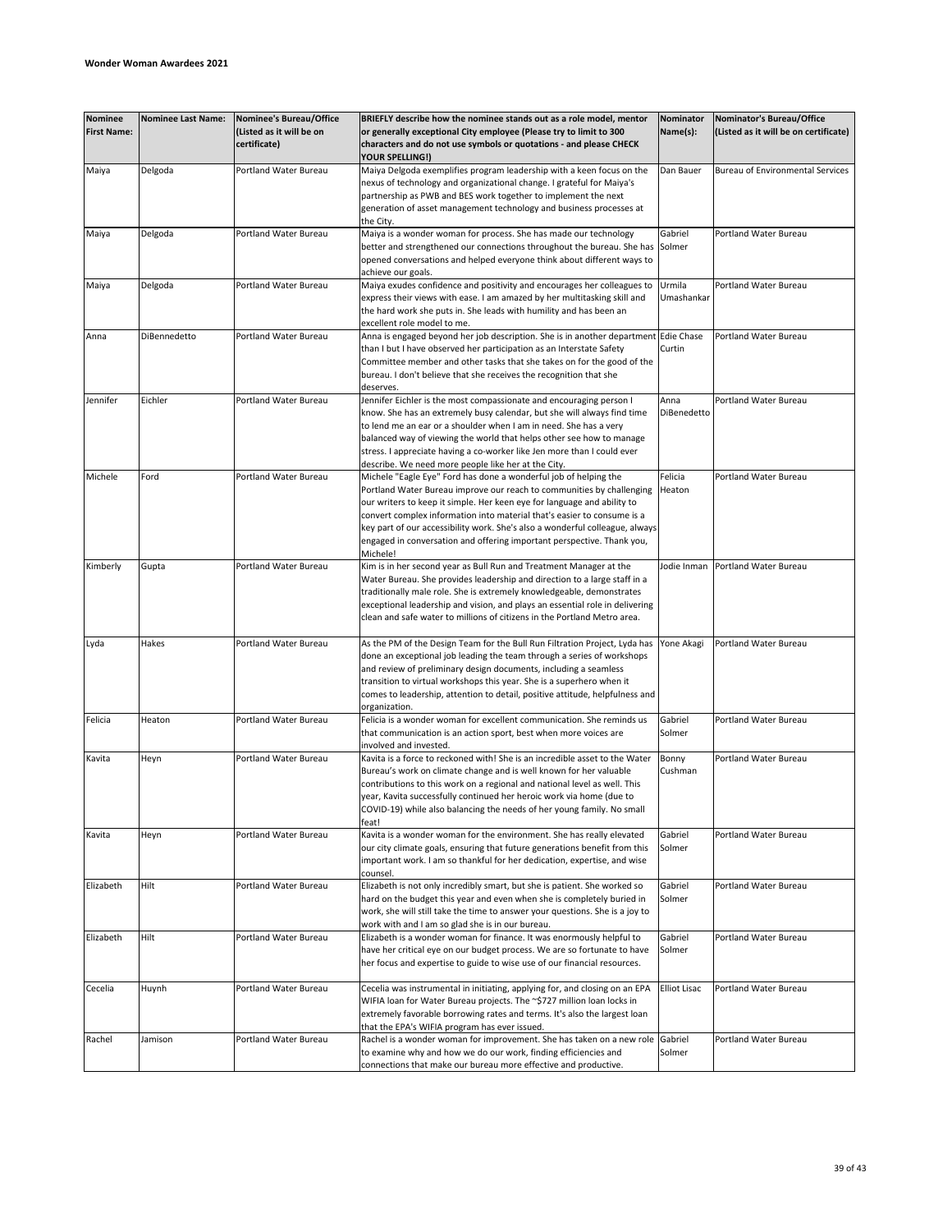| <b>Nominee</b><br><b>First Name:</b> | <b>Nominee Last Name:</b> | Nominee's Bureau/Office<br>(Listed as it will be on<br>certificate) | BRIEFLY describe how the nominee stands out as a role model, mentor<br>or generally exceptional City employee (Please try to limit to 300<br>characters and do not use symbols or quotations - and please CHECK                                                                                                                                                                                    | Nominator<br>Name(s): | Nominator's Bureau/Office<br>(Listed as it will be on certificate) |
|--------------------------------------|---------------------------|---------------------------------------------------------------------|----------------------------------------------------------------------------------------------------------------------------------------------------------------------------------------------------------------------------------------------------------------------------------------------------------------------------------------------------------------------------------------------------|-----------------------|--------------------------------------------------------------------|
|                                      |                           |                                                                     | <b>YOUR SPELLING!)</b>                                                                                                                                                                                                                                                                                                                                                                             |                       |                                                                    |
| Maiya                                | Delgoda                   | Portland Water Bureau                                               | Maiya Delgoda exemplifies program leadership with a keen focus on the<br>nexus of technology and organizational change. I grateful for Maiya's<br>partnership as PWB and BES work together to implement the next<br>generation of asset management technology and business processes at<br>the City.                                                                                               | Dan Bauer             | <b>Bureau of Environmental Services</b>                            |
| Maiya                                | Delgoda                   | Portland Water Bureau                                               | Maiya is a wonder woman for process. She has made our technology                                                                                                                                                                                                                                                                                                                                   | Gabriel               | Portland Water Bureau                                              |
|                                      |                           |                                                                     | better and strengthened our connections throughout the bureau. She has<br>opened conversations and helped everyone think about different ways to<br>achieve our goals.                                                                                                                                                                                                                             | Solmer                |                                                                    |
| Maiya                                | Delgoda                   | Portland Water Bureau                                               | Maiya exudes confidence and positivity and encourages her colleagues to                                                                                                                                                                                                                                                                                                                            | Urmila                | Portland Water Bureau                                              |
|                                      |                           |                                                                     | express their views with ease. I am amazed by her multitasking skill and<br>the hard work she puts in. She leads with humility and has been an<br>excellent role model to me.                                                                                                                                                                                                                      | Umashankar            |                                                                    |
| Anna                                 | DiBennedetto              | Portland Water Bureau                                               | Anna is engaged beyond her job description. She is in another department                                                                                                                                                                                                                                                                                                                           | <b>Edie Chase</b>     | Portland Water Bureau                                              |
|                                      |                           |                                                                     | than I but I have observed her participation as an Interstate Safety<br>Committee member and other tasks that she takes on for the good of the<br>bureau. I don't believe that she receives the recognition that she<br>deserves.                                                                                                                                                                  | Curtin                |                                                                    |
| Jennifer                             | Eichler                   | Portland Water Bureau                                               | Jennifer Eichler is the most compassionate and encouraging person I                                                                                                                                                                                                                                                                                                                                | Anna                  | Portland Water Bureau                                              |
|                                      |                           |                                                                     | know. She has an extremely busy calendar, but she will always find time<br>to lend me an ear or a shoulder when I am in need. She has a very<br>balanced way of viewing the world that helps other see how to manage<br>stress. I appreciate having a co-worker like Jen more than I could ever<br>describe. We need more people like her at the City.                                             | DiBenedetto           |                                                                    |
| Michele                              | Ford                      | Portland Water Bureau                                               | Michele "Eagle Eye" Ford has done a wonderful job of helping the                                                                                                                                                                                                                                                                                                                                   | Felicia               | Portland Water Bureau                                              |
|                                      |                           |                                                                     | Portland Water Bureau improve our reach to communities by challenging<br>our writers to keep it simple. Her keen eye for language and ability to<br>convert complex information into material that's easier to consume is a<br>key part of our accessibility work. She's also a wonderful colleague, always<br>engaged in conversation and offering important perspective. Thank you,<br>Michele!  | Heaton                |                                                                    |
| Kimberly                             | Gupta                     | Portland Water Bureau                                               | Kim is in her second year as Bull Run and Treatment Manager at the                                                                                                                                                                                                                                                                                                                                 | Jodie Inman           | Portland Water Bureau                                              |
|                                      |                           |                                                                     | Water Bureau. She provides leadership and direction to a large staff in a<br>traditionally male role. She is extremely knowledgeable, demonstrates<br>exceptional leadership and vision, and plays an essential role in delivering<br>clean and safe water to millions of citizens in the Portland Metro area.                                                                                     |                       |                                                                    |
| Lyda                                 | Hakes                     | Portland Water Bureau                                               | As the PM of the Design Team for the Bull Run Filtration Project, Lyda has<br>done an exceptional job leading the team through a series of workshops<br>and review of preliminary design documents, including a seamless<br>transition to virtual workshops this year. She is a superhero when it<br>comes to leadership, attention to detail, positive attitude, helpfulness and<br>organization. | Yone Akagi            | Portland Water Bureau                                              |
| Felicia                              | Heaton                    | <b>Portland Water Bureau</b>                                        | Felicia is a wonder woman for excellent communication. She reminds us                                                                                                                                                                                                                                                                                                                              | Gabriel               | Portland Water Bureau                                              |
|                                      |                           |                                                                     | that communication is an action sport, best when more voices are<br>involved and invested.                                                                                                                                                                                                                                                                                                         | Solmer                |                                                                    |
| Kavita                               | Heyn                      | Portland Water Bureau                                               | Kavita is a force to reckoned with! She is an incredible asset to the Water<br>Bureau's work on climate change and is well known for her valuable<br>contributions to this work on a regional and national level as well. This<br>year, Kavita successfully continued her heroic work via home (due to<br>COVID-19) while also balancing the needs of her young family. No small<br>feat!          | Bonny<br>Cushman      | Portland Water Bureau                                              |
| Kavita                               | Heyn                      | <b>Portland Water Bureau</b>                                        | Kavita is a wonder woman for the environment. She has really elevated<br>our city climate goals, ensuring that future generations benefit from this<br>important work. I am so thankful for her dedication, expertise, and wise<br>counsel.                                                                                                                                                        | Gabriel<br>Solmer     | Portland Water Bureau                                              |
| Elizabeth                            | Hilt                      | Portland Water Bureau                                               | Elizabeth is not only incredibly smart, but she is patient. She worked so<br>hard on the budget this year and even when she is completely buried in<br>work, she will still take the time to answer your questions. She is a joy to<br>work with and I am so glad she is in our bureau.                                                                                                            | Gabriel<br>Solmer     | Portland Water Bureau                                              |
| Elizabeth                            | Hilt                      | Portland Water Bureau                                               | Elizabeth is a wonder woman for finance. It was enormously helpful to<br>have her critical eye on our budget process. We are so fortunate to have<br>her focus and expertise to guide to wise use of our financial resources.                                                                                                                                                                      | Gabriel<br>Solmer     | Portland Water Bureau                                              |
| Cecelia                              | Huynh                     | Portland Water Bureau                                               | Cecelia was instrumental in initiating, applying for, and closing on an EPA<br>WIFIA loan for Water Bureau projects. The ~\$727 million loan locks in<br>extremely favorable borrowing rates and terms. It's also the largest loan<br>that the EPA's WIFIA program has ever issued.                                                                                                                | <b>Elliot Lisac</b>   | Portland Water Bureau                                              |
| Rachel                               | Jamison                   | Portland Water Bureau                                               | Rachel is a wonder woman for improvement. She has taken on a new role Gabriel                                                                                                                                                                                                                                                                                                                      |                       | Portland Water Bureau                                              |
|                                      |                           |                                                                     | to examine why and how we do our work, finding efficiencies and<br>connections that make our bureau more effective and productive.                                                                                                                                                                                                                                                                 | Solmer                |                                                                    |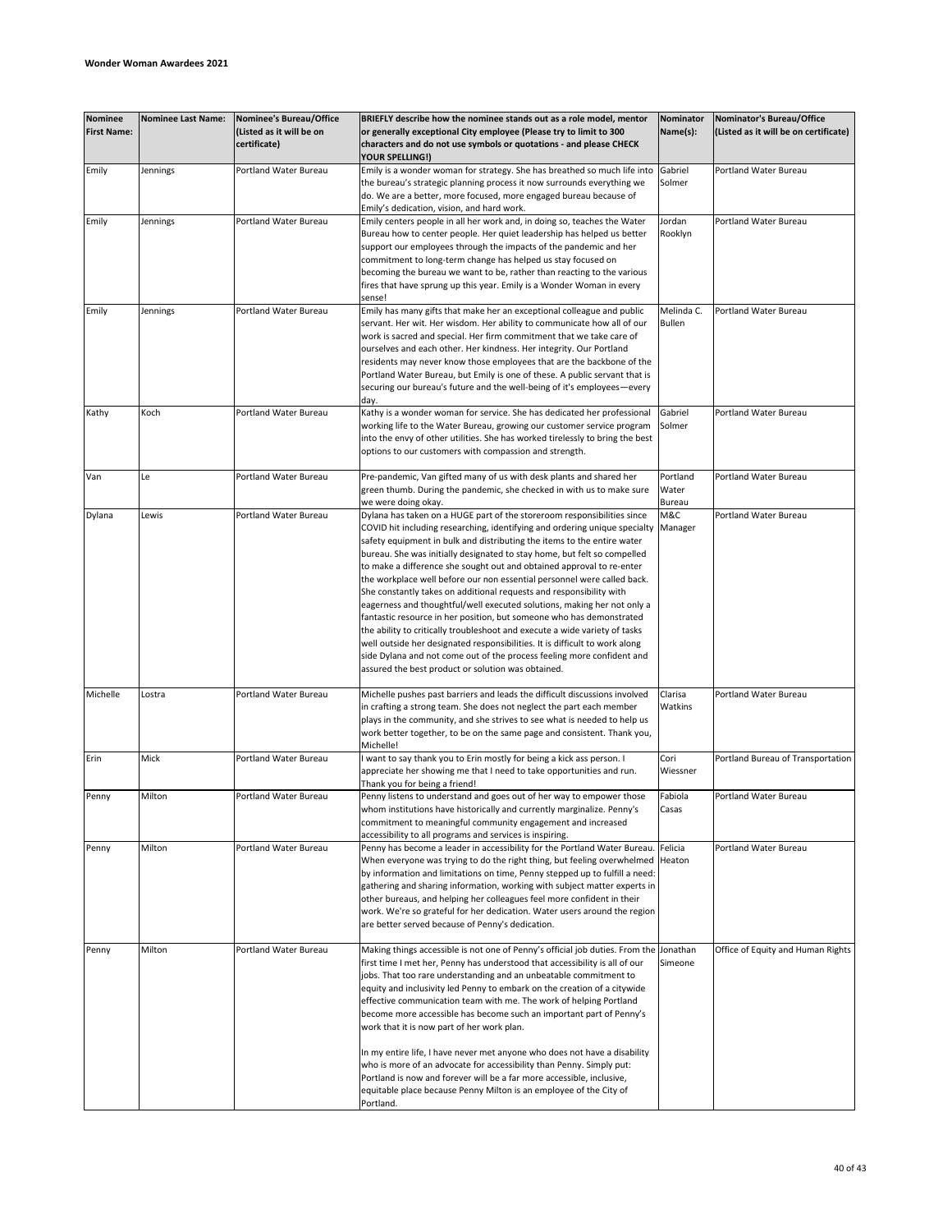| <b>Nominee</b><br><b>First Name:</b> | <b>Nominee Last Name:</b> | Nominee's Bureau/Office<br>(Listed as it will be on<br>certificate) | BRIEFLY describe how the nominee stands out as a role model, mentor<br>or generally exceptional City employee (Please try to limit to 300<br>characters and do not use symbols or quotations - and please CHECK                                                                                                                                                                                                                                                                                                                                                                                                                                                                                                                                                                                                                                                                                                                                                                         | Nominator<br>Name(s):       | Nominator's Bureau/Office<br>(Listed as it will be on certificate) |
|--------------------------------------|---------------------------|---------------------------------------------------------------------|-----------------------------------------------------------------------------------------------------------------------------------------------------------------------------------------------------------------------------------------------------------------------------------------------------------------------------------------------------------------------------------------------------------------------------------------------------------------------------------------------------------------------------------------------------------------------------------------------------------------------------------------------------------------------------------------------------------------------------------------------------------------------------------------------------------------------------------------------------------------------------------------------------------------------------------------------------------------------------------------|-----------------------------|--------------------------------------------------------------------|
| Emily                                | Jennings                  | Portland Water Bureau                                               | YOUR SPELLING!)<br>Emily is a wonder woman for strategy. She has breathed so much life into<br>the bureau's strategic planning process it now surrounds everything we                                                                                                                                                                                                                                                                                                                                                                                                                                                                                                                                                                                                                                                                                                                                                                                                                   | Gabriel<br>Solmer           | Portland Water Bureau                                              |
|                                      |                           |                                                                     | do. We are a better, more focused, more engaged bureau because of<br>Emily's dedication, vision, and hard work.                                                                                                                                                                                                                                                                                                                                                                                                                                                                                                                                                                                                                                                                                                                                                                                                                                                                         |                             |                                                                    |
| Emily                                | Jennings                  | Portland Water Bureau                                               | Emily centers people in all her work and, in doing so, teaches the Water<br>Bureau how to center people. Her quiet leadership has helped us better<br>support our employees through the impacts of the pandemic and her<br>commitment to long-term change has helped us stay focused on<br>becoming the bureau we want to be, rather than reacting to the various<br>fires that have sprung up this year. Emily is a Wonder Woman in every<br>sense!                                                                                                                                                                                                                                                                                                                                                                                                                                                                                                                                    | Jordan<br>Rooklyn           | Portland Water Bureau                                              |
| Emily                                | Jennings                  | Portland Water Bureau                                               | Emily has many gifts that make her an exceptional colleague and public<br>servant. Her wit. Her wisdom. Her ability to communicate how all of our<br>work is sacred and special. Her firm commitment that we take care of<br>ourselves and each other. Her kindness. Her integrity. Our Portland<br>residents may never know those employees that are the backbone of the<br>Portland Water Bureau, but Emily is one of these. A public servant that is<br>securing our bureau's future and the well-being of it's employees-every<br>day.                                                                                                                                                                                                                                                                                                                                                                                                                                              | Melinda C.<br><b>Bullen</b> | Portland Water Bureau                                              |
| Kathy                                | Koch                      | Portland Water Bureau                                               | Kathy is a wonder woman for service. She has dedicated her professional<br>working life to the Water Bureau, growing our customer service program<br>into the envy of other utilities. She has worked tirelessly to bring the best<br>options to our customers with compassion and strength.                                                                                                                                                                                                                                                                                                                                                                                                                                                                                                                                                                                                                                                                                            | Gabriel<br>Solmer           | Portland Water Bureau                                              |
| Van                                  | Le                        | Portland Water Bureau                                               | Pre-pandemic, Van gifted many of us with desk plants and shared her<br>green thumb. During the pandemic, she checked in with us to make sure<br>we were doing okay.                                                                                                                                                                                                                                                                                                                                                                                                                                                                                                                                                                                                                                                                                                                                                                                                                     | Portland<br>Water<br>Bureau | <b>Portland Water Bureau</b>                                       |
| Dylana                               | Lewis                     | Portland Water Bureau                                               | Dylana has taken on a HUGE part of the storeroom responsibilities since<br>COVID hit including researching, identifying and ordering unique specialty<br>safety equipment in bulk and distributing the items to the entire water<br>bureau. She was initially designated to stay home, but felt so compelled<br>to make a difference she sought out and obtained approval to re-enter<br>the workplace well before our non essential personnel were called back.<br>She constantly takes on additional requests and responsibility with<br>eagerness and thoughtful/well executed solutions, making her not only a<br>fantastic resource in her position, but someone who has demonstrated<br>the ability to critically troubleshoot and execute a wide variety of tasks<br>well outside her designated responsibilities. It is difficult to work along<br>side Dylana and not come out of the process feeling more confident and<br>assured the best product or solution was obtained. | M&C<br>Manager              | Portland Water Bureau                                              |
| Michelle                             | Lostra                    | Portland Water Bureau                                               | Michelle pushes past barriers and leads the difficult discussions involved<br>in crafting a strong team. She does not neglect the part each member<br>plays in the community, and she strives to see what is needed to help us<br>work better together, to be on the same page and consistent. Thank you,<br>Michelle!                                                                                                                                                                                                                                                                                                                                                                                                                                                                                                                                                                                                                                                                  | Clarisa<br>Watkins          | Portland Water Bureau                                              |
| Erin                                 | Mick                      | Portland Water Bureau                                               | want to say thank you to Erin mostly for being a kick ass person. I<br>appreciate her showing me that I need to take opportunities and run.<br>Thank you for being a friend!                                                                                                                                                                                                                                                                                                                                                                                                                                                                                                                                                                                                                                                                                                                                                                                                            | Cori<br>Wiessner            | Portland Bureau of Transportation                                  |
| Penny                                | Milton                    | Portland Water Bureau                                               | Penny listens to understand and goes out of her way to empower those<br>whom institutions have historically and currently marginalize. Penny's<br>commitment to meaningful community engagement and increased<br>accessibility to all programs and services is inspiring.                                                                                                                                                                                                                                                                                                                                                                                                                                                                                                                                                                                                                                                                                                               | Fabiola<br>Casas            | Portland Water Bureau                                              |
| Penny                                | Milton                    | Portland Water Bureau                                               | Penny has become a leader in accessibility for the Portland Water Bureau. Felicia<br>When everyone was trying to do the right thing, but feeling overwhelmed  Heaton<br>by information and limitations on time, Penny stepped up to fulfill a need:<br>gathering and sharing information, working with subject matter experts in<br>other bureaus, and helping her colleagues feel more confident in their<br>work. We're so grateful for her dedication. Water users around the region<br>are better served because of Penny's dedication.                                                                                                                                                                                                                                                                                                                                                                                                                                             |                             | <b>Portland Water Bureau</b>                                       |
| Penny                                | Milton                    | Portland Water Bureau                                               | Making things accessible is not one of Penny's official job duties. From the Jonathan<br>first time I met her, Penny has understood that accessibility is all of our<br>jobs. That too rare understanding and an unbeatable commitment to<br>equity and inclusivity led Penny to embark on the creation of a citywide<br>effective communication team with me. The work of helping Portland<br>become more accessible has become such an important part of Penny's<br>work that it is now part of her work plan.<br>In my entire life, I have never met anyone who does not have a disability<br>who is more of an advocate for accessibility than Penny. Simply put:<br>Portland is now and forever will be a far more accessible, inclusive,<br>equitable place because Penny Milton is an employee of the City of<br>Portland.                                                                                                                                                       | Simeone                     | Office of Equity and Human Rights                                  |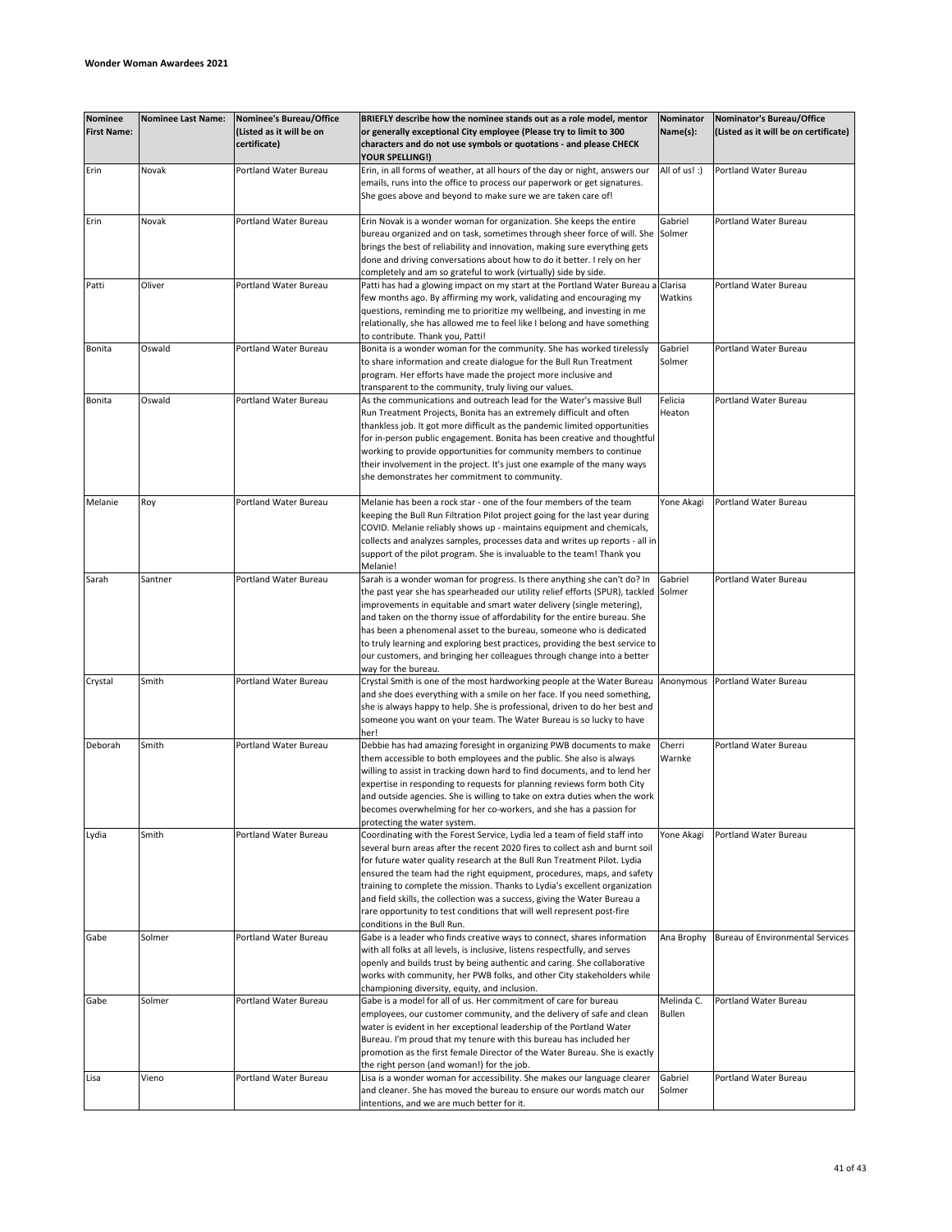| <b>Nominee</b><br><b>First Name:</b> | <b>Nominee Last Name:</b> | <b>Nominee's Bureau/Office</b><br>(Listed as it will be on<br>certificate) | BRIEFLY describe how the nominee stands out as a role model, mentor<br>or generally exceptional City employee (Please try to limit to 300<br>characters and do not use symbols or quotations - and please CHECK<br><b>YOUR SPELLING!)</b>                                                                                                                                                                                                                                                                                                                                            | Nominator<br>Name(s):       | Nominator's Bureau/Office<br>(Listed as it will be on certificate) |
|--------------------------------------|---------------------------|----------------------------------------------------------------------------|--------------------------------------------------------------------------------------------------------------------------------------------------------------------------------------------------------------------------------------------------------------------------------------------------------------------------------------------------------------------------------------------------------------------------------------------------------------------------------------------------------------------------------------------------------------------------------------|-----------------------------|--------------------------------------------------------------------|
| Erin                                 | Novak                     | Portland Water Bureau                                                      | Erin, in all forms of weather, at all hours of the day or night, answers our<br>emails, runs into the office to process our paperwork or get signatures.<br>She goes above and beyond to make sure we are taken care of!                                                                                                                                                                                                                                                                                                                                                             | All of us! :)               | Portland Water Bureau                                              |
| Erin                                 | Novak                     | Portland Water Bureau                                                      | Erin Novak is a wonder woman for organization. She keeps the entire<br>bureau organized and on task, sometimes through sheer force of will. She Solmer<br>brings the best of reliability and innovation, making sure everything gets<br>done and driving conversations about how to do it better. I rely on her<br>completely and am so grateful to work (virtually) side by side.                                                                                                                                                                                                   | Gabriel                     | Portland Water Bureau                                              |
| Patti                                | Oliver                    | Portland Water Bureau                                                      | Patti has had a glowing impact on my start at the Portland Water Bureau a<br>few months ago. By affirming my work, validating and encouraging my<br>questions, reminding me to prioritize my wellbeing, and investing in me<br>relationally, she has allowed me to feel like I belong and have something<br>to contribute. Thank you, Patti!                                                                                                                                                                                                                                         | Clarisa<br>Watkins          | Portland Water Bureau                                              |
| Bonita                               | Oswald                    | Portland Water Bureau                                                      | Bonita is a wonder woman for the community. She has worked tirelessly<br>to share information and create dialogue for the Bull Run Treatment<br>program. Her efforts have made the project more inclusive and<br>transparent to the community, truly living our values.                                                                                                                                                                                                                                                                                                              | Gabriel<br>Solmer           | Portland Water Bureau                                              |
| Bonita                               | Oswald                    | Portland Water Bureau                                                      | As the communications and outreach lead for the Water's massive Bull<br>Run Treatment Projects, Bonita has an extremely difficult and often<br>thankless job. It got more difficult as the pandemic limited opportunities<br>for in-person public engagement. Bonita has been creative and thoughtful<br>working to provide opportunities for community members to continue<br>their involvement in the project. It's just one example of the many ways<br>she demonstrates her commitment to community.                                                                             | Felicia<br>Heaton           | Portland Water Bureau                                              |
| Melanie                              | Roy                       | Portland Water Bureau                                                      | Melanie has been a rock star - one of the four members of the team<br>keeping the Bull Run Filtration Pilot project going for the last year during<br>COVID. Melanie reliably shows up - maintains equipment and chemicals,<br>collects and analyzes samples, processes data and writes up reports - all in<br>support of the pilot program. She is invaluable to the team! Thank you<br>Melanie!                                                                                                                                                                                    | Yone Akagi                  | Portland Water Bureau                                              |
| Sarah                                | Santner                   | Portland Water Bureau                                                      | Sarah is a wonder woman for progress. Is there anything she can't do? In<br>the past year she has spearheaded our utility relief efforts (SPUR), tackled<br>improvements in equitable and smart water delivery (single metering),<br>and taken on the thorny issue of affordability for the entire bureau. She<br>has been a phenomenal asset to the bureau, someone who is dedicated<br>to truly learning and exploring best practices, providing the best service to<br>our customers, and bringing her colleagues through change into a better<br>way for the bureau.             | Gabriel<br>Solmer           | Portland Water Bureau                                              |
| Crystal                              | Smith                     | Portland Water Bureau                                                      | Crystal Smith is one of the most hardworking people at the Water Bureau<br>and she does everything with a smile on her face. If you need something,<br>she is always happy to help. She is professional, driven to do her best and<br>someone you want on your team. The Water Bureau is so lucky to have<br>her!                                                                                                                                                                                                                                                                    | Anonymous                   | Portland Water Bureau                                              |
| Deborah                              | Smith                     | Portland Water Bureau                                                      | Debbie has had amazing foresight in organizing PWB documents to make<br>them accessible to both employees and the public. She also is always<br>willing to assist in tracking down hard to find documents, and to lend her<br>expertise in responding to requests for planning reviews form both City<br>and outside agencies. She is willing to take on extra duties when the work<br>becomes overwhelming for her co-workers, and she has a passion for<br>protecting the water system.                                                                                            | Cherri<br>Warnke            | Portland Water Bureau                                              |
| Lydia                                | Smith                     | Portland Water Bureau                                                      | Coordinating with the Forest Service, Lydia led a team of field staff into<br>several burn areas after the recent 2020 fires to collect ash and burnt soil<br>for future water quality research at the Bull Run Treatment Pilot. Lydia<br>ensured the team had the right equipment, procedures, maps, and safety<br>training to complete the mission. Thanks to Lydia's excellent organization<br>and field skills, the collection was a success, giving the Water Bureau a<br>rare opportunity to test conditions that will well represent post-fire<br>conditions in the Bull Run. | Yone Akagi                  | Portland Water Bureau                                              |
| Gabe                                 | Solmer                    | <b>Portland Water Bureau</b>                                               | Gabe is a leader who finds creative ways to connect, shares information<br>with all folks at all levels, is inclusive, listens respectfully, and serves<br>openly and builds trust by being authentic and caring. She collaborative<br>works with community, her PWB folks, and other City stakeholders while<br>championing diversity, equity, and inclusion.                                                                                                                                                                                                                       | Ana Brophy                  | Bureau of Environmental Services                                   |
| Gabe                                 | Solmer                    | Portland Water Bureau                                                      | Gabe is a model for all of us. Her commitment of care for bureau<br>employees, our customer community, and the delivery of safe and clean<br>water is evident in her exceptional leadership of the Portland Water<br>Bureau. I'm proud that my tenure with this bureau has included her<br>promotion as the first female Director of the Water Bureau. She is exactly<br>the right person (and woman!) for the job.                                                                                                                                                                  | Melinda C.<br><b>Bullen</b> | Portland Water Bureau                                              |
| Lisa                                 | Vieno                     | Portland Water Bureau                                                      | Lisa is a wonder woman for accessibility. She makes our language clearer<br>and cleaner. She has moved the bureau to ensure our words match our<br>intentions, and we are much better for it.                                                                                                                                                                                                                                                                                                                                                                                        | Gabriel<br>Solmer           | Portland Water Bureau                                              |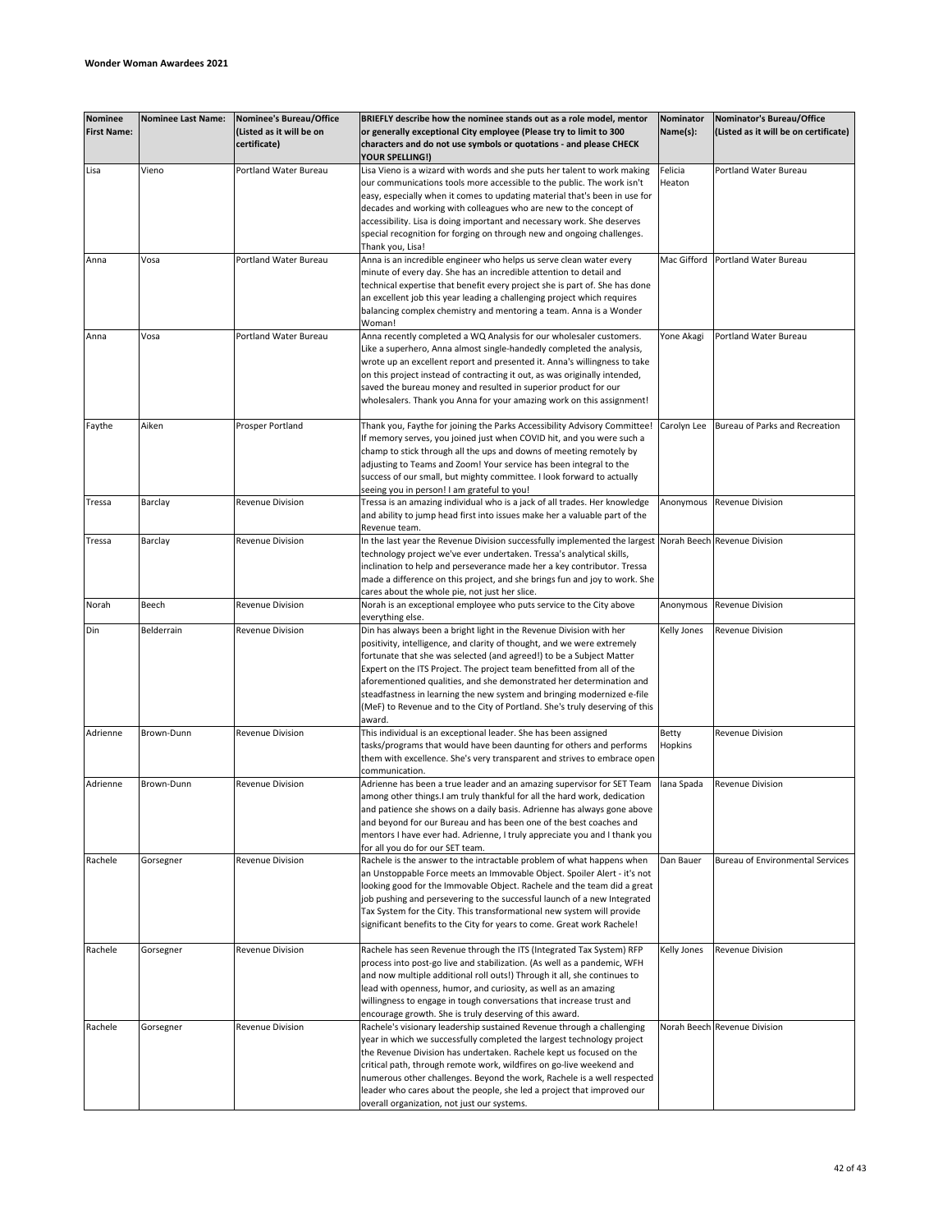| <b>Nominee</b><br><b>First Name:</b> | <b>Nominee Last Name:</b> | Nominee's Bureau/Office<br>(Listed as it will be on<br>certificate) | BRIEFLY describe how the nominee stands out as a role model, mentor<br>or generally exceptional City employee (Please try to limit to 300<br>characters and do not use symbols or quotations - and please CHECK<br><b>YOUR SPELLING!)</b>                                                                                                                                                                                                                                                                                                    | Nominator<br>Name(s): | Nominator's Bureau/Office<br>(Listed as it will be on certificate) |
|--------------------------------------|---------------------------|---------------------------------------------------------------------|----------------------------------------------------------------------------------------------------------------------------------------------------------------------------------------------------------------------------------------------------------------------------------------------------------------------------------------------------------------------------------------------------------------------------------------------------------------------------------------------------------------------------------------------|-----------------------|--------------------------------------------------------------------|
| Lisa                                 | Vieno                     | Portland Water Bureau                                               | Lisa Vieno is a wizard with words and she puts her talent to work making<br>our communications tools more accessible to the public. The work isn't<br>easy, especially when it comes to updating material that's been in use for<br>decades and working with colleagues who are new to the concept of<br>accessibility. Lisa is doing important and necessary work. She deserves<br>special recognition for forging on through new and ongoing challenges.<br>Thank you, Lisa!                                                               | Felicia<br>Heaton     | Portland Water Bureau                                              |
| Anna                                 | Vosa                      | Portland Water Bureau                                               | Anna is an incredible engineer who helps us serve clean water every<br>minute of every day. She has an incredible attention to detail and<br>technical expertise that benefit every project she is part of. She has done<br>an excellent job this year leading a challenging project which requires<br>balancing complex chemistry and mentoring a team. Anna is a Wonder<br>Woman!                                                                                                                                                          | Mac Gifford           | Portland Water Bureau                                              |
| Anna                                 | Vosa                      | Portland Water Bureau                                               | Anna recently completed a WQ Analysis for our wholesaler customers.<br>Like a superhero, Anna almost single-handedly completed the analysis,<br>wrote up an excellent report and presented it. Anna's willingness to take<br>on this project instead of contracting it out, as was originally intended,<br>saved the bureau money and resulted in superior product for our<br>wholesalers. Thank you Anna for your amazing work on this assignment!                                                                                          | Yone Akagi            | Portland Water Bureau                                              |
| Faythe                               | Aiken                     | Prosper Portland                                                    | Thank you, Faythe for joining the Parks Accessibility Advisory Committee!<br>If memory serves, you joined just when COVID hit, and you were such a<br>champ to stick through all the ups and downs of meeting remotely by<br>adjusting to Teams and Zoom! Your service has been integral to the<br>success of our small, but mighty committee. I look forward to actually<br>seeing you in person! I am grateful to you!                                                                                                                     | Carolyn Lee           | Bureau of Parks and Recreation                                     |
| Tressa                               | Barclay                   | <b>Revenue Division</b>                                             | Tressa is an amazing individual who is a jack of all trades. Her knowledge<br>and ability to jump head first into issues make her a valuable part of the<br>Revenue team.                                                                                                                                                                                                                                                                                                                                                                    | Anonymous             | <b>Revenue Division</b>                                            |
| Tressa                               | Barclay                   | Revenue Division                                                    | In the last year the Revenue Division successfully implemented the largest<br>technology project we've ever undertaken. Tressa's analytical skills,<br>inclination to help and perseverance made her a key contributor. Tressa<br>made a difference on this project, and she brings fun and joy to work. She<br>cares about the whole pie, not just her slice.                                                                                                                                                                               |                       | Norah Beech Revenue Division                                       |
| Norah                                | Beech                     | Revenue Division                                                    | Norah is an exceptional employee who puts service to the City above<br>everything else.                                                                                                                                                                                                                                                                                                                                                                                                                                                      | Anonymous             | <b>Revenue Division</b>                                            |
| Din                                  | Belderrain                | Revenue Division                                                    | Din has always been a bright light in the Revenue Division with her<br>positivity, intelligence, and clarity of thought, and we were extremely<br>fortunate that she was selected (and agreed!) to be a Subject Matter<br>Expert on the ITS Project. The project team benefitted from all of the<br>aforementioned qualities, and she demonstrated her determination and<br>steadfastness in learning the new system and bringing modernized e-file<br>(MeF) to Revenue and to the City of Portland. She's truly deserving of this<br>award. | Kelly Jones           | Revenue Division                                                   |
| Adrienne                             | Brown-Dunn                | Revenue Division                                                    | This individual is an exceptional leader. She has been assigned<br>tasks/programs that would have been daunting for others and performs<br>them with excellence. She's very transparent and strives to embrace open<br>communication.                                                                                                                                                                                                                                                                                                        | Betty<br>Hopkins      | Revenue Division                                                   |
| Adrienne                             | Brown-Dunn                | <b>Revenue Division</b>                                             | Adrienne has been a true leader and an amazing supervisor for SET Team<br>among other things.I am truly thankful for all the hard work, dedication<br>and patience she shows on a daily basis. Adrienne has always gone above<br>and beyond for our Bureau and has been one of the best coaches and<br>mentors I have ever had. Adrienne, I truly appreciate you and I thank you<br>for all you do for our SET team.                                                                                                                         | lana Spada            | <b>Revenue Division</b>                                            |
| Rachele                              | Gorsegner                 | Revenue Division                                                    | Rachele is the answer to the intractable problem of what happens when<br>an Unstoppable Force meets an Immovable Object. Spoiler Alert - it's not<br>looking good for the Immovable Object. Rachele and the team did a great<br>job pushing and persevering to the successful launch of a new Integrated<br>Tax System for the City. This transformational new system will provide<br>significant benefits to the City for years to come. Great work Rachele!                                                                                | Dan Bauer             | Bureau of Environmental Services                                   |
| Rachele                              | Gorsegner                 | Revenue Division                                                    | Rachele has seen Revenue through the ITS (Integrated Tax System) RFP<br>process into post-go live and stabilization. (As well as a pandemic, WFH<br>and now multiple additional roll outs!) Through it all, she continues to<br>lead with openness, humor, and curiosity, as well as an amazing<br>willingness to engage in tough conversations that increase trust and<br>encourage growth. She is truly deserving of this award.                                                                                                           | Kelly Jones           | Revenue Division                                                   |
| Rachele                              | Gorsegner                 | Revenue Division                                                    | Rachele's visionary leadership sustained Revenue through a challenging<br>year in which we successfully completed the largest technology project<br>the Revenue Division has undertaken. Rachele kept us focused on the<br>critical path, through remote work, wildfires on go-live weekend and<br>numerous other challenges. Beyond the work, Rachele is a well respected<br>leader who cares about the people, she led a project that improved our<br>overall organization, not just our systems.                                          |                       | Norah Beech Revenue Division                                       |